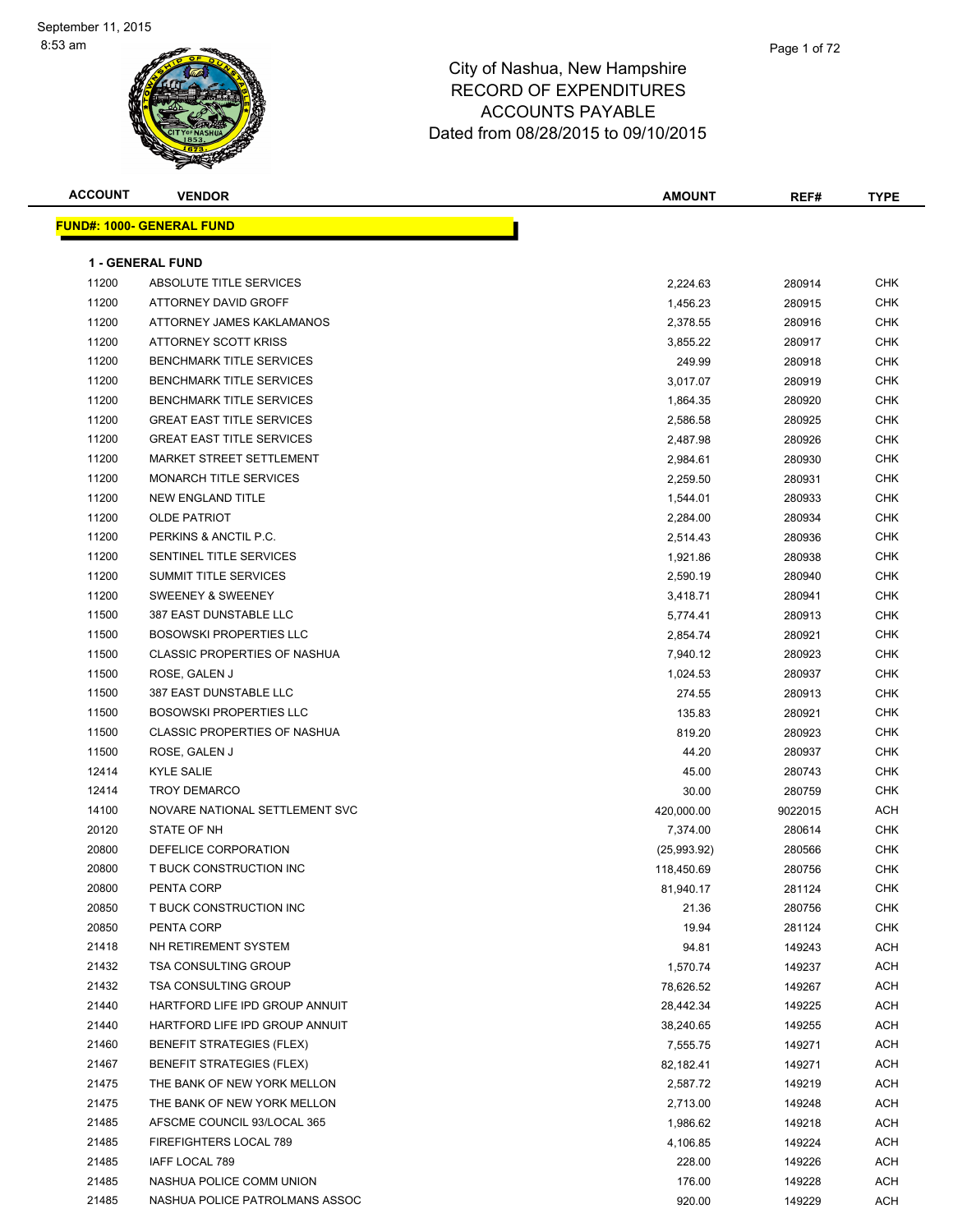| <b>ACCOUNT</b> | <b>VENDOR</b>                       | <b>AMOUNT</b> | REF#    | <b>TYPE</b> |
|----------------|-------------------------------------|---------------|---------|-------------|
|                | <b>FUND#: 1000- GENERAL FUND</b>    |               |         |             |
|                | <b>1 - GENERAL FUND</b>             |               |         |             |
| 11200          | ABSOLUTE TITLE SERVICES             | 2,224.63      | 280914  | CHK         |
| 11200          | ATTORNEY DAVID GROFF                | 1,456.23      | 280915  | <b>CHK</b>  |
| 11200          | ATTORNEY JAMES KAKLAMANOS           | 2,378.55      | 280916  | CHK         |
| 11200          | ATTORNEY SCOTT KRISS                | 3,855.22      | 280917  | CHK         |
| 11200          | <b>BENCHMARK TITLE SERVICES</b>     | 249.99        | 280918  | <b>CHK</b>  |
| 11200          | <b>BENCHMARK TITLE SERVICES</b>     | 3,017.07      | 280919  | CHK         |
| 11200          | <b>BENCHMARK TITLE SERVICES</b>     | 1,864.35      | 280920  | <b>CHK</b>  |
| 11200          | <b>GREAT EAST TITLE SERVICES</b>    | 2,586.58      | 280925  | <b>CHK</b>  |
| 11200          | <b>GREAT EAST TITLE SERVICES</b>    | 2,487.98      | 280926  | CHK         |
| 11200          | MARKET STREET SETTLEMENT            | 2,984.61      | 280930  | CHK         |
| 11200          | MONARCH TITLE SERVICES              | 2,259.50      | 280931  | <b>CHK</b>  |
| 11200          | NEW ENGLAND TITLE                   | 1,544.01      | 280933  | CHK         |
| 11200          | <b>OLDE PATRIOT</b>                 | 2,284.00      | 280934  | <b>CHK</b>  |
| 11200          | PERKINS & ANCTIL P.C.               | 2,514.43      | 280936  | CHK         |
| 11200          | SENTINEL TITLE SERVICES             | 1,921.86      | 280938  | CHK         |
| 11200          | <b>SUMMIT TITLE SERVICES</b>        | 2,590.19      | 280940  | CHK         |
| 11200          | <b>SWEENEY &amp; SWEENEY</b>        | 3,418.71      | 280941  | CHK         |
| 11500          | 387 EAST DUNSTABLE LLC              | 5,774.41      | 280913  | CHK         |
| 11500          | <b>BOSOWSKI PROPERTIES LLC</b>      | 2,854.74      | 280921  | <b>CHK</b>  |
| 11500          | <b>CLASSIC PROPERTIES OF NASHUA</b> | 7,940.12      | 280923  | CHK         |
| 11500          | ROSE, GALEN J                       | 1,024.53      | 280937  | CHK         |
| 11500          | 387 EAST DUNSTABLE LLC              | 274.55        | 280913  | <b>CHK</b>  |
| 11500          | <b>BOSOWSKI PROPERTIES LLC</b>      | 135.83        | 280921  | CHK         |
| 11500          | <b>CLASSIC PROPERTIES OF NASHUA</b> | 819.20        | 280923  | <b>CHK</b>  |
| 11500          | ROSE, GALEN J                       | 44.20         | 280937  | CHK         |
| 12414          | <b>KYLE SALIE</b>                   | 45.00         | 280743  | CHK         |
| 12414          | <b>TROY DEMARCO</b>                 | 30.00         | 280759  | CHK         |
| 14100          | NOVARE NATIONAL SETTLEMENT SVC      | 420,000.00    | 9022015 | <b>ACH</b>  |
| 20120          | <b>STATE OF NH</b>                  | 7,374.00      | 280614  | <b>CHK</b>  |
| 20800          | DEFELICE CORPORATION                | (25,993.92)   | 280566  | <b>CHK</b>  |
| 20800          | T BUCK CONSTRUCTION INC             | 118,450.69    | 280756  | CHK         |
| 20800          | PENTA CORP                          | 81,940.17     | 281124  | CHK         |
| 20850          | T BUCK CONSTRUCTION INC             | 21.36         | 280756  | <b>CHK</b>  |
| 20850          | PENTA CORP                          | 19.94         | 281124  | CHK         |
| 21418          | NH RETIREMENT SYSTEM                | 94.81         | 149243  | ACH         |
| 21432          | <b>TSA CONSULTING GROUP</b>         | 1,570.74      | 149237  | <b>ACH</b>  |
| 21432          | <b>TSA CONSULTING GROUP</b>         | 78,626.52     | 149267  | <b>ACH</b>  |
| 21440          | HARTFORD LIFE IPD GROUP ANNUIT      | 28,442.34     | 149225  | <b>ACH</b>  |
| 21440          | HARTFORD LIFE IPD GROUP ANNUIT      | 38,240.65     | 149255  | <b>ACH</b>  |
| 21460          | <b>BENEFIT STRATEGIES (FLEX)</b>    | 7,555.75      | 149271  | <b>ACH</b>  |
| 21467          | <b>BENEFIT STRATEGIES (FLEX)</b>    | 82,182.41     | 149271  | <b>ACH</b>  |
| 21475          | THE BANK OF NEW YORK MELLON         | 2,587.72      | 149219  | <b>ACH</b>  |
| 21475          | THE BANK OF NEW YORK MELLON         | 2,713.00      | 149248  | <b>ACH</b>  |
| 21485          | AFSCME COUNCIL 93/LOCAL 365         | 1,986.62      | 149218  | <b>ACH</b>  |
| 21485          | FIREFIGHTERS LOCAL 789              | 4,106.85      | 149224  | <b>ACH</b>  |
| 21485          | IAFF LOCAL 789                      | 228.00        | 149226  | <b>ACH</b>  |
| 21485          | NASHUA POLICE COMM UNION            | 176.00        | 149228  | ACH         |
| 21485          | NASHUA POLICE PATROLMANS ASSOC      | 920.00        | 149229  | ACH         |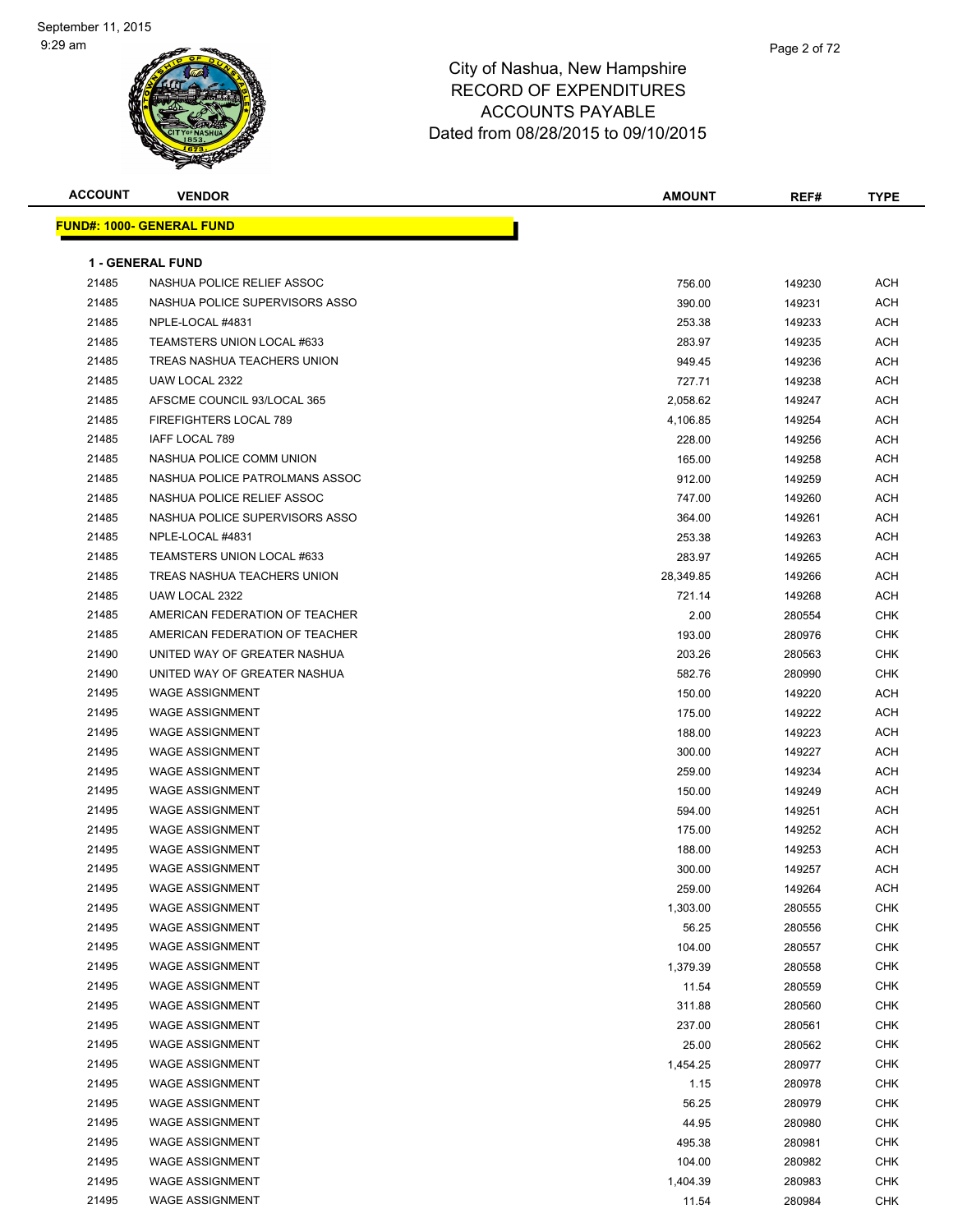

| <b>ACCOUNT</b> | <b>VENDOR</b>                    | AMOUNT    | REF#   | <b>TYPE</b> |
|----------------|----------------------------------|-----------|--------|-------------|
|                | <b>FUND#: 1000- GENERAL FUND</b> |           |        |             |
|                |                                  |           |        |             |
|                | <b>1 - GENERAL FUND</b>          |           |        |             |
| 21485          | NASHUA POLICE RELIEF ASSOC       | 756.00    | 149230 | ACH         |
| 21485          | NASHUA POLICE SUPERVISORS ASSO   | 390.00    | 149231 | ACH         |
| 21485          | NPLE-LOCAL #4831                 | 253.38    | 149233 | ACH         |
| 21485          | TEAMSTERS UNION LOCAL #633       | 283.97    | 149235 | ACH         |
| 21485          | TREAS NASHUA TEACHERS UNION      | 949.45    | 149236 | <b>ACH</b>  |
| 21485          | UAW LOCAL 2322                   | 727.71    | 149238 | <b>ACH</b>  |
| 21485          | AFSCME COUNCIL 93/LOCAL 365      | 2,058.62  | 149247 | ACH         |
| 21485          | FIREFIGHTERS LOCAL 789           | 4,106.85  | 149254 | <b>ACH</b>  |
| 21485          | IAFF LOCAL 789                   | 228.00    | 149256 | ACH         |
| 21485          | NASHUA POLICE COMM UNION         | 165.00    | 149258 | <b>ACH</b>  |
| 21485          | NASHUA POLICE PATROLMANS ASSOC   | 912.00    | 149259 | <b>ACH</b>  |
| 21485          | NASHUA POLICE RELIEF ASSOC       | 747.00    | 149260 | <b>ACH</b>  |
| 21485          | NASHUA POLICE SUPERVISORS ASSO   | 364.00    | 149261 | ACH         |
| 21485          | NPLE-LOCAL #4831                 | 253.38    | 149263 | ACH         |
| 21485          | TEAMSTERS UNION LOCAL #633       | 283.97    | 149265 | ACH         |
| 21485          | TREAS NASHUA TEACHERS UNION      | 28,349.85 | 149266 | <b>ACH</b>  |
| 21485          | UAW LOCAL 2322                   | 721.14    | 149268 | <b>ACH</b>  |
| 21485          | AMERICAN FEDERATION OF TEACHER   | 2.00      | 280554 | <b>CHK</b>  |
| 21485          | AMERICAN FEDERATION OF TEACHER   | 193.00    | 280976 | CHK         |
| 21490          | UNITED WAY OF GREATER NASHUA     | 203.26    | 280563 | <b>CHK</b>  |
| 21490          | UNITED WAY OF GREATER NASHUA     | 582.76    | 280990 | <b>CHK</b>  |
| 21495          | <b>WAGE ASSIGNMENT</b>           | 150.00    | 149220 | <b>ACH</b>  |
| 21495          | <b>WAGE ASSIGNMENT</b>           | 175.00    | 149222 | <b>ACH</b>  |
| 21495          | <b>WAGE ASSIGNMENT</b>           | 188.00    | 149223 | <b>ACH</b>  |
| 21495          | <b>WAGE ASSIGNMENT</b>           | 300.00    | 149227 | ACH         |
| 21495          | <b>WAGE ASSIGNMENT</b>           | 259.00    | 149234 | ACH         |
| 21495          | <b>WAGE ASSIGNMENT</b>           | 150.00    | 149249 | <b>ACH</b>  |
| 21495          | <b>WAGE ASSIGNMENT</b>           | 594.00    | 149251 | <b>ACH</b>  |
| 21495          | <b>WAGE ASSIGNMENT</b>           | 175.00    | 149252 | <b>ACH</b>  |
| 21495          | <b>WAGE ASSIGNMENT</b>           | 188.00    | 149253 | <b>ACH</b>  |
| 21495          | <b>WAGE ASSIGNMENT</b>           | 300.00    | 149257 | <b>ACH</b>  |
| 21495          | WAGE ASSIGNMENT                  | 259.00    | 149264 | ACH         |
| 21495          | <b>WAGE ASSIGNMENT</b>           | 1,303.00  | 280555 | <b>CHK</b>  |
| 21495          | <b>WAGE ASSIGNMENT</b>           | 56.25     | 280556 | <b>CHK</b>  |
| 21495          | <b>WAGE ASSIGNMENT</b>           | 104.00    | 280557 | <b>CHK</b>  |
| 21495          | <b>WAGE ASSIGNMENT</b>           | 1,379.39  | 280558 | <b>CHK</b>  |
| 21495          | <b>WAGE ASSIGNMENT</b>           | 11.54     | 280559 | <b>CHK</b>  |
| 21495          | <b>WAGE ASSIGNMENT</b>           | 311.88    | 280560 | <b>CHK</b>  |
| 21495          | <b>WAGE ASSIGNMENT</b>           | 237.00    | 280561 | <b>CHK</b>  |
| 21495          | <b>WAGE ASSIGNMENT</b>           | 25.00     | 280562 | <b>CHK</b>  |
| 21495          | <b>WAGE ASSIGNMENT</b>           | 1,454.25  | 280977 | <b>CHK</b>  |
| 21495          | <b>WAGE ASSIGNMENT</b>           | 1.15      | 280978 | <b>CHK</b>  |
| 21495          | <b>WAGE ASSIGNMENT</b>           | 56.25     | 280979 | <b>CHK</b>  |
| 21495          | <b>WAGE ASSIGNMENT</b>           | 44.95     | 280980 | <b>CHK</b>  |
| 21495          | <b>WAGE ASSIGNMENT</b>           | 495.38    | 280981 | <b>CHK</b>  |
| 21495          | <b>WAGE ASSIGNMENT</b>           | 104.00    | 280982 | <b>CHK</b>  |
| 21495          | <b>WAGE ASSIGNMENT</b>           | 1,404.39  | 280983 | <b>CHK</b>  |
| 21495          | <b>WAGE ASSIGNMENT</b>           | 11.54     | 280984 | <b>CHK</b>  |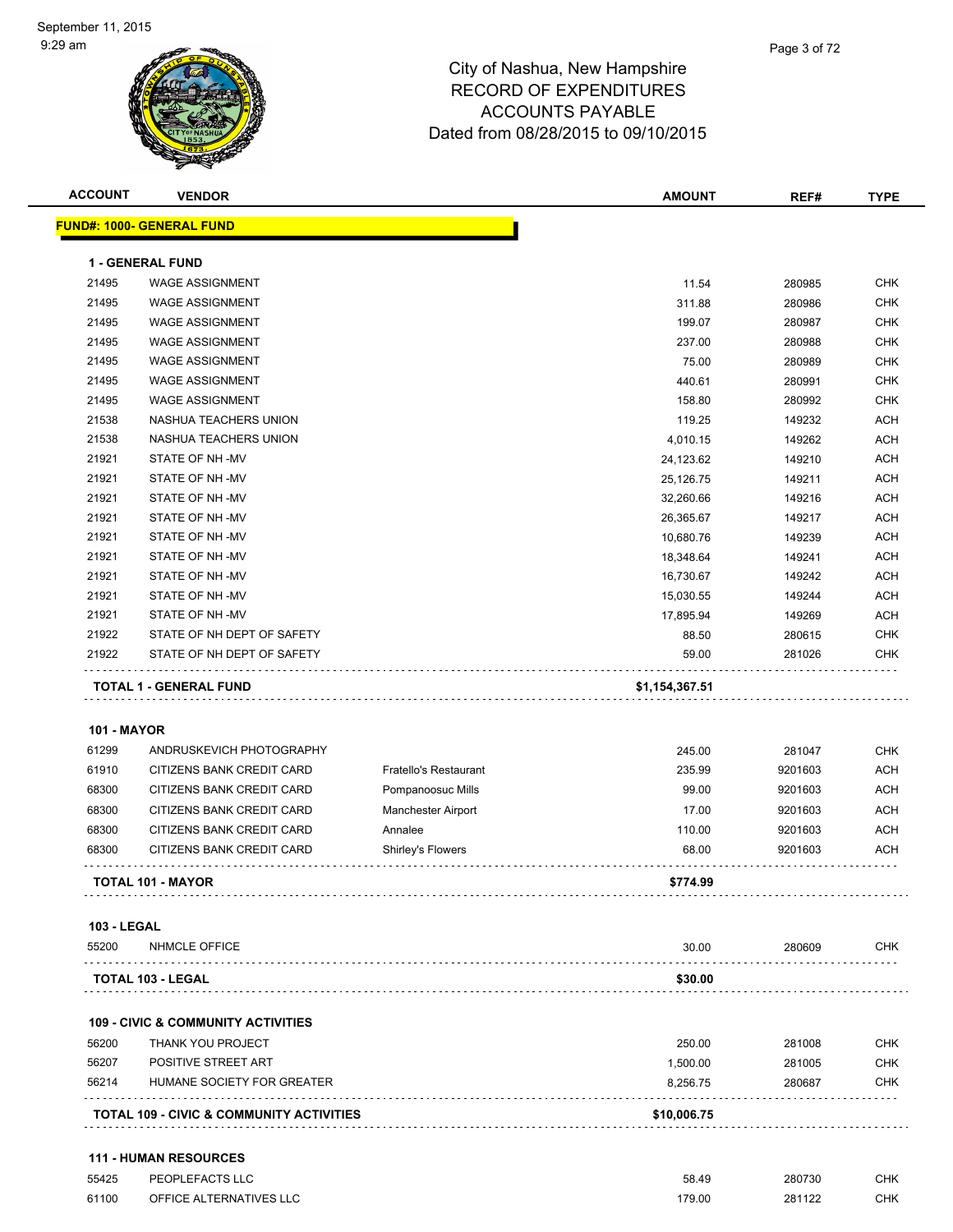| <b>ACCOUNT</b>              | <b>VENDOR</b>                                       |                       | <b>AMOUNT</b>   | REF#    | <b>TYPE</b> |
|-----------------------------|-----------------------------------------------------|-----------------------|-----------------|---------|-------------|
|                             | <b>FUND#: 1000- GENERAL FUND</b>                    |                       |                 |         |             |
|                             |                                                     |                       |                 |         |             |
|                             | <b>1 - GENERAL FUND</b>                             |                       |                 |         |             |
| 21495                       | <b>WAGE ASSIGNMENT</b>                              |                       | 11.54           | 280985  | <b>CHK</b>  |
| 21495                       | <b>WAGE ASSIGNMENT</b>                              |                       | 311.88          | 280986  | <b>CHK</b>  |
| 21495                       | <b>WAGE ASSIGNMENT</b>                              |                       | 199.07          | 280987  | <b>CHK</b>  |
| 21495                       | <b>WAGE ASSIGNMENT</b>                              |                       | 237.00          | 280988  | <b>CHK</b>  |
| 21495                       | <b>WAGE ASSIGNMENT</b>                              |                       | 75.00           | 280989  | <b>CHK</b>  |
| 21495                       | <b>WAGE ASSIGNMENT</b>                              |                       | 440.61          | 280991  | <b>CHK</b>  |
| 21495                       | <b>WAGE ASSIGNMENT</b>                              |                       | 158.80          | 280992  | <b>CHK</b>  |
| 21538                       | NASHUA TEACHERS UNION                               |                       | 119.25          | 149232  | <b>ACH</b>  |
| 21538                       | NASHUA TEACHERS UNION                               |                       | 4,010.15        | 149262  | <b>ACH</b>  |
| 21921                       | STATE OF NH-MV                                      |                       | 24,123.62       | 149210  | <b>ACH</b>  |
| 21921                       | STATE OF NH-MV                                      |                       | 25,126.75       | 149211  | <b>ACH</b>  |
| 21921                       | STATE OF NH-MV                                      |                       | 32,260.66       | 149216  | <b>ACH</b>  |
| 21921                       | STATE OF NH-MV                                      |                       | 26,365.67       | 149217  | <b>ACH</b>  |
| 21921                       | STATE OF NH-MV                                      |                       | 10,680.76       | 149239  | <b>ACH</b>  |
| 21921                       | STATE OF NH-MV                                      |                       | 18,348.64       | 149241  | <b>ACH</b>  |
| 21921                       | STATE OF NH-MV                                      |                       | 16,730.67       | 149242  | <b>ACH</b>  |
| 21921                       | STATE OF NH-MV                                      |                       | 15,030.55       | 149244  | <b>ACH</b>  |
| 21921                       | STATE OF NH-MV                                      |                       | 17,895.94       | 149269  | <b>ACH</b>  |
| 21922                       | STATE OF NH DEPT OF SAFETY                          |                       | 88.50           | 280615  | <b>CHK</b>  |
| 21922                       | STATE OF NH DEPT OF SAFETY                          |                       | 59.00           | 281026  | CHK         |
|                             | <b>TOTAL 1 - GENERAL FUND</b>                       |                       | \$1,154,367.51  |         |             |
|                             |                                                     |                       |                 |         |             |
| <b>101 - MAYOR</b>          |                                                     |                       |                 |         |             |
| 61299                       | ANDRUSKEVICH PHOTOGRAPHY                            |                       | 245.00          | 281047  | <b>CHK</b>  |
| 61910                       | CITIZENS BANK CREDIT CARD                           | Fratello's Restaurant | 235.99          | 9201603 | <b>ACH</b>  |
| 68300                       | CITIZENS BANK CREDIT CARD                           | Pompanoosuc Mills     | 99.00           | 9201603 | <b>ACH</b>  |
| 68300                       | CITIZENS BANK CREDIT CARD                           | Manchester Airport    | 17.00           | 9201603 | <b>ACH</b>  |
| 68300                       | CITIZENS BANK CREDIT CARD                           | Annalee               | 110.00          | 9201603 | <b>ACH</b>  |
| 68300                       | CITIZENS BANK CREDIT CARD                           | Shirley's Flowers     | 68.00           | 9201603 | <b>ACH</b>  |
|                             | TOTAL 101 - MAYOR                                   |                       | \$774.99        |         |             |
|                             |                                                     |                       |                 |         |             |
| <b>103 - LEGAL</b><br>55200 | <b>NHMCLE OFFICE</b>                                |                       | 30.00           | 280609  | CHK.        |
|                             |                                                     |                       |                 |         |             |
|                             | TOTAL 103 - LEGAL                                   |                       | \$30.00         |         |             |
|                             | <b>109 - CIVIC &amp; COMMUNITY ACTIVITIES</b>       |                       |                 |         |             |
| 56200                       | <b>THANK YOU PROJECT</b>                            |                       | 250.00          | 281008  | <b>CHK</b>  |
| 56207                       | POSITIVE STREET ART                                 |                       | 1,500.00        | 281005  | CHK         |
| 56214                       | HUMANE SOCIETY FOR GREATER                          |                       | 8,256.75        | 280687  | CHK         |
|                             | <b>TOTAL 109 - CIVIC &amp; COMMUNITY ACTIVITIES</b> |                       | \$10,006.75     |         |             |
|                             | <b>111 - HUMAN RESOURCES</b>                        |                       |                 |         |             |
| 55425                       | PEOPLEFACTS LLC                                     |                       |                 | 280730  | <b>CHK</b>  |
| 61100                       | OFFICE ALTERNATIVES LLC                             |                       | 58.49<br>179.00 | 281122  | <b>CHK</b>  |
|                             |                                                     |                       |                 |         |             |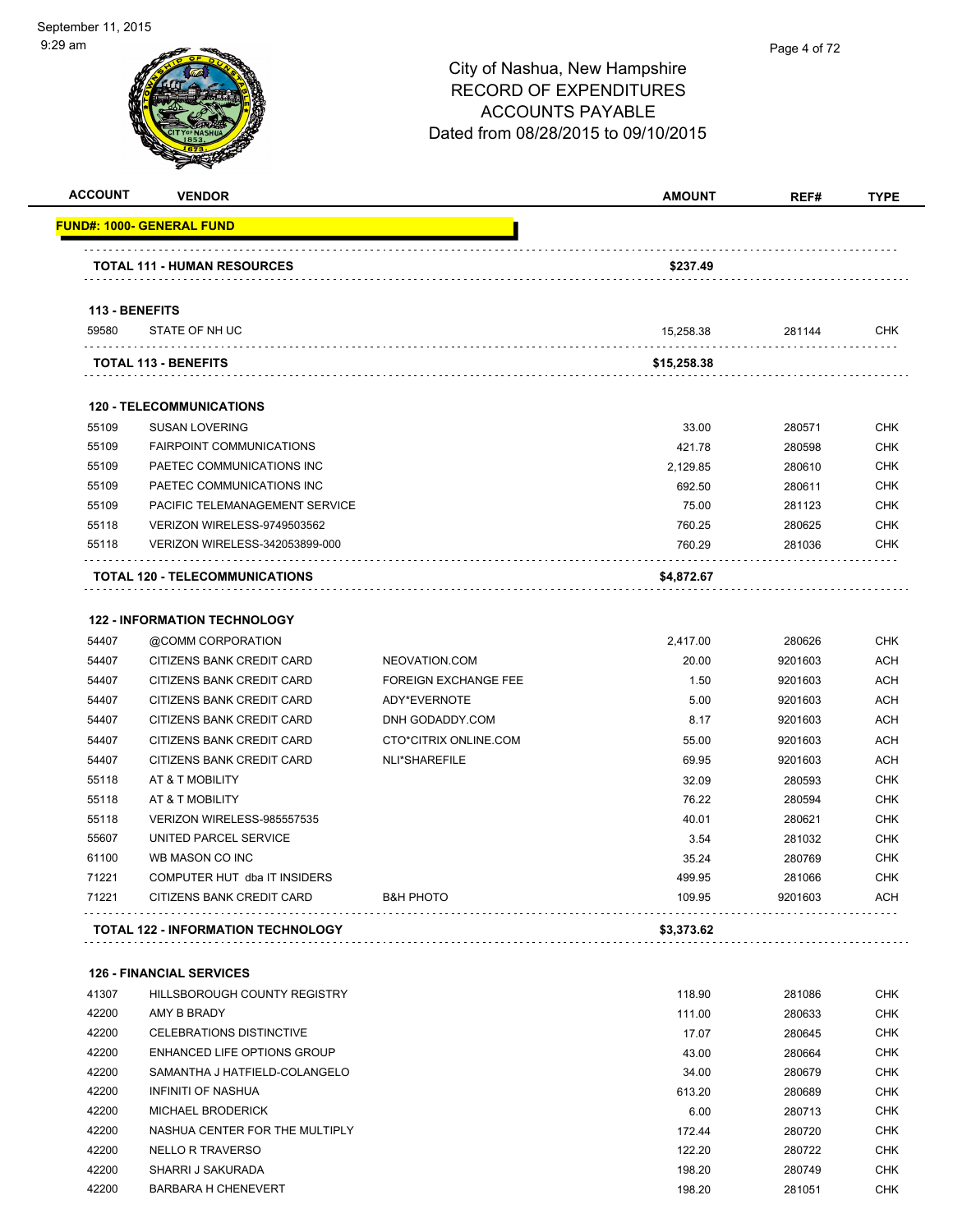| <b>ACCOUNT</b> | <b>VENDOR</b>                         |                             | <b>AMOUNT</b> | REF#    | <b>TYPE</b> |
|----------------|---------------------------------------|-----------------------------|---------------|---------|-------------|
|                | <u> FUND#: 1000- GENERAL FUND</u>     |                             |               |         |             |
|                | <b>TOTAL 111 - HUMAN RESOURCES</b>    |                             | \$237.49      |         |             |
| 113 - BENEFITS |                                       |                             |               |         |             |
| 59580          | STATE OF NH UC                        |                             | 15,258.38     | 281144  | CHK         |
|                | <b>TOTAL 113 - BENEFITS</b>           |                             | \$15,258.38   |         |             |
|                | <b>120 - TELECOMMUNICATIONS</b>       |                             |               |         |             |
| 55109          | <b>SUSAN LOVERING</b>                 |                             | 33.00         | 280571  | <b>CHK</b>  |
| 55109          | <b>FAIRPOINT COMMUNICATIONS</b>       |                             | 421.78        | 280598  | <b>CHK</b>  |
| 55109          | PAETEC COMMUNICATIONS INC             |                             | 2,129.85      | 280610  | <b>CHK</b>  |
| 55109          | PAETEC COMMUNICATIONS INC             |                             | 692.50        | 280611  | <b>CHK</b>  |
| 55109          | PACIFIC TELEMANAGEMENT SERVICE        |                             | 75.00         | 281123  | <b>CHK</b>  |
| 55118          | VERIZON WIRELESS-9749503562           |                             | 760.25        | 280625  | <b>CHK</b>  |
| 55118          | <b>VERIZON WIRELESS-342053899-000</b> |                             | 760.29        | 281036  | <b>CHK</b>  |
|                | TOTAL 120 - TELECOMMUNICATIONS        |                             | \$4,872.67    |         |             |
|                | <b>122 - INFORMATION TECHNOLOGY</b>   |                             |               |         |             |
| 54407          | @COMM CORPORATION                     |                             | 2,417.00      | 280626  | <b>CHK</b>  |
| 54407          | CITIZENS BANK CREDIT CARD             | NEOVATION.COM               | 20.00         | 9201603 | <b>ACH</b>  |
| 54407          | CITIZENS BANK CREDIT CARD             | <b>FOREIGN EXCHANGE FEE</b> | 1.50          | 9201603 | <b>ACH</b>  |
| 54407          | CITIZENS BANK CREDIT CARD             | ADY*EVERNOTE                | 5.00          | 9201603 | <b>ACH</b>  |
| 54407          | <b>CITIZENS BANK CREDIT CARD</b>      | DNH GODADDY.COM             | 8.17          | 9201603 | <b>ACH</b>  |
| 54407          | <b>CITIZENS BANK CREDIT CARD</b>      | CTO*CITRIX ONLINE.COM       | 55.00         | 9201603 | <b>ACH</b>  |
| 54407          | <b>CITIZENS BANK CREDIT CARD</b>      | <b>NLI*SHAREFILE</b>        | 69.95         | 9201603 | <b>ACH</b>  |
| 55118          | AT & T MOBILITY                       |                             | 32.09         | 280593  | <b>CHK</b>  |
| 55118          | AT & T MOBILITY                       |                             | 76.22         | 280594  | <b>CHK</b>  |
| 55118          | VERIZON WIRELESS-985557535            |                             | 40.01         | 280621  | <b>CHK</b>  |
| 55607          | UNITED PARCEL SERVICE                 |                             | 3.54          | 281032  | <b>CHK</b>  |
| 61100          | WB MASON CO INC                       |                             | 35.24         | 280769  | <b>CHK</b>  |
| 71221          | COMPUTER HUT dba IT INSIDERS          |                             | 499.95        | 281066  | <b>CHK</b>  |
| 71221          | CITIZENS BANK CREDIT CARD             | <b>B&amp;H PHOTO</b>        | 109.95        | 9201603 | <b>ACH</b>  |

**TOTAL 122 - INFORMATION TECHNOLOGY \$3,373.62**

|       | <b>126 - FINANCIAL SERVICES</b> |        |        |            |
|-------|---------------------------------|--------|--------|------------|
| 41307 | HILLSBOROUGH COUNTY REGISTRY    | 118.90 | 281086 | <b>CHK</b> |
| 42200 | AMY B BRADY                     | 111.00 | 280633 | <b>CHK</b> |
| 42200 | CELEBRATIONS DISTINCTIVE        | 17.07  | 280645 | <b>CHK</b> |
| 42200 | ENHANCED LIFE OPTIONS GROUP     | 43.00  | 280664 | <b>CHK</b> |
| 42200 | SAMANTHA J HATFIELD-COLANGELO   | 34.00  | 280679 | <b>CHK</b> |
| 42200 | INFINITI OF NASHUA              | 613.20 | 280689 | <b>CHK</b> |
| 42200 | <b>MICHAEL BRODERICK</b>        | 6.00   | 280713 | <b>CHK</b> |
| 42200 | NASHUA CENTER FOR THE MULTIPLY  | 172.44 | 280720 | <b>CHK</b> |
| 42200 | NELLO R TRAVERSO                | 122.20 | 280722 | <b>CHK</b> |
| 42200 | SHARRI J SAKURADA               | 198.20 | 280749 | <b>CHK</b> |
| 42200 | <b>BARBARA H CHENEVERT</b>      | 198.20 | 281051 | <b>CHK</b> |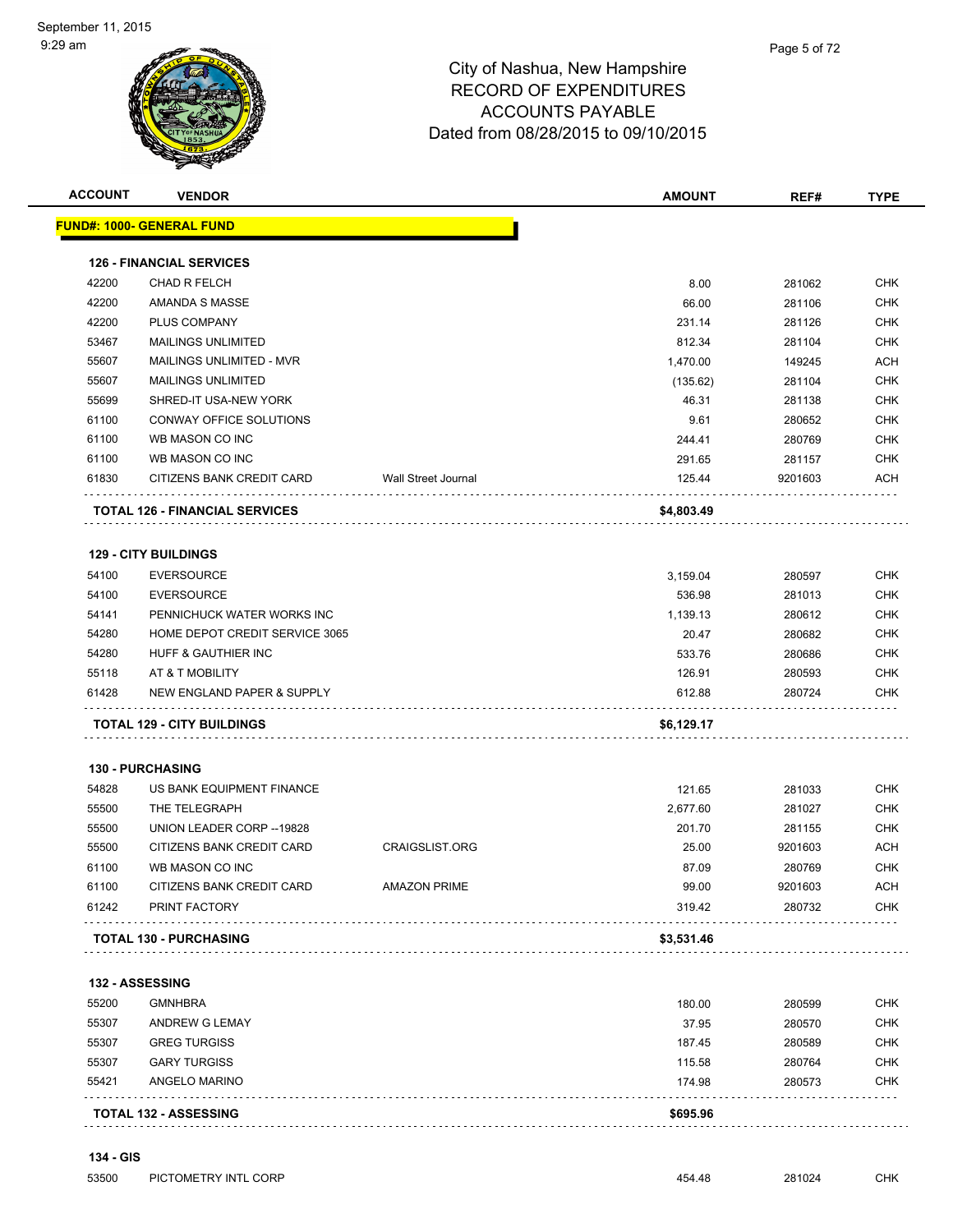| <b>ACCOUNT</b> | <b>VENDOR</b>                         |                       | <b>AMOUNT</b>    | REF#             | <b>TYPE</b> |
|----------------|---------------------------------------|-----------------------|------------------|------------------|-------------|
|                | <u> FUND#: 1000- GENERAL FUND</u>     |                       |                  |                  |             |
|                | <b>126 - FINANCIAL SERVICES</b>       |                       |                  |                  |             |
| 42200          | <b>CHAD R FELCH</b>                   |                       | 8.00             | 281062           | <b>CHK</b>  |
| 42200          | AMANDA S MASSE                        |                       | 66.00            | 281106           | <b>CHK</b>  |
| 42200          | PLUS COMPANY                          |                       | 231.14           | 281126           | <b>CHK</b>  |
| 53467          | <b>MAILINGS UNLIMITED</b>             |                       | 812.34           | 281104           | <b>CHK</b>  |
| 55607          | MAILINGS UNLIMITED - MVR              |                       | 1,470.00         | 149245           | ACH         |
| 55607          | <b>MAILINGS UNLIMITED</b>             |                       | (135.62)         | 281104           | CHK         |
| 55699          | SHRED-IT USA-NEW YORK                 |                       | 46.31            | 281138           | <b>CHK</b>  |
| 61100          | CONWAY OFFICE SOLUTIONS               |                       | 9.61             | 280652           | <b>CHK</b>  |
| 61100          | WB MASON CO INC                       |                       | 244.41           | 280769           | <b>CHK</b>  |
| 61100          | WB MASON CO INC                       |                       | 291.65           | 281157           | CHK         |
| 61830          | CITIZENS BANK CREDIT CARD             | Wall Street Journal   | 125.44           | 9201603          | ACH         |
|                | <b>TOTAL 126 - FINANCIAL SERVICES</b> |                       | \$4,803.49       |                  |             |
|                | <b>129 - CITY BUILDINGS</b>           |                       |                  |                  |             |
| 54100          | <b>EVERSOURCE</b>                     |                       | 3,159.04         | 280597           | <b>CHK</b>  |
| 54100          | <b>EVERSOURCE</b>                     |                       | 536.98           | 281013           | <b>CHK</b>  |
| 54141          | PENNICHUCK WATER WORKS INC            |                       | 1,139.13         | 280612           | CHK         |
| 54280          | HOME DEPOT CREDIT SERVICE 3065        |                       | 20.47            | 280682           | CHK         |
| 54280          | HUFF & GAUTHIER INC                   |                       | 533.76           | 280686           | <b>CHK</b>  |
| 55118          | AT & T MOBILITY                       |                       | 126.91           | 280593           | CHK         |
| 61428          | NEW ENGLAND PAPER & SUPPLY            |                       | 612.88           | 280724           | CHK         |
|                | <b>TOTAL 129 - CITY BUILDINGS</b>     |                       | \$6,129.17       |                  |             |
|                | <b>130 - PURCHASING</b>               |                       |                  |                  |             |
| 54828          | US BANK EQUIPMENT FINANCE             |                       | 121.65           | 281033           | <b>CHK</b>  |
| 55500          | THE TELEGRAPH                         |                       | 2,677.60         | 281027           | <b>CHK</b>  |
| 55500          | UNION LEADER CORP -- 19828            |                       | 201.70           | 281155           | <b>CHK</b>  |
| 55500          | CITIZENS BANK CREDIT CARD             | <b>CRAIGSLIST.ORG</b> | 25.00            | 9201603          | ACH         |
| 61100          | WB MASON CO INC                       |                       | 87.09            | 280769           | CHK         |
| 61100          | CITIZENS BANK CREDIT CARD             | <b>AMAZON PRIME</b>   | 99.00            | 9201603          | ACH         |
| 61242          | PRINT FACTORY                         |                       | 319.42           | 280732           | CHK         |
|                | <b>TOTAL 130 - PURCHASING</b>         |                       | \$3,531.46       |                  |             |
|                | <b>132 - ASSESSING</b>                |                       |                  |                  |             |
| 55200          | <b>GMNHBRA</b>                        |                       |                  |                  | <b>CHK</b>  |
|                |                                       |                       | 180.00<br>37.95  | 280599           | <b>CHK</b>  |
| 55307<br>55307 | ANDREW G LEMAY<br><b>GREG TURGISS</b> |                       | 187.45           | 280570           | CHK         |
| 55307          | <b>GARY TURGISS</b>                   |                       |                  | 280589           |             |
| 55421          | ANGELO MARINO                         |                       | 115.58<br>174.98 | 280764<br>280573 | CHK<br>CHK  |
|                |                                       |                       |                  |                  |             |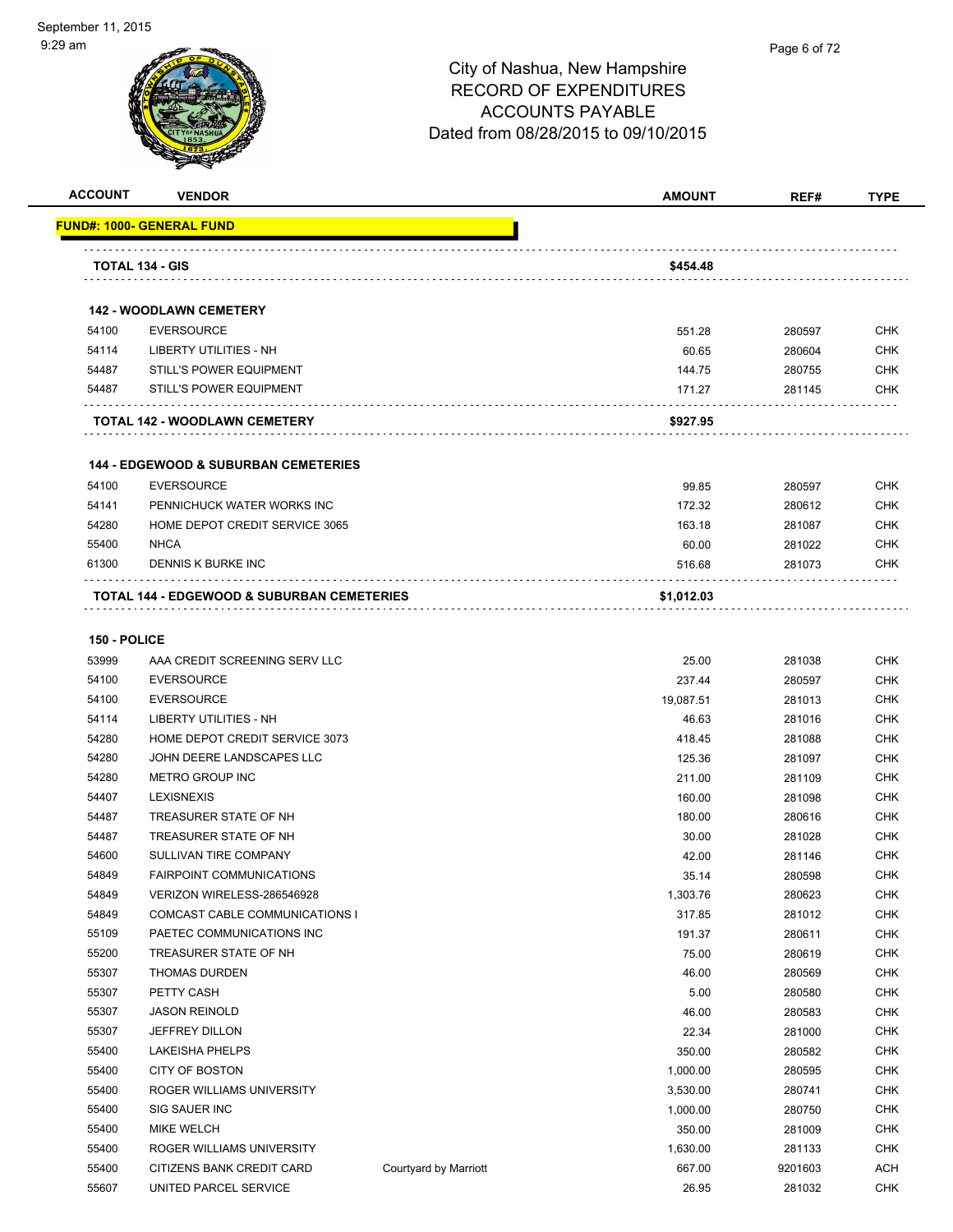

| <b>ACCOUNT</b> | <b>VENDOR</b>                                         |                       | <b>AMOUNT</b> | REF#    | <b>TYPE</b> |
|----------------|-------------------------------------------------------|-----------------------|---------------|---------|-------------|
|                | FUND#: 1000- GENERAL FUND                             |                       |               |         |             |
|                | TOTAL 134 - GIS                                       |                       | \$454.48      |         |             |
|                |                                                       |                       |               |         |             |
|                | <b>142 - WOODLAWN CEMETERY</b>                        |                       |               |         |             |
| 54100          | <b>EVERSOURCE</b>                                     |                       | 551.28        | 280597  | <b>CHK</b>  |
| 54114          | <b>LIBERTY UTILITIES - NH</b>                         |                       | 60.65         | 280604  | <b>CHK</b>  |
| 54487          | <b>STILL'S POWER EQUIPMENT</b>                        |                       | 144.75        | 280755  | CHK         |
| 54487          | <b>STILL'S POWER EQUIPMENT</b>                        |                       | 171.27        | 281145  | CHK         |
|                | TOTAL 142 - WOODLAWN CEMETERY                         |                       | \$927.95      |         |             |
|                |                                                       |                       |               |         |             |
|                | <b>144 - EDGEWOOD &amp; SUBURBAN CEMETERIES</b>       |                       |               |         |             |
| 54100          | <b>EVERSOURCE</b>                                     |                       | 99.85         | 280597  | CHK         |
| 54141          | PENNICHUCK WATER WORKS INC                            |                       | 172.32        | 280612  | CHK         |
| 54280          | HOME DEPOT CREDIT SERVICE 3065                        |                       | 163.18        | 281087  | CHK         |
| 55400          | <b>NHCA</b>                                           |                       | 60.00         | 281022  | CHK         |
| 61300          | DENNIS K BURKE INC                                    |                       | 516.68        | 281073  | CHK         |
|                | <b>TOTAL 144 - EDGEWOOD &amp; SUBURBAN CEMETERIES</b> |                       | \$1,012.03    |         |             |
|                |                                                       |                       |               |         |             |
| 150 - POLICE   |                                                       |                       |               |         |             |
| 53999          | AAA CREDIT SCREENING SERV LLC                         |                       | 25.00         | 281038  | <b>CHK</b>  |
| 54100          | <b>EVERSOURCE</b>                                     |                       | 237.44        | 280597  | <b>CHK</b>  |
| 54100          | <b>EVERSOURCE</b>                                     |                       | 19,087.51     | 281013  | CHK         |
| 54114          | LIBERTY UTILITIES - NH                                |                       | 46.63         | 281016  | CHK         |
| 54280          | HOME DEPOT CREDIT SERVICE 3073                        |                       | 418.45        | 281088  | CHK         |
| 54280          | JOHN DEERE LANDSCAPES LLC                             |                       | 125.36        | 281097  | <b>CHK</b>  |
| 54280          | <b>METRO GROUP INC</b>                                |                       | 211.00        | 281109  | <b>CHK</b>  |
| 54407          | <b>LEXISNEXIS</b>                                     |                       | 160.00        | 281098  | CHK         |
| 54487          | TREASURER STATE OF NH                                 |                       | 180.00        | 280616  | <b>CHK</b>  |
| 54487          | TREASURER STATE OF NH                                 |                       | 30.00         | 281028  | CHK         |
| 54600          | <b>SULLIVAN TIRE COMPANY</b>                          |                       | 42.00         | 281146  | CHK         |
| 54849          | <b>FAIRPOINT COMMUNICATIONS</b>                       |                       | 35.14         | 280598  | <b>CHK</b>  |
| 54849          | VERIZON WIRELESS-286546928                            |                       | 1,303.76      | 280623  | <b>CHK</b>  |
| 54849          | COMCAST CABLE COMMUNICATIONS I                        |                       | 317.85        | 281012  | <b>CHK</b>  |
| 55109          | PAETEC COMMUNICATIONS INC                             |                       | 191.37        | 280611  | <b>CHK</b>  |
| 55200          | TREASURER STATE OF NH                                 |                       | 75.00         | 280619  | CHK         |
| 55307          | <b>THOMAS DURDEN</b>                                  |                       | 46.00         | 280569  | <b>CHK</b>  |
| 55307          | PETTY CASH                                            |                       | 5.00          | 280580  | <b>CHK</b>  |
| 55307          | <b>JASON REINOLD</b>                                  |                       | 46.00         | 280583  | <b>CHK</b>  |
| 55307          | JEFFREY DILLON                                        |                       | 22.34         | 281000  | <b>CHK</b>  |
| 55400          | LAKEISHA PHELPS                                       |                       | 350.00        | 280582  | <b>CHK</b>  |
| 55400          | <b>CITY OF BOSTON</b>                                 |                       | 1,000.00      | 280595  | <b>CHK</b>  |
| 55400          | ROGER WILLIAMS UNIVERSITY                             |                       | 3,530.00      | 280741  | <b>CHK</b>  |
| 55400          | SIG SAUER INC                                         |                       | 1,000.00      | 280750  | <b>CHK</b>  |
| 55400          | MIKE WELCH                                            |                       | 350.00        | 281009  | <b>CHK</b>  |
| 55400          | ROGER WILLIAMS UNIVERSITY                             |                       | 1,630.00      | 281133  | CHK         |
| 55400          | CITIZENS BANK CREDIT CARD                             | Courtyard by Marriott | 667.00        | 9201603 | ACH         |
| 55607          | UNITED PARCEL SERVICE                                 |                       | 26.95         | 281032  | <b>CHK</b>  |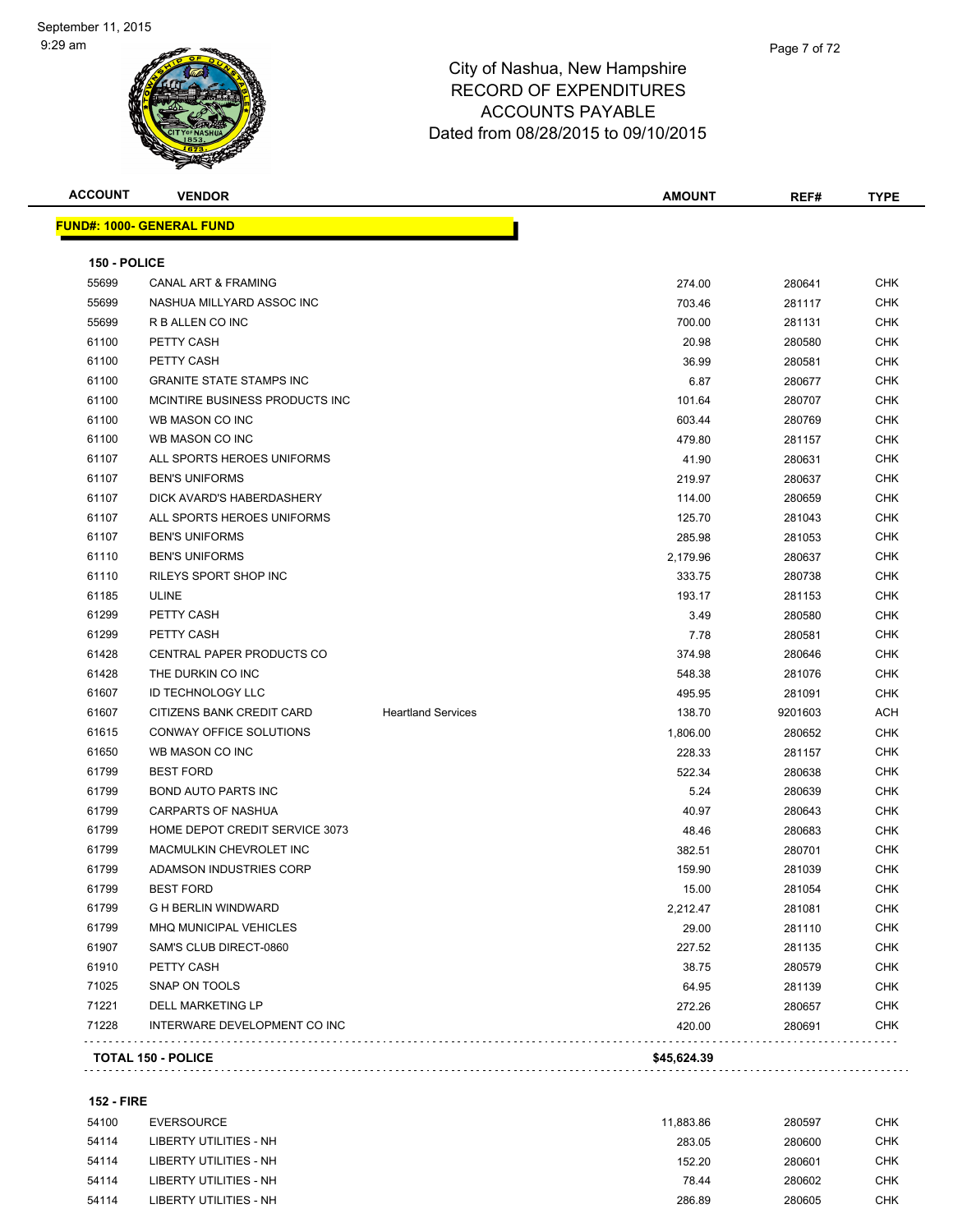| <b>ACCOUNT</b> | <b>VENDOR</b>                    |                           | <b>AMOUNT</b> | REF#    | <b>TYPE</b> |
|----------------|----------------------------------|---------------------------|---------------|---------|-------------|
|                | <b>FUND#: 1000- GENERAL FUND</b> |                           |               |         |             |
| 150 - POLICE   |                                  |                           |               |         |             |
| 55699          | <b>CANAL ART &amp; FRAMING</b>   |                           | 274.00        | 280641  | <b>CHK</b>  |
| 55699          | NASHUA MILLYARD ASSOC INC        |                           | 703.46        | 281117  | <b>CHK</b>  |
| 55699          | R B ALLEN CO INC                 |                           | 700.00        | 281131  | <b>CHK</b>  |
| 61100          | PETTY CASH                       |                           | 20.98         | 280580  | <b>CHK</b>  |
| 61100          | PETTY CASH                       |                           | 36.99         | 280581  | CHK         |
| 61100          | <b>GRANITE STATE STAMPS INC</b>  |                           | 6.87          | 280677  | <b>CHK</b>  |
| 61100          | MCINTIRE BUSINESS PRODUCTS INC   |                           | 101.64        | 280707  | <b>CHK</b>  |
| 61100          | WB MASON CO INC                  |                           | 603.44        | 280769  | CHK         |
| 61100          | WB MASON CO INC                  |                           | 479.80        | 281157  | <b>CHK</b>  |
| 61107          | ALL SPORTS HEROES UNIFORMS       |                           | 41.90         | 280631  | CHK         |
| 61107          | <b>BEN'S UNIFORMS</b>            |                           | 219.97        | 280637  | CHK         |
| 61107          | DICK AVARD'S HABERDASHERY        |                           | 114.00        | 280659  | CHK         |
| 61107          | ALL SPORTS HEROES UNIFORMS       |                           | 125.70        | 281043  | <b>CHK</b>  |
| 61107          | <b>BEN'S UNIFORMS</b>            |                           | 285.98        | 281053  | <b>CHK</b>  |
| 61110          | <b>BEN'S UNIFORMS</b>            |                           | 2,179.96      | 280637  | <b>CHK</b>  |
| 61110          | RILEYS SPORT SHOP INC            |                           | 333.75        | 280738  | CHK         |
| 61185          | <b>ULINE</b>                     |                           | 193.17        | 281153  | CHK         |
| 61299          | PETTY CASH                       |                           | 3.49          | 280580  | CHK         |
| 61299          | PETTY CASH                       |                           | 7.78          | 280581  | CHK         |
| 61428          | CENTRAL PAPER PRODUCTS CO        |                           | 374.98        | 280646  | <b>CHK</b>  |
| 61428          | THE DURKIN CO INC                |                           | 548.38        | 281076  | CHK         |
| 61607          | <b>ID TECHNOLOGY LLC</b>         |                           | 495.95        | 281091  | CHK         |
| 61607          | CITIZENS BANK CREDIT CARD        | <b>Heartland Services</b> | 138.70        | 9201603 | ACH         |
| 61615          | CONWAY OFFICE SOLUTIONS          |                           | 1,806.00      | 280652  | CHK         |
| 61650          | WB MASON CO INC                  |                           | 228.33        | 281157  | <b>CHK</b>  |
| 61799          | <b>BEST FORD</b>                 |                           | 522.34        | 280638  | <b>CHK</b>  |
| 61799          | <b>BOND AUTO PARTS INC</b>       |                           | 5.24          | 280639  | <b>CHK</b>  |
| 61799          | <b>CARPARTS OF NASHUA</b>        |                           | 40.97         | 280643  | <b>CHK</b>  |
| 61799          | HOME DEPOT CREDIT SERVICE 3073   |                           | 48.46         | 280683  | <b>CHK</b>  |
| 61799          | MACMULKIN CHEVROLET INC          |                           | 382.51        | 280701  | CHK         |
| 61799          | ADAMSON INDUSTRIES CORP          |                           | 159.90        | 281039  | CHK         |
| 61799          | <b>BEST FORD</b>                 |                           | 15.00         | 281054  | <b>CHK</b>  |
| 61799          | <b>G H BERLIN WINDWARD</b>       |                           | 2,212.47      | 281081  | <b>CHK</b>  |
| 61799          | MHQ MUNICIPAL VEHICLES           |                           | 29.00         | 281110  | <b>CHK</b>  |
| 61907          | SAM'S CLUB DIRECT-0860           |                           | 227.52        | 281135  | <b>CHK</b>  |
| 61910          | PETTY CASH                       |                           | 38.75         | 280579  | <b>CHK</b>  |
| 71025          | SNAP ON TOOLS                    |                           | 64.95         | 281139  | <b>CHK</b>  |
| 71221          | DELL MARKETING LP                |                           | 272.26        | 280657  | <b>CHK</b>  |
| 71228          | INTERWARE DEVELOPMENT CO INC     |                           | 420.00        | 280691  | <b>CHK</b>  |

#### **152 - FIRE**

| 54100 | EVERSOURCE             | 11.883.86 | 280597 | CHK        |
|-------|------------------------|-----------|--------|------------|
| 54114 | LIBERTY UTILITIES - NH | 283.05    | 280600 | <b>CHK</b> |
| 54114 | LIBERTY UTILITIES - NH | 152.20    | 280601 | <b>CHK</b> |
| 54114 | LIBERTY UTILITIES - NH | 78.44     | 280602 | <b>CHK</b> |
| 54114 | LIBERTY UTILITIES - NH | 286.89    | 280605 | CHK        |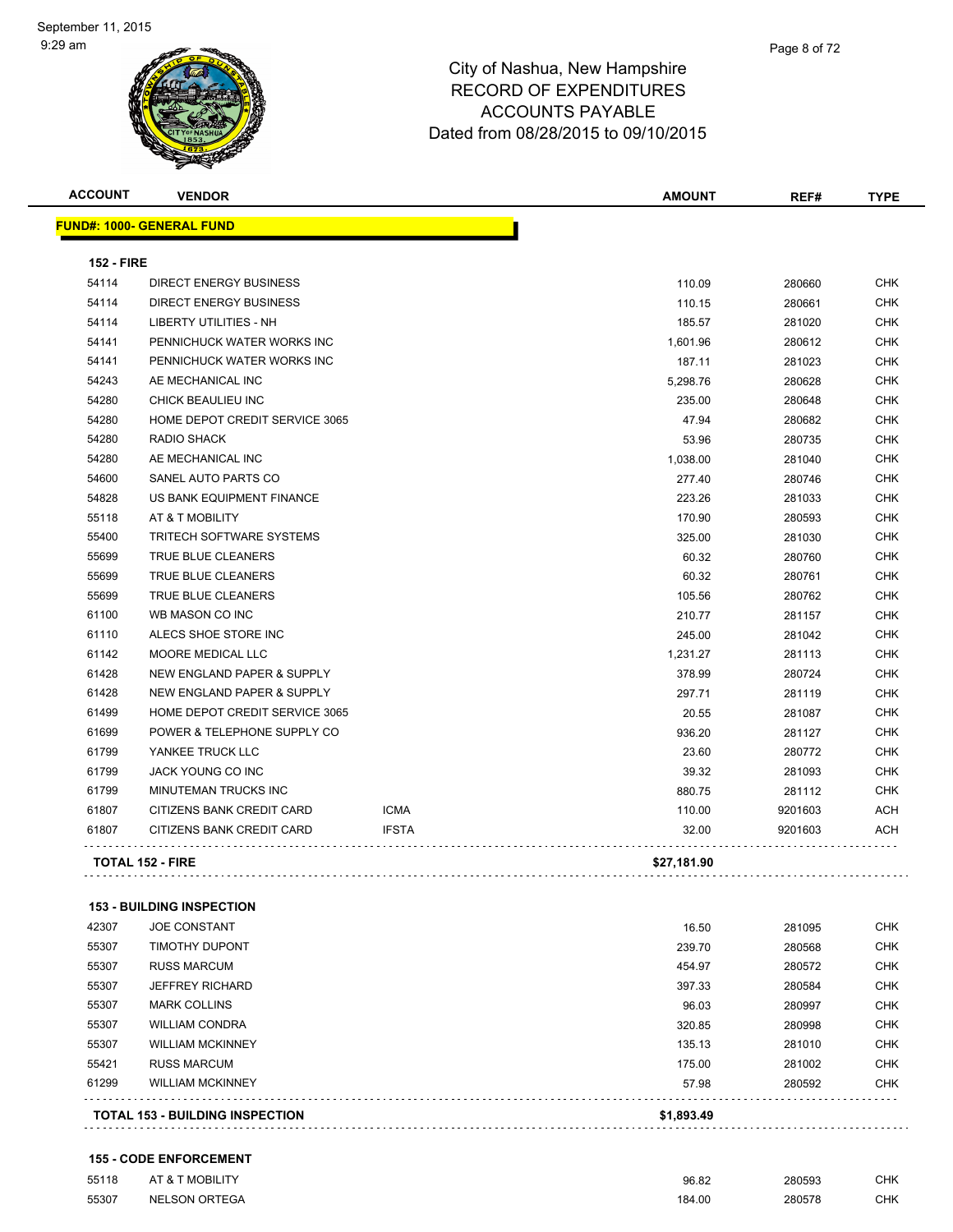| <b>ACCOUNT</b>    | <b>VENDOR</b>                    |              | <b>AMOUNT</b> | REF#    | <b>TYPE</b> |
|-------------------|----------------------------------|--------------|---------------|---------|-------------|
|                   | <b>FUND#: 1000- GENERAL FUND</b> |              |               |         |             |
| <b>152 - FIRE</b> |                                  |              |               |         |             |
| 54114             | <b>DIRECT ENERGY BUSINESS</b>    |              | 110.09        | 280660  | <b>CHK</b>  |
| 54114             | <b>DIRECT ENERGY BUSINESS</b>    |              | 110.15        | 280661  | <b>CHK</b>  |
| 54114             | LIBERTY UTILITIES - NH           |              | 185.57        | 281020  | <b>CHK</b>  |
| 54141             | PENNICHUCK WATER WORKS INC       |              | 1,601.96      | 280612  | CHK         |
| 54141             | PENNICHUCK WATER WORKS INC       |              | 187.11        | 281023  | <b>CHK</b>  |
| 54243             | AE MECHANICAL INC                |              | 5,298.76      | 280628  | <b>CHK</b>  |
| 54280             | CHICK BEAULIEU INC               |              | 235.00        | 280648  | <b>CHK</b>  |
| 54280             | HOME DEPOT CREDIT SERVICE 3065   |              | 47.94         | 280682  | <b>CHK</b>  |
| 54280             | <b>RADIO SHACK</b>               |              | 53.96         | 280735  | <b>CHK</b>  |
| 54280             | AE MECHANICAL INC                |              | 1,038.00      | 281040  | <b>CHK</b>  |
| 54600             | SANEL AUTO PARTS CO              |              | 277.40        | 280746  | <b>CHK</b>  |
| 54828             | US BANK EQUIPMENT FINANCE        |              | 223.26        | 281033  | CHK         |
| 55118             | AT & T MOBILITY                  |              | 170.90        | 280593  | <b>CHK</b>  |
| 55400             | <b>TRITECH SOFTWARE SYSTEMS</b>  |              | 325.00        | 281030  | <b>CHK</b>  |
| 55699             | TRUE BLUE CLEANERS               |              | 60.32         | 280760  | CHK         |
| 55699             | <b>TRUE BLUE CLEANERS</b>        |              | 60.32         | 280761  | <b>CHK</b>  |
| 55699             | TRUE BLUE CLEANERS               |              | 105.56        | 280762  | <b>CHK</b>  |
| 61100             | WB MASON CO INC                  |              | 210.77        | 281157  | <b>CHK</b>  |
| 61110             | ALECS SHOE STORE INC             |              | 245.00        | 281042  | <b>CHK</b>  |
| 61142             | MOORE MEDICAL LLC                |              | 1,231.27      | 281113  | <b>CHK</b>  |
| 61428             | NEW ENGLAND PAPER & SUPPLY       |              | 378.99        | 280724  | <b>CHK</b>  |
| 61428             | NEW ENGLAND PAPER & SUPPLY       |              | 297.71        | 281119  | <b>CHK</b>  |
| 61499             | HOME DEPOT CREDIT SERVICE 3065   |              | 20.55         | 281087  | <b>CHK</b>  |
| 61699             | POWER & TELEPHONE SUPPLY CO      |              | 936.20        | 281127  | <b>CHK</b>  |
| 61799             | YANKEE TRUCK LLC                 |              | 23.60         | 280772  | <b>CHK</b>  |
| 61799             | JACK YOUNG CO INC                |              | 39.32         | 281093  | <b>CHK</b>  |
| 61799             | <b>MINUTEMAN TRUCKS INC</b>      |              | 880.75        | 281112  | <b>CHK</b>  |
| 61807             | CITIZENS BANK CREDIT CARD        | <b>ICMA</b>  | 110.00        | 9201603 | ACH         |
| 61807             | CITIZENS BANK CREDIT CARD        | <b>IFSTA</b> | 32.00         | 9201603 | <b>ACH</b>  |
|                   | <b>TOTAL 152 - FIRE</b>          |              | \$27,181.90   |         |             |
|                   |                                  |              |               |         |             |

#### **153 - BUILDING INSPECTION**

|       | <b>TOTAL 153 - BUILDING INSPECTION</b> | \$1,893.49 |        |            |
|-------|----------------------------------------|------------|--------|------------|
| 61299 | <b>WILLIAM MCKINNEY</b>                | 57.98      | 280592 | <b>CHK</b> |
| 55421 | <b>RUSS MARCUM</b>                     | 175.00     | 281002 | <b>CHK</b> |
| 55307 | <b>WILLIAM MCKINNEY</b>                | 135.13     | 281010 | <b>CHK</b> |
| 55307 | <b>WILLIAM CONDRA</b>                  | 320.85     | 280998 | <b>CHK</b> |
| 55307 | <b>MARK COLLINS</b>                    | 96.03      | 280997 | <b>CHK</b> |
| 55307 | <b>JEFFREY RICHARD</b>                 | 397.33     | 280584 | <b>CHK</b> |
| 55307 | <b>RUSS MARCUM</b>                     | 454.97     | 280572 | <b>CHK</b> |
| 55307 | <b>TIMOTHY DUPONT</b>                  | 239.70     | 280568 | <b>CHK</b> |
| 42307 | <b>JOE CONSTANT</b>                    | 16.50      | 281095 | <b>CHK</b> |

#### **155 - CODE ENFORCEMENT**

| 55118 | AT & T MOBILITY      | 96.82  | 280593 | <b>CHK</b> |
|-------|----------------------|--------|--------|------------|
| 55307 | <b>NELSON ORTEGA</b> | 184.00 | 280578 | CHK        |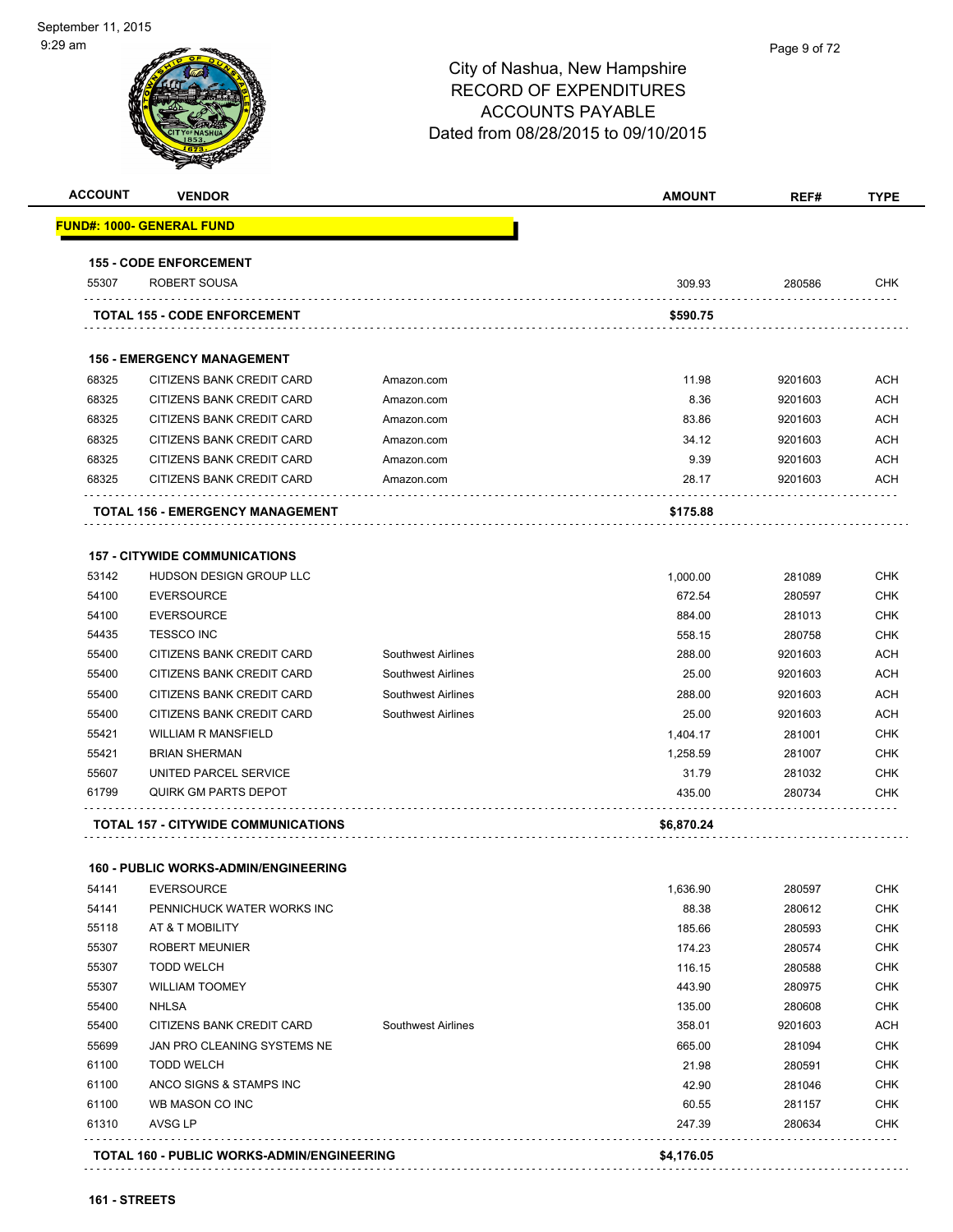# Page 9 of 72City of Nashua, New Hampshire RECORD OF EXPENDITURES ACCOUNTS PAYABLE Dated from 08/28/2015 to 09/10/2015 **ACCOUNT VENDOR AMOUNT REF# TYPE FUND#: 1000- GENERAL FUND 155 - CODE ENFORCEMENT** 55307 ROBERT SOUSA 309.93 280586 CHK **TOTAL 155 - CODE ENFORCEMENT \$590.75 156 - EMERGENCY MANAGEMENT** 68325 CITIZENS BANK CREDIT CARD Amazon.com 11.98 9201603 ACH 68325 CITIZENS BANK CREDIT CARD Amazon.com 8.36 9201603 ACH 68325 CITIZENS BANK CREDIT CARD Amazon.com 83.86 9201603 ACH 68325 CITIZENS BANK CREDIT CARD Amazon.com 34.12 9201603 ACH 68325 CITIZENS BANK CREDIT CARD Amazon.com 9.39 9201603 ACH 68325 CITIZENS BANK CREDIT CARD Amazon.com 28.17 9201603 ACH . . . . . . . . . . . **TOTAL 156 - EMERGENCY MANAGEMENT \$175.88 157 - CITYWIDE COMMUNICATIONS** 53142 HUDSON DESIGN GROUP LLC **1,000.00** 281089 CHK 54100 EVERSOURCE 672.54 280597 CHK 54100 EVERSOURCE 884.00 281013 CHK

 54435 TESSCO INC 558.15 280758 CHK 55400 CITIZENS BANK CREDIT CARD Southwest Airlines 288.00 9201603 ACH 55400 CITIZENS BANK CREDIT CARD Southwest Airlines 25.00 9201603 ACH 55400 CITIZENS BANK CREDIT CARD Southwest Airlines 288.00 9201603 ACH 55400 CITIZENS BANK CREDIT CARD Southwest Airlines 25.00 9201603 ACH 55421 WILLIAM R MANSFIELD **1,404.17** 281001 CHK 55421 BRIAN SHERMAN 1,258.59 281007 CHK 55607 UNITED PARCEL SERVICE **31.79** 281032 CHK 61799 QUIRK GM PARTS DEPOT 435.00 280734 CHK

| TOTAL 157 - CITYWIDE COMMUNICATIONS | \$6,870.24 |
|-------------------------------------|------------|

|  |  |  |  |  |  |  |  |  |  |  |  | 40,010 |  |  |  |
|--|--|--|--|--|--|--|--|--|--|--|--|--------|--|--|--|
|  |  |  |  |  |  |  |  |  |  |  |  |        |  |  |  |

#### **160 - PUBLIC WORKS-ADMIN/ENGINEERING**

. . . . . . . . . . . . . . . . . .

|       | <b>TOTAL 160 - PUBLIC WORKS-ADMIN/ENGINEERING</b> |                           | \$4,176.05 |         |            |
|-------|---------------------------------------------------|---------------------------|------------|---------|------------|
| 61310 | AVSG LP                                           |                           | 247.39     | 280634  | <b>CHK</b> |
| 61100 | WB MASON CO INC                                   |                           | 60.55      | 281157  | <b>CHK</b> |
| 61100 | ANCO SIGNS & STAMPS INC                           |                           | 42.90      | 281046  | <b>CHK</b> |
| 61100 | <b>TODD WELCH</b>                                 |                           | 21.98      | 280591  | <b>CHK</b> |
| 55699 | JAN PRO CLEANING SYSTEMS NE                       |                           | 665.00     | 281094  | <b>CHK</b> |
| 55400 | CITIZENS BANK CREDIT CARD                         | <b>Southwest Airlines</b> | 358.01     | 9201603 | ACH        |
| 55400 | <b>NHLSA</b>                                      |                           | 135.00     | 280608  | <b>CHK</b> |
| 55307 | <b>WILLIAM TOOMEY</b>                             |                           | 443.90     | 280975  | <b>CHK</b> |
| 55307 | <b>TODD WELCH</b>                                 |                           | 116.15     | 280588  | <b>CHK</b> |
| 55307 | <b>ROBERT MEUNIER</b>                             |                           | 174.23     | 280574  | <b>CHK</b> |
| 55118 | AT & T MOBILITY                                   |                           | 185.66     | 280593  | <b>CHK</b> |
| 54141 | PENNICHUCK WATER WORKS INC                        |                           | 88.38      | 280612  | <b>CHK</b> |
| 54141 | <b>EVERSOURCE</b>                                 |                           | 1,636.90   | 280597  | <b>CHK</b> |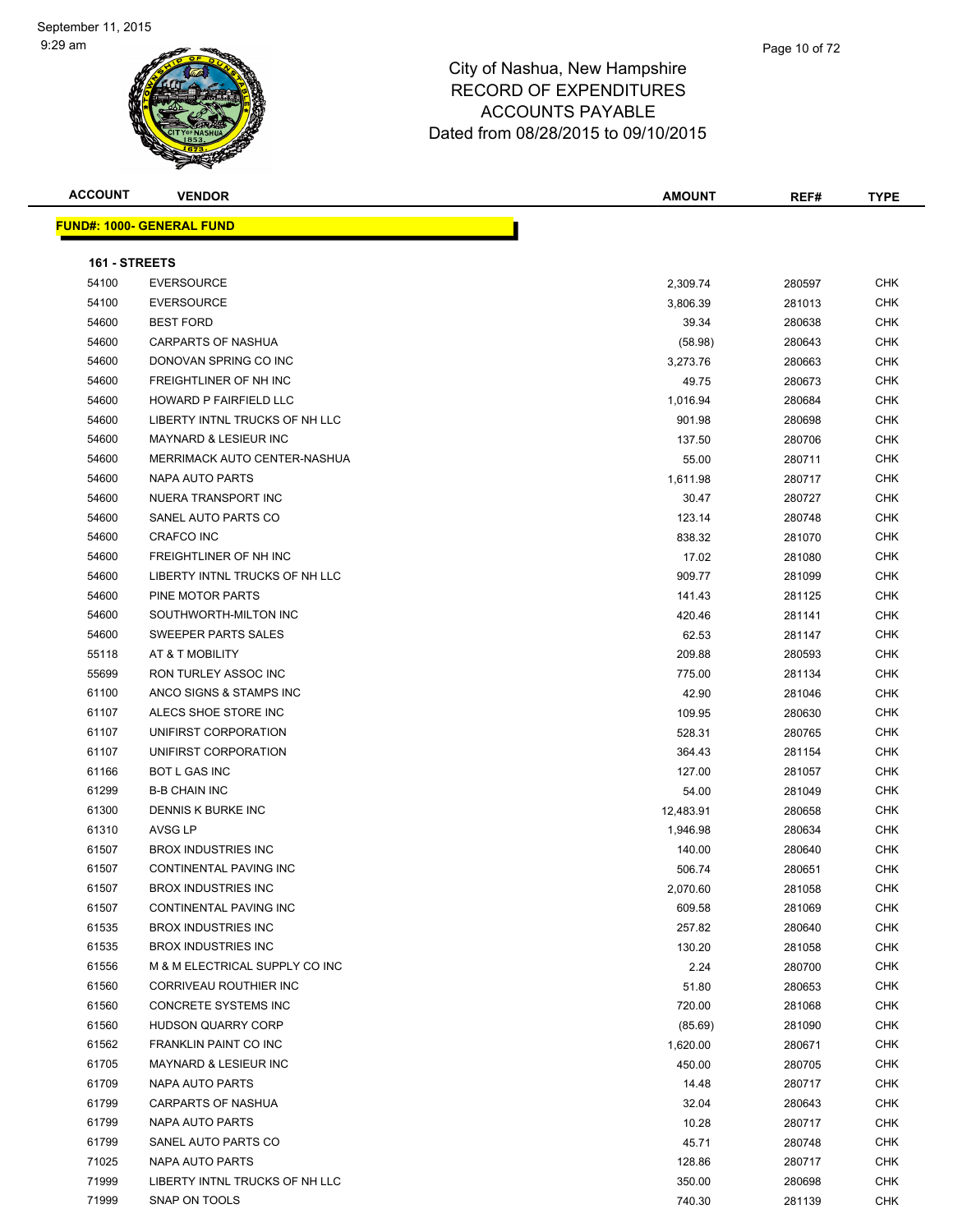# City of Nashua, New Hampshire RECORD OF EXPENDITURES ACCOUNTS PAYABLE

Dated from 08/28/2015 to 09/10/2015

| <b>ACCOUNT</b> | <b>VENDOR</b>                     | <b>AMOUNT</b> | REF#   | <b>TYPE</b> |
|----------------|-----------------------------------|---------------|--------|-------------|
|                | <u> FUND#: 1000- GENERAL FUND</u> |               |        |             |
| 161 - STREETS  |                                   |               |        |             |
| 54100          | <b>EVERSOURCE</b>                 | 2,309.74      | 280597 | CHK         |
| 54100          | <b>EVERSOURCE</b>                 | 3,806.39      | 281013 | CHK         |
| 54600          | <b>BEST FORD</b>                  | 39.34         | 280638 | CHK         |
| 54600          | <b>CARPARTS OF NASHUA</b>         | (58.98)       | 280643 | CHK         |
| 54600          | DONOVAN SPRING CO INC             | 3,273.76      | 280663 | CHK         |
| 54600          | FREIGHTLINER OF NH INC            | 49.75         | 280673 | CHK         |
| 54600          | HOWARD P FAIRFIELD LLC            | 1,016.94      | 280684 | <b>CHK</b>  |
| 54600          | LIBERTY INTNL TRUCKS OF NH LLC    | 901.98        | 280698 | CHK         |
| 54600          | MAYNARD & LESIEUR INC             | 137.50        | 280706 | <b>CHK</b>  |
| 54600          | MERRIMACK AUTO CENTER-NASHUA      | 55.00         | 280711 | <b>CHK</b>  |
| 54600          | NAPA AUTO PARTS                   | 1,611.98      | 280717 | CHK         |
| 54600          | NUERA TRANSPORT INC               | 30.47         | 280727 | CHK         |
| 54600          | SANEL AUTO PARTS CO               | 123.14        | 280748 | CHK         |
| 54600          | <b>CRAFCO INC</b>                 | 838.32        | 281070 | <b>CHK</b>  |
| 54600          | FREIGHTLINER OF NH INC            | 17.02         | 281080 | <b>CHK</b>  |
| 54600          | LIBERTY INTNL TRUCKS OF NH LLC    | 909.77        | 281099 | CHK         |
| 54600          | PINE MOTOR PARTS                  | 141.43        | 281125 | CHK         |
| 54600          | SOUTHWORTH-MILTON INC             | 420.46        | 281141 | CHK         |
| 54600          | <b>SWEEPER PARTS SALES</b>        | 62.53         | 281147 | CHK         |
| 55118          | AT & T MOBILITY                   | 209.88        | 280593 | <b>CHK</b>  |
| 55699          | RON TURLEY ASSOC INC              | 775.00        | 281134 | CHK         |
| 61100          | ANCO SIGNS & STAMPS INC           | 42.90         | 281046 | CHK         |
| 61107          | ALECS SHOE STORE INC              | 109.95        | 280630 | CHK         |
| 61107          | UNIFIRST CORPORATION              | 528.31        | 280765 | CHK         |
| 61107          | UNIFIRST CORPORATION              | 364.43        | 281154 | CHK         |
| 61166          | <b>BOT L GAS INC</b>              | 127.00        | 281057 | <b>CHK</b>  |
| 61299          | <b>B-B CHAIN INC</b>              | 54.00         | 281049 | CHK         |
| 61300          | DENNIS K BURKE INC                | 12,483.91     | 280658 | CHK         |
| 61310          | AVSG LP                           | 1,946.98      | 280634 | <b>CHK</b>  |
| 61507          | <b>BROX INDUSTRIES INC</b>        | 140.00        | 280640 | CHK         |
| 61507          | <b>CONTINENTAL PAVING INC</b>     | 506.74        | 280651 | CHK         |
| 61507          | <b>BROX INDUSTRIES INC</b>        | 2,070.60      | 281058 | <b>CHK</b>  |
| 61507          | CONTINENTAL PAVING INC            | 609.58        | 281069 | CHK         |
| 61535          | <b>BROX INDUSTRIES INC</b>        | 257.82        | 280640 | CHK         |
| 61535          | <b>BROX INDUSTRIES INC</b>        | 130.20        | 281058 | CHK         |
| 61556          | M & M ELECTRICAL SUPPLY CO INC    | 2.24          | 280700 | CHK         |
| 61560          | CORRIVEAU ROUTHIER INC            | 51.80         | 280653 | <b>CHK</b>  |
| 61560          | CONCRETE SYSTEMS INC              | 720.00        | 281068 | CHK         |
| 61560          | <b>HUDSON QUARRY CORP</b>         | (85.69)       | 281090 | <b>CHK</b>  |
| 61562          | FRANKLIN PAINT CO INC             | 1,620.00      | 280671 | <b>CHK</b>  |
| 61705          | MAYNARD & LESIEUR INC             | 450.00        | 280705 | CHK         |
| 61709          | NAPA AUTO PARTS                   | 14.48         | 280717 | <b>CHK</b>  |
| 61799          | CARPARTS OF NASHUA                | 32.04         | 280643 | <b>CHK</b>  |
| 61799          | NAPA AUTO PARTS                   | 10.28         | 280717 | <b>CHK</b>  |
| 61799          | SANEL AUTO PARTS CO               | 45.71         | 280748 | <b>CHK</b>  |
| 71025          | NAPA AUTO PARTS                   | 128.86        | 280717 | <b>CHK</b>  |
| 71999          | LIBERTY INTNL TRUCKS OF NH LLC    | 350.00        | 280698 | CHK         |
| 71999          | SNAP ON TOOLS                     | 740.30        | 281139 | <b>CHK</b>  |
|                |                                   |               |        |             |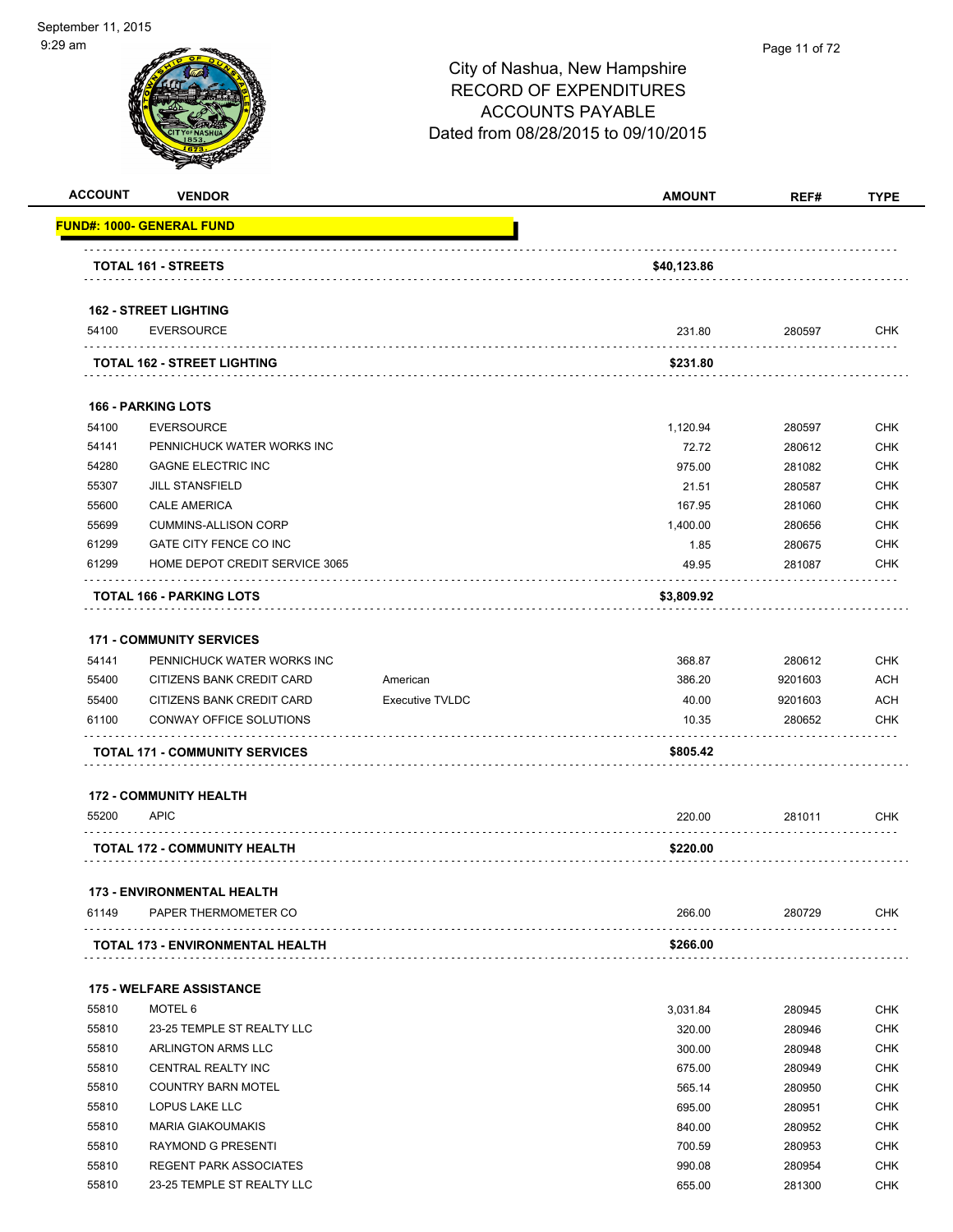| <b>ACCOUNT</b> | <b>VENDOR</b>                                     |                        | <b>AMOUNT</b> | REF#    | <b>TYPE</b> |
|----------------|---------------------------------------------------|------------------------|---------------|---------|-------------|
|                | <b>FUND#: 1000- GENERAL FUND</b>                  |                        |               |         |             |
|                | <b>TOTAL 161 - STREETS</b>                        |                        | \$40,123.86   |         |             |
|                |                                                   |                        |               |         |             |
| 54100          | <b>162 - STREET LIGHTING</b><br><b>EVERSOURCE</b> |                        | 231.80        | 280597  | <b>CHK</b>  |
|                | TOTAL 162 - STREET LIGHTING                       |                        | \$231.80      |         |             |
|                | <b>166 - PARKING LOTS</b>                         |                        |               |         |             |
| 54100          | <b>EVERSOURCE</b>                                 |                        | 1,120.94      | 280597  | <b>CHK</b>  |
| 54141          | PENNICHUCK WATER WORKS INC                        |                        |               |         | <b>CHK</b>  |
| 54280          | <b>GAGNE ELECTRIC INC</b>                         |                        | 72.72         | 280612  |             |
|                |                                                   |                        | 975.00        | 281082  | <b>CHK</b>  |
| 55307<br>55600 | <b>JILL STANSFIELD</b><br><b>CALE AMERICA</b>     |                        | 21.51         | 280587  | <b>CHK</b>  |
|                |                                                   |                        | 167.95        | 281060  | <b>CHK</b>  |
| 55699          | <b>CUMMINS-ALLISON CORP</b>                       |                        | 1,400.00      | 280656  | <b>CHK</b>  |
| 61299          | GATE CITY FENCE CO INC                            |                        | 1.85          | 280675  | <b>CHK</b>  |
| 61299          | HOME DEPOT CREDIT SERVICE 3065                    |                        | 49.95         | 281087  | <b>CHK</b>  |
|                | TOTAL 166 - PARKING LOTS                          |                        | \$3,809.92    |         |             |
|                | <b>171 - COMMUNITY SERVICES</b>                   |                        |               |         |             |
| 54141          | PENNICHUCK WATER WORKS INC                        |                        | 368.87        | 280612  | <b>CHK</b>  |
| 55400          | CITIZENS BANK CREDIT CARD                         | American               | 386.20        | 9201603 | <b>ACH</b>  |
| 55400          | CITIZENS BANK CREDIT CARD                         | <b>Executive TVLDC</b> | 40.00         | 9201603 | ACH         |
| 61100          | CONWAY OFFICE SOLUTIONS                           |                        | 10.35         | 280652  | <b>CHK</b>  |
|                | <b>TOTAL 171 - COMMUNITY SERVICES</b>             |                        | \$805.42      |         |             |
|                | <b>172 - COMMUNITY HEALTH</b>                     |                        |               |         |             |
| 55200          | <b>APIC</b>                                       |                        | 220.00        | 281011  | <b>CHK</b>  |
|                | TOTAL 172 - COMMUNITY HEALTH                      |                        | \$220.00      |         |             |
|                | <b>173 - ENVIRONMENTAL HEALTH</b>                 |                        |               |         |             |
| 61149          | PAPER THERMOMETER CO                              |                        | 266.00        | 280729  | <b>CHK</b>  |
|                | <b>TOTAL 173 - ENVIRONMENTAL HEALTH</b>           |                        | \$266.00      |         |             |
|                | <b>175 - WELFARE ASSISTANCE</b>                   |                        |               |         |             |
| 55810          | MOTEL 6                                           |                        | 3,031.84      | 280945  | <b>CHK</b>  |
| 55810          | 23-25 TEMPLE ST REALTY LLC                        |                        | 320.00        | 280946  | <b>CHK</b>  |
| 55810          | ARLINGTON ARMS LLC                                |                        | 300.00        | 280948  | <b>CHK</b>  |
| 55810          | CENTRAL REALTY INC                                |                        | 675.00        | 280949  | <b>CHK</b>  |
| 55810          | <b>COUNTRY BARN MOTEL</b>                         |                        | 565.14        | 280950  | <b>CHK</b>  |
| 55810          | LOPUS LAKE LLC                                    |                        | 695.00        | 280951  | <b>CHK</b>  |
| 55810          | <b>MARIA GIAKOUMAKIS</b>                          |                        | 840.00        | 280952  | <b>CHK</b>  |
| 55810          | RAYMOND G PRESENTI                                |                        | 700.59        | 280953  | <b>CHK</b>  |
| 55810          | <b>REGENT PARK ASSOCIATES</b>                     |                        | 990.08        | 280954  | <b>CHK</b>  |
|                |                                                   |                        |               |         |             |
| 55810          | 23-25 TEMPLE ST REALTY LLC                        |                        | 655.00        | 281300  | <b>CHK</b>  |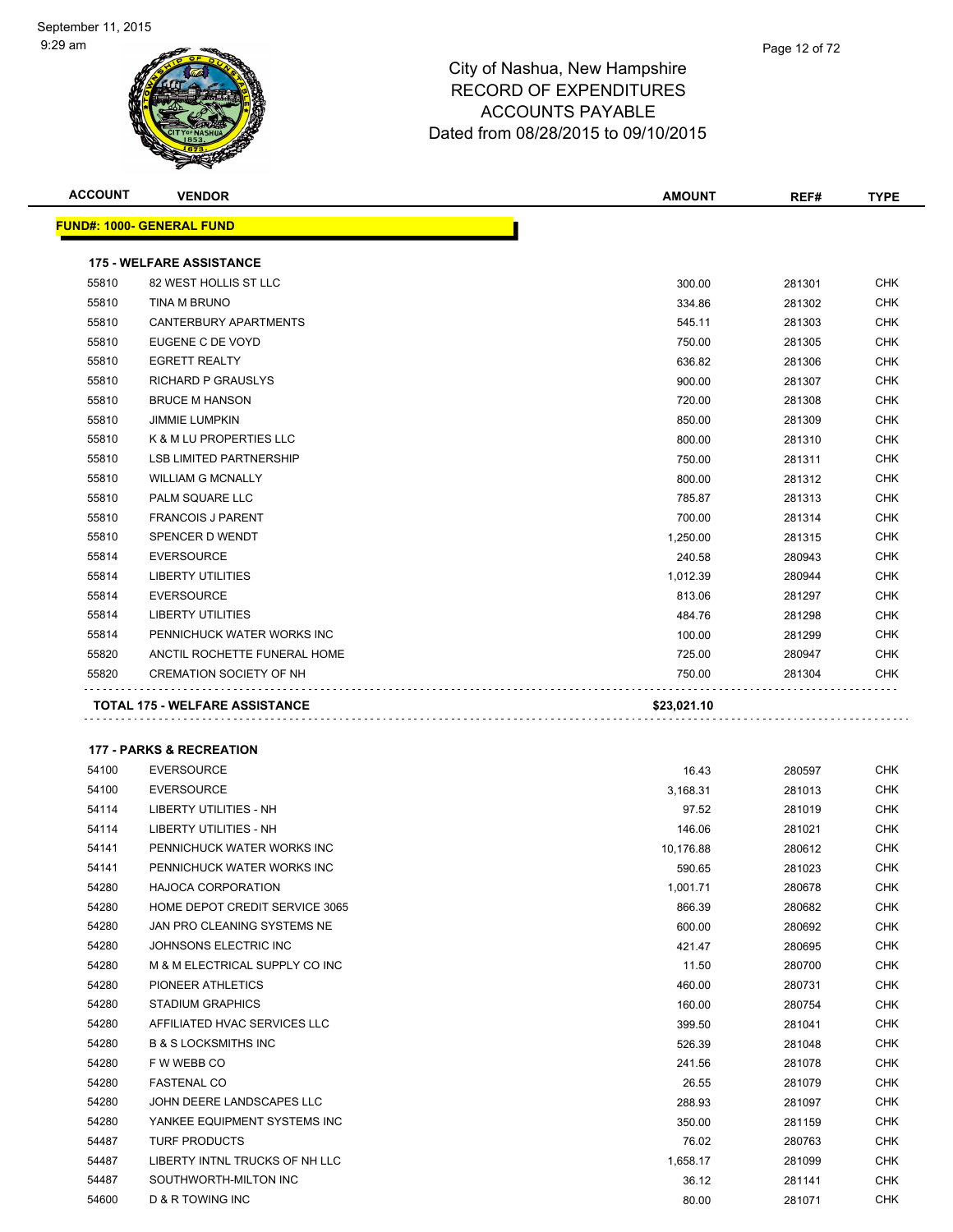| <b>ACCOUNT</b> | <b>VENDOR</b>                       | <b>AMOUNT</b> | REF#   | <b>TYPE</b> |
|----------------|-------------------------------------|---------------|--------|-------------|
|                | <b>FUND#: 1000- GENERAL FUND</b>    |               |        |             |
|                | <b>175 - WELFARE ASSISTANCE</b>     |               |        |             |
| 55810          | 82 WEST HOLLIS ST LLC               | 300.00        | 281301 | <b>CHK</b>  |
| 55810          | TINA M BRUNO                        | 334.86        | 281302 | CHK         |
| 55810          | CANTERBURY APARTMENTS               | 545.11        | 281303 | CHK         |
| 55810          | EUGENE C DE VOYD                    | 750.00        | 281305 | <b>CHK</b>  |
| 55810          | <b>EGRETT REALTY</b>                | 636.82        | 281306 | <b>CHK</b>  |
| 55810          | <b>RICHARD P GRAUSLYS</b>           | 900.00        | 281307 | CHK         |
| 55810          | <b>BRUCE M HANSON</b>               | 720.00        | 281308 | <b>CHK</b>  |
| 55810          | <b>JIMMIE LUMPKIN</b>               | 850.00        | 281309 | <b>CHK</b>  |
| 55810          | K & M LU PROPERTIES LLC             | 800.00        | 281310 | <b>CHK</b>  |
| 55810          | <b>LSB LIMITED PARTNERSHIP</b>      | 750.00        | 281311 | <b>CHK</b>  |
| 55810          | <b>WILLIAM G MCNALLY</b>            | 800.00        | 281312 | <b>CHK</b>  |
| 55810          | PALM SQUARE LLC                     | 785.87        | 281313 | <b>CHK</b>  |
| 55810          | <b>FRANCOIS J PARENT</b>            | 700.00        | 281314 | <b>CHK</b>  |
| 55810          | SPENCER D WENDT                     | 1,250.00      | 281315 | <b>CHK</b>  |
| 55814          | <b>EVERSOURCE</b>                   | 240.58        | 280943 | <b>CHK</b>  |
| 55814          | <b>LIBERTY UTILITIES</b>            | 1,012.39      | 280944 | <b>CHK</b>  |
| 55814          | <b>EVERSOURCE</b>                   | 813.06        | 281297 | <b>CHK</b>  |
| 55814          | <b>LIBERTY UTILITIES</b>            | 484.76        | 281298 | <b>CHK</b>  |
| 55814          | PENNICHUCK WATER WORKS INC          | 100.00        | 281299 | <b>CHK</b>  |
| 55820          | ANCTIL ROCHETTE FUNERAL HOME        | 725.00        | 280947 | <b>CHK</b>  |
| 55820          | <b>CREMATION SOCIETY OF NH</b>      | 750.00        | 281304 | <b>CHK</b>  |
|                |                                     |               |        |             |
|                | TOTAL 175 - WELFARE ASSISTANCE      | \$23,021.10   |        |             |
|                | <b>177 - PARKS &amp; RECREATION</b> |               |        |             |
| 54100          | <b>EVERSOURCE</b>                   | 16.43         | 280597 | CHK         |
| 54100          | <b>EVERSOURCE</b>                   | 3,168.31      | 281013 | CHK         |
| 54114          | LIBERTY UTILITIES - NH              | 97.52         | 281019 | CHK         |
| 54114          | LIBERTY UTILITIES - NH              | 146.06        | 281021 | CHK         |
| 54141          | PENNICHUCK WATER WORKS INC          | 10,176.88     | 280612 | CHK         |
| 54141          | PENNICHUCK WATER WORKS INC          | 590.65        | 281023 | <b>CHK</b>  |
| 54280          | HAJOCA CORPORATION                  | 1,001.71      | 280678 | <b>CHK</b>  |
| 54280          | HOME DEPOT CREDIT SERVICE 3065      | 866.39        | 280682 | CHK         |
| 54280          | JAN PRO CLEANING SYSTEMS NE         | 600.00        | 280692 | CHK         |
| 54280          | JOHNSONS ELECTRIC INC               | 421.47        | 280695 | CHK         |
| 54280          | M & M ELECTRICAL SUPPLY CO INC      | 11.50         | 280700 | CHK         |
| 54280          | PIONEER ATHLETICS                   | 460.00        | 280731 | CHK         |
| 54280          | <b>STADIUM GRAPHICS</b>             | 160.00        | 280754 | CHK         |
| 54280          | AFFILIATED HVAC SERVICES LLC        | 399.50        | 281041 | CHK         |
| 54280          | <b>B &amp; S LOCKSMITHS INC</b>     | 526.39        | 281048 | CHK         |
| 54280          | F W WEBB CO                         | 241.56        | 281078 | CHK         |
| 54280          | <b>FASTENAL CO</b>                  | 26.55         | 281079 | CHK         |
| 54280          | JOHN DEERE LANDSCAPES LLC           | 288.93        | 281097 | CHK         |
| 54280          | YANKEE EQUIPMENT SYSTEMS INC        | 350.00        | 281159 | CHK         |
| 54487          | <b>TURF PRODUCTS</b>                | 76.02         | 280763 | CHK         |
| 54487          | LIBERTY INTNL TRUCKS OF NH LLC      | 1,658.17      | 281099 | CHK         |
| 54487          | SOUTHWORTH-MILTON INC               | 36.12         | 281141 | CHK         |
| 54600          | D & R TOWING INC                    | 80.00         | 281071 | CHK         |
|                |                                     |               |        |             |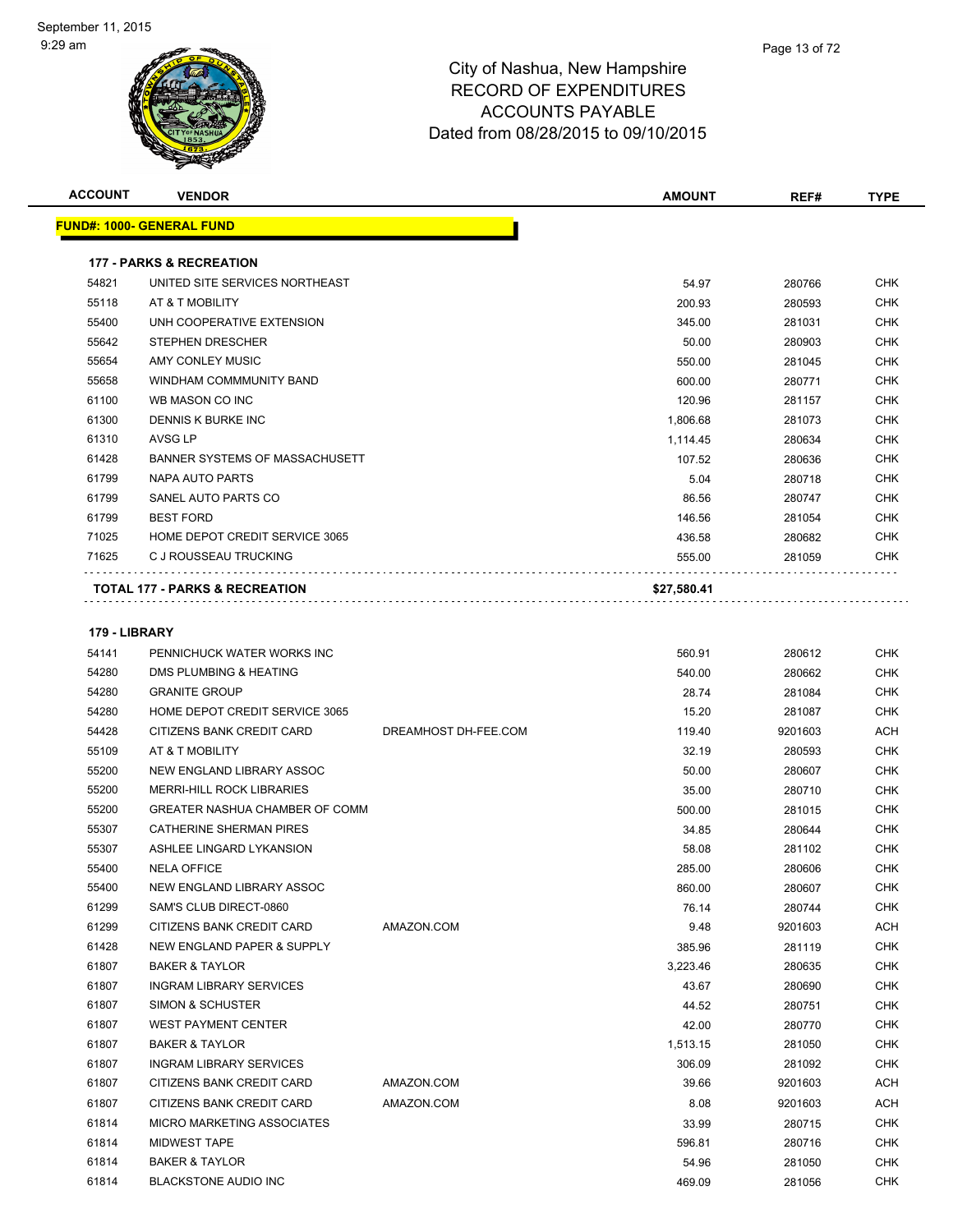

| <b>ACCOUNT</b> | <b>VENDOR</b>                         |                      | <b>AMOUNT</b> | REF#    | <b>TYPE</b> |
|----------------|---------------------------------------|----------------------|---------------|---------|-------------|
|                | <u> FUND#: 1000- GENERAL FUND</u>     |                      |               |         |             |
|                |                                       |                      |               |         |             |
|                | <b>177 - PARKS &amp; RECREATION</b>   |                      |               |         |             |
| 54821          | UNITED SITE SERVICES NORTHEAST        |                      | 54.97         | 280766  | CHK         |
| 55118          | AT & T MOBILITY                       |                      | 200.93        | 280593  | CHK         |
| 55400          | UNH COOPERATIVE EXTENSION             |                      | 345.00        | 281031  | <b>CHK</b>  |
| 55642          | <b>STEPHEN DRESCHER</b>               |                      | 50.00         | 280903  | CHK         |
| 55654          | AMY CONLEY MUSIC                      |                      | 550.00        | 281045  | CHK         |
| 55658          | WINDHAM COMMMUNITY BAND               |                      | 600.00        | 280771  | CHK         |
| 61100          | WB MASON CO INC                       |                      | 120.96        | 281157  | CHK         |
| 61300          | DENNIS K BURKE INC                    |                      | 1,806.68      | 281073  | CHK         |
| 61310          | AVSG LP                               |                      | 1,114.45      | 280634  | CHK         |
| 61428          | BANNER SYSTEMS OF MASSACHUSETT        |                      | 107.52        | 280636  | CHK         |
| 61799          | NAPA AUTO PARTS                       |                      | 5.04          | 280718  | CHK         |
| 61799          | SANEL AUTO PARTS CO                   |                      | 86.56         | 280747  | CHK         |
| 61799          | <b>BEST FORD</b>                      |                      | 146.56        | 281054  | CHK         |
| 71025          | HOME DEPOT CREDIT SERVICE 3065        |                      | 436.58        | 280682  | <b>CHK</b>  |
| 71625          | C J ROUSSEAU TRUCKING                 |                      | 555.00        | 281059  | CHK         |
|                |                                       |                      |               |         |             |
|                | TOTAL 177 - PARKS & RECREATION        |                      | \$27,580.41   |         |             |
|                |                                       |                      |               |         |             |
| 179 - LIBRARY  |                                       |                      |               |         |             |
| 54141          | PENNICHUCK WATER WORKS INC            |                      | 560.91        | 280612  | CHK         |
| 54280          | DMS PLUMBING & HEATING                |                      | 540.00        | 280662  | CHK         |
| 54280          | <b>GRANITE GROUP</b>                  |                      | 28.74         | 281084  | CHK         |
| 54280          | HOME DEPOT CREDIT SERVICE 3065        |                      | 15.20         | 281087  | CHK         |
| 54428          | CITIZENS BANK CREDIT CARD             | DREAMHOST DH-FEE.COM | 119.40        | 9201603 | ACH         |
| 55109          | AT & T MOBILITY                       |                      | 32.19         | 280593  | CHK         |
| 55200          | NEW ENGLAND LIBRARY ASSOC             |                      | 50.00         | 280607  | <b>CHK</b>  |
| 55200          | <b>MERRI-HILL ROCK LIBRARIES</b>      |                      | 35.00         | 280710  | CHK         |
| 55200          | GREATER NASHUA CHAMBER OF COMM        |                      | 500.00        | 281015  | CHK         |
| 55307          | <b>CATHERINE SHERMAN PIRES</b>        |                      | 34.85         | 280644  | CHK         |
| 55307          | ASHLEE LINGARD LYKANSION              |                      | 58.08         | 281102  | CHK         |
| 55400          | <b>NELA OFFICE</b>                    |                      | 285.00        | 280606  | CHK         |
| 55400          | NEW ENGLAND LIBRARY ASSOC             |                      | 860.00        | 280607  | CHK         |
| 61299          | SAM'S CLUB DIRECT-0860                |                      | 76.14         | 280744  | CHK         |
| 61299          | CITIZENS BANK CREDIT CARD             | AMAZON.COM           | 9.48          | 9201603 | ACH         |
| 61428          | <b>NEW ENGLAND PAPER &amp; SUPPLY</b> |                      | 385.96        | 281119  | CHK         |
| 61807          | <b>BAKER &amp; TAYLOR</b>             |                      | 3,223.46      | 280635  | <b>CHK</b>  |
| 61807          | <b>INGRAM LIBRARY SERVICES</b>        |                      | 43.67         | 280690  | <b>CHK</b>  |
| 61807          | <b>SIMON &amp; SCHUSTER</b>           |                      | 44.52         | 280751  | <b>CHK</b>  |
| 61807          | <b>WEST PAYMENT CENTER</b>            |                      | 42.00         | 280770  | <b>CHK</b>  |
| 61807          | <b>BAKER &amp; TAYLOR</b>             |                      | 1,513.15      | 281050  | <b>CHK</b>  |
| 61807          | <b>INGRAM LIBRARY SERVICES</b>        |                      | 306.09        | 281092  | CHK         |
| 61807          | CITIZENS BANK CREDIT CARD             | AMAZON.COM           | 39.66         | 9201603 | ACH         |
| 61807          | CITIZENS BANK CREDIT CARD             | AMAZON.COM           | 8.08          | 9201603 | ACH         |
| 61814          | <b>MICRO MARKETING ASSOCIATES</b>     |                      | 33.99         | 280715  | <b>CHK</b>  |
| 61814          | MIDWEST TAPE                          |                      | 596.81        | 280716  | CHK         |
| 61814          | <b>BAKER &amp; TAYLOR</b>             |                      | 54.96         | 281050  | CHK         |
| 61814          | <b>BLACKSTONE AUDIO INC</b>           |                      | 469.09        | 281056  | <b>CHK</b>  |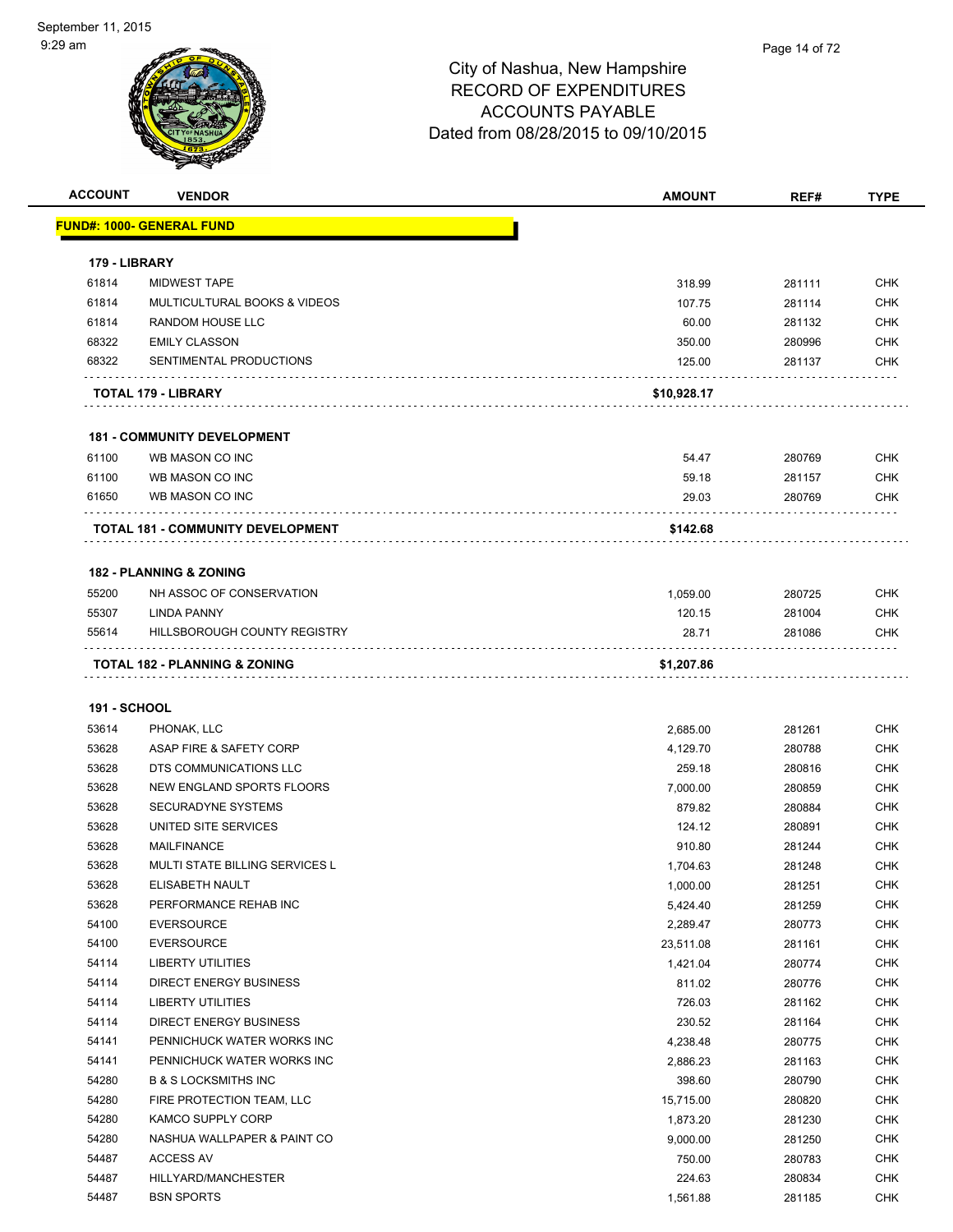| <b>ACCOUNT</b>      | <b>VENDOR</b>                                      | <b>AMOUNT</b>        | REF#             | <b>TYPE</b>              |
|---------------------|----------------------------------------------------|----------------------|------------------|--------------------------|
|                     | <b>FUND#: 1000- GENERAL FUND</b>                   |                      |                  |                          |
|                     |                                                    |                      |                  |                          |
| 179 - LIBRARY       |                                                    |                      |                  |                          |
| 61814               | <b>MIDWEST TAPE</b>                                | 318.99               | 281111           | <b>CHK</b>               |
| 61814               | MULTICULTURAL BOOKS & VIDEOS                       | 107.75               | 281114           | <b>CHK</b>               |
| 61814               | <b>RANDOM HOUSE LLC</b>                            | 60.00                | 281132           | <b>CHK</b>               |
| 68322               | <b>EMILY CLASSON</b>                               | 350.00               | 280996           | <b>CHK</b>               |
| 68322               | SENTIMENTAL PRODUCTIONS                            | 125.00               | 281137           | <b>CHK</b>               |
|                     |                                                    |                      |                  |                          |
|                     | <b>TOTAL 179 - LIBRARY</b>                         | \$10,928.17          |                  |                          |
|                     |                                                    |                      |                  |                          |
|                     | <b>181 - COMMUNITY DEVELOPMENT</b>                 |                      |                  |                          |
| 61100               | WB MASON CO INC                                    | 54.47                | 280769           | <b>CHK</b>               |
| 61100               | WB MASON CO INC                                    | 59.18                | 281157           | CHK                      |
| 61650               | WB MASON CO INC                                    | 29.03                | 280769           | <b>CHK</b>               |
|                     | TOTAL 181 - COMMUNITY DEVELOPMENT                  | \$142.68             |                  |                          |
|                     |                                                    |                      |                  |                          |
|                     | <b>182 - PLANNING &amp; ZONING</b>                 |                      |                  |                          |
| 55200               | NH ASSOC OF CONSERVATION                           | 1,059.00             | 280725           | <b>CHK</b>               |
| 55307               | <b>LINDA PANNY</b>                                 | 120.15               | 281004           | CHK                      |
| 55614               | HILLSBOROUGH COUNTY REGISTRY                       | 28.71                | 281086           | CHK                      |
|                     |                                                    |                      |                  |                          |
|                     | TOTAL 182 - PLANNING & ZONING                      | \$1,207.86           |                  |                          |
|                     |                                                    |                      |                  |                          |
| <b>191 - SCHOOL</b> |                                                    |                      |                  |                          |
| 53614               | PHONAK, LLC                                        | 2,685.00             | 281261           | <b>CHK</b>               |
| 53628               | ASAP FIRE & SAFETY CORP                            | 4,129.70             | 280788           | CHK                      |
| 53628               | DTS COMMUNICATIONS LLC                             | 259.18               | 280816           | <b>CHK</b>               |
| 53628               | NEW ENGLAND SPORTS FLOORS                          | 7,000.00             | 280859           | <b>CHK</b>               |
| 53628               | <b>SECURADYNE SYSTEMS</b>                          | 879.82               | 280884           | <b>CHK</b>               |
| 53628               | UNITED SITE SERVICES                               | 124.12               | 280891           | <b>CHK</b>               |
| 53628               | <b>MAILFINANCE</b>                                 | 910.80               | 281244           | CHK                      |
| 53628               | <b>MULTI STATE BILLING SERVICES L</b>              | 1,704.63             | 281248           | CHK                      |
| 53628               | ELISABETH NAULT                                    | 1,000.00             | 281251           | <b>CHK</b>               |
| 53628               | PERFORMANCE REHAB INC                              | 5,424.40             | 281259           | CHK                      |
| 54100               | <b>EVERSOURCE</b>                                  | 2,289.47             | 280773           | <b>CHK</b>               |
| 54100               | <b>EVERSOURCE</b>                                  | 23,511.08            | 281161           | <b>CHK</b>               |
| 54114               | LIBERTY UTILITIES                                  | 1,421.04             | 280774           | <b>CHK</b>               |
| 54114               | DIRECT ENERGY BUSINESS<br><b>LIBERTY UTILITIES</b> | 811.02               | 280776           | <b>CHK</b>               |
| 54114<br>54114      | <b>DIRECT ENERGY BUSINESS</b>                      | 726.03               | 281162           | <b>CHK</b><br><b>CHK</b> |
| 54141               | PENNICHUCK WATER WORKS INC                         | 230.52               | 281164           | <b>CHK</b>               |
| 54141               | PENNICHUCK WATER WORKS INC                         | 4,238.48<br>2,886.23 | 280775<br>281163 | <b>CHK</b>               |
| 54280               | <b>B &amp; S LOCKSMITHS INC</b>                    | 398.60               | 280790           | <b>CHK</b>               |
| 54280               | FIRE PROTECTION TEAM, LLC                          | 15,715.00            | 280820           | <b>CHK</b>               |
| 54280               | KAMCO SUPPLY CORP                                  | 1,873.20             | 281230           | CHK                      |
| 54280               | NASHUA WALLPAPER & PAINT CO                        | 9,000.00             | 281250           | <b>CHK</b>               |
| 54487               | ACCESS AV                                          | 750.00               | 280783           | <b>CHK</b>               |
| 54487               | HILLYARD/MANCHESTER                                | 224.63               | 280834           | <b>CHK</b>               |
| 54487               | <b>BSN SPORTS</b>                                  | 1,561.88             | 281185           | <b>CHK</b>               |
|                     |                                                    |                      |                  |                          |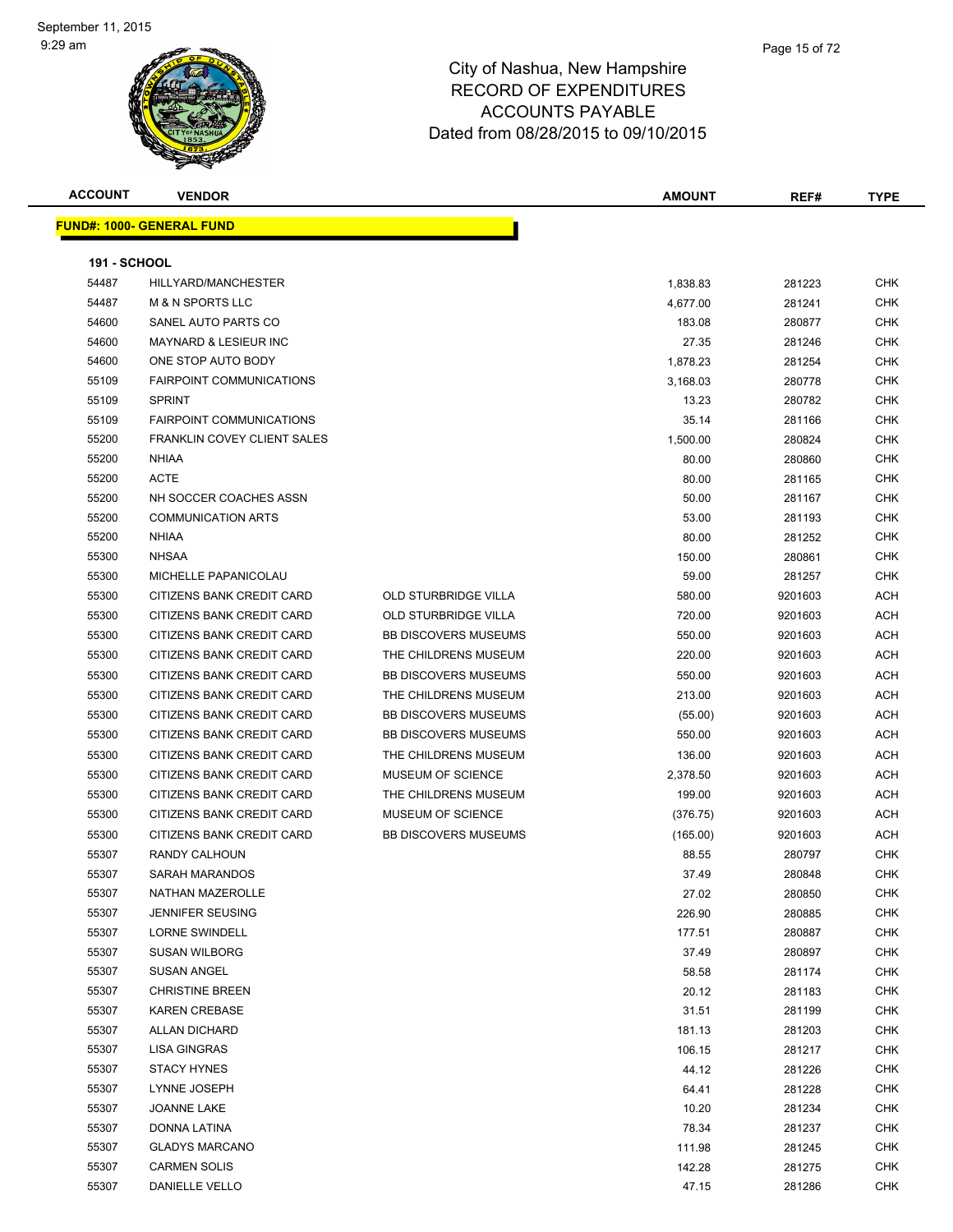| <b>ACCOUNT</b>      | <b>VENDOR</b>                    |                             | <b>AMOUNT</b> | REF#    | <b>TYPE</b> |
|---------------------|----------------------------------|-----------------------------|---------------|---------|-------------|
|                     | <b>FUND#: 1000- GENERAL FUND</b> |                             |               |         |             |
|                     |                                  |                             |               |         |             |
| <b>191 - SCHOOL</b> |                                  |                             |               |         |             |
| 54487               | HILLYARD/MANCHESTER              |                             | 1,838.83      | 281223  | <b>CHK</b>  |
| 54487               | <b>M &amp; N SPORTS LLC</b>      |                             | 4,677.00      | 281241  | <b>CHK</b>  |
| 54600               | SANEL AUTO PARTS CO              |                             | 183.08        | 280877  | <b>CHK</b>  |
| 54600               | <b>MAYNARD &amp; LESIEUR INC</b> |                             | 27.35         | 281246  | <b>CHK</b>  |
| 54600               | ONE STOP AUTO BODY               |                             | 1,878.23      | 281254  | <b>CHK</b>  |
| 55109               | <b>FAIRPOINT COMMUNICATIONS</b>  |                             | 3,168.03      | 280778  | <b>CHK</b>  |
| 55109               | <b>SPRINT</b>                    |                             | 13.23         | 280782  | CHK         |
| 55109               | <b>FAIRPOINT COMMUNICATIONS</b>  |                             | 35.14         | 281166  | CHK         |
| 55200               | FRANKLIN COVEY CLIENT SALES      |                             | 1,500.00      | 280824  | <b>CHK</b>  |
| 55200               | NHIAA                            |                             | 80.00         | 280860  | CHK         |
| 55200               | <b>ACTE</b>                      |                             | 80.00         | 281165  | CHK         |
| 55200               | NH SOCCER COACHES ASSN           |                             | 50.00         | 281167  | <b>CHK</b>  |
| 55200               | <b>COMMUNICATION ARTS</b>        |                             | 53.00         | 281193  | CHK         |
| 55200               | NHIAA                            |                             | 80.00         | 281252  | <b>CHK</b>  |
| 55300               | <b>NHSAA</b>                     |                             | 150.00        | 280861  | <b>CHK</b>  |
| 55300               | MICHELLE PAPANICOLAU             |                             | 59.00         | 281257  | CHK         |
| 55300               | CITIZENS BANK CREDIT CARD        | <b>OLD STURBRIDGE VILLA</b> | 580.00        | 9201603 | ACH         |
| 55300               | CITIZENS BANK CREDIT CARD        | <b>OLD STURBRIDGE VILLA</b> | 720.00        | 9201603 | ACH         |
| 55300               | CITIZENS BANK CREDIT CARD        | <b>BB DISCOVERS MUSEUMS</b> | 550.00        | 9201603 | ACH         |
| 55300               | CITIZENS BANK CREDIT CARD        | THE CHILDRENS MUSEUM        | 220.00        | 9201603 | <b>ACH</b>  |
| 55300               | CITIZENS BANK CREDIT CARD        | <b>BB DISCOVERS MUSEUMS</b> | 550.00        | 9201603 | <b>ACH</b>  |
| 55300               | CITIZENS BANK CREDIT CARD        | THE CHILDRENS MUSEUM        | 213.00        | 9201603 | <b>ACH</b>  |
| 55300               | CITIZENS BANK CREDIT CARD        | <b>BB DISCOVERS MUSEUMS</b> | (55.00)       | 9201603 | <b>ACH</b>  |
| 55300               | CITIZENS BANK CREDIT CARD        | <b>BB DISCOVERS MUSEUMS</b> | 550.00        | 9201603 | ACH         |
| 55300               | CITIZENS BANK CREDIT CARD        | THE CHILDRENS MUSEUM        | 136.00        | 9201603 | <b>ACH</b>  |
| 55300               | CITIZENS BANK CREDIT CARD        | MUSEUM OF SCIENCE           | 2,378.50      | 9201603 | ACH         |
| 55300               | CITIZENS BANK CREDIT CARD        | THE CHILDRENS MUSEUM        | 199.00        | 9201603 | <b>ACH</b>  |
| 55300               | CITIZENS BANK CREDIT CARD        | MUSEUM OF SCIENCE           | (376.75)      | 9201603 | ACH         |
| 55300               | CITIZENS BANK CREDIT CARD        | <b>BB DISCOVERS MUSEUMS</b> | (165.00)      | 9201603 | ACH         |
| 55307               | RANDY CALHOUN                    |                             | 88.55         | 280797  | <b>CHK</b>  |
| 55307               | <b>SARAH MARANDOS</b>            |                             | 37.49         | 280848  | <b>CHK</b>  |
| 55307               | NATHAN MAZEROLLE                 |                             | 27.02         | 280850  | <b>CHK</b>  |
| 55307               | <b>JENNIFER SEUSING</b>          |                             | 226.90        | 280885  | <b>CHK</b>  |
| 55307               | LORNE SWINDELL                   |                             | 177.51        | 280887  | CHK         |
| 55307               | <b>SUSAN WILBORG</b>             |                             | 37.49         | 280897  | CHK         |
| 55307               | <b>SUSAN ANGEL</b>               |                             | 58.58         | 281174  | <b>CHK</b>  |
| 55307               | <b>CHRISTINE BREEN</b>           |                             | 20.12         | 281183  | CHK         |
| 55307               | <b>KAREN CREBASE</b>             |                             | 31.51         | 281199  | <b>CHK</b>  |
| 55307               | <b>ALLAN DICHARD</b>             |                             | 181.13        | 281203  | <b>CHK</b>  |
| 55307               | LISA GINGRAS                     |                             | 106.15        | 281217  | CHK         |
| 55307               | <b>STACY HYNES</b>               |                             | 44.12         | 281226  | <b>CHK</b>  |
| 55307               | LYNNE JOSEPH                     |                             | 64.41         | 281228  | CHK         |
| 55307               | JOANNE LAKE                      |                             | 10.20         | 281234  | CHK         |
| 55307               | DONNA LATINA                     |                             | 78.34         | 281237  | CHK         |
| 55307               | <b>GLADYS MARCANO</b>            |                             | 111.98        | 281245  | CHK         |
| 55307               | <b>CARMEN SOLIS</b>              |                             | 142.28        | 281275  | CHK         |
| 55307               | <b>DANIELLE VELLO</b>            |                             | 47.15         | 281286  | CHK         |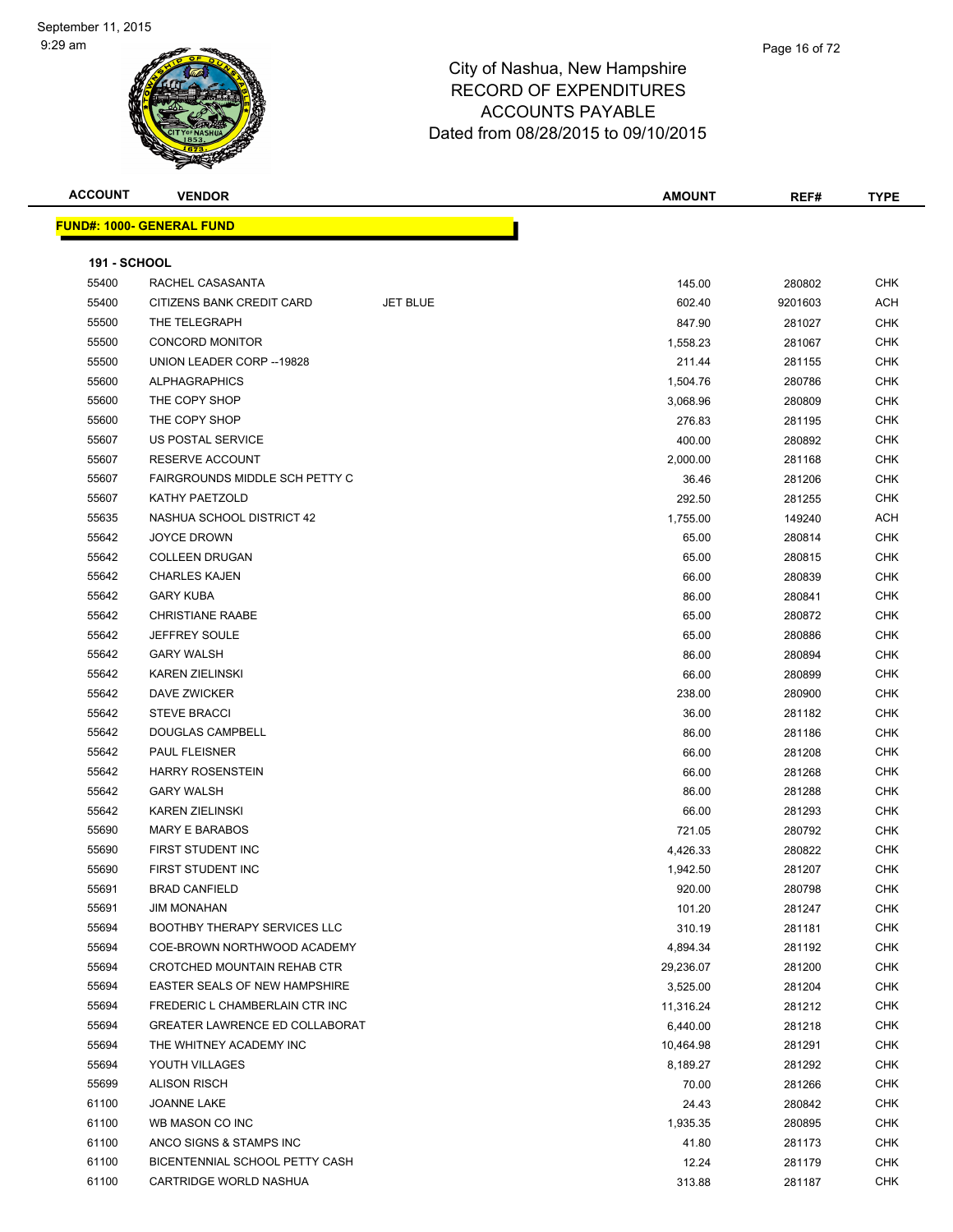| <b>ACCOUNT</b>      | <b>VENDOR</b>                         |                 | <b>AMOUNT</b> | REF#    | <b>TYPE</b> |
|---------------------|---------------------------------------|-----------------|---------------|---------|-------------|
|                     | <b>FUND#: 1000- GENERAL FUND</b>      |                 |               |         |             |
|                     |                                       |                 |               |         |             |
| <b>191 - SCHOOL</b> |                                       |                 |               |         |             |
| 55400               | RACHEL CASASANTA                      |                 | 145.00        | 280802  | <b>CHK</b>  |
| 55400               | CITIZENS BANK CREDIT CARD             | <b>JET BLUE</b> | 602.40        | 9201603 | <b>ACH</b>  |
| 55500               | THE TELEGRAPH                         |                 | 847.90        | 281027  | <b>CHK</b>  |
| 55500               | <b>CONCORD MONITOR</b>                |                 | 1,558.23      | 281067  | <b>CHK</b>  |
| 55500               | UNION LEADER CORP -- 19828            |                 | 211.44        | 281155  | <b>CHK</b>  |
| 55600               | <b>ALPHAGRAPHICS</b>                  |                 | 1,504.76      | 280786  | CHK         |
| 55600               | THE COPY SHOP                         |                 | 3,068.96      | 280809  | <b>CHK</b>  |
| 55600               | THE COPY SHOP                         |                 | 276.83        | 281195  | <b>CHK</b>  |
| 55607               | US POSTAL SERVICE                     |                 | 400.00        | 280892  | <b>CHK</b>  |
| 55607               | RESERVE ACCOUNT                       |                 | 2,000.00      | 281168  | <b>CHK</b>  |
| 55607               | FAIRGROUNDS MIDDLE SCH PETTY C        |                 | 36.46         | 281206  | <b>CHK</b>  |
| 55607               | <b>KATHY PAETZOLD</b>                 |                 | 292.50        | 281255  | <b>CHK</b>  |
| 55635               | NASHUA SCHOOL DISTRICT 42             |                 | 1,755.00      | 149240  | ACH         |
| 55642               | <b>JOYCE DROWN</b>                    |                 | 65.00         | 280814  | CHK         |
| 55642               | <b>COLLEEN DRUGAN</b>                 |                 | 65.00         | 280815  | <b>CHK</b>  |
| 55642               | <b>CHARLES KAJEN</b>                  |                 | 66.00         | 280839  | <b>CHK</b>  |
| 55642               | <b>GARY KUBA</b>                      |                 | 86.00         | 280841  | CHK         |
| 55642               | <b>CHRISTIANE RAABE</b>               |                 | 65.00         | 280872  | <b>CHK</b>  |
| 55642               | <b>JEFFREY SOULE</b>                  |                 | 65.00         | 280886  | <b>CHK</b>  |
| 55642               | <b>GARY WALSH</b>                     |                 | 86.00         | 280894  | CHK         |
| 55642               | <b>KAREN ZIELINSKI</b>                |                 | 66.00         | 280899  | <b>CHK</b>  |
| 55642               | DAVE ZWICKER                          |                 | 238.00        | 280900  | <b>CHK</b>  |
| 55642               | <b>STEVE BRACCI</b>                   |                 | 36.00         | 281182  | <b>CHK</b>  |
| 55642               | DOUGLAS CAMPBELL                      |                 | 86.00         | 281186  | <b>CHK</b>  |
| 55642               | <b>PAUL FLEISNER</b>                  |                 | 66.00         | 281208  | <b>CHK</b>  |
| 55642               | <b>HARRY ROSENSTEIN</b>               |                 | 66.00         | 281268  | <b>CHK</b>  |
| 55642               | <b>GARY WALSH</b>                     |                 | 86.00         | 281288  | <b>CHK</b>  |
| 55642               | <b>KAREN ZIELINSKI</b>                |                 | 66.00         | 281293  | CHK         |
| 55690               | <b>MARY E BARABOS</b>                 |                 | 721.05        | 280792  | <b>CHK</b>  |
| 55690               | FIRST STUDENT INC                     |                 | 4,426.33      | 280822  | <b>CHK</b>  |
| 55690               | FIRST STUDENT INC                     |                 | 1,942.50      | 281207  | CHK         |
| 55691               | <b>BRAD CANFIELD</b>                  |                 | 920.00        | 280798  | CHK         |
| 55691               | <b>JIM MONAHAN</b>                    |                 | 101.20        | 281247  | <b>CHK</b>  |
| 55694               | BOOTHBY THERAPY SERVICES LLC          |                 | 310.19        | 281181  | <b>CHK</b>  |
| 55694               | COE-BROWN NORTHWOOD ACADEMY           |                 | 4,894.34      | 281192  | CHK         |
| 55694               | <b>CROTCHED MOUNTAIN REHAB CTR</b>    |                 | 29,236.07     | 281200  | <b>CHK</b>  |
| 55694               | <b>EASTER SEALS OF NEW HAMPSHIRE</b>  |                 | 3,525.00      | 281204  | <b>CHK</b>  |
| 55694               | FREDERIC L CHAMBERLAIN CTR INC        |                 | 11,316.24     | 281212  | <b>CHK</b>  |
| 55694               | <b>GREATER LAWRENCE ED COLLABORAT</b> |                 | 6,440.00      | 281218  | <b>CHK</b>  |
| 55694               | THE WHITNEY ACADEMY INC               |                 | 10,464.98     | 281291  | CHK         |
| 55694               | YOUTH VILLAGES                        |                 | 8,189.27      | 281292  | CHK         |
| 55699               | <b>ALISON RISCH</b>                   |                 | 70.00         | 281266  | CHK         |
| 61100               | <b>JOANNE LAKE</b>                    |                 | 24.43         | 280842  | CHK         |
| 61100               | WB MASON CO INC                       |                 | 1,935.35      | 280895  | <b>CHK</b>  |
| 61100               | ANCO SIGNS & STAMPS INC               |                 | 41.80         | 281173  | CHK         |
| 61100               | BICENTENNIAL SCHOOL PETTY CASH        |                 | 12.24         | 281179  | CHK         |
| 61100               | CARTRIDGE WORLD NASHUA                |                 | 313.88        | 281187  | <b>CHK</b>  |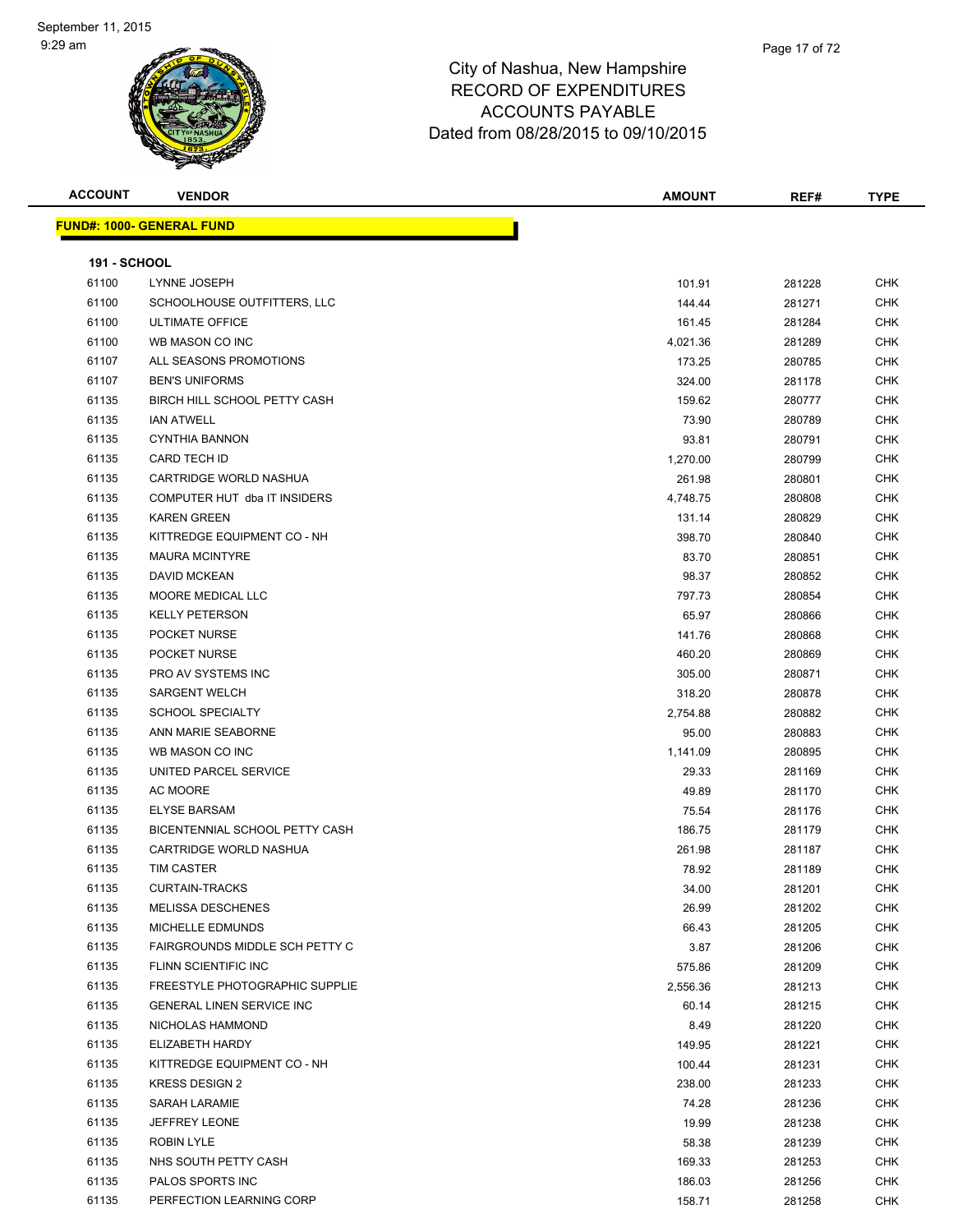| <b>ACCOUNT</b>      | <b>VENDOR</b>                    | <b>AMOUNT</b>    | REF#             | <b>TYPE</b> |
|---------------------|----------------------------------|------------------|------------------|-------------|
|                     | <b>FUND#: 1000- GENERAL FUND</b> |                  |                  |             |
|                     |                                  |                  |                  |             |
| <b>191 - SCHOOL</b> |                                  |                  |                  |             |
| 61100               | LYNNE JOSEPH                     | 101.91           | 281228           | <b>CHK</b>  |
| 61100               | SCHOOLHOUSE OUTFITTERS, LLC      | 144.44           | 281271           | CHK         |
| 61100               | <b>ULTIMATE OFFICE</b>           | 161.45           | 281284           | CHK         |
| 61100               | WB MASON CO INC                  | 4,021.36         | 281289           | CHK         |
| 61107               | ALL SEASONS PROMOTIONS           | 173.25           | 280785           | <b>CHK</b>  |
| 61107               | <b>BEN'S UNIFORMS</b>            | 324.00           | 281178           | <b>CHK</b>  |
| 61135               | BIRCH HILL SCHOOL PETTY CASH     | 159.62           | 280777           | <b>CHK</b>  |
| 61135               | <b>IAN ATWELL</b>                | 73.90            | 280789           | CHK         |
| 61135               | <b>CYNTHIA BANNON</b>            | 93.81            | 280791           | <b>CHK</b>  |
| 61135               | CARD TECH ID                     | 1,270.00         | 280799           | CHK         |
| 61135               | CARTRIDGE WORLD NASHUA           | 261.98           | 280801           | CHK         |
| 61135               | COMPUTER HUT dba IT INSIDERS     | 4,748.75         | 280808           | CHK         |
| 61135               | <b>KAREN GREEN</b>               | 131.14           | 280829           | CHK         |
| 61135               | KITTREDGE EQUIPMENT CO - NH      | 398.70           | 280840           | CHK         |
| 61135               | <b>MAURA MCINTYRE</b>            | 83.70            | 280851           | CHK         |
| 61135               | DAVID MCKEAN                     | 98.37            | 280852           | <b>CHK</b>  |
| 61135               | MOORE MEDICAL LLC                | 797.73           | 280854           | CHK         |
| 61135               | <b>KELLY PETERSON</b>            | 65.97            | 280866           | <b>CHK</b>  |
| 61135               | POCKET NURSE                     | 141.76           | 280868           | <b>CHK</b>  |
| 61135               | POCKET NURSE                     | 460.20           | 280869           | <b>CHK</b>  |
| 61135               | PRO AV SYSTEMS INC               | 305.00           | 280871           | CHK         |
| 61135               | <b>SARGENT WELCH</b>             | 318.20           | 280878           | CHK         |
| 61135               | <b>SCHOOL SPECIALTY</b>          | 2,754.88         | 280882           | CHK         |
| 61135               | ANN MARIE SEABORNE               | 95.00            | 280883           | CHK         |
| 61135               | WB MASON CO INC                  | 1,141.09         | 280895           | CHK         |
| 61135               | UNITED PARCEL SERVICE            | 29.33            | 281169           | CHK         |
| 61135               | AC MOORE                         | 49.89            | 281170           | <b>CHK</b>  |
| 61135               | <b>ELYSE BARSAM</b>              | 75.54            | 281176           | <b>CHK</b>  |
| 61135               | BICENTENNIAL SCHOOL PETTY CASH   | 186.75           | 281179           | <b>CHK</b>  |
| 61135               | CARTRIDGE WORLD NASHUA           | 261.98           | 281187           | <b>CHK</b>  |
| 61135               | <b>TIM CASTER</b>                | 78.92            | 281189           | CHK         |
| 61135               | <b>CURTAIN-TRACKS</b>            | 34.00            | 281201           | <b>CHK</b>  |
| 61135               | <b>MELISSA DESCHENES</b>         | 26.99            | 281202           | <b>CHK</b>  |
| 61135               | MICHELLE EDMUNDS                 | 66.43            | 281205           | <b>CHK</b>  |
| 61135               | FAIRGROUNDS MIDDLE SCH PETTY C   | 3.87             | 281206           | CHK         |
| 61135               | FLINN SCIENTIFIC INC             | 575.86           | 281209           | CHK         |
| 61135               | FREESTYLE PHOTOGRAPHIC SUPPLIE   | 2,556.36         | 281213           | CHK         |
| 61135               | <b>GENERAL LINEN SERVICE INC</b> | 60.14            | 281215           | CHK         |
| 61135               | NICHOLAS HAMMOND                 | 8.49             | 281220           | <b>CHK</b>  |
| 61135               | ELIZABETH HARDY                  | 149.95           | 281221           | <b>CHK</b>  |
| 61135               | KITTREDGE EQUIPMENT CO - NH      |                  |                  | CHK         |
| 61135               | <b>KRESS DESIGN 2</b>            | 100.44<br>238.00 | 281231<br>281233 | <b>CHK</b>  |
| 61135               |                                  |                  |                  |             |
|                     | SARAH LARAMIE                    | 74.28            | 281236           | CHK         |
| 61135               | <b>JEFFREY LEONE</b>             | 19.99            | 281238           | CHK         |
| 61135               | <b>ROBIN LYLE</b>                | 58.38            | 281239           | CHK         |
| 61135               | NHS SOUTH PETTY CASH             | 169.33           | 281253           | CHK         |
| 61135               | PALOS SPORTS INC                 | 186.03           | 281256           | CHK         |
| 61135               | PERFECTION LEARNING CORP         | 158.71           | 281258           | CHK         |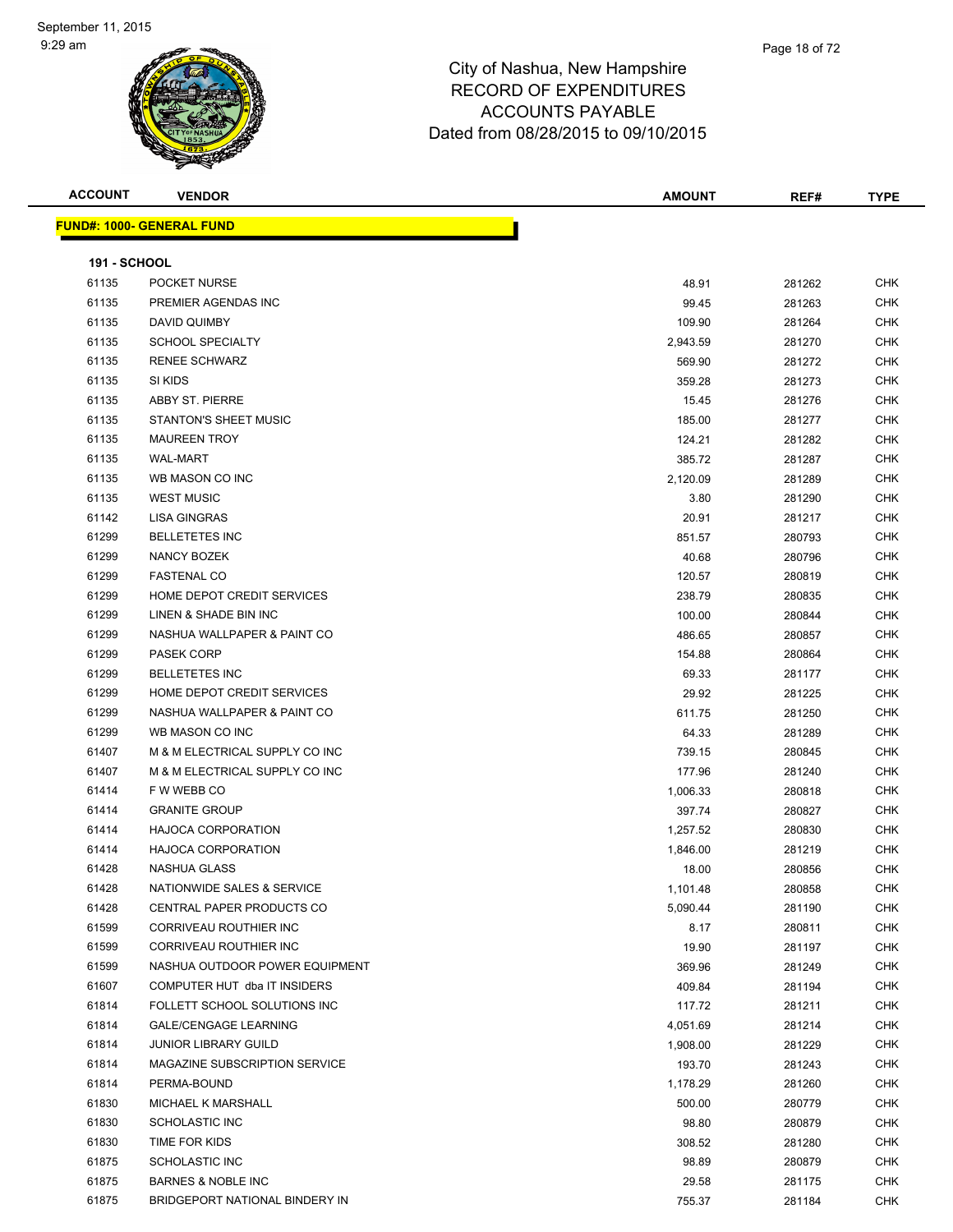| <b>ACCOUNT</b>      | <b>VENDOR</b>                    | <b>AMOUNT</b> | REF#   | <b>TYPE</b> |
|---------------------|----------------------------------|---------------|--------|-------------|
|                     | <b>FUND#: 1000- GENERAL FUND</b> |               |        |             |
|                     |                                  |               |        |             |
| <b>191 - SCHOOL</b> |                                  |               |        |             |
| 61135               | POCKET NURSE                     | 48.91         | 281262 | <b>CHK</b>  |
| 61135               | PREMIER AGENDAS INC              | 99.45         | 281263 | CHK         |
| 61135               | DAVID QUIMBY                     | 109.90        | 281264 | <b>CHK</b>  |
| 61135               | <b>SCHOOL SPECIALTY</b>          | 2,943.59      | 281270 | CHK         |
| 61135               | <b>RENEE SCHWARZ</b>             | 569.90        | 281272 | CHK         |
| 61135               | SI KIDS                          | 359.28        | 281273 | <b>CHK</b>  |
| 61135               | ABBY ST. PIERRE                  | 15.45         | 281276 | <b>CHK</b>  |
| 61135               | STANTON'S SHEET MUSIC            | 185.00        | 281277 | CHK         |
| 61135               | <b>MAUREEN TROY</b>              | 124.21        | 281282 | CHK         |
| 61135               | <b>WAL-MART</b>                  | 385.72        | 281287 | CHK         |
| 61135               | WB MASON CO INC                  | 2,120.09      | 281289 | CHK         |
| 61135               | <b>WEST MUSIC</b>                | 3.80          | 281290 | CHK         |
| 61142               | <b>LISA GINGRAS</b>              | 20.91         | 281217 | CHK         |
| 61299               | <b>BELLETETES INC</b>            | 851.57        | 280793 | CHK         |
| 61299               | <b>NANCY BOZEK</b>               | 40.68         | 280796 | CHK         |
| 61299               | <b>FASTENAL CO</b>               | 120.57        | 280819 | CHK         |
| 61299               | HOME DEPOT CREDIT SERVICES       | 238.79        | 280835 | <b>CHK</b>  |
| 61299               | LINEN & SHADE BIN INC            | 100.00        | 280844 | <b>CHK</b>  |
| 61299               | NASHUA WALLPAPER & PAINT CO      | 486.65        | 280857 | CHK         |
| 61299               | <b>PASEK CORP</b>                | 154.88        | 280864 | CHK         |
| 61299               | <b>BELLETETES INC</b>            | 69.33         | 281177 | CHK         |
| 61299               | HOME DEPOT CREDIT SERVICES       | 29.92         | 281225 | <b>CHK</b>  |
| 61299               | NASHUA WALLPAPER & PAINT CO      | 611.75        | 281250 | <b>CHK</b>  |
| 61299               | WB MASON CO INC                  | 64.33         | 281289 | <b>CHK</b>  |
| 61407               | M & M ELECTRICAL SUPPLY CO INC   | 739.15        | 280845 | <b>CHK</b>  |
| 61407               | M & M ELECTRICAL SUPPLY CO INC   | 177.96        | 281240 | CHK         |
| 61414               | F W WEBB CO                      | 1,006.33      | 280818 | CHK         |
| 61414               | <b>GRANITE GROUP</b>             | 397.74        | 280827 | <b>CHK</b>  |
| 61414               | <b>HAJOCA CORPORATION</b>        | 1,257.52      | 280830 | <b>CHK</b>  |
| 61414               | <b>HAJOCA CORPORATION</b>        | 1,846.00      | 281219 | <b>CHK</b>  |
| 61428               | NASHUA GLASS                     | 18.00         | 280856 | <b>CHK</b>  |
| 61428               | NATIONWIDE SALES & SERVICE       | 1,101.48      | 280858 | <b>CHK</b>  |
| 61428               | CENTRAL PAPER PRODUCTS CO        | 5,090.44      | 281190 | <b>CHK</b>  |
| 61599               | CORRIVEAU ROUTHIER INC           | 8.17          | 280811 | CHK         |
| 61599               | CORRIVEAU ROUTHIER INC           | 19.90         | 281197 | <b>CHK</b>  |
| 61599               | NASHUA OUTDOOR POWER EQUIPMENT   | 369.96        | 281249 | <b>CHK</b>  |
| 61607               | COMPUTER HUT dba IT INSIDERS     | 409.84        | 281194 | CHK         |
| 61814               | FOLLETT SCHOOL SOLUTIONS INC     | 117.72        | 281211 | <b>CHK</b>  |
| 61814               | <b>GALE/CENGAGE LEARNING</b>     | 4,051.69      | 281214 | <b>CHK</b>  |
| 61814               | <b>JUNIOR LIBRARY GUILD</b>      | 1,908.00      | 281229 | <b>CHK</b>  |
| 61814               | MAGAZINE SUBSCRIPTION SERVICE    | 193.70        | 281243 | <b>CHK</b>  |
| 61814               | PERMA-BOUND                      | 1,178.29      | 281260 | CHK         |
| 61830               | MICHAEL K MARSHALL               | 500.00        | 280779 | CHK         |
| 61830               | <b>SCHOLASTIC INC</b>            | 98.80         | 280879 | CHK         |
| 61830               | TIME FOR KIDS                    | 308.52        | 281280 | <b>CHK</b>  |
| 61875               | <b>SCHOLASTIC INC</b>            | 98.89         | 280879 | <b>CHK</b>  |
| 61875               | BARNES & NOBLE INC               | 29.58         | 281175 | CHK         |
| 61875               | BRIDGEPORT NATIONAL BINDERY IN   | 755.37        | 281184 | CHK         |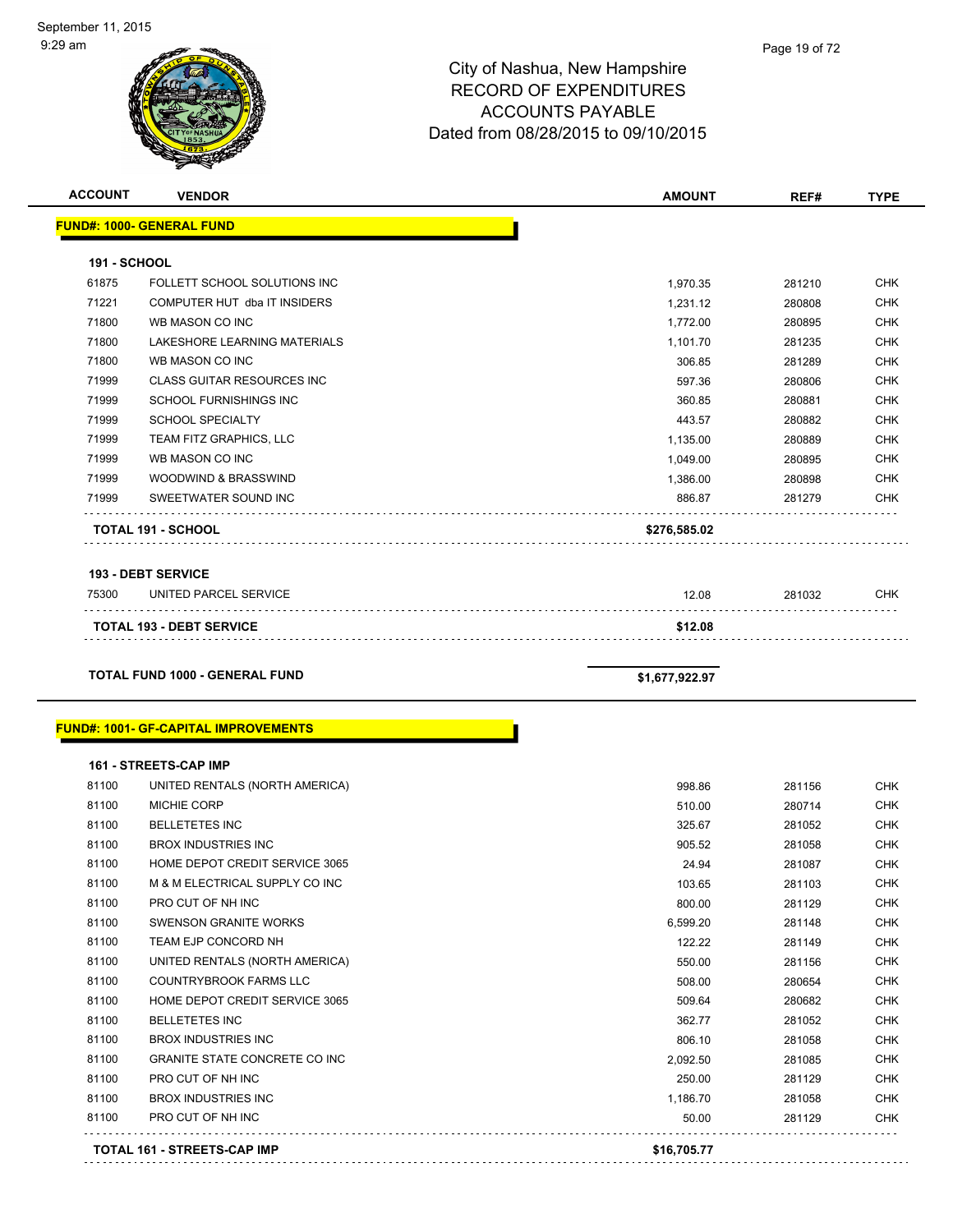| <b>ACCOUNT</b>      | <b>VENDOR</b>                               | <b>AMOUNT</b>  | REF#   | <b>TYPE</b> |
|---------------------|---------------------------------------------|----------------|--------|-------------|
|                     | <b>FUND#: 1000- GENERAL FUND</b>            |                |        |             |
| <b>191 - SCHOOL</b> |                                             |                |        |             |
| 61875               | FOLLETT SCHOOL SOLUTIONS INC                | 1,970.35       | 281210 | <b>CHK</b>  |
| 71221               | COMPUTER HUT dba IT INSIDERS                | 1,231.12       | 280808 | <b>CHK</b>  |
| 71800               | WB MASON CO INC                             | 1,772.00       | 280895 | <b>CHK</b>  |
| 71800               | LAKESHORE LEARNING MATERIALS                | 1,101.70       | 281235 | <b>CHK</b>  |
| 71800               | WB MASON CO INC                             | 306.85         | 281289 | <b>CHK</b>  |
| 71999               | <b>CLASS GUITAR RESOURCES INC</b>           | 597.36         | 280806 | <b>CHK</b>  |
| 71999               | SCHOOL FURNISHINGS INC                      | 360.85         | 280881 | <b>CHK</b>  |
| 71999               | <b>SCHOOL SPECIALTY</b>                     | 443.57         | 280882 | <b>CHK</b>  |
| 71999               | TEAM FITZ GRAPHICS, LLC                     | 1,135.00       | 280889 | <b>CHK</b>  |
| 71999               | WB MASON CO INC                             | 1,049.00       | 280895 | <b>CHK</b>  |
| 71999               | WOODWIND & BRASSWIND                        | 1,386.00       | 280898 | <b>CHK</b>  |
| 71999               | SWEETWATER SOUND INC                        | 886.87         | 281279 | <b>CHK</b>  |
|                     | TOTAL 191 - SCHOOL                          | \$276,585.02   |        |             |
|                     |                                             |                |        |             |
|                     | <b>193 - DEBT SERVICE</b>                   |                |        |             |
| 75300               | UNITED PARCEL SERVICE                       | 12.08          | 281032 | <b>CHK</b>  |
|                     | <b>TOTAL 193 - DEBT SERVICE</b>             | \$12.08        |        |             |
|                     |                                             |                |        |             |
|                     | <b>TOTAL FUND 1000 - GENERAL FUND</b>       | \$1,677,922.97 |        |             |
|                     |                                             |                |        |             |
|                     | <b>FUND#: 1001- GF-CAPITAL IMPROVEMENTS</b> |                |        |             |
|                     | <b>161 - STREETS-CAP IMP</b>                |                |        |             |
| 81100               | UNITED RENTALS (NORTH AMERICA)              | 998.86         | 281156 | <b>CHK</b>  |
| 81100               | <b>MICHIE CORP</b>                          | 510.00         | 280714 | <b>CHK</b>  |
| 81100               | <b>BELLETETES INC</b>                       | 325.67         | 281052 | <b>CHK</b>  |
| 81100               | <b>BROX INDUSTRIES INC</b>                  | 905.52         | 281058 | <b>CHK</b>  |
| 81100               | HOME DEPOT CREDIT SERVICE 3065              | 24.94          | 281087 | <b>CHK</b>  |
| 81100               | M & M ELECTRICAL SUPPLY CO INC              | 103.65         | 281103 | <b>CHK</b>  |
| 81100               | PRO CUT OF NH INC                           | 800.00         | 281129 | <b>CHK</b>  |
| 81100               | <b>SWENSON GRANITE WORKS</b>                | 6,599.20       | 281148 | <b>CHK</b>  |
| 81100               | TEAM EJP CONCORD NH                         | 122.22         | 281149 | <b>CHK</b>  |
| 81100               | UNITED RENTALS (NORTH AMERICA)              | 550.00         | 281156 | <b>CHK</b>  |
| 81100               | COUNTRYBROOK FARMS LLC                      | 508.00         | 280654 | <b>CHK</b>  |
| 81100               | HOME DEPOT CREDIT SERVICE 3065              | 509.64         | 280682 | <b>CHK</b>  |
| 81100               | <b>BELLETETES INC</b>                       | 362.77         | 281052 | <b>CHK</b>  |
| 81100               | <b>BROX INDUSTRIES INC</b>                  | 806.10         | 281058 | <b>CHK</b>  |
| 81100               | GRANITE STATE CONCRETE CO INC               | 2,092.50       | 281085 | <b>CHK</b>  |
| 81100               | PRO CUT OF NH INC                           | 250.00         | 281129 | <b>CHK</b>  |

81100 BROX INDUSTRIES INC **1,186.70** 281058 CHK 81100 PRO CUT OF NH INC NO RELATED A SOLUTION OF NH INC NO RELATED A SOLUTION OF NH INC NO RELATED A SOLUTION OF NH

 $\mathbb{R}^2$  ,  $\mathbb{R}^2$  ,  $\mathbb{R}^2$  ,  $\mathbb{R}^2$  ,  $\mathbb{R}^2$  ,  $\mathbb{R}^2$ 

. . . . . . . . .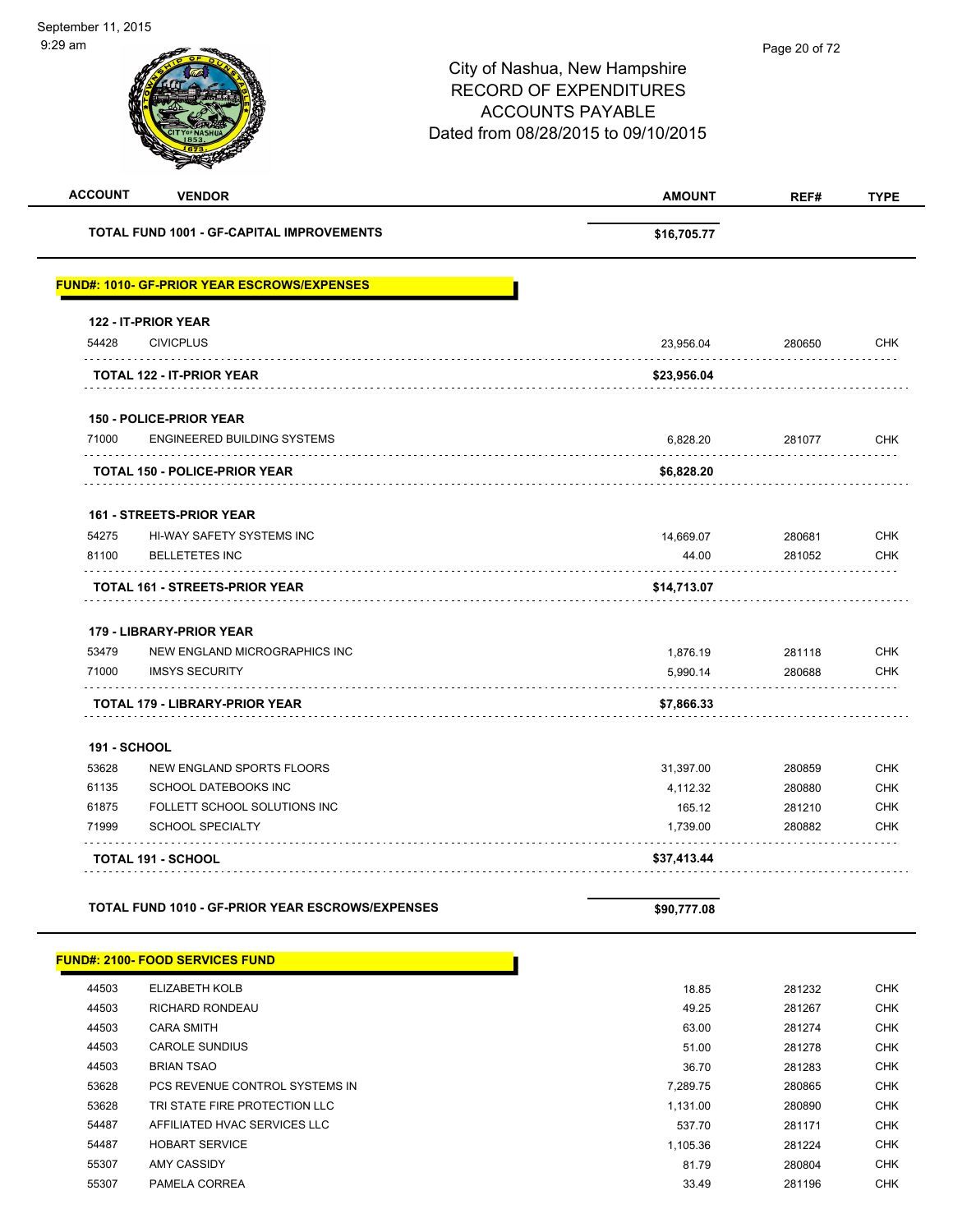| \$16,705.77 |                                                     |                                                |
|-------------|-----------------------------------------------------|------------------------------------------------|
|             |                                                     |                                                |
|             |                                                     |                                                |
|             |                                                     |                                                |
| 23,956.04   | 280650                                              | <b>CHK</b>                                     |
| \$23,956.04 |                                                     |                                                |
|             |                                                     |                                                |
| 6,828.20    | 281077                                              | <b>CHK</b>                                     |
| \$6,828.20  |                                                     |                                                |
|             |                                                     |                                                |
| 14,669.07   | 280681                                              | <b>CHK</b>                                     |
| 44.00       | 281052                                              | <b>CHK</b>                                     |
| \$14,713.07 |                                                     |                                                |
|             |                                                     |                                                |
| 1,876.19    | 281118                                              | <b>CHK</b>                                     |
| 5,990.14    | 280688                                              | <b>CHK</b>                                     |
| \$7,866.33  |                                                     |                                                |
|             |                                                     |                                                |
| 31,397.00   | 280859                                              | <b>CHK</b>                                     |
| 4,112.32    | 280880                                              | <b>CHK</b>                                     |
| 165.12      | 281210                                              | <b>CHK</b>                                     |
| 1,739.00    | 280882                                              | <b>CHK</b>                                     |
| \$37,413.44 |                                                     |                                                |
| \$90,777.08 |                                                     |                                                |
|             |                                                     |                                                |
| 18.85       | 281232                                              | <b>CHK</b>                                     |
| 49.25       | 281267                                              | <b>CHK</b>                                     |
| 63.00       | 281274                                              | <b>CHK</b>                                     |
| 51.00       | 281278                                              | <b>CHK</b>                                     |
| 36.70       | 281283                                              | <b>CHK</b>                                     |
|             |                                                     | <b>CHK</b>                                     |
|             |                                                     | <b>CHK</b>                                     |
|             |                                                     | <b>CHK</b>                                     |
|             |                                                     | <b>CHK</b><br><b>CHK</b>                       |
|             | 7,289.75<br>1,131.00<br>537.70<br>1,105.36<br>81.79 | 280865<br>280890<br>281171<br>281224<br>280804 |

55307 PAMELA CORREA 33.49 281196 CHK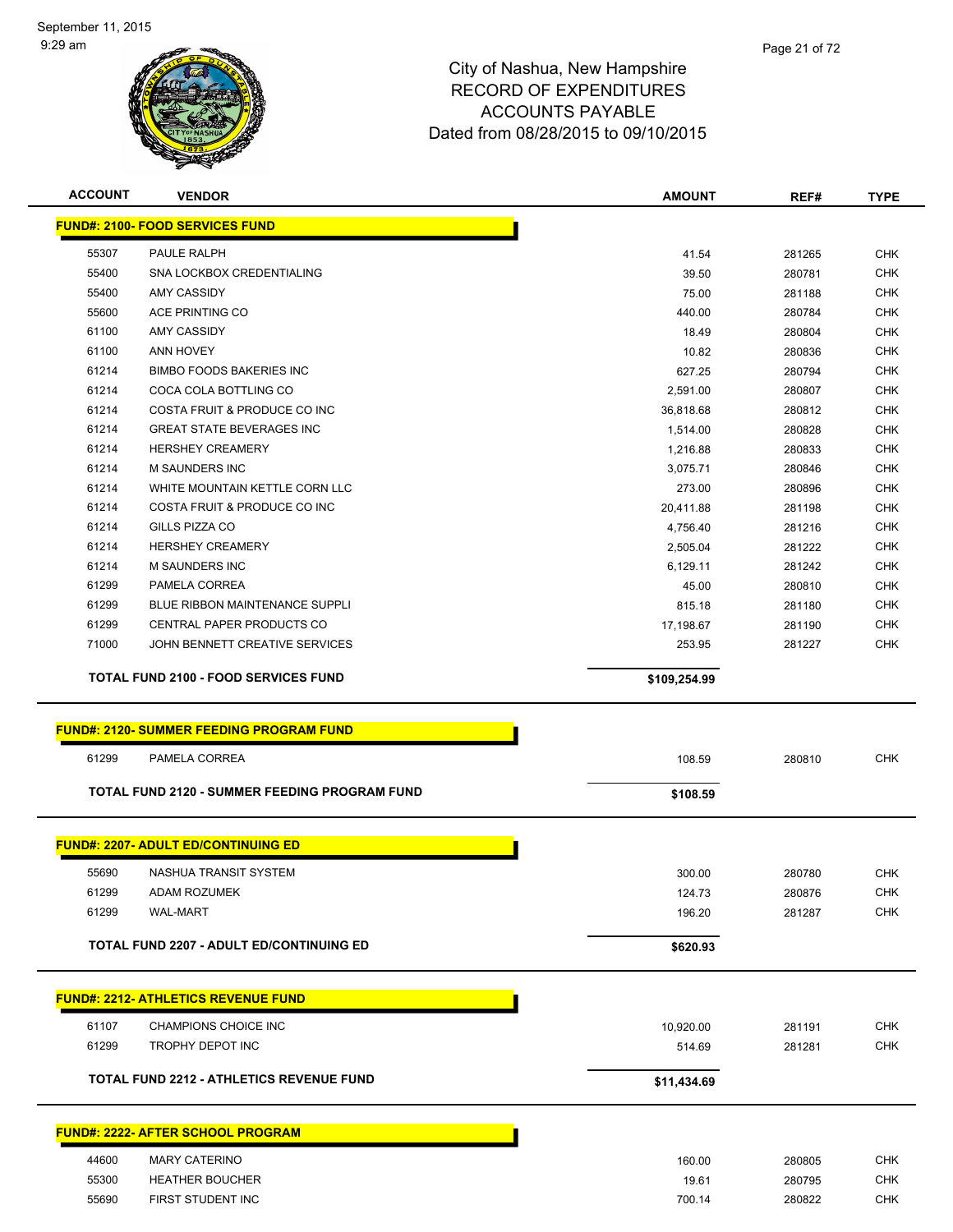

| <b>ACCOUNT</b> | <b>VENDOR</b>                                        | <b>AMOUNT</b>    | REF#             | <b>TYPE</b>              |
|----------------|------------------------------------------------------|------------------|------------------|--------------------------|
|                | <u> FUND#: 2100- FOOD SERVICES FUND</u>              |                  |                  |                          |
| 55307          | PAULE RALPH                                          | 41.54            | 281265           | <b>CHK</b>               |
| 55400          | SNA LOCKBOX CREDENTIALING                            | 39.50            | 280781           | <b>CHK</b>               |
| 55400          | <b>AMY CASSIDY</b>                                   | 75.00            | 281188           | <b>CHK</b>               |
| 55600          | ACE PRINTING CO                                      | 440.00           | 280784           | <b>CHK</b>               |
| 61100          | AMY CASSIDY                                          | 18.49            | 280804           | <b>CHK</b>               |
| 61100          | <b>ANN HOVEY</b>                                     | 10.82            | 280836           | <b>CHK</b>               |
| 61214          | <b>BIMBO FOODS BAKERIES INC</b>                      | 627.25           | 280794           | <b>CHK</b>               |
| 61214          | COCA COLA BOTTLING CO                                | 2,591.00         | 280807           | <b>CHK</b>               |
| 61214          | COSTA FRUIT & PRODUCE CO INC                         | 36,818.68        | 280812           | <b>CHK</b>               |
| 61214          | <b>GREAT STATE BEVERAGES INC</b>                     | 1,514.00         | 280828           | <b>CHK</b>               |
| 61214          | <b>HERSHEY CREAMERY</b>                              | 1,216.88         | 280833           | <b>CHK</b>               |
| 61214          | <b>M SAUNDERS INC</b>                                | 3,075.71         | 280846           | <b>CHK</b>               |
| 61214          | WHITE MOUNTAIN KETTLE CORN LLC                       | 273.00           | 280896           | <b>CHK</b>               |
| 61214          | COSTA FRUIT & PRODUCE CO INC                         | 20,411.88        | 281198           | <b>CHK</b>               |
| 61214          | GILLS PIZZA CO                                       | 4,756.40         | 281216           | <b>CHK</b>               |
| 61214          | <b>HERSHEY CREAMERY</b>                              | 2,505.04         | 281222           | <b>CHK</b>               |
| 61214          | <b>M SAUNDERS INC</b>                                | 6,129.11         | 281242           | <b>CHK</b>               |
| 61299          | PAMELA CORREA                                        | 45.00            | 280810           | <b>CHK</b>               |
| 61299          | <b>BLUE RIBBON MAINTENANCE SUPPLI</b>                | 815.18           | 281180           | <b>CHK</b>               |
| 61299          | CENTRAL PAPER PRODUCTS CO                            | 17,198.67        | 281190           | <b>CHK</b>               |
| 71000          | JOHN BENNETT CREATIVE SERVICES                       | 253.95           | 281227           | <b>CHK</b>               |
|                | <b>TOTAL FUND 2100 - FOOD SERVICES FUND</b>          | \$109,254.99     |                  |                          |
|                |                                                      |                  |                  |                          |
|                | <b>FUND#: 2120- SUMMER FEEDING PROGRAM FUND</b>      |                  |                  |                          |
| 61299          | PAMELA CORREA                                        | 108.59           | 280810           | <b>CHK</b>               |
|                | <b>TOTAL FUND 2120 - SUMMER FEEDING PROGRAM FUND</b> | \$108.59         |                  |                          |
|                | <b>FUND#: 2207- ADULT ED/CONTINUING ED</b>           |                  |                  |                          |
|                | NASHUA TRANSIT SYSTEM                                |                  |                  |                          |
| 55690          | ADAM ROZUMEK                                         | 300.00           | 280780           | <b>CHK</b>               |
| 61299<br>61299 | <b>WAL-MART</b>                                      | 124.73<br>196.20 | 280876<br>281287 | CHK<br><b>CHK</b>        |
|                |                                                      |                  |                  |                          |
|                | <b>TOTAL FUND 2207 - ADULT ED/CONTINUING ED</b>      | \$620.93         |                  |                          |
|                | <b>FUND#: 2212- ATHLETICS REVENUE FUND</b>           |                  |                  |                          |
|                |                                                      |                  |                  |                          |
| 61107          | CHAMPIONS CHOICE INC                                 | 10,920.00        | 281191           | <b>CHK</b>               |
| 61299          | TROPHY DEPOT INC                                     | 514.69           | 281281           | <b>CHK</b>               |
|                | <b>TOTAL FUND 2212 - ATHLETICS REVENUE FUND</b>      | \$11,434.69      |                  |                          |
|                | <u> FUND#: 2222- AFTER SCHOOL PROGRAM</u>            |                  |                  |                          |
|                |                                                      |                  |                  |                          |
| 44600          | <b>MARY CATERINO</b>                                 | 160.00           | 280805           | <b>CHK</b>               |
| 55300          |                                                      |                  |                  |                          |
| 55690          | <b>HEATHER BOUCHER</b><br>FIRST STUDENT INC          | 19.61<br>700.14  | 280795<br>280822 | <b>CHK</b><br><b>CHK</b> |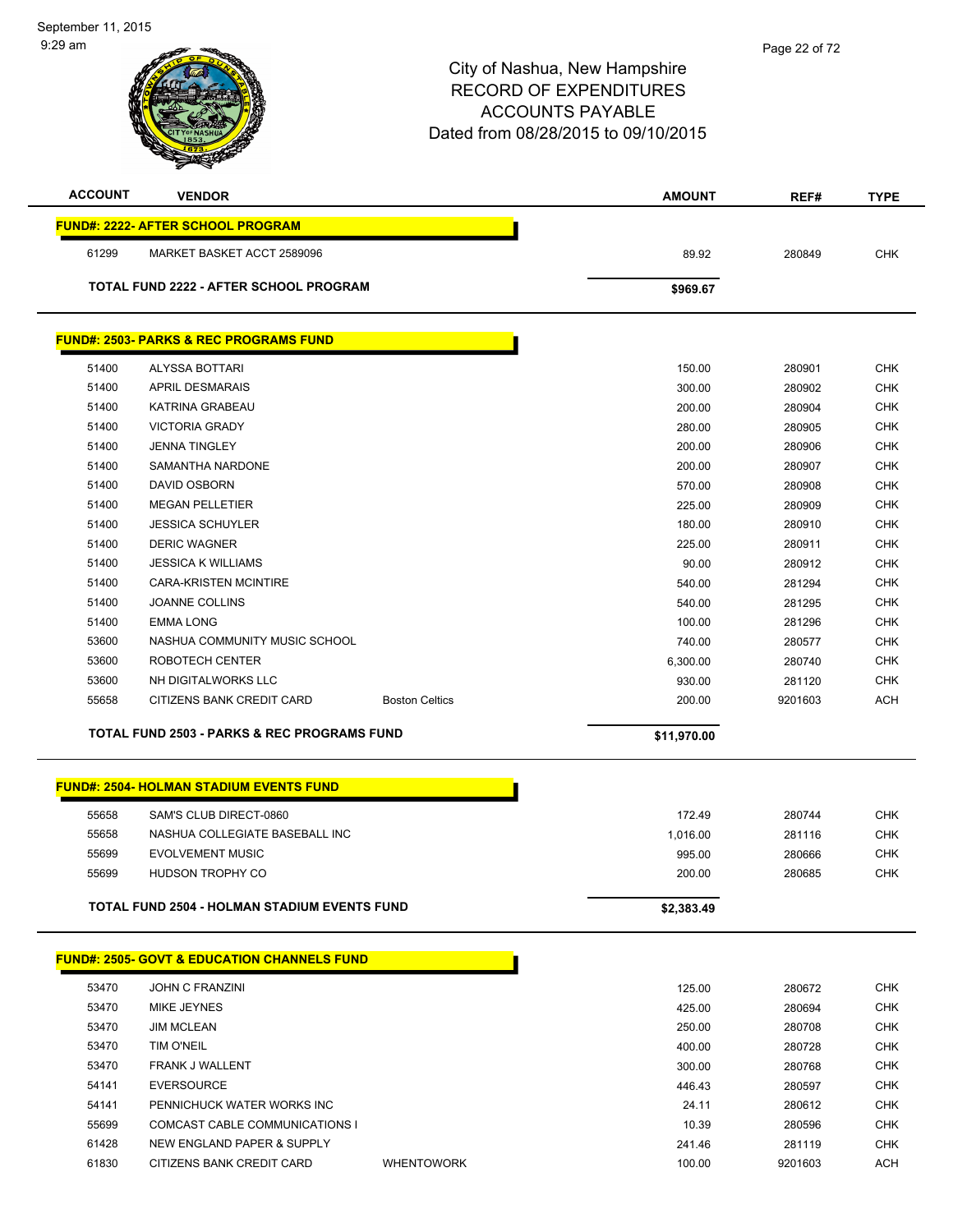|                | <b>Anta</b>                                            |                       |                 |         |             |
|----------------|--------------------------------------------------------|-----------------------|-----------------|---------|-------------|
| <b>ACCOUNT</b> | <b>VENDOR</b>                                          |                       | <b>AMOUNT</b>   | REF#    | <b>TYPE</b> |
|                | <b>FUND#: 2222- AFTER SCHOOL PROGRAM</b>               |                       |                 |         |             |
| 61299          | MARKET BASKET ACCT 2589096                             |                       | 89.92           | 280849  | <b>CHK</b>  |
|                | <b>TOTAL FUND 2222 - AFTER SCHOOL PROGRAM</b>          |                       | \$969.67        |         |             |
|                | <b>FUND#: 2503- PARKS &amp; REC PROGRAMS FUND</b>      |                       |                 |         |             |
|                |                                                        |                       |                 |         |             |
| 51400          | ALYSSA BOTTARI                                         |                       | 150.00          | 280901  | <b>CHK</b>  |
| 51400          | <b>APRIL DESMARAIS</b>                                 |                       | 300.00          | 280902  | <b>CHK</b>  |
| 51400          | KATRINA GRABEAU                                        |                       | 200.00          | 280904  | <b>CHK</b>  |
| 51400          | <b>VICTORIA GRADY</b>                                  |                       | 280.00          | 280905  | <b>CHK</b>  |
| 51400          | <b>JENNA TINGLEY</b>                                   |                       | 200.00          | 280906  | <b>CHK</b>  |
| 51400          | SAMANTHA NARDONE                                       |                       | 200.00          | 280907  | <b>CHK</b>  |
| 51400          | DAVID OSBORN                                           |                       | 570.00          | 280908  | <b>CHK</b>  |
| 51400          | <b>MEGAN PELLETIER</b>                                 |                       | 225.00          | 280909  | <b>CHK</b>  |
| 51400          | <b>JESSICA SCHUYLER</b>                                |                       | 180.00          | 280910  | <b>CHK</b>  |
| 51400          | <b>DERIC WAGNER</b>                                    |                       | 225.00          | 280911  | <b>CHK</b>  |
| 51400          | <b>JESSICA K WILLIAMS</b>                              |                       | 90.00           | 280912  | <b>CHK</b>  |
| 51400          | <b>CARA-KRISTEN MCINTIRE</b>                           |                       | 540.00          | 281294  | <b>CHK</b>  |
| 51400          | <b>JOANNE COLLINS</b>                                  |                       | 540.00          | 281295  | <b>CHK</b>  |
| 51400          | <b>EMMA LONG</b>                                       |                       | 100.00          | 281296  | <b>CHK</b>  |
| 53600          | NASHUA COMMUNITY MUSIC SCHOOL                          |                       | 740.00          | 280577  | <b>CHK</b>  |
| 53600          | ROBOTECH CENTER                                        |                       | 6,300.00        | 280740  | <b>CHK</b>  |
| 53600          | NH DIGITALWORKS LLC                                    |                       | 930.00          | 281120  | <b>CHK</b>  |
| 55658          | CITIZENS BANK CREDIT CARD                              | <b>Boston Celtics</b> | 200.00          | 9201603 | <b>ACH</b>  |
|                | <b>TOTAL FUND 2503 - PARKS &amp; REC PROGRAMS FUND</b> |                       | \$11,970.00     |         |             |
|                | <b>FUND#: 2504- HOLMAN STADIUM EVENTS FUND</b>         |                       |                 |         |             |
|                |                                                        |                       |                 |         |             |
| 55658          | SAM'S CLUB DIRECT-0860                                 |                       | 172.49          | 280744  | <b>CHK</b>  |
| 55658          | NASHUA COLLEGIATE BASEBALL INC                         |                       | 1,016.00        | 281116  | <b>CHK</b>  |
| 55699          | <b>EVOLVEMENT MUSIC</b>                                |                       | 995.00          | 280666  | <b>CHK</b>  |
| 55699          | HUDSON TROPHY CO                                       |                       | 200.00          | 280685  | <b>CHK</b>  |
|                | <b>TOTAL FUND 2504 - HOLMAN STADIUM EVENTS FUND</b>    |                       | \$2,383.49      |         |             |
|                | <b>FUND#: 2505- GOVT &amp; EDUCATION CHANNELS FUND</b> |                       |                 |         |             |
| 53470          | <b>JOHN C FRANZINI</b>                                 |                       | 125.00          | 280672  | <b>CHK</b>  |
| 53470          | MIKE JEYNES                                            |                       | 425.00          | 280694  | <b>CHK</b>  |
| 53470          | <b>JIM MCLEAN</b>                                      |                       | 250.00          | 280708  | <b>CHK</b>  |
| 53470          | TIM O'NEIL                                             |                       | 400.00          | 280728  | <b>CHK</b>  |
| 53470          | FRANK J WALLENT                                        |                       | 300.00          | 280768  | <b>CHK</b>  |
| 54141          | <b>EVERSOURCE</b>                                      |                       |                 |         | <b>CHK</b>  |
| 54141          | PENNICHUCK WATER WORKS INC                             |                       | 446.43<br>24.11 | 280597  | <b>CHK</b>  |
| 55699          | COMCAST CABLE COMMUNICATIONS I                         |                       | 10.39           | 280612  | <b>CHK</b>  |
|                | NEW ENGLAND PAPER & SUPPLY                             |                       |                 | 280596  |             |
| 61428          |                                                        |                       | 241.46          | 281119  | <b>CHK</b>  |
| 61830          | CITIZENS BANK CREDIT CARD                              | <b>WHENTOWORK</b>     | 100.00          | 9201603 | <b>ACH</b>  |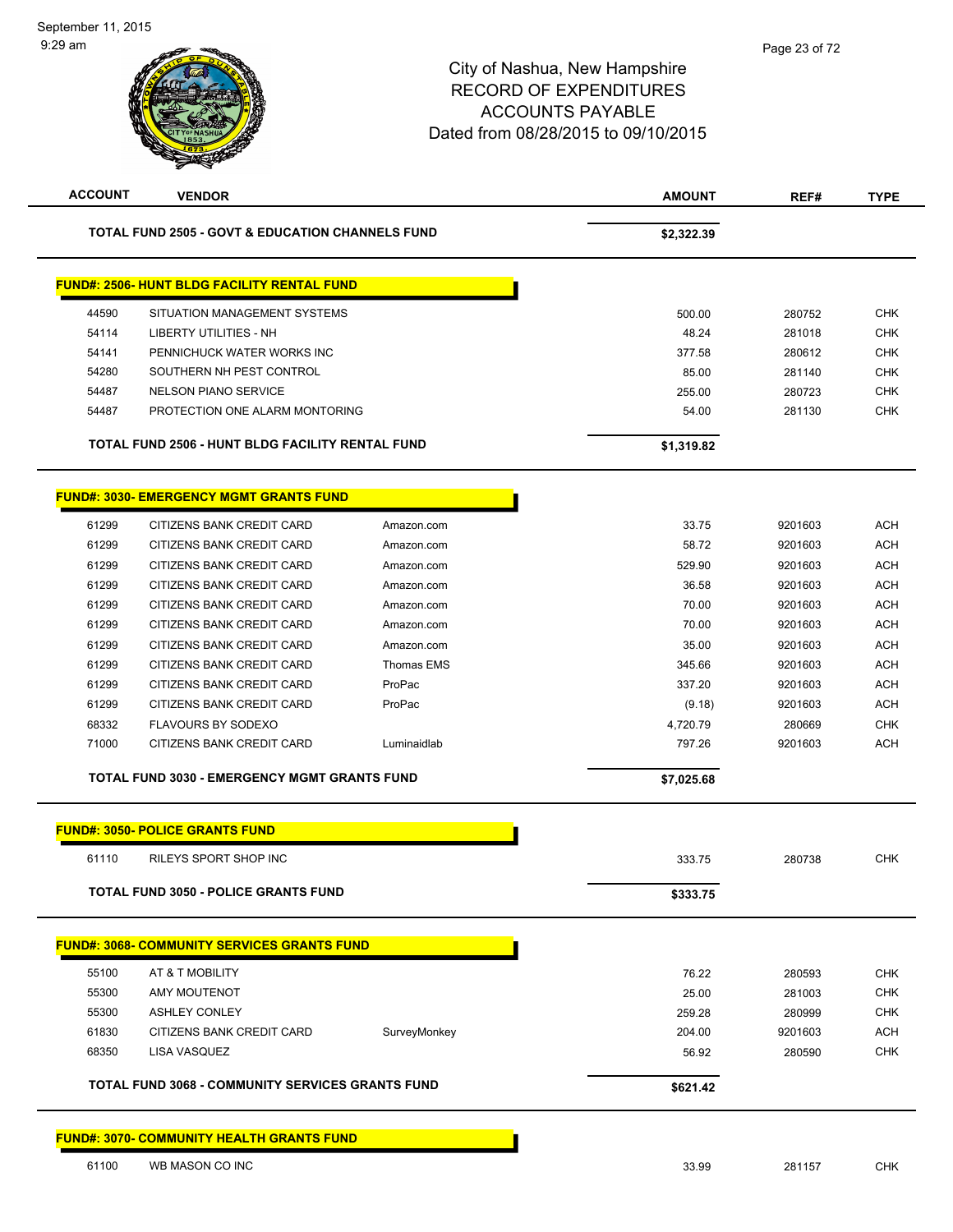| <b>ACCOUNT</b> | <b>VENDOR</b>                                               |                   | <b>AMOUNT</b> | REF#    | <b>TYPE</b> |
|----------------|-------------------------------------------------------------|-------------------|---------------|---------|-------------|
|                | <b>TOTAL FUND 2505 - GOVT &amp; EDUCATION CHANNELS FUND</b> |                   | \$2,322.39    |         |             |
|                | <b>FUND#: 2506- HUNT BLDG FACILITY RENTAL FUND</b>          |                   |               |         |             |
| 44590          | SITUATION MANAGEMENT SYSTEMS                                |                   | 500.00        | 280752  | <b>CHK</b>  |
| 54114          | <b>LIBERTY UTILITIES - NH</b>                               |                   | 48.24         | 281018  | <b>CHK</b>  |
| 54141          | PENNICHUCK WATER WORKS INC                                  |                   | 377.58        | 280612  | <b>CHK</b>  |
| 54280          | SOUTHERN NH PEST CONTROL                                    |                   | 85.00         | 281140  | <b>CHK</b>  |
| 54487          | <b>NELSON PIANO SERVICE</b>                                 |                   | 255.00        | 280723  | <b>CHK</b>  |
| 54487          | PROTECTION ONE ALARM MONTORING                              |                   | 54.00         | 281130  | <b>CHK</b>  |
|                | <b>TOTAL FUND 2506 - HUNT BLDG FACILITY RENTAL FUND</b>     |                   | \$1,319.82    |         |             |
|                | <b>FUND#: 3030- EMERGENCY MGMT GRANTS FUND</b>              |                   |               |         |             |
| 61299          | CITIZENS BANK CREDIT CARD                                   | Amazon.com        | 33.75         | 9201603 | <b>ACH</b>  |
| 61299          | CITIZENS BANK CREDIT CARD                                   | Amazon.com        | 58.72         | 9201603 | <b>ACH</b>  |
| 61299          | CITIZENS BANK CREDIT CARD                                   | Amazon.com        | 529.90        | 9201603 | <b>ACH</b>  |
| 61299          | CITIZENS BANK CREDIT CARD                                   | Amazon.com        | 36.58         | 9201603 | <b>ACH</b>  |
| 61299          | CITIZENS BANK CREDIT CARD                                   | Amazon.com        | 70.00         | 9201603 | <b>ACH</b>  |
| 61299          | CITIZENS BANK CREDIT CARD                                   | Amazon.com        | 70.00         | 9201603 | <b>ACH</b>  |
| 61299          | CITIZENS BANK CREDIT CARD                                   | Amazon.com        | 35.00         | 9201603 | <b>ACH</b>  |
| 61299          | CITIZENS BANK CREDIT CARD                                   | <b>Thomas EMS</b> | 345.66        | 9201603 | <b>ACH</b>  |
| 61299          | CITIZENS BANK CREDIT CARD                                   | ProPac            | 337.20        | 9201603 | <b>ACH</b>  |
| 61299          | CITIZENS BANK CREDIT CARD                                   | ProPac            | (9.18)        | 9201603 | <b>ACH</b>  |
| 68332          | FLAVOURS BY SODEXO                                          |                   | 4,720.79      | 280669  | <b>CHK</b>  |
| 71000          | CITIZENS BANK CREDIT CARD                                   | Luminaidlab       | 797.26        | 9201603 | <b>ACH</b>  |
|                | <b>TOTAL FUND 3030 - EMERGENCY MGMT GRANTS FUND</b>         |                   | \$7,025.68    |         |             |
|                | <b>FUND#: 3050- POLICE GRANTS FUND</b>                      |                   |               |         |             |
| 61110          | <b>RILEYS SPORT SHOP INC</b>                                |                   | 333.75        | 280738  | <b>CHK</b>  |
|                | <b>TOTAL FUND 3050 - POLICE GRANTS FUND</b>                 |                   | \$333.75      |         |             |
|                | <u> FUND#: 3068- COMMUNITY SERVICES GRANTS FUND</u>         |                   |               |         |             |
| 55100          | AT & T MOBILITY                                             |                   | 76.22         | 280593  | <b>CHK</b>  |
| 55300          | <b>AMY MOUTENOT</b>                                         |                   | 25.00         | 281003  | <b>CHK</b>  |
| 55300          | <b>ASHLEY CONLEY</b>                                        |                   | 259.28        | 280999  | <b>CHK</b>  |
| 61830          | CITIZENS BANK CREDIT CARD                                   | SurveyMonkey      | 204.00        | 9201603 | ACH         |
| 68350          | LISA VASQUEZ                                                |                   | 56.92         | 280590  | <b>CHK</b>  |
|                | <b>TOTAL FUND 3068 - COMMUNITY SERVICES GRANTS FUND</b>     |                   | \$621.42      |         |             |
|                | <b>FUND#: 3070- COMMUNITY HEALTH GRANTS FUND</b>            |                   |               |         |             |
| 61100          | WB MASON CO INC                                             |                   | 33.99         | 281157  | <b>CHK</b>  |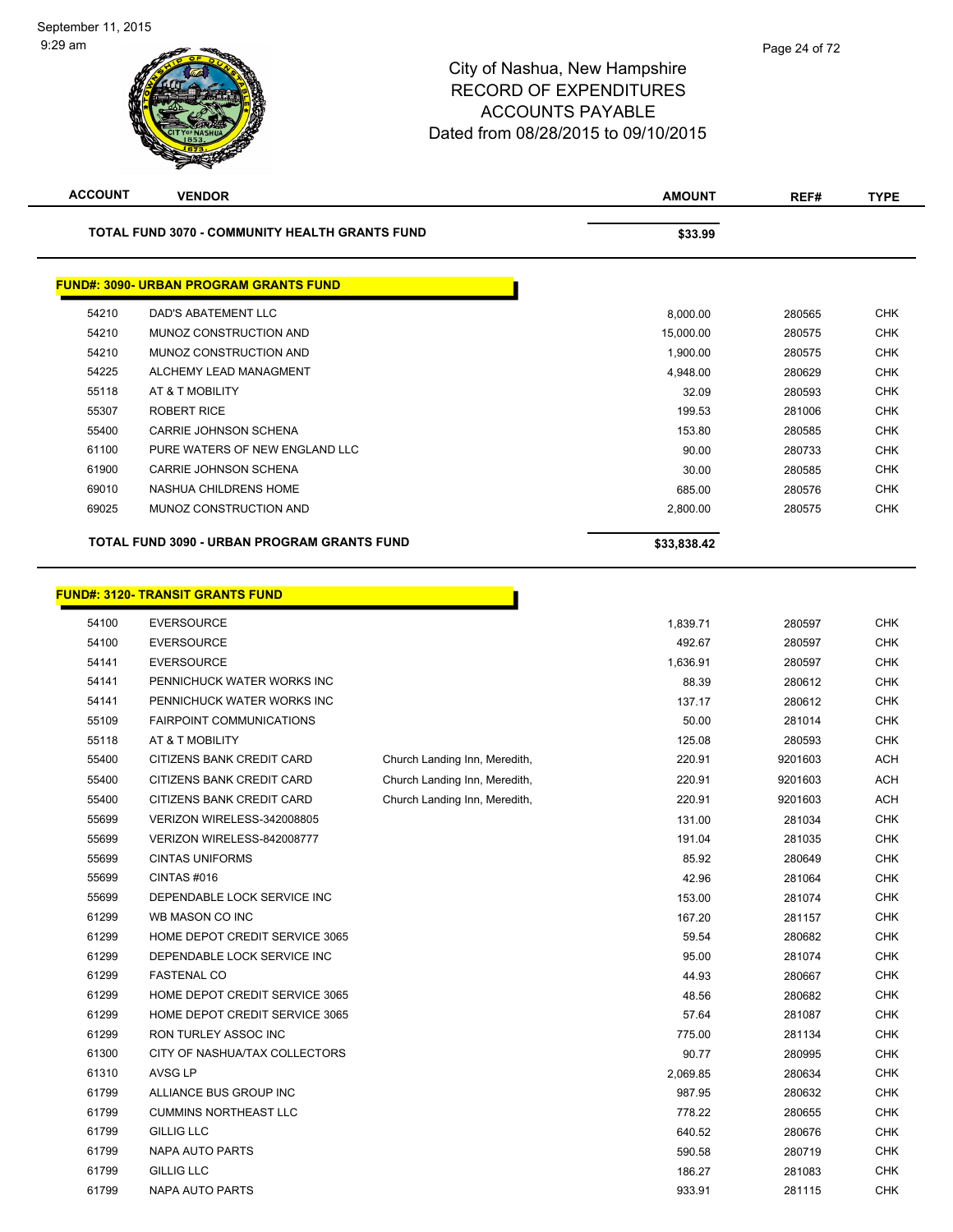| <b>ACCOUNT</b> | <b>VENDOR</b>                                         |                               | <b>AMOUNT</b> | REF#    | <b>TYPE</b> |
|----------------|-------------------------------------------------------|-------------------------------|---------------|---------|-------------|
|                | <b>TOTAL FUND 3070 - COMMUNITY HEALTH GRANTS FUND</b> |                               | \$33.99       |         |             |
|                | <b>FUND#: 3090- URBAN PROGRAM GRANTS FUND</b>         |                               |               |         |             |
| 54210          | DAD'S ABATEMENT LLC                                   |                               | 8,000.00      | 280565  | <b>CHK</b>  |
| 54210          | MUNOZ CONSTRUCTION AND                                |                               | 15,000.00     | 280575  | <b>CHK</b>  |
| 54210          | MUNOZ CONSTRUCTION AND                                |                               | 1,900.00      | 280575  | <b>CHK</b>  |
| 54225          | ALCHEMY LEAD MANAGMENT                                |                               | 4,948.00      | 280629  | <b>CHK</b>  |
| 55118          | AT & T MOBILITY                                       |                               | 32.09         | 280593  | <b>CHK</b>  |
| 55307          | <b>ROBERT RICE</b>                                    |                               | 199.53        | 281006  | <b>CHK</b>  |
| 55400          | CARRIE JOHNSON SCHENA                                 |                               | 153.80        | 280585  | <b>CHK</b>  |
| 61100          | PURE WATERS OF NEW ENGLAND LLC                        |                               | 90.00         | 280733  | <b>CHK</b>  |
| 61900          | CARRIE JOHNSON SCHENA                                 |                               | 30.00         | 280585  | <b>CHK</b>  |
| 69010          | NASHUA CHILDRENS HOME                                 |                               | 685.00        | 280576  | <b>CHK</b>  |
| 69025          | MUNOZ CONSTRUCTION AND                                |                               | 2,800.00      | 280575  | <b>CHK</b>  |
|                |                                                       |                               |               |         |             |
|                | TOTAL FUND 3090 - URBAN PROGRAM GRANTS FUND           |                               | \$33,838.42   |         |             |
|                | <b>FUND#: 3120- TRANSIT GRANTS FUND</b>               |                               |               |         |             |
| 54100          | <b>EVERSOURCE</b>                                     |                               | 1,839.71      | 280597  | <b>CHK</b>  |
| 54100          | <b>EVERSOURCE</b>                                     |                               | 492.67        | 280597  | <b>CHK</b>  |
| 54141          | <b>EVERSOURCE</b>                                     |                               | 1,636.91      | 280597  | <b>CHK</b>  |
| 54141          | PENNICHUCK WATER WORKS INC                            |                               | 88.39         | 280612  | <b>CHK</b>  |
| 54141          | PENNICHUCK WATER WORKS INC                            |                               | 137.17        | 280612  | <b>CHK</b>  |
| 55109          | <b>FAIRPOINT COMMUNICATIONS</b>                       |                               | 50.00         | 281014  | <b>CHK</b>  |
| 55118          | AT & T MOBILITY                                       |                               | 125.08        | 280593  | <b>CHK</b>  |
| 55400          | CITIZENS BANK CREDIT CARD                             | Church Landing Inn, Meredith, | 220.91        | 9201603 | <b>ACH</b>  |
| 55400          | CITIZENS BANK CREDIT CARD                             | Church Landing Inn, Meredith, | 220.91        | 9201603 | <b>ACH</b>  |
| 55400          | CITIZENS BANK CREDIT CARD                             | Church Landing Inn, Meredith, | 220.91        | 9201603 | <b>ACH</b>  |
| 55699          | VERIZON WIRELESS-342008805                            |                               | 131.00        | 281034  | <b>CHK</b>  |
| 55699          | VERIZON WIRELESS-842008777                            |                               | 191.04        | 281035  | <b>CHK</b>  |
| 55699          | <b>CINTAS UNIFORMS</b>                                |                               | 85.92         | 280649  | <b>CHK</b>  |
| 55699          | CINTAS#016                                            |                               | 42.96         | 281064  | <b>CHK</b>  |
| 55699          | DEPENDABLE LOCK SERVICE INC                           |                               | 153.00        | 281074  | <b>CHK</b>  |
| 61299          | WB MASON CO INC                                       |                               | 167.20        | 281157  | <b>CHK</b>  |
| 61299          | HOME DEPOT CREDIT SERVICE 3065                        |                               | 59.54         | 280682  | <b>CHK</b>  |
| 61299          | DEPENDABLE LOCK SERVICE INC                           |                               | 95.00         | 281074  | <b>CHK</b>  |
| 61299          | <b>FASTENAL CO</b>                                    |                               | 44.93         | 280667  | <b>CHK</b>  |
| 61299          | HOME DEPOT CREDIT SERVICE 3065                        |                               | 48.56         | 280682  | CHK         |
| 61299          | HOME DEPOT CREDIT SERVICE 3065                        |                               | 57.64         | 281087  | <b>CHK</b>  |
| 61299          | RON TURLEY ASSOC INC                                  |                               | 775.00        | 281134  | <b>CHK</b>  |
| 61300          | CITY OF NASHUA/TAX COLLECTORS                         |                               | 90.77         | 280995  | CHK         |
| 61310          | AVSG LP                                               |                               | 2,069.85      | 280634  | <b>CHK</b>  |
| 61799          | ALLIANCE BUS GROUP INC                                |                               | 987.95        | 280632  | CHK         |
| 61799          | <b>CUMMINS NORTHEAST LLC</b>                          |                               | 778.22        | 280655  | <b>CHK</b>  |
| 61799          | <b>GILLIG LLC</b>                                     |                               | 640.52        | 280676  | <b>CHK</b>  |
| 61799          | NAPA AUTO PARTS                                       |                               | 590.58        | 280719  | CHK         |
| 61799          | <b>GILLIG LLC</b>                                     |                               | 186.27        | 281083  | <b>CHK</b>  |
| 61799          | NAPA AUTO PARTS                                       |                               | 933.91        | 281115  | <b>CHK</b>  |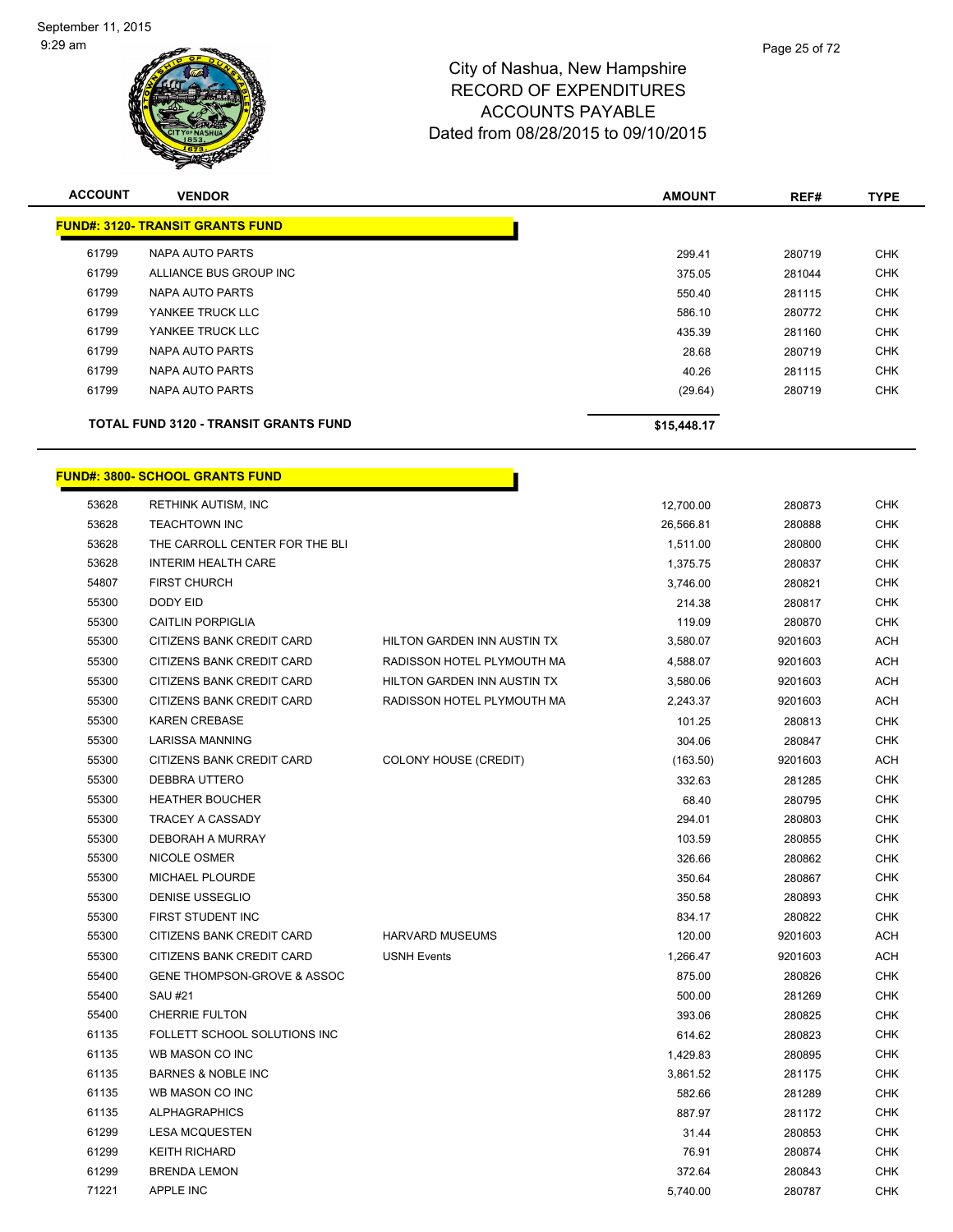

| <b>ACCOUNT</b> | <b>VENDOR</b>                                | <b>AMOUNT</b> | REF#   | <b>TYPE</b> |
|----------------|----------------------------------------------|---------------|--------|-------------|
|                | <b>FUND#: 3120- TRANSIT GRANTS FUND</b>      |               |        |             |
| 61799          | NAPA AUTO PARTS                              | 299.41        | 280719 | <b>CHK</b>  |
| 61799          | ALLIANCE BUS GROUP INC                       | 375.05        | 281044 | <b>CHK</b>  |
| 61799          | NAPA AUTO PARTS                              | 550.40        | 281115 | <b>CHK</b>  |
| 61799          | YANKEE TRUCK LLC                             | 586.10        | 280772 | <b>CHK</b>  |
| 61799          | YANKEE TRUCK LLC                             | 435.39        | 281160 | <b>CHK</b>  |
| 61799          | NAPA AUTO PARTS                              | 28.68         | 280719 | <b>CHK</b>  |
| 61799          | NAPA AUTO PARTS                              | 40.26         | 281115 | <b>CHK</b>  |
| 61799          | NAPA AUTO PARTS                              | (29.64)       | 280719 | <b>CHK</b>  |
|                | <b>TOTAL FUND 3120 - TRANSIT GRANTS FUND</b> | \$15,448.17   |        |             |

h

# **FUND#: 3800- SCHOOL GRANTS FUND**

| 53628 | <b>RETHINK AUTISM, INC</b>     |                             | 12,700.00 | 280873  | <b>CHK</b> |
|-------|--------------------------------|-----------------------------|-----------|---------|------------|
| 53628 | <b>TEACHTOWN INC</b>           |                             | 26,566.81 | 280888  | <b>CHK</b> |
| 53628 | THE CARROLL CENTER FOR THE BLI |                             | 1,511.00  | 280800  | <b>CHK</b> |
| 53628 | <b>INTERIM HEALTH CARE</b>     |                             | 1,375.75  | 280837  | <b>CHK</b> |
| 54807 | <b>FIRST CHURCH</b>            |                             | 3,746.00  | 280821  | <b>CHK</b> |
| 55300 | DODY EID                       |                             | 214.38    | 280817  | <b>CHK</b> |
| 55300 | <b>CAITLIN PORPIGLIA</b>       |                             | 119.09    | 280870  | <b>CHK</b> |
| 55300 | CITIZENS BANK CREDIT CARD      | HILTON GARDEN INN AUSTIN TX | 3,580.07  | 9201603 | ACH        |
| 55300 | CITIZENS BANK CREDIT CARD      | RADISSON HOTEL PLYMOUTH MA  | 4,588.07  | 9201603 | ACH        |
| 55300 | CITIZENS BANK CREDIT CARD      | HILTON GARDEN INN AUSTIN TX | 3,580.06  | 9201603 | ACH        |
| 55300 | CITIZENS BANK CREDIT CARD      | RADISSON HOTEL PLYMOUTH MA  | 2,243.37  | 9201603 | ACH        |
| 55300 | <b>KAREN CREBASE</b>           |                             | 101.25    | 280813  | <b>CHK</b> |
| 55300 | <b>LARISSA MANNING</b>         |                             | 304.06    | 280847  | <b>CHK</b> |
| 55300 | CITIZENS BANK CREDIT CARD      | COLONY HOUSE (CREDIT)       | (163.50)  | 9201603 | ACH        |
| 55300 | DEBBRA UTTERO                  |                             | 332.63    | 281285  | <b>CHK</b> |
| 55300 | <b>HEATHER BOUCHER</b>         |                             | 68.40     | 280795  | <b>CHK</b> |
| 55300 | TRACEY A CASSADY               |                             | 294.01    | 280803  | <b>CHK</b> |
| 55300 | DEBORAH A MURRAY               |                             | 103.59    | 280855  | <b>CHK</b> |
| 55300 | NICOLE OSMER                   |                             | 326.66    | 280862  | <b>CHK</b> |
| 55300 | MICHAEL PLOURDE                |                             | 350.64    | 280867  | <b>CHK</b> |
| 55300 | DENISE USSEGLIO                |                             | 350.58    | 280893  | <b>CHK</b> |
| 55300 | FIRST STUDENT INC              |                             | 834.17    | 280822  | <b>CHK</b> |
| 55300 | CITIZENS BANK CREDIT CARD      | HARVARD MUSEUMS             | 120.00    | 9201603 | <b>ACH</b> |
| 55300 | CITIZENS BANK CREDIT CARD      | <b>USNH Events</b>          | 1,266.47  | 9201603 | ACH        |
| 55400 | GENE THOMPSON-GROVE & ASSOC    |                             | 875.00    | 280826  | <b>CHK</b> |
| 55400 | <b>SAU #21</b>                 |                             | 500.00    | 281269  | <b>CHK</b> |
| 55400 | <b>CHERRIE FULTON</b>          |                             | 393.06    | 280825  | <b>CHK</b> |
| 61135 | FOLLETT SCHOOL SOLUTIONS INC   |                             | 614.62    | 280823  | <b>CHK</b> |
| 61135 | WB MASON CO INC                |                             | 1,429.83  | 280895  | CHK        |
| 61135 | <b>BARNES &amp; NOBLE INC</b>  |                             | 3,861.52  | 281175  | <b>CHK</b> |
| 61135 | WB MASON CO INC                |                             | 582.66    | 281289  | <b>CHK</b> |
| 61135 | <b>ALPHAGRAPHICS</b>           |                             | 887.97    | 281172  | <b>CHK</b> |
| 61299 | <b>LESA MCQUESTEN</b>          |                             | 31.44     | 280853  | CHK        |
| 61299 | <b>KEITH RICHARD</b>           |                             | 76.91     | 280874  | <b>CHK</b> |
| 61299 | <b>BRENDA LEMON</b>            |                             | 372.64    | 280843  | <b>CHK</b> |
| 71221 | <b>APPLE INC</b>               |                             | 5,740.00  | 280787  | <b>CHK</b> |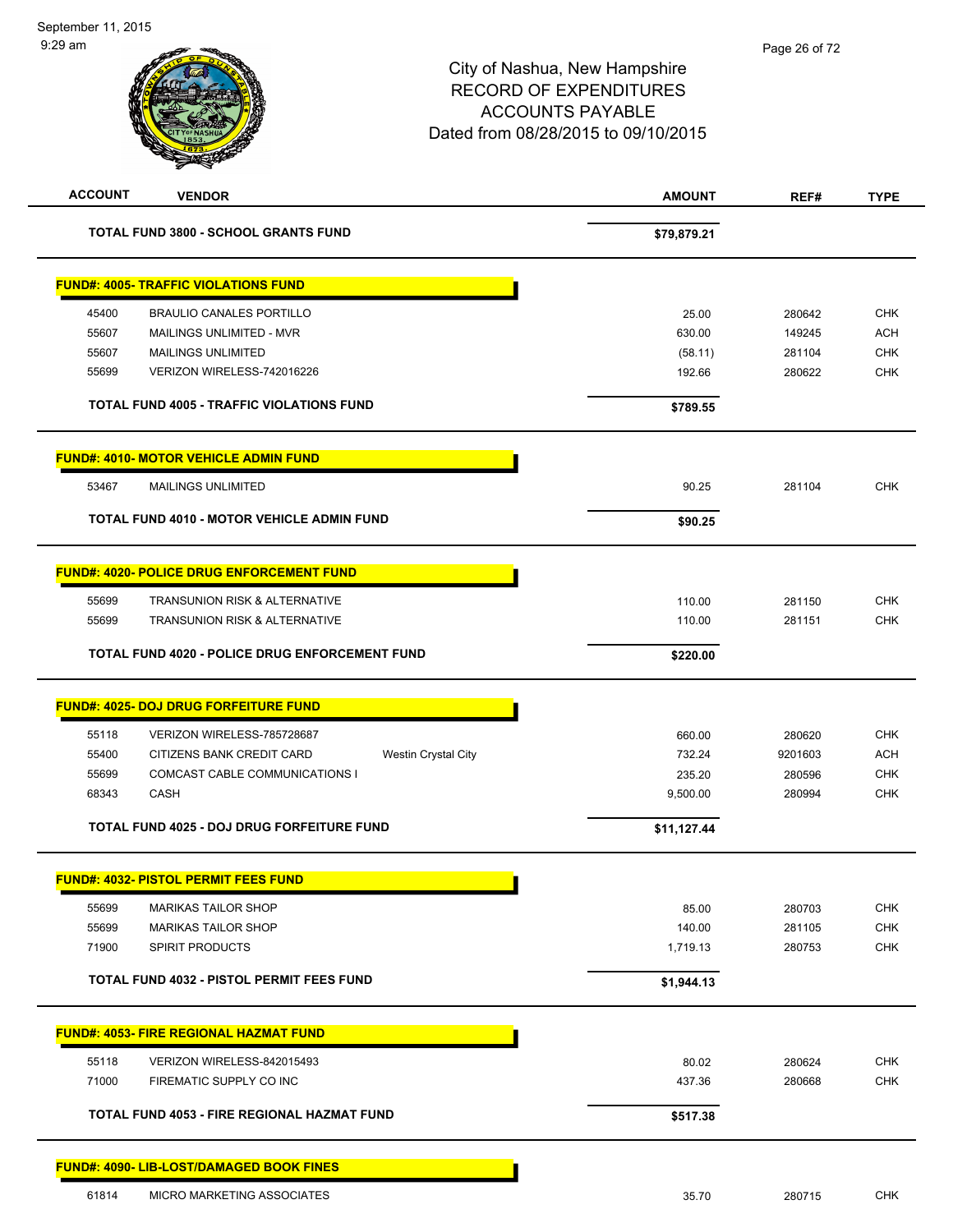| <b>ACCOUNT</b> | <b>VENDOR</b>                                           | <b>AMOUNT</b> | REF#    | <b>TYPE</b> |
|----------------|---------------------------------------------------------|---------------|---------|-------------|
|                | <b>TOTAL FUND 3800 - SCHOOL GRANTS FUND</b>             | \$79,879.21   |         |             |
|                | <b>FUND#: 4005- TRAFFIC VIOLATIONS FUND</b>             |               |         |             |
| 45400          | <b>BRAULIO CANALES PORTILLO</b>                         | 25.00         | 280642  | <b>CHK</b>  |
| 55607          | MAILINGS UNLIMITED - MVR                                | 630.00        | 149245  | <b>ACH</b>  |
| 55607          | <b>MAILINGS UNLIMITED</b>                               | (58.11)       | 281104  | <b>CHK</b>  |
| 55699          | VERIZON WIRELESS-742016226                              | 192.66        | 280622  | <b>CHK</b>  |
|                | <b>TOTAL FUND 4005 - TRAFFIC VIOLATIONS FUND</b>        | \$789.55      |         |             |
|                | <b>FUND#: 4010- MOTOR VEHICLE ADMIN FUND</b>            |               |         |             |
| 53467          | <b>MAILINGS UNLIMITED</b>                               | 90.25         | 281104  | <b>CHK</b>  |
|                | TOTAL FUND 4010 - MOTOR VEHICLE ADMIN FUND              | \$90.25       |         |             |
|                | <b>FUND#: 4020- POLICE DRUG ENFORCEMENT FUND</b>        |               |         |             |
| 55699          | TRANSUNION RISK & ALTERNATIVE                           | 110.00        | 281150  | <b>CHK</b>  |
| 55699          | <b>TRANSUNION RISK &amp; ALTERNATIVE</b>                | 110.00        | 281151  | <b>CHK</b>  |
|                | <b>TOTAL FUND 4020 - POLICE DRUG ENFORCEMENT FUND</b>   | \$220.00      |         |             |
|                | <b>FUND#: 4025- DOJ DRUG FORFEITURE FUND</b>            |               |         |             |
| 55118          | VERIZON WIRELESS-785728687                              | 660.00        | 280620  | <b>CHK</b>  |
| 55400          | CITIZENS BANK CREDIT CARD<br><b>Westin Crystal City</b> | 732.24        | 9201603 | <b>ACH</b>  |
| 55699          | COMCAST CABLE COMMUNICATIONS I                          | 235.20        | 280596  | <b>CHK</b>  |
| 68343          | <b>CASH</b>                                             | 9,500.00      | 280994  | <b>CHK</b>  |
|                | <b>TOTAL FUND 4025 - DOJ DRUG FORFEITURE FUND</b>       | \$11,127.44   |         |             |
|                | <b>FUND#: 4032- PISTOL PERMIT FEES FUND</b>             |               |         |             |
| 55699          | <b>MARIKAS TAILOR SHOP</b>                              | 85.00         | 280703  | <b>CHK</b>  |
| 55699          | <b>MARIKAS TAILOR SHOP</b>                              | 140.00        | 281105  | <b>CHK</b>  |
| 71900          | <b>SPIRIT PRODUCTS</b>                                  | 1,719.13      | 280753  | <b>CHK</b>  |
|                | <b>TOTAL FUND 4032 - PISTOL PERMIT FEES FUND</b>        | \$1,944.13    |         |             |
|                | <b>FUND#: 4053- FIRE REGIONAL HAZMAT FUND</b>           |               |         |             |
| 55118          | VERIZON WIRELESS-842015493                              | 80.02         | 280624  | <b>CHK</b>  |
| 71000          | FIREMATIC SUPPLY CO INC                                 | 437.36        | 280668  | <b>CHK</b>  |
|                | TOTAL FUND 4053 - FIRE REGIONAL HAZMAT FUND             | \$517.38      |         |             |
|                | <b>FUND#: 4090- LIB-LOST/DAMAGED BOOK FINES</b>         |               |         |             |
| 61814          | MICRO MARKETING ASSOCIATES                              | 35.70         | 280715  | <b>CHK</b>  |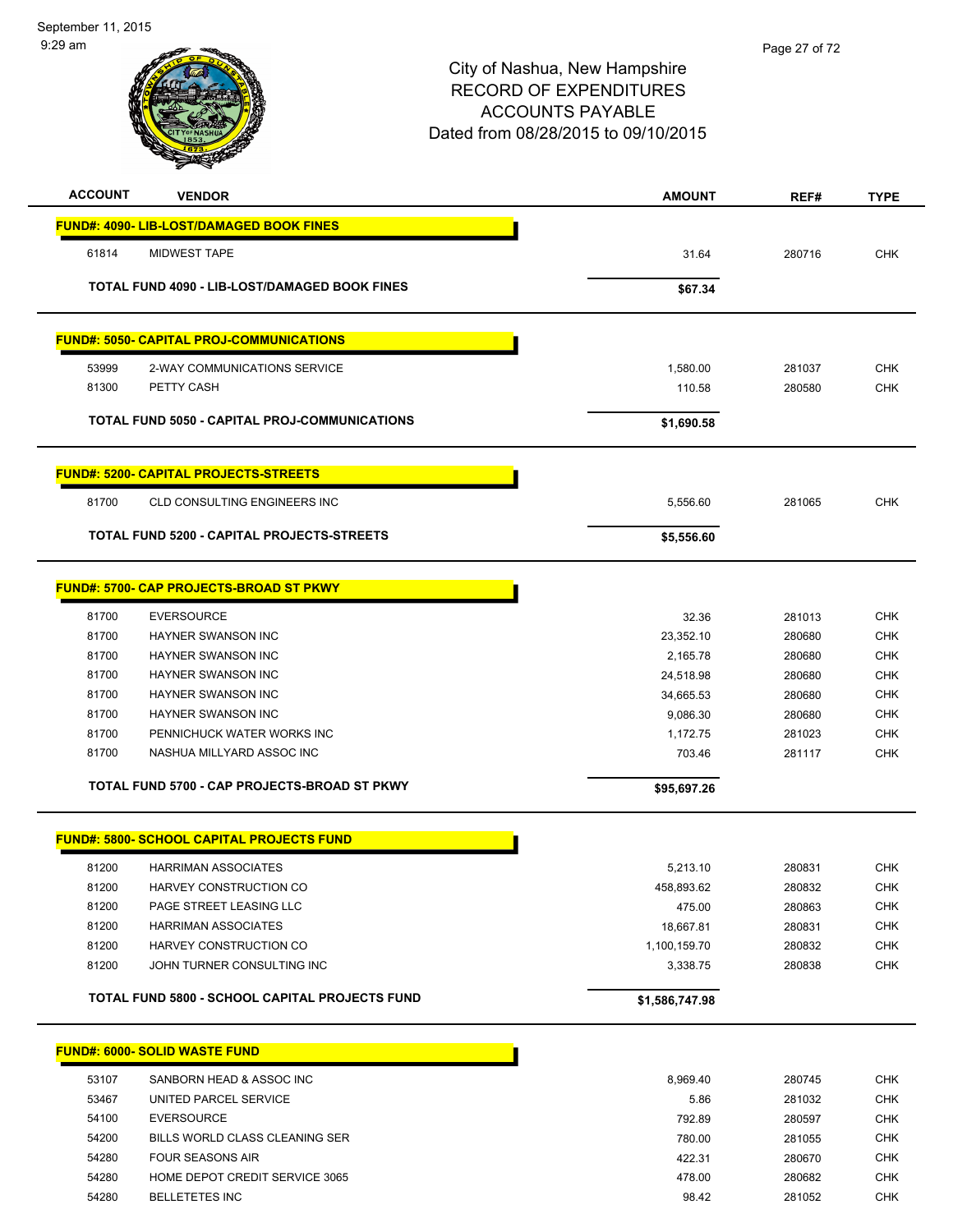



| <b>ACCOUNT</b> | <b>VENDOR</b>                                         | <b>AMOUNT</b>  | REF#   | <b>TYPE</b> |
|----------------|-------------------------------------------------------|----------------|--------|-------------|
|                | <b>FUND#: 4090- LIB-LOST/DAMAGED BOOK FINES</b>       |                |        |             |
| 61814          | <b>MIDWEST TAPE</b>                                   | 31.64          | 280716 | <b>CHK</b>  |
|                |                                                       |                |        |             |
|                | <b>TOTAL FUND 4090 - LIB-LOST/DAMAGED BOOK FINES</b>  | \$67.34        |        |             |
|                | <b>FUND#: 5050- CAPITAL PROJ-COMMUNICATIONS</b>       |                |        |             |
| 53999          | 2-WAY COMMUNICATIONS SERVICE                          | 1,580.00       | 281037 | <b>CHK</b>  |
| 81300          | PETTY CASH                                            | 110.58         | 280580 | <b>CHK</b>  |
|                | <b>TOTAL FUND 5050 - CAPITAL PROJ-COMMUNICATIONS</b>  | \$1,690.58     |        |             |
|                | <b>FUND#: 5200- CAPITAL PROJECTS-STREETS</b>          |                |        |             |
|                |                                                       |                |        |             |
| 81700          | <b>CLD CONSULTING ENGINEERS INC</b>                   | 5,556.60       | 281065 | <b>CHK</b>  |
|                | TOTAL FUND 5200 - CAPITAL PROJECTS-STREETS            | \$5,556.60     |        |             |
|                | FUND#: 5700- CAP PROJECTS-BROAD ST PKWY               |                |        |             |
| 81700          | <b>EVERSOURCE</b>                                     | 32.36          | 281013 | <b>CHK</b>  |
| 81700          | <b>HAYNER SWANSON INC</b>                             | 23,352.10      | 280680 | <b>CHK</b>  |
| 81700          | <b>HAYNER SWANSON INC</b>                             | 2,165.78       | 280680 | <b>CHK</b>  |
| 81700          | HAYNER SWANSON INC                                    | 24,518.98      | 280680 | <b>CHK</b>  |
| 81700          | HAYNER SWANSON INC                                    | 34,665.53      | 280680 | <b>CHK</b>  |
| 81700          | HAYNER SWANSON INC                                    | 9,086.30       | 280680 | <b>CHK</b>  |
| 81700          | PENNICHUCK WATER WORKS INC                            | 1,172.75       | 281023 | <b>CHK</b>  |
| 81700          | NASHUA MILLYARD ASSOC INC                             | 703.46         | 281117 | <b>CHK</b>  |
|                | TOTAL FUND 5700 - CAP PROJECTS-BROAD ST PKWY          | \$95,697.26    |        |             |
|                | <b>FUND#: 5800- SCHOOL CAPITAL PROJECTS FUND</b>      |                |        |             |
| 81200          | <b>HARRIMAN ASSOCIATES</b>                            | 5,213.10       | 280831 | <b>CHK</b>  |
| 81200          | HARVEY CONSTRUCTION CO                                | 458,893.62     | 280832 | <b>CHK</b>  |
| 81200          | PAGE STREET LEASING LLC                               | 475.00         | 280863 | <b>CHK</b>  |
| 81200          | <b>HARRIMAN ASSOCIATES</b>                            | 18,667.81      | 280831 | <b>CHK</b>  |
| 81200          | HARVEY CONSTRUCTION CO                                | 1,100,159.70   | 280832 | <b>CHK</b>  |
| 81200          | JOHN TURNER CONSULTING INC                            | 3,338.75       | 280838 | CHK         |
|                | <b>TOTAL FUND 5800 - SCHOOL CAPITAL PROJECTS FUND</b> | \$1,586,747.98 |        |             |
|                |                                                       |                |        |             |
|                | <b>FUND#: 6000- SOLID WASTE FUND</b>                  |                |        |             |
| 53107          | SANBORN HEAD & ASSOC INC                              | 8,969.40       | 280745 | <b>CHK</b>  |
| 53467          | UNITED PARCEL SERVICE                                 | 5.86           | 281032 | <b>CHK</b>  |
| 54100          | <b>EVERSOURCE</b>                                     | 792.89         | 280597 | CHK         |
| 54200          | BILLS WORLD CLASS CLEANING SER                        | 780.00         | 281055 | CHK         |
| 54280          | <b>FOUR SEASONS AIR</b>                               | 422.31         | 280670 | <b>CHK</b>  |
| 54280          | HOME DEPOT CREDIT SERVICE 3065                        | 478.00         | 280682 | <b>CHK</b>  |
| 54280          | <b>BELLETETES INC</b>                                 | 98.42          | 281052 | <b>CHK</b>  |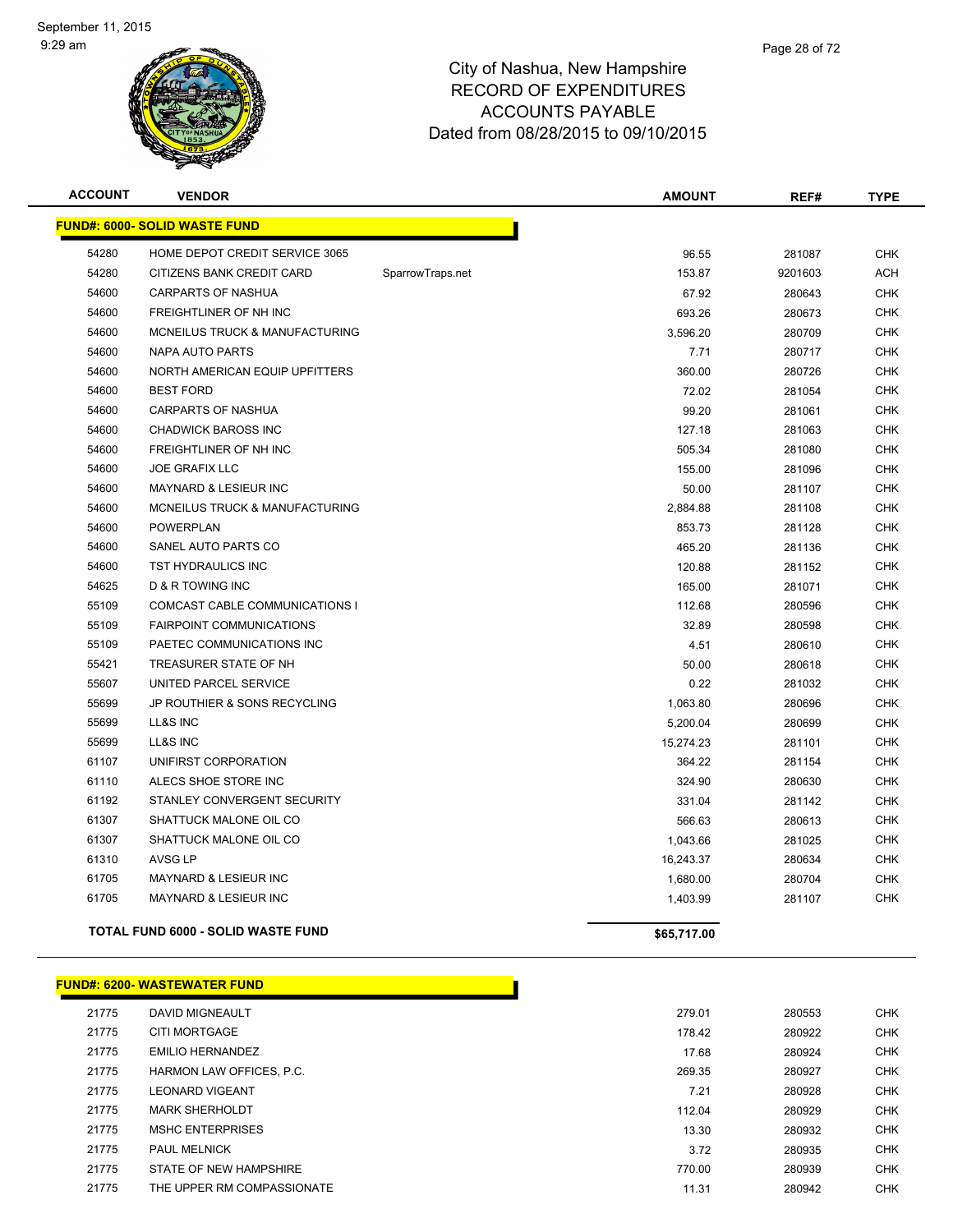

| <b>ACCOUNT</b> | <b>VENDOR</b>                             |                  | <b>AMOUNT</b> | REF#    | <b>TYPE</b> |
|----------------|-------------------------------------------|------------------|---------------|---------|-------------|
|                | <b>FUND#: 6000- SOLID WASTE FUND</b>      |                  |               |         |             |
| 54280          | HOME DEPOT CREDIT SERVICE 3065            |                  | 96.55         | 281087  | <b>CHK</b>  |
| 54280          | CITIZENS BANK CREDIT CARD                 | SparrowTraps.net | 153.87        | 9201603 | <b>ACH</b>  |
| 54600          | <b>CARPARTS OF NASHUA</b>                 |                  | 67.92         | 280643  | <b>CHK</b>  |
| 54600          | FREIGHTLINER OF NH INC                    |                  | 693.26        | 280673  | <b>CHK</b>  |
| 54600          | MCNEILUS TRUCK & MANUFACTURING            |                  | 3,596.20      | 280709  | <b>CHK</b>  |
| 54600          | NAPA AUTO PARTS                           |                  | 7.71          | 280717  | <b>CHK</b>  |
| 54600          | NORTH AMERICAN EQUIP UPFITTERS            |                  | 360.00        | 280726  | <b>CHK</b>  |
| 54600          | <b>BEST FORD</b>                          |                  | 72.02         | 281054  | <b>CHK</b>  |
| 54600          | <b>CARPARTS OF NASHUA</b>                 |                  | 99.20         | 281061  | <b>CHK</b>  |
| 54600          | <b>CHADWICK BAROSS INC</b>                |                  | 127.18        | 281063  | <b>CHK</b>  |
| 54600          | FREIGHTLINER OF NH INC                    |                  | 505.34        | 281080  | <b>CHK</b>  |
| 54600          | <b>JOE GRAFIX LLC</b>                     |                  | 155.00        | 281096  | <b>CHK</b>  |
| 54600          | <b>MAYNARD &amp; LESIEUR INC</b>          |                  | 50.00         | 281107  | <b>CHK</b>  |
| 54600          | MCNEILUS TRUCK & MANUFACTURING            |                  | 2,884.88      | 281108  | <b>CHK</b>  |
| 54600          | <b>POWERPLAN</b>                          |                  | 853.73        | 281128  | <b>CHK</b>  |
| 54600          | SANEL AUTO PARTS CO                       |                  | 465.20        | 281136  | <b>CHK</b>  |
| 54600          | TST HYDRAULICS INC                        |                  | 120.88        | 281152  | <b>CHK</b>  |
| 54625          | <b>D &amp; R TOWING INC</b>               |                  | 165.00        | 281071  | <b>CHK</b>  |
| 55109          | COMCAST CABLE COMMUNICATIONS I            |                  | 112.68        | 280596  | <b>CHK</b>  |
| 55109          | <b>FAIRPOINT COMMUNICATIONS</b>           |                  | 32.89         | 280598  | <b>CHK</b>  |
| 55109          | PAETEC COMMUNICATIONS INC                 |                  | 4.51          | 280610  | <b>CHK</b>  |
| 55421          | TREASURER STATE OF NH                     |                  | 50.00         | 280618  | <b>CHK</b>  |
| 55607          | UNITED PARCEL SERVICE                     |                  | 0.22          | 281032  | <b>CHK</b>  |
| 55699          | JP ROUTHIER & SONS RECYCLING              |                  | 1,063.80      | 280696  | <b>CHK</b>  |
| 55699          | LL&S INC                                  |                  | 5,200.04      | 280699  | <b>CHK</b>  |
| 55699          | LL&S INC                                  |                  | 15,274.23     | 281101  | <b>CHK</b>  |
| 61107          | UNIFIRST CORPORATION                      |                  | 364.22        | 281154  | <b>CHK</b>  |
| 61110          | ALECS SHOE STORE INC                      |                  | 324.90        | 280630  | <b>CHK</b>  |
| 61192          | STANLEY CONVERGENT SECURITY               |                  | 331.04        | 281142  | <b>CHK</b>  |
| 61307          | SHATTUCK MALONE OIL CO                    |                  | 566.63        | 280613  | <b>CHK</b>  |
| 61307          | SHATTUCK MALONE OIL CO                    |                  | 1,043.66      | 281025  | <b>CHK</b>  |
| 61310          | <b>AVSG LP</b>                            |                  | 16,243.37     | 280634  | <b>CHK</b>  |
| 61705          | MAYNARD & LESIEUR INC                     |                  | 1,680.00      | 280704  | <b>CHK</b>  |
| 61705          | <b>MAYNARD &amp; LESIEUR INC</b>          |                  | 1,403.99      | 281107  | <b>CHK</b>  |
|                | <b>TOTAL FUND 6000 - SOLID WASTE FUND</b> |                  | \$65,717.00   |         |             |

#### **FUND#: 6200- WASTEWATER FUND** DAVID MIGNEAULT 279.01 280553 CHK CITI MORTGAGE 178.42 280922 CHK EMILIO HERNANDEZ 17.68 280924 CHK HARMON LAW OFFICES, P.C. 269.35 280927 CHK 21775 LEONARD VIGEANT NATURE AND SERVES AND LOSTED AND RESEARCH AND RESEARCH AND RESEARCH AND RESEARCH AND RESEARCH AND RESEARCH AND RESEARCH AND RESEARCH AND RESEARCH AND RESEARCH AND RESEARCH AND RESEARCH AND RESEARCH AN MARK SHERHOLDT 112.04 280929 CHK MSHC ENTERPRISES 13.30 280932 CHK PAUL MELNICK 3.72 280935 CHK 21775 STATE OF NEW HAMPSHIRE SERVER THE STATE OF NEW HAMPSHIRE STATE OF NEW YORK CHANGE OF STATE OF NEW YORK CHA 21775 THE UPPER RM COMPASSIONATE **11.31** 280942 CHK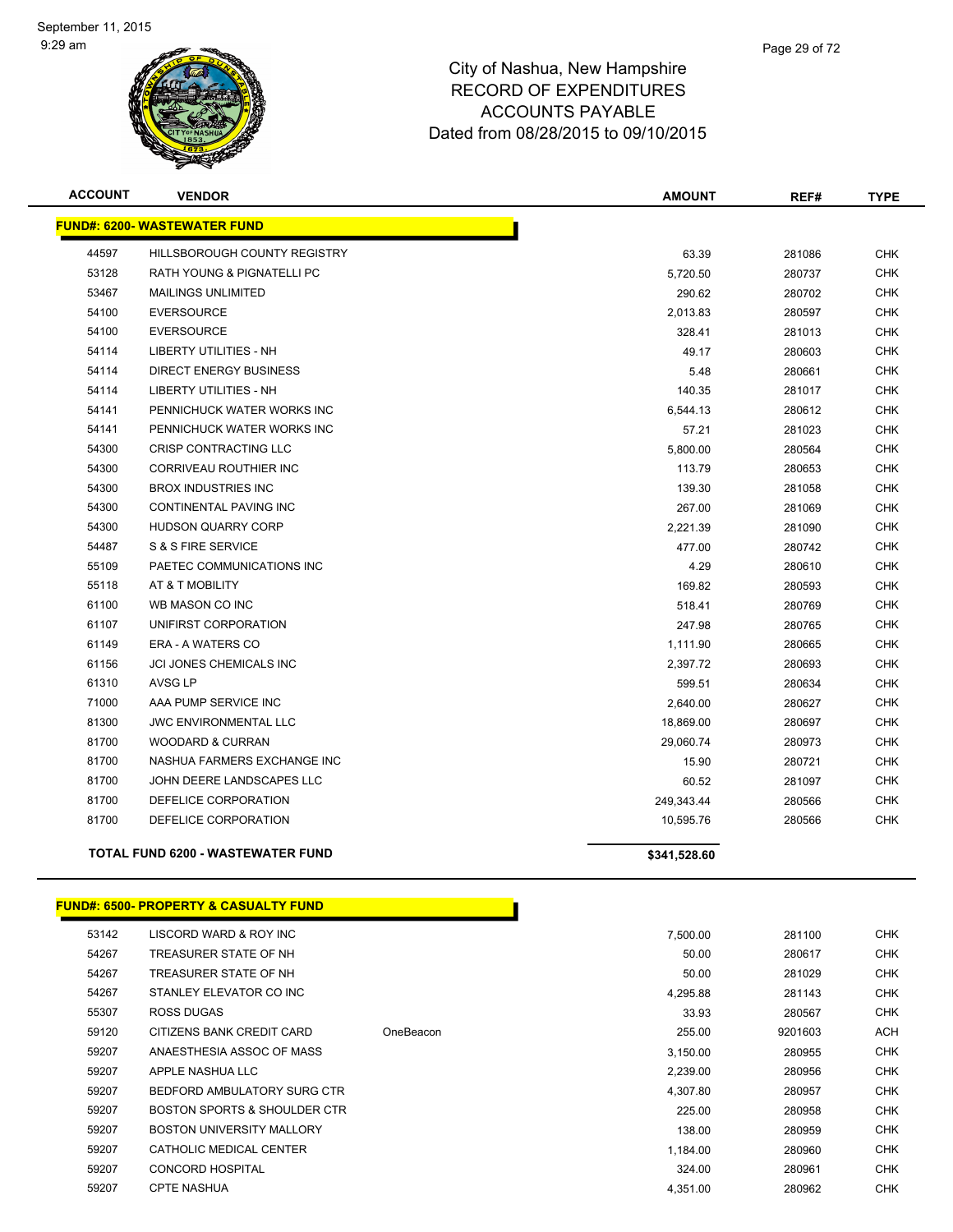

| <b>ACCOUNT</b> | <b>VENDOR</b>                            | <b>AMOUNT</b> | REF#   | <b>TYPE</b> |
|----------------|------------------------------------------|---------------|--------|-------------|
|                | <b>FUND#: 6200- WASTEWATER FUND</b>      |               |        |             |
| 44597          | HILLSBOROUGH COUNTY REGISTRY             | 63.39         | 281086 | <b>CHK</b>  |
| 53128          | <b>RATH YOUNG &amp; PIGNATELLI PC</b>    | 5,720.50      | 280737 | <b>CHK</b>  |
| 53467          | <b>MAILINGS UNLIMITED</b>                | 290.62        | 280702 | CHK         |
| 54100          | <b>EVERSOURCE</b>                        | 2,013.83      | 280597 | <b>CHK</b>  |
| 54100          | <b>EVERSOURCE</b>                        | 328.41        | 281013 | <b>CHK</b>  |
| 54114          | LIBERTY UTILITIES - NH                   | 49.17         | 280603 | CHK         |
| 54114          | <b>DIRECT ENERGY BUSINESS</b>            | 5.48          | 280661 | <b>CHK</b>  |
| 54114          | <b>LIBERTY UTILITIES - NH</b>            | 140.35        | 281017 | <b>CHK</b>  |
| 54141          | PENNICHUCK WATER WORKS INC               | 6,544.13      | 280612 | <b>CHK</b>  |
| 54141          | PENNICHUCK WATER WORKS INC               | 57.21         | 281023 | <b>CHK</b>  |
| 54300          | <b>CRISP CONTRACTING LLC</b>             | 5,800.00      | 280564 | <b>CHK</b>  |
| 54300          | <b>CORRIVEAU ROUTHIER INC</b>            | 113.79        | 280653 | <b>CHK</b>  |
| 54300          | <b>BROX INDUSTRIES INC</b>               | 139.30        | 281058 | <b>CHK</b>  |
| 54300          | <b>CONTINENTAL PAVING INC</b>            | 267.00        | 281069 | <b>CHK</b>  |
| 54300          | <b>HUDSON QUARRY CORP</b>                | 2,221.39      | 281090 | <b>CHK</b>  |
| 54487          | S & S FIRE SERVICE                       | 477.00        | 280742 | <b>CHK</b>  |
| 55109          | PAETEC COMMUNICATIONS INC                | 4.29          | 280610 | CHK         |
| 55118          | AT & T MOBILITY                          | 169.82        | 280593 | <b>CHK</b>  |
| 61100          | WB MASON CO INC                          | 518.41        | 280769 | <b>CHK</b>  |
| 61107          | UNIFIRST CORPORATION                     | 247.98        | 280765 | <b>CHK</b>  |
| 61149          | <b>ERA - A WATERS CO</b>                 | 1,111.90      | 280665 | <b>CHK</b>  |
| 61156          | JCI JONES CHEMICALS INC                  | 2,397.72      | 280693 | <b>CHK</b>  |
| 61310          | AVSG LP                                  | 599.51        | 280634 | <b>CHK</b>  |
| 71000          | AAA PUMP SERVICE INC                     | 2,640.00      | 280627 | <b>CHK</b>  |
| 81300          | <b>JWC ENVIRONMENTAL LLC</b>             | 18,869.00     | 280697 | <b>CHK</b>  |
| 81700          | <b>WOODARD &amp; CURRAN</b>              | 29,060.74     | 280973 | <b>CHK</b>  |
| 81700          | NASHUA FARMERS EXCHANGE INC              | 15.90         | 280721 | CHK         |
| 81700          | JOHN DEERE LANDSCAPES LLC                | 60.52         | 281097 | <b>CHK</b>  |
| 81700          | DEFELICE CORPORATION                     | 249,343.44    | 280566 | <b>CHK</b>  |
| 81700          | DEFELICE CORPORATION                     | 10,595.76     | 280566 | <b>CHK</b>  |
|                | <b>TOTAL FUND 6200 - WASTEWATER FUND</b> | \$341,528.60  |        |             |

#### **FUND#: 6500- PROPERTY & CASUALTY FUND**

| 53142 | LISCORD WARD & ROY INC           |           | 7,500.00 | 281100  | <b>CHK</b> |
|-------|----------------------------------|-----------|----------|---------|------------|
| 54267 | TREASURER STATE OF NH            |           | 50.00    | 280617  | <b>CHK</b> |
| 54267 | TREASURER STATE OF NH            |           | 50.00    | 281029  | <b>CHK</b> |
| 54267 | STANLEY ELEVATOR CO INC          |           | 4,295.88 | 281143  | <b>CHK</b> |
| 55307 | ROSS DUGAS                       |           | 33.93    | 280567  | <b>CHK</b> |
| 59120 | CITIZENS BANK CREDIT CARD        | OneBeacon | 255.00   | 9201603 | ACH        |
| 59207 | ANAESTHESIA ASSOC OF MASS        |           | 3,150.00 | 280955  | <b>CHK</b> |
| 59207 | APPLE NASHUA LLC                 |           | 2,239.00 | 280956  | <b>CHK</b> |
| 59207 | BEDFORD AMBULATORY SURG CTR      |           | 4.307.80 | 280957  | <b>CHK</b> |
| 59207 | BOSTON SPORTS & SHOULDER CTR     |           | 225.00   | 280958  | <b>CHK</b> |
| 59207 | <b>BOSTON UNIVERSITY MALLORY</b> |           | 138.00   | 280959  | <b>CHK</b> |
| 59207 | CATHOLIC MEDICAL CENTER          |           | 1.184.00 | 280960  | <b>CHK</b> |
| 59207 | <b>CONCORD HOSPITAL</b>          |           | 324.00   | 280961  | <b>CHK</b> |
| 59207 | <b>CPTE NASHUA</b>               |           | 4,351.00 | 280962  | <b>CHK</b> |

Т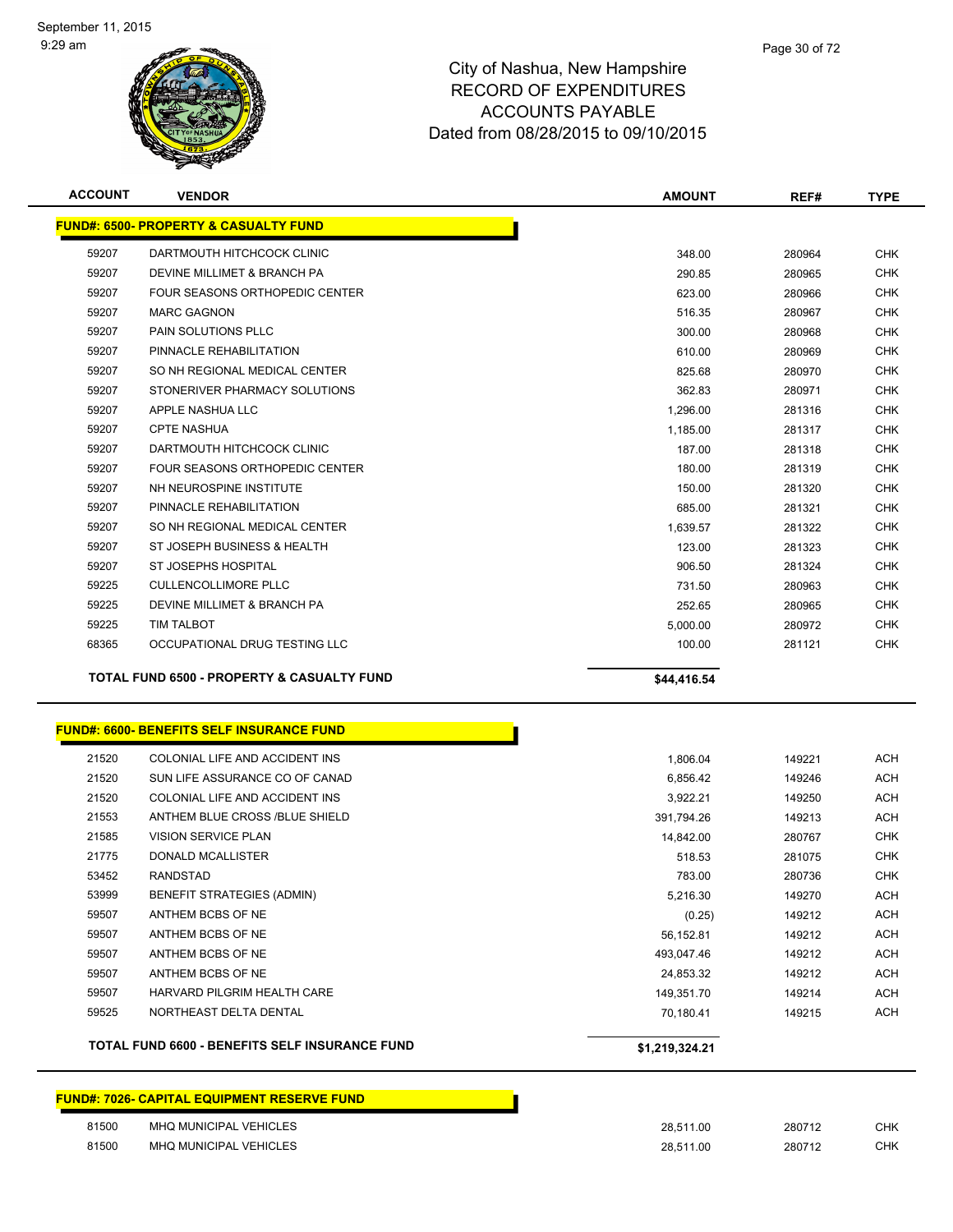

| <b>ACCOUNT</b> | <b>VENDOR</b>                                         | <b>AMOUNT</b> | REF#   | <b>TYPE</b> |
|----------------|-------------------------------------------------------|---------------|--------|-------------|
|                | <b>FUND#: 6500- PROPERTY &amp; CASUALTY FUND</b>      |               |        |             |
| 59207          | DARTMOUTH HITCHCOCK CLINIC                            | 348.00        | 280964 | <b>CHK</b>  |
| 59207          | DEVINE MILLIMET & BRANCH PA                           | 290.85        | 280965 | <b>CHK</b>  |
| 59207          | <b>FOUR SEASONS ORTHOPEDIC CENTER</b>                 | 623.00        | 280966 | <b>CHK</b>  |
| 59207          | <b>MARC GAGNON</b>                                    | 516.35        | 280967 | <b>CHK</b>  |
| 59207          | PAIN SOLUTIONS PLLC                                   | 300.00        | 280968 | <b>CHK</b>  |
| 59207          | PINNACLE REHABILITATION                               | 610.00        | 280969 | <b>CHK</b>  |
| 59207          | SO NH REGIONAL MEDICAL CENTER                         | 825.68        | 280970 | <b>CHK</b>  |
| 59207          | STONERIVER PHARMACY SOLUTIONS                         | 362.83        | 280971 | <b>CHK</b>  |
| 59207          | APPLE NASHUA LLC                                      | 1,296.00      | 281316 | <b>CHK</b>  |
| 59207          | <b>CPTE NASHUA</b>                                    | 1,185.00      | 281317 | <b>CHK</b>  |
| 59207          | DARTMOUTH HITCHCOCK CLINIC                            | 187.00        | 281318 | <b>CHK</b>  |
| 59207          | FOUR SEASONS ORTHOPEDIC CENTER                        | 180.00        | 281319 | <b>CHK</b>  |
| 59207          | NH NEUROSPINE INSTITUTE                               | 150.00        | 281320 | <b>CHK</b>  |
| 59207          | PINNACLE REHABILITATION                               | 685.00        | 281321 | <b>CHK</b>  |
| 59207          | SO NH REGIONAL MEDICAL CENTER                         | 1,639.57      | 281322 | <b>CHK</b>  |
| 59207          | ST JOSEPH BUSINESS & HEALTH                           | 123.00        | 281323 | <b>CHK</b>  |
| 59207          | ST JOSEPHS HOSPITAL                                   | 906.50        | 281324 | <b>CHK</b>  |
| 59225          | <b>CULLENCOLLIMORE PLLC</b>                           | 731.50        | 280963 | <b>CHK</b>  |
| 59225          | DEVINE MILLIMET & BRANCH PA                           | 252.65        | 280965 | <b>CHK</b>  |
| 59225          | <b>TIM TALBOT</b>                                     | 5,000.00      | 280972 | <b>CHK</b>  |
| 68365          | OCCUPATIONAL DRUG TESTING LLC                         | 100.00        | 281121 | <b>CHK</b>  |
|                | <b>TOTAL FUND 6500 - PROPERTY &amp; CASUALTY FUND</b> | \$44,416.54   |        |             |
|                | <b>FUND#: 6600- BENEFITS SELF INSURANCE FUND</b>      |               |        |             |
| 21520          | COLONIAL LIFE AND ACCIDENT INS                        | 1,806.04      | 149221 | ACH         |
| 21520          | SUN LIFE ASSURANCE CO OF CANAD                        | 6,856.42      | 149246 | <b>ACH</b>  |
| 21520          | COLONIAL LIFE AND ACCIDENT INS                        | 3,922.21      | 149250 | <b>ACH</b>  |
| 21553          | ANTHEM BLUE CROSS /BLUE SHIELD                        | 391,794.26    | 149213 | <b>ACH</b>  |
| 21585          | <b>VISION SERVICE PLAN</b>                            | 14,842.00     | 280767 | <b>CHK</b>  |
| 21775          | DONALD MCALLISTER                                     | 518.53        | 281075 | <b>CHK</b>  |
| 53452          | <b>RANDSTAD</b>                                       | 783.00        | 280736 | <b>CHK</b>  |
| 53999          | BENEFIT STRATEGIES (ADMIN)                            | 5,216.30      | 149270 | <b>ACH</b>  |
| 59507          | ANTHEM BCBS OF NE                                     | (0.25)        | 149212 | <b>ACH</b>  |
| 59507          | ANTHEM BCBS OF NE                                     | 56,152.81     | 149212 | <b>ACH</b>  |
| 59507          | ANTHEM BCBS OF NE                                     | 493,047.46    | 149212 | <b>ACH</b>  |
| 59507          | ANTHEM BCBS OF NE                                     | 24,853.32     | 149212 | <b>ACH</b>  |
| 59507          | HARVARD PILGRIM HEALTH CARE                           | 149,351.70    | 149214 | <b>ACH</b>  |

**TOTAL FUND 6600 - BENEFITS SELF INSURANCE FUND \$1,219,324.21** 

|       | <u> FUND#: 7026- CAPITAL EQUIPMENT RESERVE FUND</u> |           |        |            |
|-------|-----------------------------------------------------|-----------|--------|------------|
| 81500 | MHQ MUNICIPAL VEHICLES                              | 28.511.00 | 280712 | <b>CHK</b> |
| 81500 | MHQ MUNICIPAL VEHICLES                              | 28.511.00 | 280712 | <b>CHK</b> |

NORTHEAST DELTA DENTAL 70,180.41 149215 ACH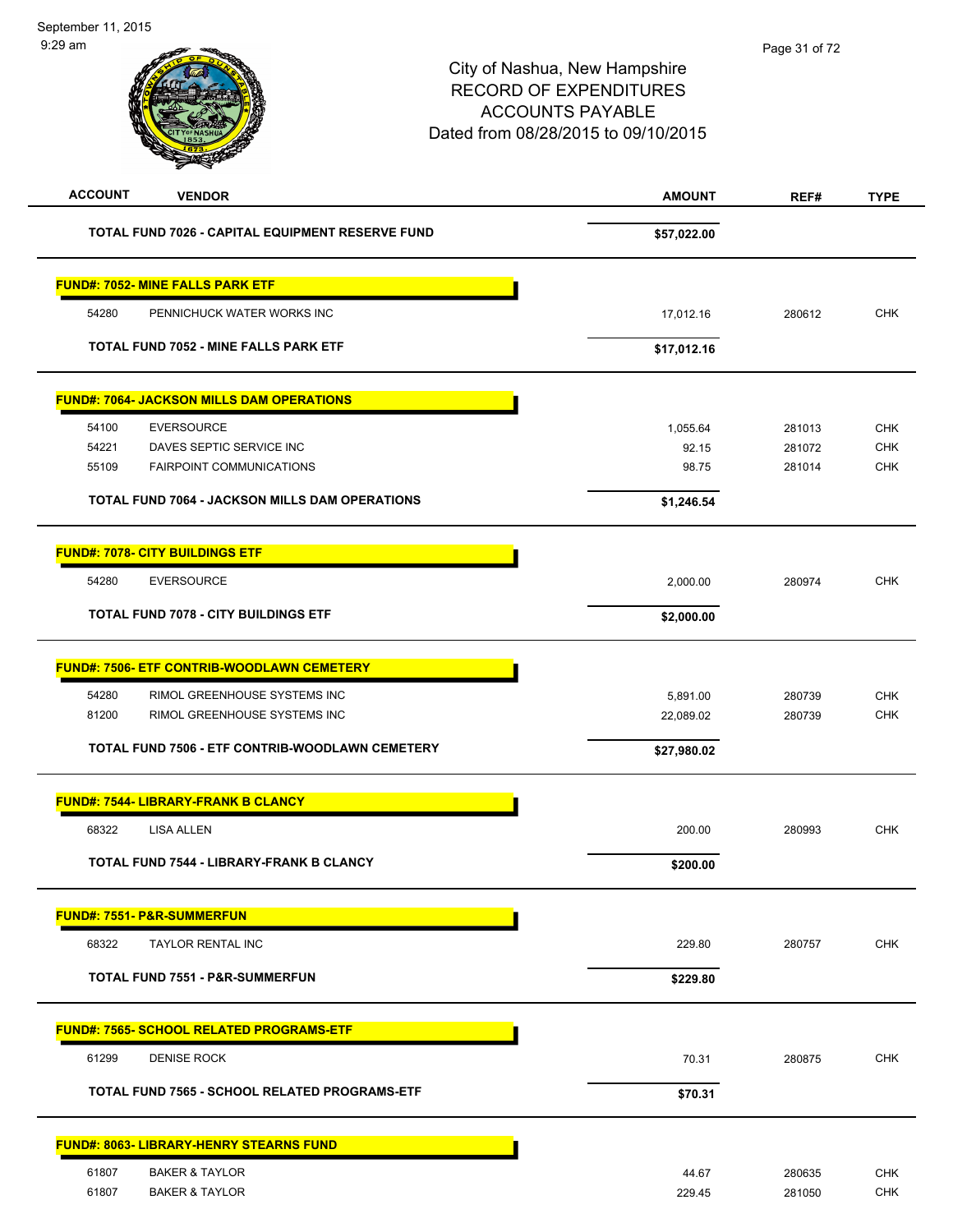| <b>ACCOUNT</b> | <b>VENDOR</b>                                         | <b>AMOUNT</b> | REF#   | <b>TYPE</b> |
|----------------|-------------------------------------------------------|---------------|--------|-------------|
|                | TOTAL FUND 7026 - CAPITAL EQUIPMENT RESERVE FUND      | \$57,022.00   |        |             |
|                | <b>FUND#: 7052- MINE FALLS PARK ETF</b>               |               |        |             |
| 54280          | PENNICHUCK WATER WORKS INC                            | 17,012.16     | 280612 | <b>CHK</b>  |
|                | <b>TOTAL FUND 7052 - MINE FALLS PARK ETF</b>          | \$17,012.16   |        |             |
|                | <b>FUND#: 7064- JACKSON MILLS DAM OPERATIONS</b>      |               |        |             |
| 54100          | <b>EVERSOURCE</b>                                     | 1,055.64      | 281013 | <b>CHK</b>  |
| 54221          | DAVES SEPTIC SERVICE INC                              | 92.15         | 281072 | <b>CHK</b>  |
| 55109          | <b>FAIRPOINT COMMUNICATIONS</b>                       | 98.75         | 281014 | <b>CHK</b>  |
|                | <b>TOTAL FUND 7064 - JACKSON MILLS DAM OPERATIONS</b> | \$1,246.54    |        |             |
|                | <b>FUND#: 7078- CITY BUILDINGS ETF</b>                |               |        |             |
| 54280          | <b>EVERSOURCE</b>                                     | 2,000.00      | 280974 | <b>CHK</b>  |
|                | <b>TOTAL FUND 7078 - CITY BUILDINGS ETF</b>           | \$2,000.00    |        |             |
|                | <u> FUND#: 7506- ETF CONTRIB-WOODLAWN CEMETERY</u>    |               |        |             |
| 54280          | RIMOL GREENHOUSE SYSTEMS INC                          | 5,891.00      | 280739 | CHK         |
| 81200          | RIMOL GREENHOUSE SYSTEMS INC                          | 22,089.02     | 280739 | <b>CHK</b>  |
|                | TOTAL FUND 7506 - ETF CONTRIB-WOODLAWN CEMETERY       | \$27,980.02   |        |             |
|                | <u> FUND#: 7544- LIBRARY-FRANK B CLANCY</u>           |               |        |             |
| 68322          | LISA ALLEN                                            | 200.00        | 280993 | <b>CHK</b>  |
|                | <b>TOTAL FUND 7544 - LIBRARY-FRANK B CLANCY</b>       | \$200.00      |        |             |
|                | <u> FUND#: 7551- P&amp;R-SUMMERFUN</u>                |               |        |             |
| 68322          | TAYLOR RENTAL INC                                     | 229.80        | 280757 | <b>CHK</b>  |
|                | TOTAL FUND 7551 - P&R-SUMMERFUN                       | \$229.80      |        |             |
|                | <u> FUND#: 7565- SCHOOL RELATED PROGRAMS-ETF</u>      |               |        |             |
| 61299          | <b>DENISE ROCK</b>                                    | 70.31         | 280875 | <b>CHK</b>  |
|                | TOTAL FUND 7565 - SCHOOL RELATED PROGRAMS-ETF         | \$70.31       |        |             |
|                | <u> FUND#: 8063- LIBRARY-HENRY STEARNS FUND</u>       |               |        |             |
| 61807          | <b>BAKER &amp; TAYLOR</b>                             | 44.67         | 280635 | <b>CHK</b>  |
| 61807          | <b>BAKER &amp; TAYLOR</b>                             | 229.45        | 281050 | <b>CHK</b>  |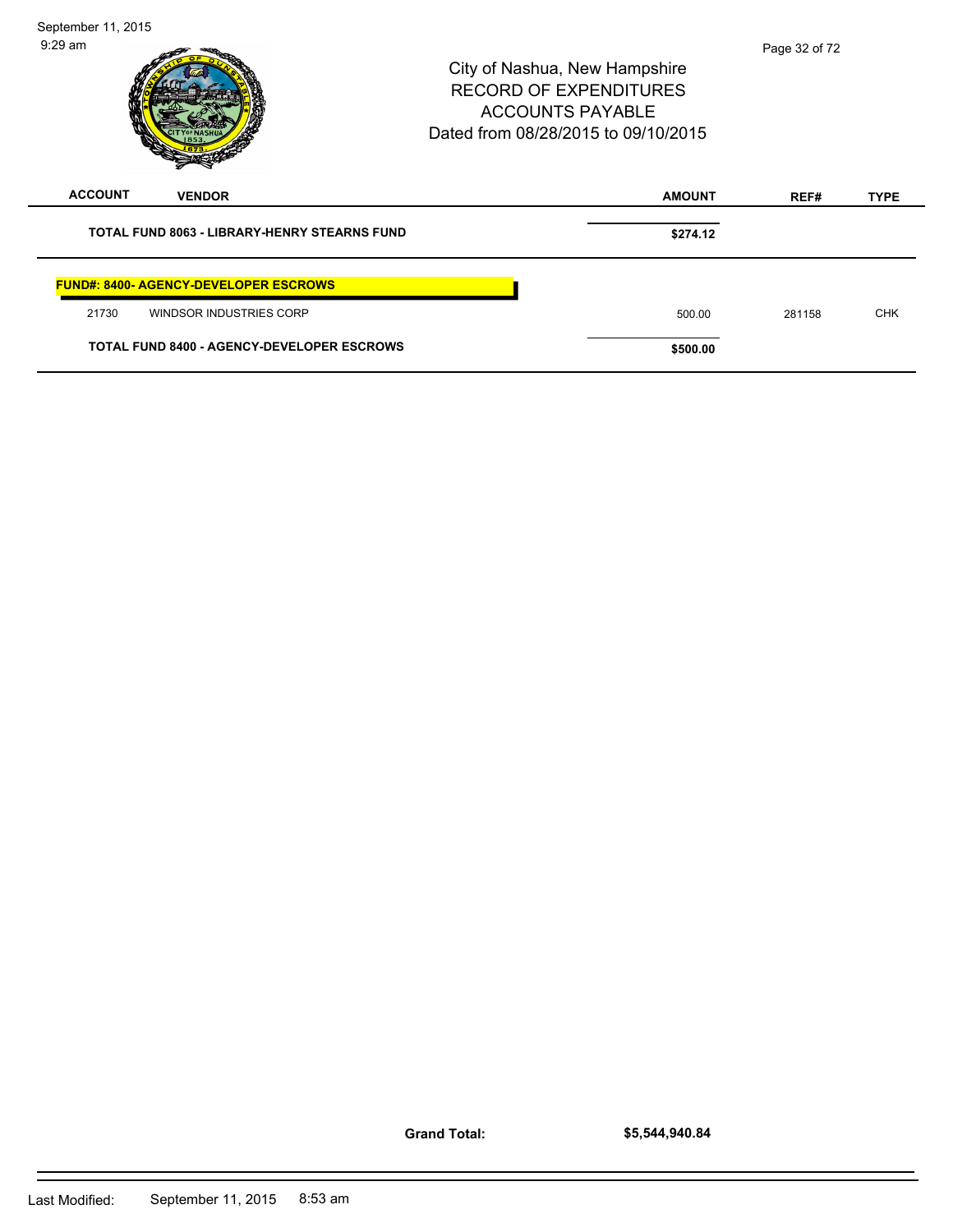| September 11, 2015<br>$9:29$ am                     | City of Nashua, New Hampshire<br><b>RECORD OF EXPENDITURES</b><br><b>ACCOUNTS PAYABLE</b><br>Dated from 08/28/2015 to 09/10/2015 | Page 32 of 72 |             |
|-----------------------------------------------------|----------------------------------------------------------------------------------------------------------------------------------|---------------|-------------|
| <b>ACCOUNT</b><br><b>VENDOR</b>                     | <b>AMOUNT</b>                                                                                                                    | REF#          | <b>TYPE</b> |
| <b>TOTAL FUND 8063 - LIBRARY-HENRY STEARNS FUND</b> | \$274.12                                                                                                                         |               |             |
| <b>FUND#: 8400- AGENCY-DEVELOPER ESCROWS</b>        |                                                                                                                                  |               |             |
| 21730<br>WINDSOR INDUSTRIES CORP                    | 500.00                                                                                                                           | 281158        | <b>CHK</b>  |
| <b>TOTAL FUND 8400 - AGENCY-DEVELOPER ESCROWS</b>   | \$500.00                                                                                                                         |               |             |

**Grand Total:**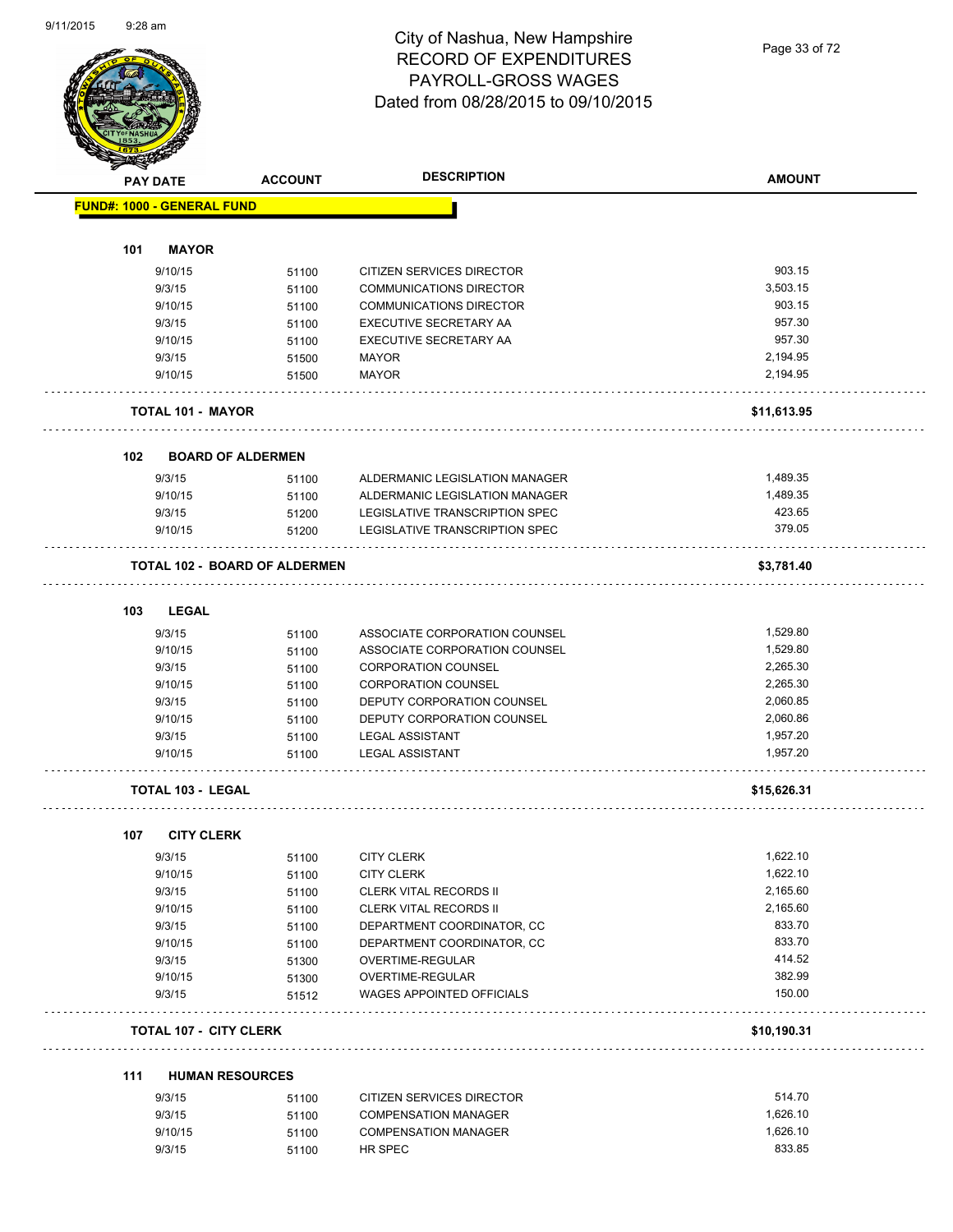#### City of Nashua, New Hampshire RECORD OF EXPENDITURES PAYROLL-GROSS WAGES Dated from 08/28/2015 to 09/10/2015

Page 33 of 72

| <b>Anthony</b> | <b>PAY DATE</b>                   | <b>ACCOUNT</b>                       | <b>DESCRIPTION</b>             | <b>AMOUNT</b> |
|----------------|-----------------------------------|--------------------------------------|--------------------------------|---------------|
|                |                                   |                                      |                                |               |
|                | <b>FUND#: 1000 - GENERAL FUND</b> |                                      |                                |               |
| 101            | <b>MAYOR</b>                      |                                      |                                |               |
|                | 9/10/15                           | 51100                                | CITIZEN SERVICES DIRECTOR      | 903.15        |
|                | 9/3/15                            | 51100                                | COMMUNICATIONS DIRECTOR        | 3,503.15      |
|                | 9/10/15                           |                                      | <b>COMMUNICATIONS DIRECTOR</b> | 903.15        |
|                | 9/3/15                            | 51100                                | EXECUTIVE SECRETARY AA         | 957.30        |
|                |                                   | 51100                                |                                | 957.30        |
|                | 9/10/15                           | 51100                                | <b>EXECUTIVE SECRETARY AA</b>  |               |
|                | 9/3/15                            | 51500                                | <b>MAYOR</b>                   | 2,194.95      |
|                | 9/10/15                           | 51500                                | <b>MAYOR</b>                   | 2,194.95      |
|                | <b>TOTAL 101 - MAYOR</b>          |                                      |                                | \$11,613.95   |
| 102            |                                   | <b>BOARD OF ALDERMEN</b>             |                                |               |
|                | 9/3/15                            | 51100                                | ALDERMANIC LEGISLATION MANAGER | 1,489.35      |
|                | 9/10/15                           | 51100                                | ALDERMANIC LEGISLATION MANAGER | 1,489.35      |
|                | 9/3/15                            | 51200                                | LEGISLATIVE TRANSCRIPTION SPEC | 423.65        |
|                | 9/10/15                           | 51200                                | LEGISLATIVE TRANSCRIPTION SPEC | 379.05        |
|                |                                   | <b>TOTAL 102 - BOARD OF ALDERMEN</b> |                                | \$3,781.40    |
|                |                                   |                                      |                                |               |
| 103            | <b>LEGAL</b>                      |                                      |                                |               |
|                | 9/3/15                            | 51100                                | ASSOCIATE CORPORATION COUNSEL  | 1,529.80      |
|                | 9/10/15                           | 51100                                | ASSOCIATE CORPORATION COUNSEL  | 1,529.80      |
|                | 9/3/15                            | 51100                                | <b>CORPORATION COUNSEL</b>     | 2,265.30      |
|                | 9/10/15                           | 51100                                | <b>CORPORATION COUNSEL</b>     | 2,265.30      |
|                | 9/3/15                            | 51100                                | DEPUTY CORPORATION COUNSEL     | 2,060.85      |
|                | 9/10/15                           | 51100                                | DEPUTY CORPORATION COUNSEL     | 2,060.86      |
|                | 9/3/15                            | 51100                                | <b>LEGAL ASSISTANT</b>         | 1,957.20      |
|                | 9/10/15                           | 51100                                | <b>LEGAL ASSISTANT</b>         | 1,957.20      |
|                | TOTAL 103 - LEGAL                 |                                      |                                | \$15,626.31   |
|                | <b>CITY CLERK</b>                 |                                      |                                |               |
| 107            |                                   |                                      |                                |               |
|                | 9/3/15                            | 51100                                | <b>CITY CLERK</b>              | 1,622.10      |
|                | 9/10/15                           | 51100                                | <b>CITY CLERK</b>              | 1,622.10      |
|                | 9/3/15                            | 51100                                | CLERK VITAL RECORDS II         | 2,165.60      |
|                | 9/10/15                           | 51100                                | <b>CLERK VITAL RECORDS II</b>  | 2,165.60      |
|                | 9/3/15                            | 51100                                | DEPARTMENT COORDINATOR, CC     | 833.70        |
|                | 9/10/15                           | 51100                                | DEPARTMENT COORDINATOR, CC     | 833.70        |
|                | 9/3/15                            | 51300                                | OVERTIME-REGULAR               | 414.52        |
|                | 9/10/15                           | 51300                                | OVERTIME-REGULAR               | 382.99        |
|                | 9/3/15                            | 51512                                | WAGES APPOINTED OFFICIALS      | 150.00        |
|                | <b>TOTAL 107 - CITY CLERK</b>     |                                      |                                | \$10,190.31   |
| 111            | <b>HUMAN RESOURCES</b>            |                                      |                                |               |
|                | 9/3/15                            |                                      | CITIZEN SERVICES DIRECTOR      | 514.70        |
|                |                                   | 51100                                |                                |               |
|                | 9/3/15                            | 51100                                | <b>COMPENSATION MANAGER</b>    | 1,626.10      |
|                | 9/10/15                           | 51100                                | <b>COMPENSATION MANAGER</b>    | 1,626.10      |
|                | 9/3/15                            | 51100                                | HR SPEC                        | 833.85        |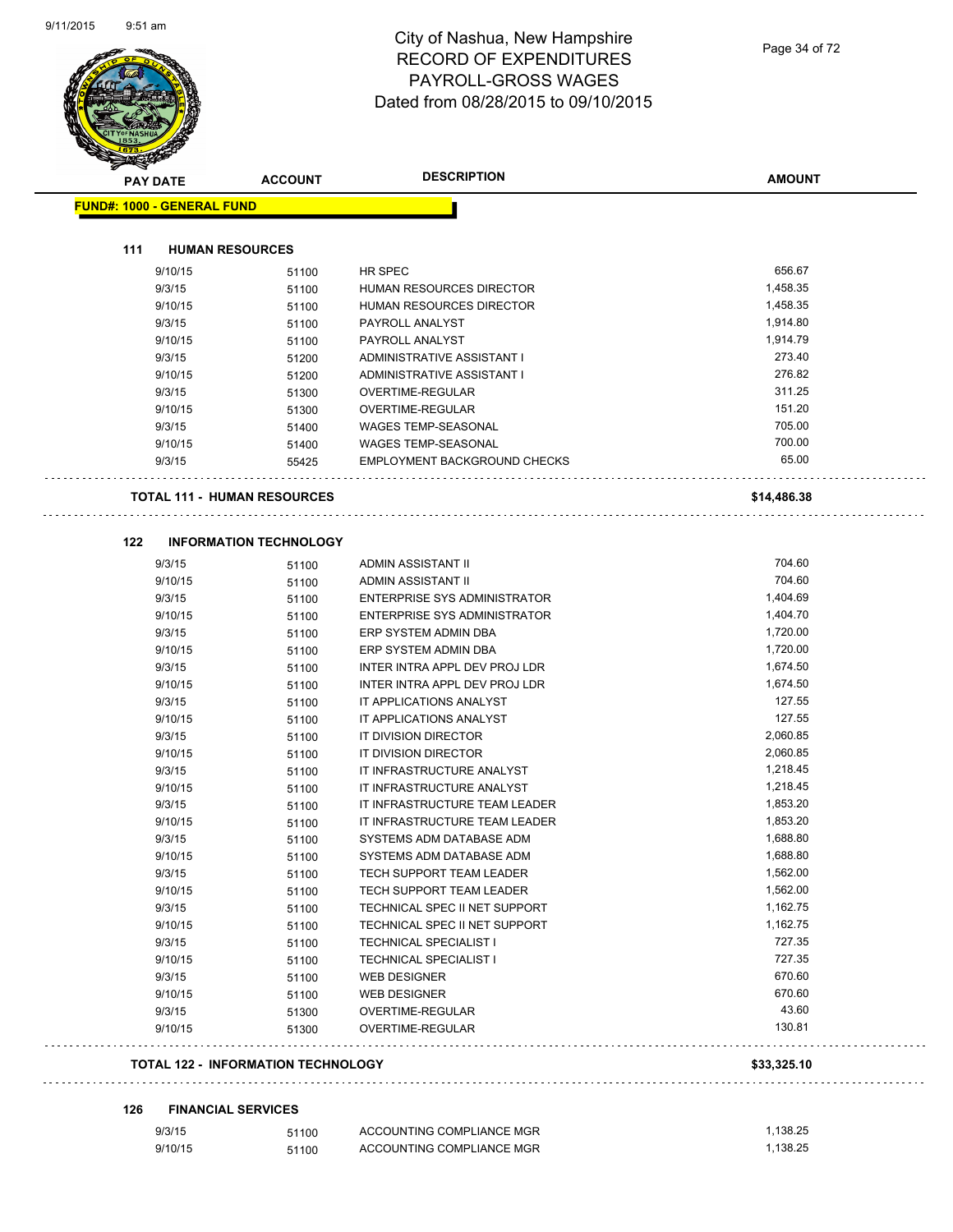#### City of Nashua, New Hampshire RECORD OF EXPENDITURES PAYROLL-GROSS WAGES Dated from 08/28/2015 to 09/10/2015

| <b>PAY DATE</b>                   | <b>ACCOUNT</b>                            | <b>DESCRIPTION</b>                                   | <b>AMOUNT</b>        |
|-----------------------------------|-------------------------------------------|------------------------------------------------------|----------------------|
| <b>FUND#: 1000 - GENERAL FUND</b> |                                           |                                                      |                      |
| 111                               | <b>HUMAN RESOURCES</b>                    |                                                      |                      |
| 9/10/15                           | 51100                                     | HR SPEC                                              | 656.67               |
| 9/3/15                            | 51100                                     | HUMAN RESOURCES DIRECTOR                             | 1,458.35             |
| 9/10/15                           | 51100                                     | HUMAN RESOURCES DIRECTOR                             | 1,458.35             |
| 9/3/15                            | 51100                                     | PAYROLL ANALYST                                      | 1,914.80             |
| 9/10/15                           | 51100                                     | PAYROLL ANALYST                                      | 1,914.79             |
| 9/3/15                            | 51200                                     | ADMINISTRATIVE ASSISTANT I                           | 273.40               |
| 9/10/15                           | 51200                                     | ADMINISTRATIVE ASSISTANT I                           | 276.82               |
| 9/3/15                            | 51300                                     | OVERTIME-REGULAR                                     | 311.25               |
| 9/10/15                           | 51300                                     | OVERTIME-REGULAR                                     | 151.20               |
| 9/3/15                            | 51400                                     | <b>WAGES TEMP-SEASONAL</b>                           | 705.00               |
| 9/10/15                           | 51400                                     | <b>WAGES TEMP-SEASONAL</b>                           | 700.00               |
| 9/3/15                            | 55425                                     | EMPLOYMENT BACKGROUND CHECKS                         | 65.00                |
|                                   | <b>TOTAL 111 - HUMAN RESOURCES</b>        |                                                      | \$14,486.38          |
| 122                               | <b>INFORMATION TECHNOLOGY</b>             |                                                      |                      |
| 9/3/15                            | 51100                                     | ADMIN ASSISTANT II                                   | 704.60               |
| 9/10/15                           | 51100                                     | ADMIN ASSISTANT II                                   | 704.60               |
| 9/3/15                            | 51100                                     | ENTERPRISE SYS ADMINISTRATOR                         | 1,404.69             |
| 9/10/15                           | 51100                                     | ENTERPRISE SYS ADMINISTRATOR                         | 1,404.70             |
| 9/3/15                            | 51100                                     | ERP SYSTEM ADMIN DBA                                 | 1,720.00             |
| 9/10/15                           | 51100                                     | ERP SYSTEM ADMIN DBA                                 | 1,720.00             |
| 9/3/15                            | 51100                                     | INTER INTRA APPL DEV PROJ LDR                        | 1,674.50             |
| 9/10/15                           | 51100                                     | INTER INTRA APPL DEV PROJ LDR                        | 1,674.50             |
| 9/3/15                            | 51100                                     | IT APPLICATIONS ANALYST                              | 127.55               |
| 9/10/15                           | 51100                                     | IT APPLICATIONS ANALYST                              | 127.55               |
| 9/3/15                            | 51100                                     | IT DIVISION DIRECTOR                                 | 2,060.85             |
| 9/10/15                           | 51100                                     | IT DIVISION DIRECTOR                                 | 2,060.85             |
| 9/3/15                            | 51100                                     | IT INFRASTRUCTURE ANALYST                            | 1,218.45             |
| 9/10/15                           | 51100                                     | IT INFRASTRUCTURE ANALYST                            | 1,218.45             |
| 9/3/15                            | 51100                                     | IT INFRASTRUCTURE TEAM LEADER                        | 1,853.20             |
| 9/10/15                           | 51100                                     | IT INFRASTRUCTURE TEAM LEADER                        | 1,853.20             |
| 9/3/15<br>9/10/15                 | 51100                                     | SYSTEMS ADM DATABASE ADM<br>SYSTEMS ADM DATABASE ADM | 1,688.80<br>1,688.80 |
| 9/3/15                            | 51100<br>51100                            | TECH SUPPORT TEAM LEADER                             | 1,562.00             |
| 9/10/15                           | 51100                                     | TECH SUPPORT TEAM LEADER                             | 1,562.00             |
| 9/3/15                            | 51100                                     | TECHNICAL SPEC II NET SUPPORT                        | 1,162.75             |
| 9/10/15                           | 51100                                     | TECHNICAL SPEC II NET SUPPORT                        | 1,162.75             |
| 9/3/15                            | 51100                                     | <b>TECHNICAL SPECIALIST I</b>                        | 727.35               |
| 9/10/15                           | 51100                                     | TECHNICAL SPECIALIST I                               | 727.35               |
| 9/3/15                            | 51100                                     | WEB DESIGNER                                         | 670.60               |
| 9/10/15                           | 51100                                     | WEB DESIGNER                                         | 670.60               |
| 9/3/15                            | 51300                                     | OVERTIME-REGULAR                                     | 43.60                |
| 9/10/15                           | 51300                                     | OVERTIME-REGULAR                                     | 130.81               |
|                                   | <b>TOTAL 122 - INFORMATION TECHNOLOGY</b> |                                                      | \$33,325.10          |
|                                   |                                           |                                                      |                      |
| 126                               | <b>FINANCIAL SERVICES</b>                 |                                                      |                      |
| 9/3/15                            | 51100                                     | ACCOUNTING COMPLIANCE MGR                            | 1,138.25             |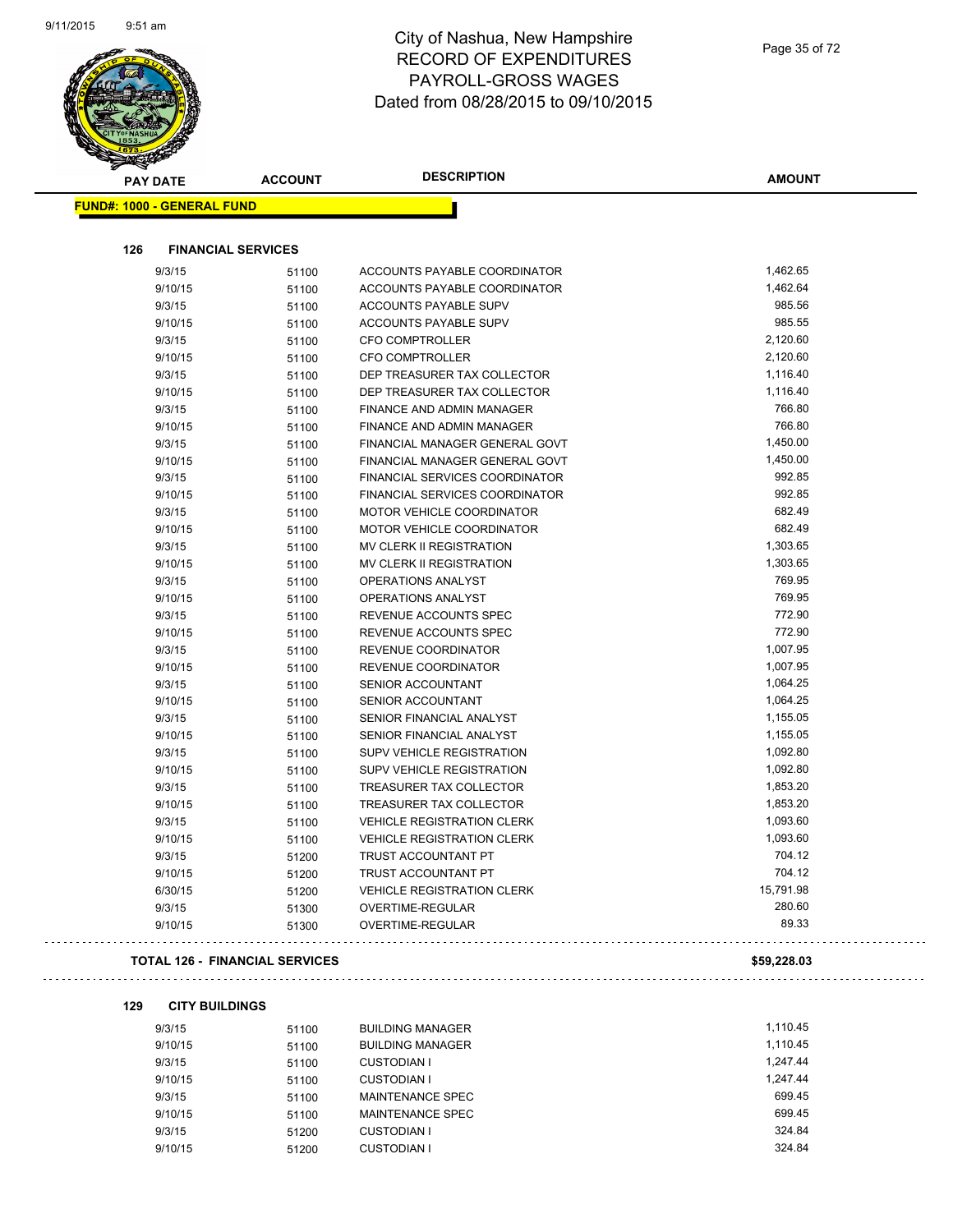#### City of Nashua, New Hampshire RECORD OF EXPENDITURES PAYROLL-GROSS WAGES Dated from 08/28/2015 to 09/10/2015

| <b>PAY DATE</b>                       | <b>ACCOUNT</b>            | <b>DESCRIPTION</b>                | <b>AMOUNT</b> |
|---------------------------------------|---------------------------|-----------------------------------|---------------|
| <b>FUND#: 1000 - GENERAL FUND</b>     |                           |                                   |               |
| 126                                   | <b>FINANCIAL SERVICES</b> |                                   |               |
| 9/3/15                                | 51100                     | ACCOUNTS PAYABLE COORDINATOR      | 1,462.65      |
| 9/10/15                               | 51100                     | ACCOUNTS PAYABLE COORDINATOR      | 1,462.64      |
| 9/3/15                                | 51100                     | ACCOUNTS PAYABLE SUPV             | 985.56        |
| 9/10/15                               | 51100                     | ACCOUNTS PAYABLE SUPV             | 985.55        |
| 9/3/15                                | 51100                     | <b>CFO COMPTROLLER</b>            | 2,120.60      |
| 9/10/15                               | 51100                     | <b>CFO COMPTROLLER</b>            | 2,120.60      |
| 9/3/15                                | 51100                     | DEP TREASURER TAX COLLECTOR       | 1,116.40      |
| 9/10/15                               | 51100                     | DEP TREASURER TAX COLLECTOR       | 1,116.40      |
| 9/3/15                                | 51100                     | <b>FINANCE AND ADMIN MANAGER</b>  | 766.80        |
| 9/10/15                               | 51100                     | FINANCE AND ADMIN MANAGER         | 766.80        |
| 9/3/15                                | 51100                     | FINANCIAL MANAGER GENERAL GOVT    | 1,450.00      |
| 9/10/15                               | 51100                     | FINANCIAL MANAGER GENERAL GOVT    | 1,450.00      |
| 9/3/15                                | 51100                     | FINANCIAL SERVICES COORDINATOR    | 992.85        |
| 9/10/15                               | 51100                     | FINANCIAL SERVICES COORDINATOR    | 992.85        |
| 9/3/15                                | 51100                     | MOTOR VEHICLE COORDINATOR         | 682.49        |
| 9/10/15                               | 51100                     | <b>MOTOR VEHICLE COORDINATOR</b>  | 682.49        |
| 9/3/15                                | 51100                     | MV CLERK II REGISTRATION          | 1,303.65      |
| 9/10/15                               | 51100                     | MV CLERK II REGISTRATION          | 1,303.65      |
| 9/3/15                                | 51100                     | OPERATIONS ANALYST                | 769.95        |
| 9/10/15                               | 51100                     | OPERATIONS ANALYST                | 769.95        |
| 9/3/15                                | 51100                     | REVENUE ACCOUNTS SPEC             | 772.90        |
| 9/10/15                               | 51100                     | REVENUE ACCOUNTS SPEC             | 772.90        |
| 9/3/15                                | 51100                     | REVENUE COORDINATOR               | 1,007.95      |
| 9/10/15                               | 51100                     | REVENUE COORDINATOR               | 1,007.95      |
| 9/3/15                                | 51100                     | <b>SENIOR ACCOUNTANT</b>          | 1,064.25      |
| 9/10/15                               | 51100                     | <b>SENIOR ACCOUNTANT</b>          | 1,064.25      |
| 9/3/15                                | 51100                     | SENIOR FINANCIAL ANALYST          | 1,155.05      |
| 9/10/15                               | 51100                     | SENIOR FINANCIAL ANALYST          | 1,155.05      |
| 9/3/15                                | 51100                     | SUPV VEHICLE REGISTRATION         | 1,092.80      |
| 9/10/15                               | 51100                     | <b>SUPV VEHICLE REGISTRATION</b>  | 1,092.80      |
| 9/3/15                                | 51100                     | TREASURER TAX COLLECTOR           | 1,853.20      |
| 9/10/15                               | 51100                     | TREASURER TAX COLLECTOR           | 1,853.20      |
| 9/3/15                                | 51100                     | <b>VEHICLE REGISTRATION CLERK</b> | 1,093.60      |
| 9/10/15                               | 51100                     | <b>VEHICLE REGISTRATION CLERK</b> | 1,093.60      |
| 9/3/15                                | 51200                     | TRUST ACCOUNTANT PT               | 704.12        |
| 9/10/15                               | 51200                     | TRUST ACCOUNTANT PT               | 704.12        |
| 6/30/15                               | 51200                     | <b>VEHICLE REGISTRATION CLERK</b> | 15,791.98     |
| 9/3/15                                | 51300                     | OVERTIME-REGULAR                  | 280.60        |
| 9/10/15                               | 51300                     | OVERTIME-REGULAR                  | 89.33         |
| <b>TOTAL 126 - FINANCIAL SERVICES</b> |                           |                                   |               |

#### **129 CITY BUILDINGS**

| 9/3/15  | 51100 | <b>BUILDING MANAGER</b> | 1.110.45 |
|---------|-------|-------------------------|----------|
| 9/10/15 | 51100 | <b>BUILDING MANAGER</b> | 1.110.45 |
| 9/3/15  | 51100 | <b>CUSTODIAN I</b>      | 1.247.44 |
| 9/10/15 | 51100 | <b>CUSTODIAN I</b>      | 1.247.44 |
| 9/3/15  | 51100 | MAINTENANCE SPEC        | 699.45   |
| 9/10/15 | 51100 | MAINTENANCE SPEC        | 699.45   |
| 9/3/15  | 51200 | <b>CUSTODIAN I</b>      | 324.84   |
| 9/10/15 | 51200 | <b>CUSTODIAN I</b>      | 324.84   |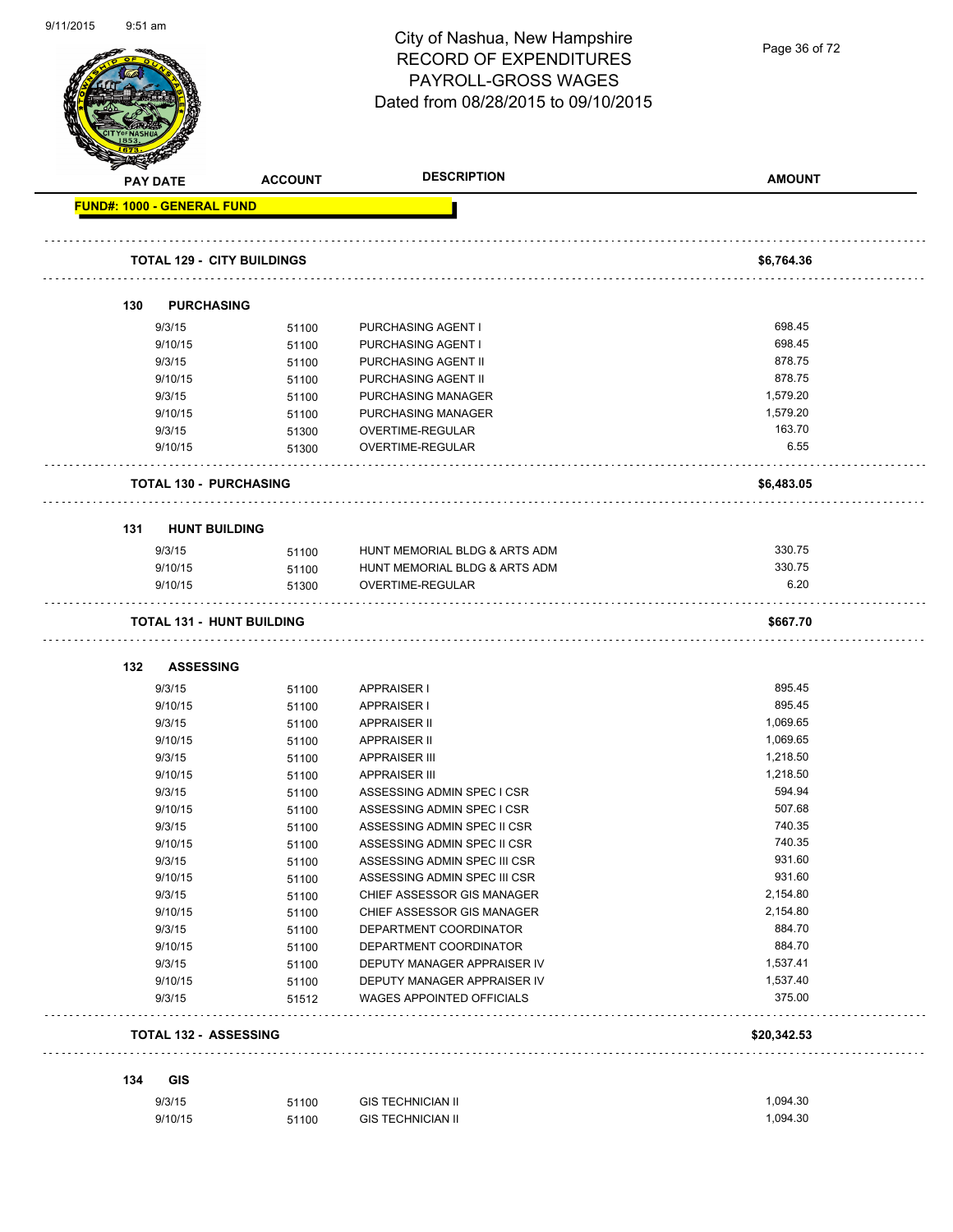#### City of Nashua, New Hampshire RECORD OF EXPENDITURES PAYROLL-GROSS WAGES Dated from 08/28/2015 to 09/10/2015

Page 36 of 72

| <b>PAY DATE</b> |                                   | <b>ACCOUNT</b> | <b>DESCRIPTION</b>                                       | <b>AMOUNT</b>      |
|-----------------|-----------------------------------|----------------|----------------------------------------------------------|--------------------|
|                 | <b>FUND#: 1000 - GENERAL FUND</b> |                |                                                          |                    |
|                 | <b>TOTAL 129 - CITY BUILDINGS</b> |                |                                                          | \$6,764.36         |
| 130             | <b>PURCHASING</b>                 |                |                                                          |                    |
|                 |                                   |                |                                                          |                    |
|                 | 9/3/15                            | 51100          | <b>PURCHASING AGENT I</b>                                | 698.45<br>698.45   |
|                 | 9/10/15<br>9/3/15                 | 51100          | PURCHASING AGENT I<br>PURCHASING AGENT II                | 878.75             |
|                 | 9/10/15                           | 51100<br>51100 | PURCHASING AGENT II                                      | 878.75             |
|                 | 9/3/15                            | 51100          | PURCHASING MANAGER                                       | 1,579.20           |
|                 | 9/10/15                           | 51100          | PURCHASING MANAGER                                       | 1,579.20           |
|                 | 9/3/15                            | 51300          | OVERTIME-REGULAR                                         | 163.70             |
|                 | 9/10/15                           | 51300          | OVERTIME-REGULAR                                         | 6.55               |
|                 | <b>TOTAL 130 - PURCHASING</b>     |                |                                                          | \$6,483.05         |
| 131             | <b>HUNT BUILDING</b>              |                |                                                          |                    |
|                 | 9/3/15                            | 51100          | HUNT MEMORIAL BLDG & ARTS ADM                            | 330.75             |
|                 | 9/10/15                           | 51100          | HUNT MEMORIAL BLDG & ARTS ADM                            | 330.75             |
|                 | 9/10/15                           | 51300          | OVERTIME-REGULAR                                         | 6.20               |
|                 | <b>TOTAL 131 - HUNT BUILDING</b>  |                |                                                          | \$667.70           |
|                 |                                   |                |                                                          |                    |
| 132             | <b>ASSESSING</b>                  |                |                                                          |                    |
|                 | 9/3/15                            | 51100          | <b>APPRAISER I</b>                                       | 895.45             |
|                 | 9/10/15                           | 51100          | <b>APPRAISER I</b>                                       | 895.45             |
|                 | 9/3/15                            | 51100          | <b>APPRAISER II</b>                                      | 1,069.65           |
|                 | 9/10/15                           | 51100          | <b>APPRAISER II</b>                                      | 1,069.65           |
|                 | 9/3/15                            | 51100          | <b>APPRAISER III</b>                                     | 1,218.50           |
|                 | 9/10/15                           | 51100          | <b>APPRAISER III</b>                                     | 1,218.50<br>594.94 |
|                 | 9/3/15<br>9/10/15                 | 51100          | ASSESSING ADMIN SPEC I CSR<br>ASSESSING ADMIN SPEC I CSR | 507.68             |
|                 | 9/3/15                            | 51100<br>51100 | ASSESSING ADMIN SPEC II CSR                              | 740.35             |
|                 | 9/10/15                           | 51100          | ASSESSING ADMIN SPEC II CSR                              | 740.35             |
|                 | 9/3/15                            | 51100          | ASSESSING ADMIN SPEC III CSR                             | 931.60             |
|                 | 9/10/15                           | 51100          | ASSESSING ADMIN SPEC III CSR                             | 931.60             |
|                 | 9/3/15                            | 51100          | CHIEF ASSESSOR GIS MANAGER                               | 2,154.80           |
|                 | 9/10/15                           | 51100          | CHIEF ASSESSOR GIS MANAGER                               | 2,154.80           |
|                 | 9/3/15                            | 51100          | DEPARTMENT COORDINATOR                                   | 884.70             |
|                 | 9/10/15                           | 51100          | DEPARTMENT COORDINATOR                                   | 884.70             |
|                 |                                   | 51100          | DEPUTY MANAGER APPRAISER IV                              | 1,537.41           |
|                 |                                   |                | DEPUTY MANAGER APPRAISER IV                              | 1,537.40           |
| 9/3/15          |                                   |                |                                                          |                    |
|                 | 9/10/15<br>9/3/15                 | 51100<br>51512 | WAGES APPOINTED OFFICIALS                                | 375.00             |
|                 | <b>TOTAL 132 - ASSESSING</b>      |                |                                                          | \$20,342.53        |
|                 |                                   |                |                                                          |                    |
| 134             | GIS<br>9/3/15                     | 51100          | <b>GIS TECHNICIAN II</b>                                 | 1,094.30           |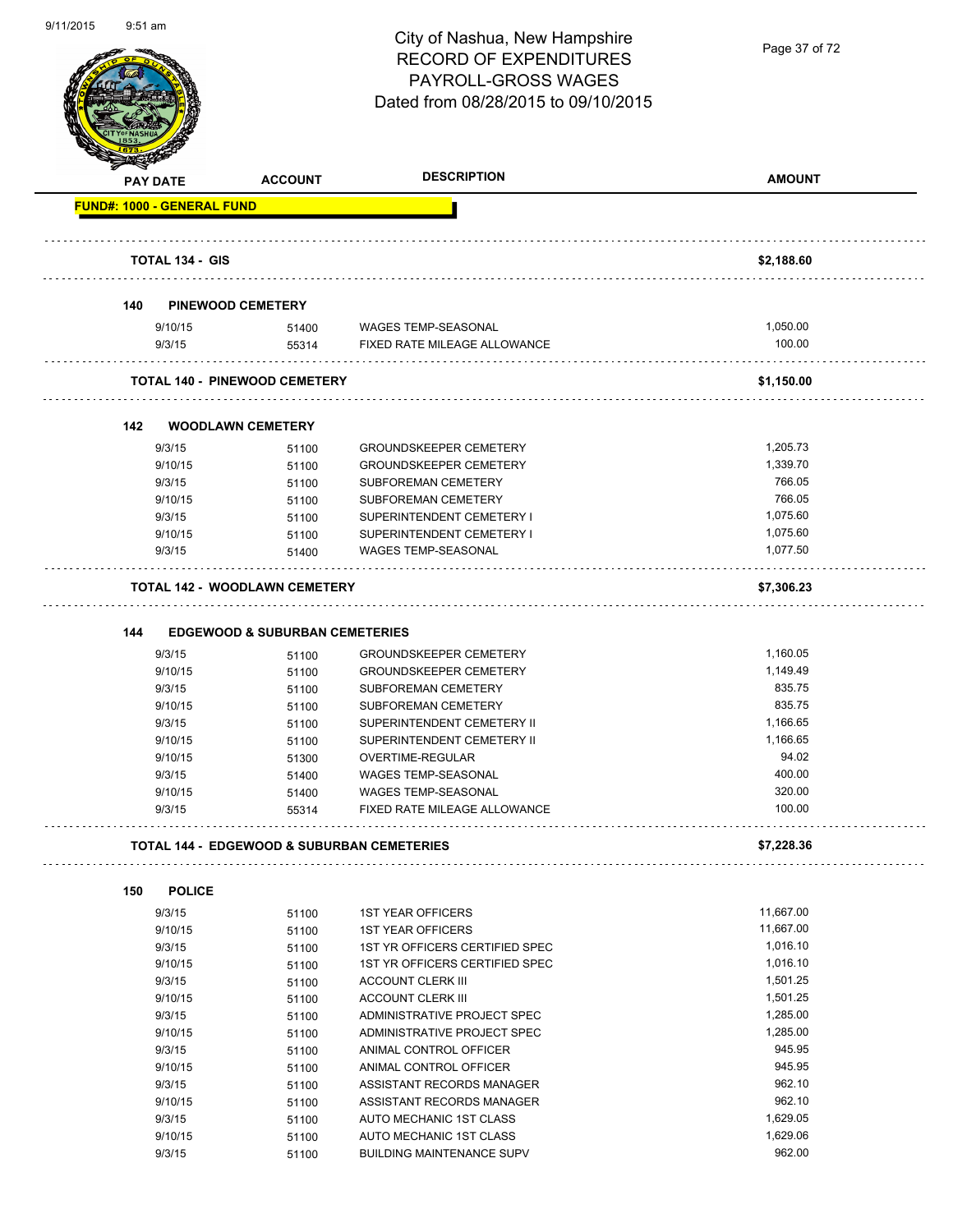Page 37 of 72

|                                   | <b>PAY DATE</b>        | <b>ACCOUNT</b>                                        | <b>DESCRIPTION</b>                                          | <b>AMOUNT</b>        |
|-----------------------------------|------------------------|-------------------------------------------------------|-------------------------------------------------------------|----------------------|
| <b>FUND#: 1000 - GENERAL FUND</b> |                        |                                                       |                                                             |                      |
|                                   | <b>TOTAL 134 - GIS</b> |                                                       |                                                             | \$2,188.60           |
|                                   |                        |                                                       |                                                             |                      |
| 140                               |                        | PINEWOOD CEMETERY                                     |                                                             |                      |
|                                   | 9/10/15                | 51400                                                 | WAGES TEMP-SEASONAL                                         | 1,050.00             |
|                                   | 9/3/15                 | 55314                                                 | FIXED RATE MILEAGE ALLOWANCE                                | 100.00               |
|                                   |                        | <b>TOTAL 140 - PINEWOOD CEMETERY</b>                  |                                                             | \$1,150.00           |
| 142                               |                        | <b>WOODLAWN CEMETERY</b>                              |                                                             |                      |
|                                   | 9/3/15                 | 51100                                                 | <b>GROUNDSKEEPER CEMETERY</b>                               | 1.205.73             |
|                                   | 9/10/15                | 51100                                                 | <b>GROUNDSKEEPER CEMETERY</b>                               | 1,339.70             |
|                                   | 9/3/15                 | 51100                                                 | SUBFOREMAN CEMETERY                                         | 766.05               |
|                                   | 9/10/15                | 51100                                                 | <b>SUBFOREMAN CEMETERY</b>                                  | 766.05               |
|                                   | 9/3/15                 | 51100                                                 | SUPERINTENDENT CEMETERY I                                   | 1,075.60             |
|                                   | 9/10/15                | 51100                                                 | SUPERINTENDENT CEMETERY I                                   | 1.075.60             |
|                                   | 9/3/15                 | 51400                                                 | <b>WAGES TEMP-SEASONAL</b>                                  | 1.077.50             |
|                                   |                        | <b>TOTAL 142 - WOODLAWN CEMETERY</b>                  |                                                             | \$7,306.23           |
|                                   |                        |                                                       |                                                             |                      |
| 144                               |                        | <b>EDGEWOOD &amp; SUBURBAN CEMETERIES</b>             |                                                             |                      |
|                                   | 9/3/15                 | 51100                                                 | <b>GROUNDSKEEPER CEMETERY</b>                               | 1,160.05<br>1,149.49 |
|                                   | 9/10/15<br>9/3/15      | 51100                                                 | <b>GROUNDSKEEPER CEMETERY</b><br><b>SUBFOREMAN CEMETERY</b> | 835.75               |
|                                   | 9/10/15                | 51100                                                 | SUBFOREMAN CEMETERY                                         | 835.75               |
|                                   | 9/3/15                 | 51100<br>51100                                        | SUPERINTENDENT CEMETERY II                                  | 1,166.65             |
|                                   | 9/10/15                | 51100                                                 | SUPERINTENDENT CEMETERY II                                  | 1,166.65             |
|                                   | 9/10/15                | 51300                                                 | OVERTIME-REGULAR                                            | 94.02                |
|                                   | 9/3/15                 | 51400                                                 | <b>WAGES TEMP-SEASONAL</b>                                  | 400.00               |
|                                   | 9/10/15                | 51400                                                 | <b>WAGES TEMP-SEASONAL</b>                                  | 320.00               |
|                                   | 9/3/15                 | 55314                                                 | FIXED RATE MILEAGE ALLOWANCE                                | 100.00               |
|                                   |                        |                                                       |                                                             |                      |
|                                   |                        | <b>TOTAL 144 - EDGEWOOD &amp; SUBURBAN CEMETERIES</b> |                                                             | \$7,228.36           |
| 150                               | <b>POLICE</b>          |                                                       |                                                             |                      |
|                                   | 9/3/15                 | 51100                                                 | <b>1ST YEAR OFFICERS</b>                                    | 11,667.00            |
|                                   | 9/10/15                | 51100                                                 | <b>1ST YEAR OFFICERS</b>                                    | 11,667.00            |
|                                   | 9/3/15                 | 51100                                                 | 1ST YR OFFICERS CERTIFIED SPEC                              | 1,016.10             |
|                                   | 9/10/15                | 51100                                                 | 1ST YR OFFICERS CERTIFIED SPEC                              | 1,016.10             |
|                                   | 9/3/15                 | 51100                                                 | <b>ACCOUNT CLERK III</b>                                    | 1,501.25             |
|                                   | 9/10/15                | 51100                                                 | <b>ACCOUNT CLERK III</b>                                    | 1,501.25             |
|                                   | 9/3/15                 | 51100                                                 | ADMINISTRATIVE PROJECT SPEC                                 | 1,285.00             |
|                                   | 9/10/15                | 51100                                                 | ADMINISTRATIVE PROJECT SPEC                                 | 1,285.00             |
|                                   | 9/3/15                 | 51100                                                 | ANIMAL CONTROL OFFICER                                      | 945.95               |
|                                   | 9/10/15                | 51100                                                 | ANIMAL CONTROL OFFICER                                      | 945.95               |
|                                   | 9/3/15                 | 51100                                                 | ASSISTANT RECORDS MANAGER                                   | 962.10               |
|                                   | 9/10/15                | 51100                                                 | ASSISTANT RECORDS MANAGER                                   | 962.10               |
|                                   | 9/3/15                 | 51100                                                 | AUTO MECHANIC 1ST CLASS                                     | 1,629.05             |
|                                   | 9/10/15                | 51100                                                 | AUTO MECHANIC 1ST CLASS                                     | 1,629.06             |
|                                   | 9/3/15                 | 51100                                                 | <b>BUILDING MAINTENANCE SUPV</b>                            | 962.00               |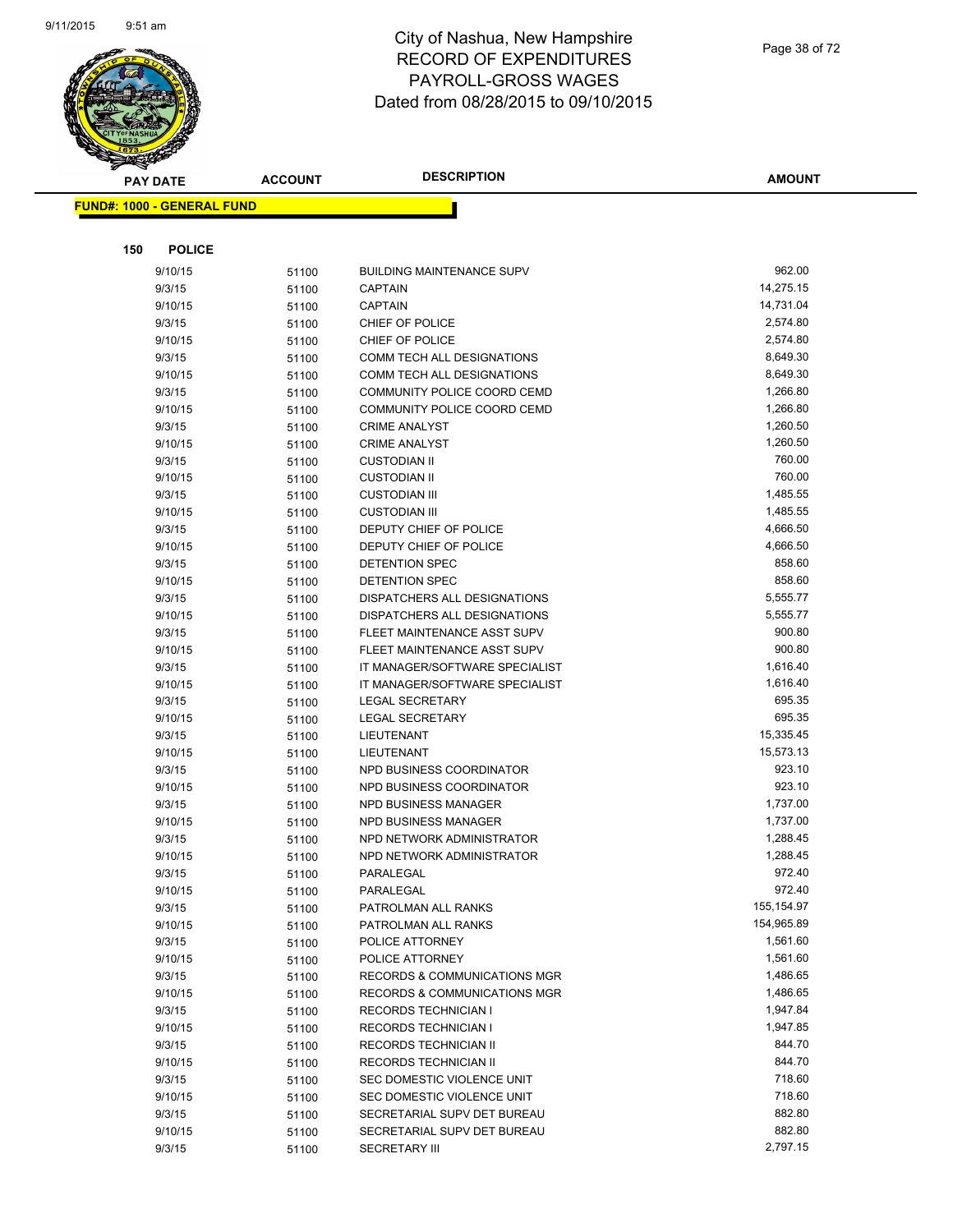

| <b>PAY DATE</b>                   | <b>ACCOUNT</b> | <b>DESCRIPTION</b>                      | <b>AMOUNT</b>        |
|-----------------------------------|----------------|-----------------------------------------|----------------------|
| <b>FUND#: 1000 - GENERAL FUND</b> |                |                                         |                      |
|                                   |                |                                         |                      |
|                                   |                |                                         |                      |
| 150<br><b>POLICE</b>              |                |                                         |                      |
| 9/10/15                           | 51100          | <b>BUILDING MAINTENANCE SUPV</b>        | 962.00               |
| 9/3/15                            | 51100          | <b>CAPTAIN</b>                          | 14,275.15            |
| 9/10/15                           | 51100          | <b>CAPTAIN</b>                          | 14,731.04            |
| 9/3/15                            | 51100          | CHIEF OF POLICE                         | 2,574.80             |
| 9/10/15                           | 51100          | CHIEF OF POLICE                         | 2,574.80             |
| 9/3/15                            | 51100          | <b>COMM TECH ALL DESIGNATIONS</b>       | 8,649.30             |
| 9/10/15                           | 51100          | <b>COMM TECH ALL DESIGNATIONS</b>       | 8,649.30             |
| 9/3/15                            | 51100          | COMMUNITY POLICE COORD CEMD             | 1,266.80             |
| 9/10/15                           | 51100          | COMMUNITY POLICE COORD CEMD             | 1,266.80             |
| 9/3/15                            | 51100          | <b>CRIME ANALYST</b>                    | 1,260.50             |
| 9/10/15                           | 51100          | <b>CRIME ANALYST</b>                    | 1,260.50             |
| 9/3/15                            | 51100          | <b>CUSTODIAN II</b>                     | 760.00               |
| 9/10/15                           | 51100          | <b>CUSTODIAN II</b>                     | 760.00               |
| 9/3/15                            | 51100          | <b>CUSTODIAN III</b>                    | 1,485.55             |
| 9/10/15                           | 51100          | <b>CUSTODIAN III</b>                    | 1,485.55             |
| 9/3/15                            | 51100          | DEPUTY CHIEF OF POLICE                  | 4,666.50             |
| 9/10/15                           | 51100          | DEPUTY CHIEF OF POLICE                  | 4,666.50             |
| 9/3/15                            | 51100          | DETENTION SPEC                          | 858.60               |
| 9/10/15                           | 51100          | <b>DETENTION SPEC</b>                   | 858.60               |
| 9/3/15                            | 51100          | DISPATCHERS ALL DESIGNATIONS            | 5,555.77             |
| 9/10/15                           | 51100          | DISPATCHERS ALL DESIGNATIONS            | 5,555.77             |
| 9/3/15                            | 51100          | FLEET MAINTENANCE ASST SUPV             | 900.80               |
| 9/10/15                           | 51100          | FLEET MAINTENANCE ASST SUPV             | 900.80               |
| 9/3/15                            | 51100          | IT MANAGER/SOFTWARE SPECIALIST          | 1,616.40             |
| 9/10/15                           | 51100          | IT MANAGER/SOFTWARE SPECIALIST          | 1,616.40             |
| 9/3/15                            | 51100          | <b>LEGAL SECRETARY</b>                  | 695.35               |
| 9/10/15                           | 51100          | <b>LEGAL SECRETARY</b>                  | 695.35               |
| 9/3/15                            | 51100          | LIEUTENANT                              | 15,335.45            |
| 9/10/15                           | 51100          | LIEUTENANT                              | 15,573.13            |
| 9/3/15                            | 51100          | NPD BUSINESS COORDINATOR                | 923.10               |
| 9/10/15                           | 51100          | NPD BUSINESS COORDINATOR                | 923.10               |
| 9/3/15                            | 51100          | NPD BUSINESS MANAGER                    | 1,737.00             |
| 9/10/15                           | 51100          | NPD BUSINESS MANAGER                    | 1,737.00             |
| 9/3/15                            | 51100          | NPD NETWORK ADMINISTRATOR               | 1,288.45             |
| 9/10/15                           | 51100          | NPD NETWORK ADMINISTRATOR               | 1,288.45             |
| 9/3/15                            | 51100          | PARALEGAL                               | 972.40               |
| 9/10/15                           | 51100          | PARALEGAL                               | 972.40<br>155,154.97 |
| 9/3/15                            | 51100          | PATROLMAN ALL RANKS                     | 154,965.89           |
| 9/10/15                           | 51100          | PATROLMAN ALL RANKS                     | 1,561.60             |
| 9/3/15<br>9/10/15                 | 51100          | POLICE ATTORNEY<br>POLICE ATTORNEY      | 1,561.60             |
|                                   | 51100          | <b>RECORDS &amp; COMMUNICATIONS MGR</b> | 1,486.65             |
| 9/3/15<br>9/10/15                 | 51100          | RECORDS & COMMUNICATIONS MGR            | 1,486.65             |
| 9/3/15                            | 51100          | <b>RECORDS TECHNICIAN I</b>             | 1,947.84             |
| 9/10/15                           | 51100          | <b>RECORDS TECHNICIAN I</b>             | 1,947.85             |
| 9/3/15                            | 51100<br>51100 | RECORDS TECHNICIAN II                   | 844.70               |
| 9/10/15                           |                | <b>RECORDS TECHNICIAN II</b>            | 844.70               |
| 9/3/15                            | 51100<br>51100 | SEC DOMESTIC VIOLENCE UNIT              | 718.60               |
| 9/10/15                           | 51100          | SEC DOMESTIC VIOLENCE UNIT              | 718.60               |
| 9/3/15                            | 51100          | SECRETARIAL SUPV DET BUREAU             | 882.80               |
| 9/10/15                           | 51100          | SECRETARIAL SUPV DET BUREAU             | 882.80               |
| 9/3/15                            | 51100          | <b>SECRETARY III</b>                    | 2,797.15             |
|                                   |                |                                         |                      |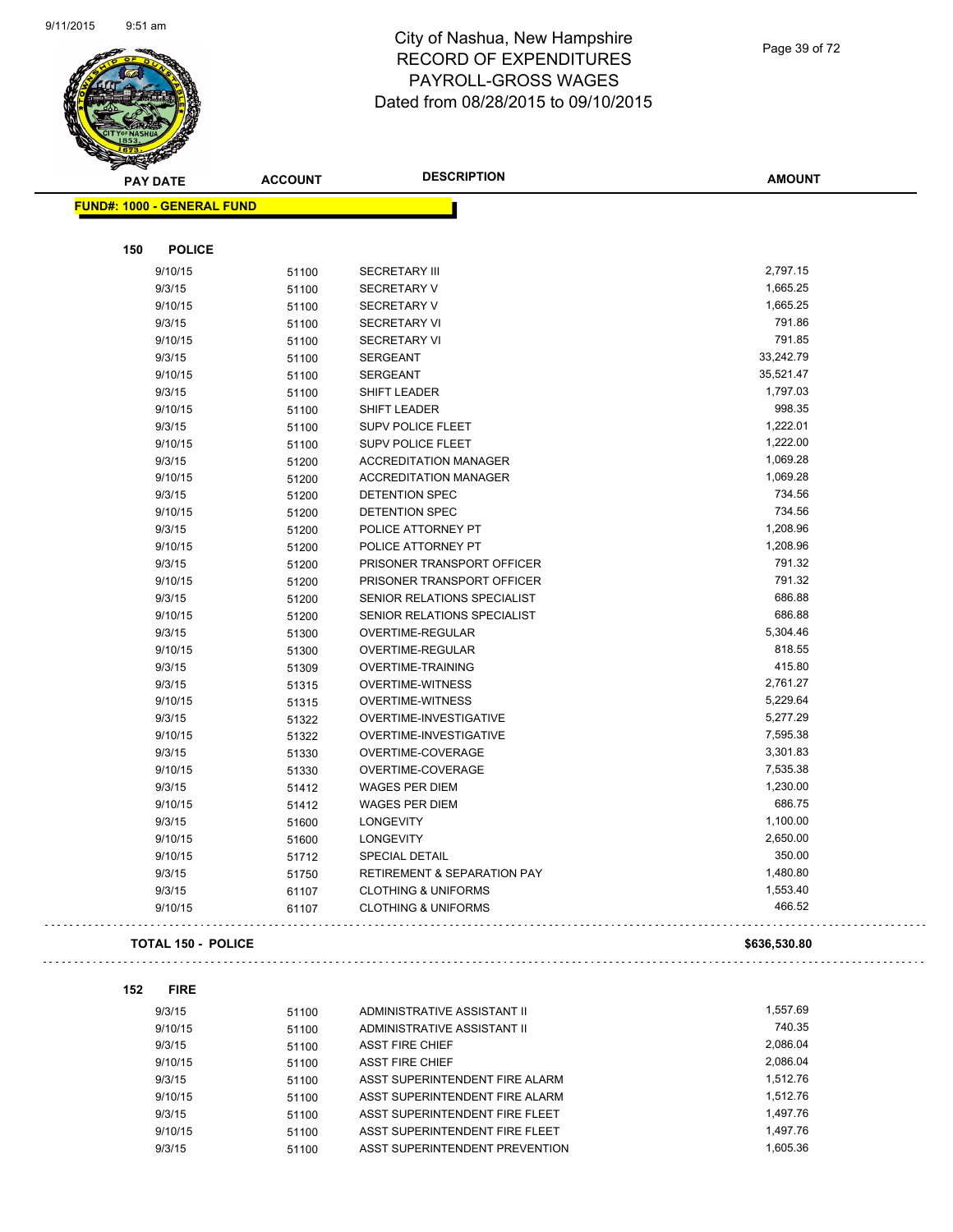

| <b>PAY DATE</b>                   | <b>ACCOUNT</b> | <b>DESCRIPTION</b>             | <b>AMOUNT</b>      |
|-----------------------------------|----------------|--------------------------------|--------------------|
| <b>FUND#: 1000 - GENERAL FUND</b> |                |                                |                    |
|                                   |                |                                |                    |
| 150<br><b>POLICE</b>              |                |                                |                    |
| 9/10/15                           | 51100          | <b>SECRETARY III</b>           | 2,797.15           |
| 9/3/15                            | 51100          | <b>SECRETARY V</b>             | 1,665.25           |
| 9/10/15                           | 51100          | <b>SECRETARY V</b>             | 1,665.25           |
| 9/3/15                            | 51100          | <b>SECRETARY VI</b>            | 791.86             |
| 9/10/15                           | 51100          | <b>SECRETARY VI</b>            | 791.85             |
| 9/3/15                            | 51100          | <b>SERGEANT</b>                | 33,242.79          |
| 9/10/15                           | 51100          | <b>SERGEANT</b>                | 35,521.47          |
| 9/3/15                            | 51100          | SHIFT LEADER                   | 1,797.03           |
| 9/10/15                           | 51100          | SHIFT LEADER                   | 998.35             |
| 9/3/15                            | 51100          | <b>SUPV POLICE FLEET</b>       | 1,222.01           |
| 9/10/15                           | 51100          | SUPV POLICE FLEET              | 1,222.00           |
| 9/3/15                            | 51200          | <b>ACCREDITATION MANAGER</b>   | 1,069.28           |
| 9/10/15                           | 51200          | <b>ACCREDITATION MANAGER</b>   | 1,069.28           |
| 9/3/15                            | 51200          | <b>DETENTION SPEC</b>          | 734.56             |
| 9/10/15                           | 51200          | <b>DETENTION SPEC</b>          | 734.56             |
| 9/3/15                            | 51200          | POLICE ATTORNEY PT             | 1,208.96           |
| 9/10/15                           | 51200          | POLICE ATTORNEY PT             | 1,208.96           |
| 9/3/15                            | 51200          | PRISONER TRANSPORT OFFICER     | 791.32             |
| 9/10/15                           | 51200          | PRISONER TRANSPORT OFFICER     | 791.32             |
| 9/3/15                            | 51200          | SENIOR RELATIONS SPECIALIST    | 686.88             |
| 9/10/15                           | 51200          | SENIOR RELATIONS SPECIALIST    | 686.88             |
| 9/3/15                            | 51300          | OVERTIME-REGULAR               | 5,304.46           |
| 9/10/15                           | 51300          | OVERTIME-REGULAR               | 818.55             |
| 9/3/15                            | 51309          | <b>OVERTIME-TRAINING</b>       | 415.80             |
| 9/3/15                            | 51315          | <b>OVERTIME-WITNESS</b>        | 2,761.27           |
| 9/10/15                           | 51315          | <b>OVERTIME-WITNESS</b>        | 5,229.64           |
| 9/3/15                            | 51322          | OVERTIME-INVESTIGATIVE         | 5,277.29           |
| 9/10/15                           | 51322          | OVERTIME-INVESTIGATIVE         | 7,595.38           |
| 9/3/15                            | 51330          | OVERTIME-COVERAGE              | 3,301.83           |
| 9/10/15                           | 51330          | OVERTIME-COVERAGE              | 7,535.38           |
| 9/3/15                            |                | <b>WAGES PER DIEM</b>          | 1,230.00           |
| 9/10/15                           | 51412          | <b>WAGES PER DIEM</b>          | 686.75             |
| 9/3/15                            | 51412          | <b>LONGEVITY</b>               | 1,100.00           |
| 9/10/15                           | 51600          | <b>LONGEVITY</b>               | 2,650.00           |
|                                   | 51600          |                                | 350.00             |
| 9/10/15                           | 51712          | SPECIAL DETAIL                 | 1,480.80           |
| 9/3/15                            | 51750          | RETIREMENT & SEPARATION PAY    |                    |
| 9/3/15                            | 61107          | <b>CLOTHING &amp; UNIFORMS</b> | 1,553.40<br>466.52 |
| 9/10/15                           | 61107          | <b>CLOTHING &amp; UNIFORMS</b> |                    |
| <b>TOTAL 150 - POLICE</b>         |                |                                | \$636,530.80       |

| 9/3/15  | 51100 | ADMINISTRATIVE ASSISTANT II    | 1.557.69 |
|---------|-------|--------------------------------|----------|
| 9/10/15 | 51100 | ADMINISTRATIVE ASSISTANT II    | 740.35   |
| 9/3/15  | 51100 | <b>ASST FIRE CHIEF</b>         | 2.086.04 |
| 9/10/15 | 51100 | <b>ASST FIRE CHIEF</b>         | 2.086.04 |
| 9/3/15  | 51100 | ASST SUPERINTENDENT FIRE ALARM | 1.512.76 |
| 9/10/15 | 51100 | ASST SUPERINTENDENT FIRE ALARM | 1.512.76 |
| 9/3/15  | 51100 | ASST SUPERINTENDENT FIRE FLEET | 1.497.76 |
| 9/10/15 | 51100 | ASST SUPERINTENDENT FIRE FLEET | 1.497.76 |
| 9/3/15  | 51100 | ASST SUPERINTENDENT PREVENTION | 1.605.36 |

Page 39 of 72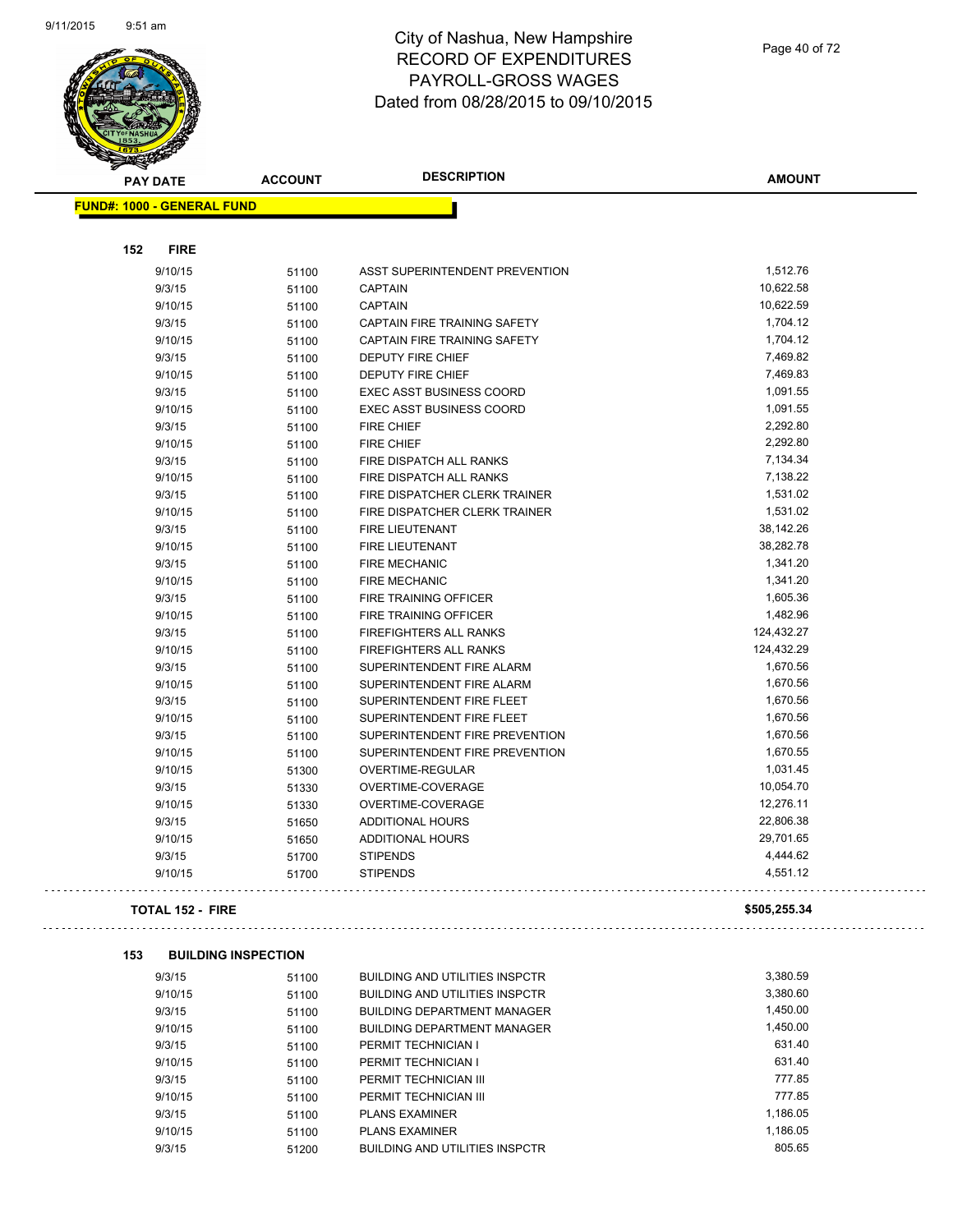

 $\sim$ 

 $\mathbb{Z}^2$ 

| <b>SANGRA</b>                     |                |                                       |               |
|-----------------------------------|----------------|---------------------------------------|---------------|
| <b>PAY DATE</b>                   | <b>ACCOUNT</b> | <b>DESCRIPTION</b>                    | <b>AMOUNT</b> |
| <b>FUND#: 1000 - GENERAL FUND</b> |                |                                       |               |
|                                   |                |                                       |               |
|                                   |                |                                       |               |
| 152<br><b>FIRE</b>                |                |                                       |               |
| 9/10/15                           | 51100          | ASST SUPERINTENDENT PREVENTION        | 1,512.76      |
| 9/3/15                            | 51100          | <b>CAPTAIN</b>                        | 10,622.58     |
| 9/10/15                           | 51100          | <b>CAPTAIN</b>                        | 10,622.59     |
| 9/3/15                            | 51100          | CAPTAIN FIRE TRAINING SAFETY          | 1,704.12      |
| 9/10/15                           | 51100          | CAPTAIN FIRE TRAINING SAFETY          | 1,704.12      |
| 9/3/15                            | 51100          | DEPUTY FIRE CHIEF                     | 7,469.82      |
| 9/10/15                           | 51100          | DEPUTY FIRE CHIEF                     | 7,469.83      |
| 9/3/15                            | 51100          | <b>EXEC ASST BUSINESS COORD</b>       | 1,091.55      |
| 9/10/15                           | 51100          | <b>EXEC ASST BUSINESS COORD</b>       | 1,091.55      |
| 9/3/15                            | 51100          | <b>FIRE CHIEF</b>                     | 2,292.80      |
| 9/10/15                           | 51100          | FIRE CHIEF                            | 2,292.80      |
| 9/3/15                            | 51100          | FIRE DISPATCH ALL RANKS               | 7,134.34      |
| 9/10/15                           | 51100          | FIRE DISPATCH ALL RANKS               | 7,138.22      |
| 9/3/15                            | 51100          | FIRE DISPATCHER CLERK TRAINER         | 1,531.02      |
| 9/10/15                           | 51100          | FIRE DISPATCHER CLERK TRAINER         | 1,531.02      |
| 9/3/15                            | 51100          | <b>FIRE LIEUTENANT</b>                | 38,142.26     |
| 9/10/15                           | 51100          | <b>FIRE LIEUTENANT</b>                | 38,282.78     |
| 9/3/15                            | 51100          | <b>FIRE MECHANIC</b>                  | 1,341.20      |
| 9/10/15                           | 51100          | <b>FIRE MECHANIC</b>                  | 1,341.20      |
| 9/3/15                            | 51100          | FIRE TRAINING OFFICER                 | 1,605.36      |
| 9/10/15                           | 51100          | FIRE TRAINING OFFICER                 | 1,482.96      |
| 9/3/15                            | 51100          | FIREFIGHTERS ALL RANKS                | 124,432.27    |
| 9/10/15                           | 51100          | FIREFIGHTERS ALL RANKS                | 124,432.29    |
| 9/3/15                            | 51100          | SUPERINTENDENT FIRE ALARM             | 1,670.56      |
| 9/10/15                           | 51100          | SUPERINTENDENT FIRE ALARM             | 1,670.56      |
| 9/3/15                            | 51100          | SUPERINTENDENT FIRE FLEET             | 1,670.56      |
| 9/10/15                           | 51100          | SUPERINTENDENT FIRE FLEET             | 1,670.56      |
| 9/3/15                            | 51100          | SUPERINTENDENT FIRE PREVENTION        | 1,670.56      |
| 9/10/15                           | 51100          | SUPERINTENDENT FIRE PREVENTION        | 1,670.55      |
| 9/10/15                           | 51300          | <b>OVERTIME-REGULAR</b>               | 1,031.45      |
| 9/3/15                            | 51330          | OVERTIME-COVERAGE                     | 10,054.70     |
| 9/10/15                           | 51330          | OVERTIME-COVERAGE                     | 12,276.11     |
| 9/3/15                            | 51650          | <b>ADDITIONAL HOURS</b>               | 22,806.38     |
| 9/10/15                           | 51650          | <b>ADDITIONAL HOURS</b>               | 29,701.65     |
| 9/3/15                            | 51700          | <b>STIPENDS</b>                       | 4,444.62      |
| 9/10/15                           | 51700          | <b>STIPENDS</b>                       | 4,551.12      |
| <b>TOTAL 152 - FIRE</b>           |                |                                       | \$505,255.34  |
|                                   |                |                                       |               |
| 153<br><b>BUILDING INSPECTION</b> |                |                                       |               |
| 9/3/15                            | 51100          | <b>BUILDING AND UTILITIES INSPCTR</b> | 3,380.59      |
| 9/10/15                           | 51100          | <b>BUILDING AND UTILITIES INSPCTR</b> | 3,380.60      |
| 9/3/15                            | 51100          | <b>BUILDING DEPARTMENT MANAGER</b>    | 1,450.00      |
| 9/10/15                           | 51100          | <b>BUILDING DEPARTMENT MANAGER</b>    | 1,450.00      |
| 9/3/15                            | 51100          | PERMIT TECHNICIAN I                   | 631.40        |
| 9/10/15                           | 51100          | PERMIT TECHNICIAN I                   | 631.40        |
| 9/3/15                            | 51100          | PERMIT TECHNICIAN III                 | 777.85        |
| 9/10/15                           | 51100          | PERMIT TECHNICIAN III                 | 777.85        |
| 9/3/15                            | 51100          | <b>PLANS EXAMINER</b>                 | 1,186.05      |
| 9/10/15                           | 51100          | <b>PLANS EXAMINER</b>                 | 1,186.05      |
| 9/3/15                            | 51200          | <b>BUILDING AND UTILITIES INSPCTR</b> | 805.65        |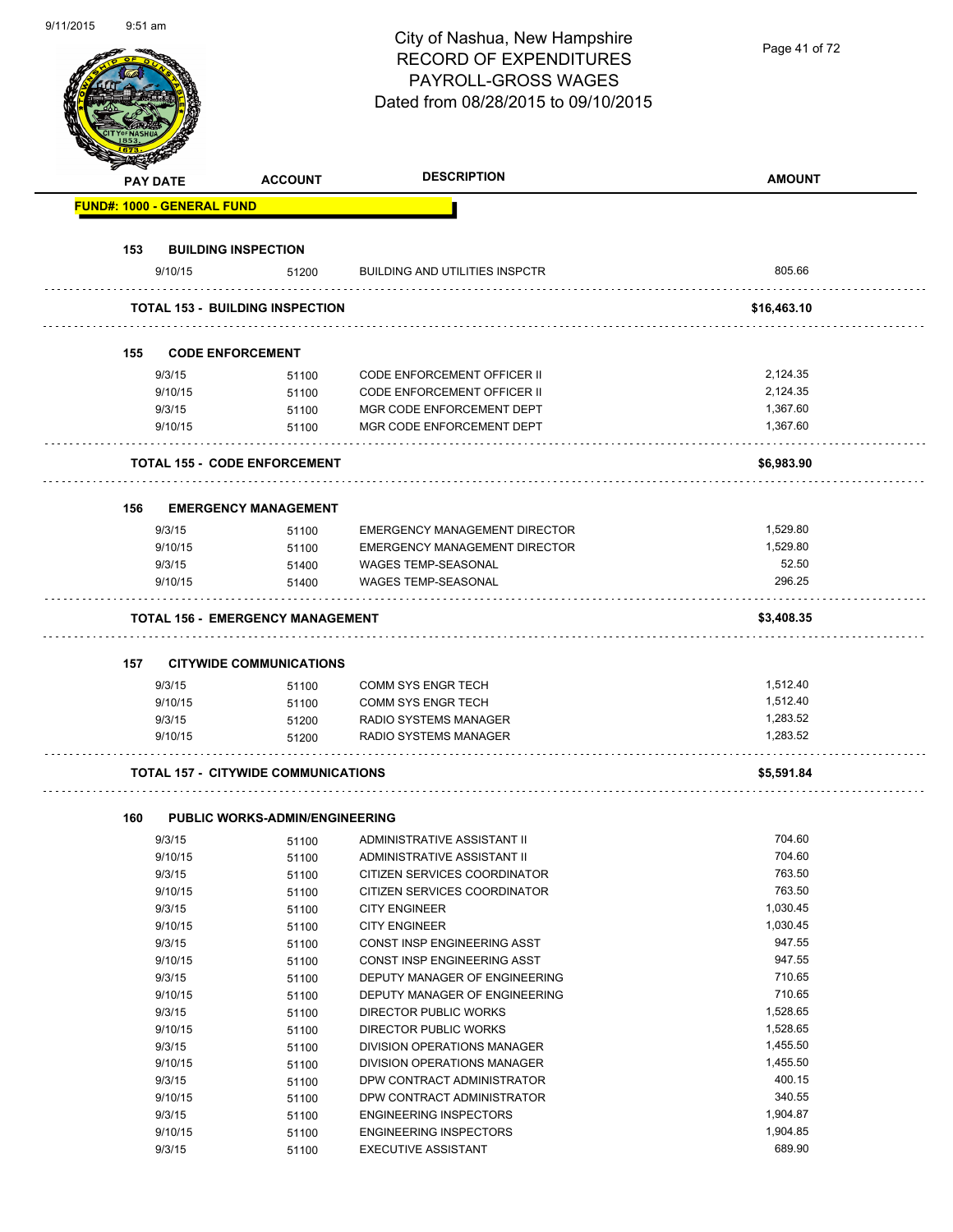| 9/11/2015 | 9:51 am |                                   |                                            | City of Nashua, New Hampshire<br><b>RECORD OF EXPENDITURES</b><br>PAYROLL-GROSS WAGES | Page 41 of 72 |
|-----------|---------|-----------------------------------|--------------------------------------------|---------------------------------------------------------------------------------------|---------------|
|           |         |                                   |                                            | Dated from 08/28/2015 to 09/10/2015                                                   |               |
|           |         | <b>PAY DATE</b>                   | <b>ACCOUNT</b>                             | <b>DESCRIPTION</b>                                                                    | <b>AMOUNT</b> |
|           |         | <b>FUND#: 1000 - GENERAL FUND</b> |                                            |                                                                                       |               |
|           | 153     |                                   | <b>BUILDING INSPECTION</b>                 |                                                                                       |               |
|           |         | 9/10/15                           | 51200                                      | <b>BUILDING AND UTILITIES INSPCTR</b>                                                 | 805.66        |
|           |         |                                   | <b>TOTAL 153 - BUILDING INSPECTION</b>     |                                                                                       | \$16,463.10   |
|           |         |                                   |                                            |                                                                                       |               |
|           | 155     |                                   | <b>CODE ENFORCEMENT</b>                    |                                                                                       |               |
|           |         | 9/3/15                            | 51100                                      | <b>CODE ENFORCEMENT OFFICER II</b>                                                    | 2,124.35      |
|           |         | 9/10/15                           | 51100                                      | CODE ENFORCEMENT OFFICER II                                                           | 2,124.35      |
|           |         | 9/3/15                            | 51100                                      | MGR CODE ENFORCEMENT DEPT                                                             | 1,367.60      |
|           |         | 9/10/15                           | 51100                                      | MGR CODE ENFORCEMENT DEPT                                                             | 1,367.60      |
|           |         |                                   | <b>TOTAL 155 - CODE ENFORCEMENT</b>        |                                                                                       | \$6,983.90    |
|           | 156     |                                   | <b>EMERGENCY MANAGEMENT</b>                |                                                                                       |               |
|           |         | 9/3/15                            | 51100                                      | EMERGENCY MANAGEMENT DIRECTOR                                                         | 1,529.80      |
|           |         | 9/10/15                           | 51100                                      | EMERGENCY MANAGEMENT DIRECTOR                                                         | 1,529.80      |
|           |         | 9/3/15                            | 51400                                      | <b>WAGES TEMP-SEASONAL</b>                                                            | 52.50         |
|           |         | 9/10/15                           | 51400                                      | WAGES TEMP-SEASONAL                                                                   | 296.25        |
|           |         |                                   |                                            |                                                                                       |               |
|           |         |                                   | <b>TOTAL 156 - EMERGENCY MANAGEMENT</b>    |                                                                                       | \$3,408.35    |
|           | 157     |                                   | <b>CITYWIDE COMMUNICATIONS</b>             |                                                                                       |               |
|           |         | 9/3/15                            | 51100                                      | COMM SYS ENGR TECH                                                                    | 1,512.40      |
|           |         | 9/10/15                           | 51100                                      | <b>COMM SYS ENGR TECH</b>                                                             | 1,512.40      |
|           |         | 9/3/15                            | 51200                                      | RADIO SYSTEMS MANAGER                                                                 | 1,283.52      |
|           |         | 9/10/15                           | 51200                                      | RADIO SYSTEMS MANAGER                                                                 | 1,283.52      |
|           |         |                                   |                                            |                                                                                       |               |
|           |         |                                   | <b>TOTAL 157 - CITYWIDE COMMUNICATIONS</b> |                                                                                       | \$5,591.84    |
|           | 160     |                                   | <b>PUBLIC WORKS-ADMIN/ENGINEERING</b>      |                                                                                       |               |
|           |         | 9/3/15                            | 51100                                      | ADMINISTRATIVE ASSISTANT II                                                           | 704.60        |
|           |         | 9/10/15                           | 51100                                      | ADMINISTRATIVE ASSISTANT II                                                           | 704.60        |
|           |         | 9/3/15                            | 51100                                      | CITIZEN SERVICES COORDINATOR                                                          | 763.50        |
|           |         | 9/10/15                           | 51100                                      | CITIZEN SERVICES COORDINATOR                                                          | 763.50        |
|           |         | 9/3/15                            | 51100                                      | <b>CITY ENGINEER</b>                                                                  | 1,030.45      |
|           |         | 9/10/15                           | 51100                                      | <b>CITY ENGINEER</b>                                                                  | 1,030.45      |
|           |         | 9/3/15                            | 51100                                      | CONST INSP ENGINEERING ASST                                                           | 947.55        |
|           |         | 9/10/15                           | 51100                                      | CONST INSP ENGINEERING ASST                                                           | 947.55        |
|           |         | 9/3/15                            | 51100                                      | DEPUTY MANAGER OF ENGINEERING                                                         | 710.65        |
|           |         | 9/10/15                           | 51100                                      | DEPUTY MANAGER OF ENGINEERING                                                         | 710.65        |
|           |         | 9/3/15                            | 51100                                      | DIRECTOR PUBLIC WORKS                                                                 | 1,528.65      |
|           |         | 9/10/15                           | 51100                                      | DIRECTOR PUBLIC WORKS                                                                 | 1,528.65      |
|           |         | 9/3/15                            | 51100                                      | DIVISION OPERATIONS MANAGER                                                           | 1,455.50      |
|           |         | 9/10/15                           | 51100                                      | DIVISION OPERATIONS MANAGER                                                           | 1,455.50      |
|           |         | 9/3/15                            | 51100                                      | DPW CONTRACT ADMINISTRATOR                                                            | 400.15        |
|           |         | 9/10/15                           | 51100                                      | DPW CONTRACT ADMINISTRATOR                                                            | 340.55        |
|           |         | 9/3/15                            | 51100                                      | <b>ENGINEERING INSPECTORS</b>                                                         | 1,904.87      |
|           |         | 9/10/15                           | 51100                                      | <b>ENGINEERING INSPECTORS</b>                                                         | 1,904.85      |
|           |         | 9/3/15                            | 51100                                      | <b>EXECUTIVE ASSISTANT</b>                                                            | 689.90        |

9/11/2015 9:51 am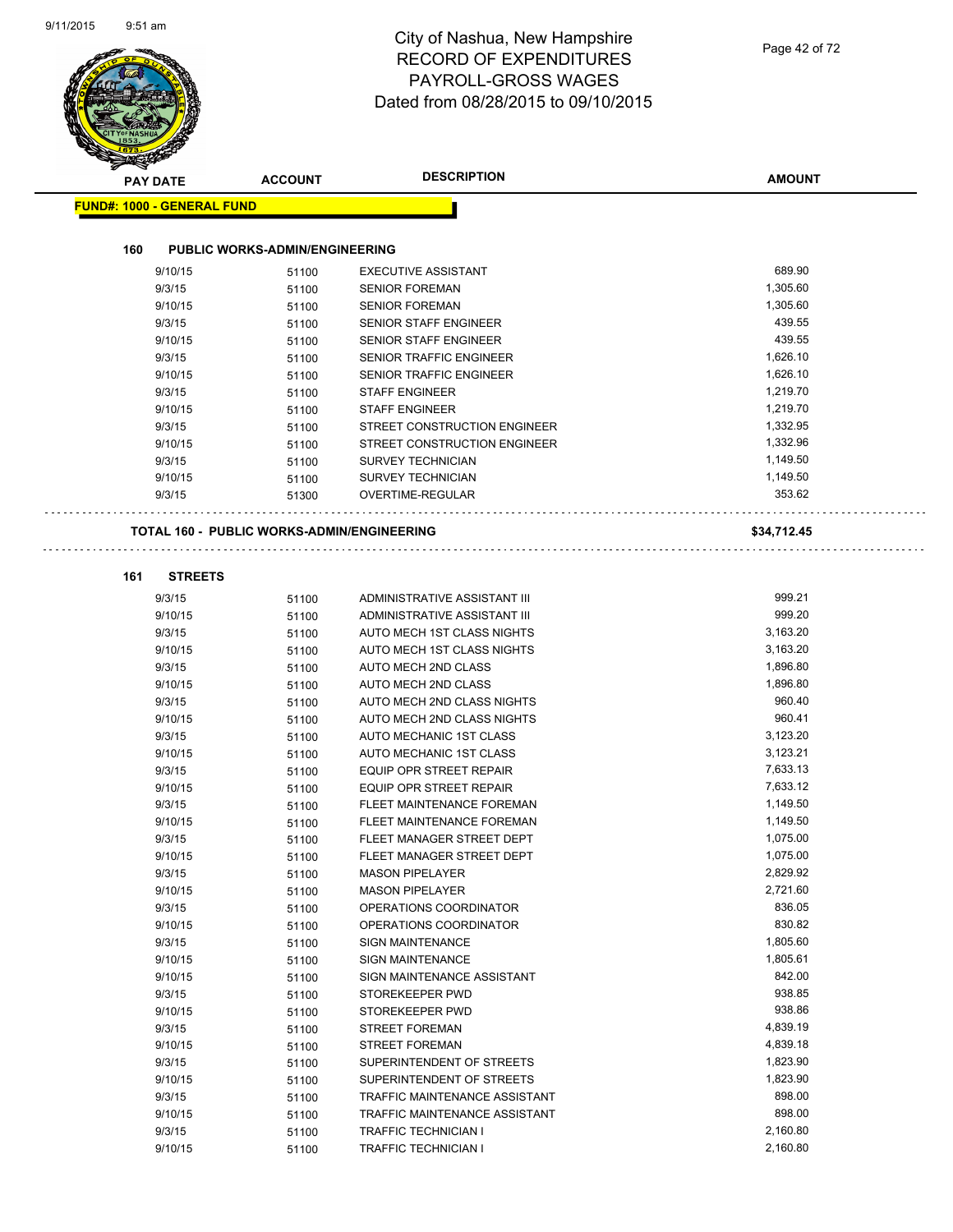|                                   |                                                   | Dated from 08/28/2015 to 09/10/2015 |               |
|-----------------------------------|---------------------------------------------------|-------------------------------------|---------------|
|                                   |                                                   |                                     |               |
| <b>PAY DATE</b>                   | <b>ACCOUNT</b>                                    | <b>DESCRIPTION</b>                  | <b>AMOUNT</b> |
| <b>FUND#: 1000 - GENERAL FUND</b> |                                                   |                                     |               |
| 160                               | <b>PUBLIC WORKS-ADMIN/ENGINEERING</b>             |                                     |               |
| 9/10/15                           | 51100                                             | <b>EXECUTIVE ASSISTANT</b>          | 689.90        |
| 9/3/15                            | 51100                                             | <b>SENIOR FOREMAN</b>               | 1,305.60      |
| 9/10/15                           | 51100                                             | <b>SENIOR FOREMAN</b>               | 1,305.60      |
| 9/3/15                            | 51100                                             | <b>SENIOR STAFF ENGINEER</b>        | 439.55        |
| 9/10/15                           | 51100                                             | <b>SENIOR STAFF ENGINEER</b>        | 439.55        |
| 9/3/15                            | 51100                                             | <b>SENIOR TRAFFIC ENGINEER</b>      | 1,626.10      |
| 9/10/15                           | 51100                                             | <b>SENIOR TRAFFIC ENGINEER</b>      | 1,626.10      |
| 9/3/15                            | 51100                                             | <b>STAFF ENGINEER</b>               | 1,219.70      |
| 9/10/15                           | 51100                                             | <b>STAFF ENGINEER</b>               | 1,219.70      |
| 9/3/15                            | 51100                                             | STREET CONSTRUCTION ENGINEER        | 1,332.95      |
| 9/10/15                           | 51100                                             | STREET CONSTRUCTION ENGINEER        | 1,332.96      |
| 9/3/15                            | 51100                                             | <b>SURVEY TECHNICIAN</b>            | 1,149.50      |
| 9/10/15                           | 51100                                             | <b>SURVEY TECHNICIAN</b>            | 1,149.50      |
| 9/3/15                            | 51300                                             | <b>OVERTIME-REGULAR</b>             | 353.62        |
|                                   |                                                   |                                     |               |
|                                   | <b>TOTAL 160 - PUBLIC WORKS-ADMIN/ENGINEERING</b> |                                     | \$34,712.45   |
| 161<br><b>STREETS</b>             |                                                   |                                     |               |
| 9/3/15                            | 51100                                             | ADMINISTRATIVE ASSISTANT III        | 999.21        |
| 9/10/15                           | 51100                                             | ADMINISTRATIVE ASSISTANT III        | 999.20        |
| 9/3/15                            | 51100                                             | AUTO MECH 1ST CLASS NIGHTS          | 3,163.20      |
| 9/10/15                           | 51100                                             | AUTO MECH 1ST CLASS NIGHTS          | 3,163.20      |
| 9/3/15                            | 51100                                             | AUTO MECH 2ND CLASS                 | 1,896.80      |
| 9/10/15                           | 51100                                             | AUTO MECH 2ND CLASS                 | 1,896.80      |
| 9/3/15                            | 51100                                             | AUTO MECH 2ND CLASS NIGHTS          | 960.40        |
| 9/10/15                           | 51100                                             | AUTO MECH 2ND CLASS NIGHTS          | 960.41        |
| 9/3/15                            | 51100                                             | AUTO MECHANIC 1ST CLASS             | 3,123.20      |
| 9/10/15                           | 51100                                             | AUTO MECHANIC 1ST CLASS             | 3,123.21      |
| 9/3/15                            | 51100                                             | EQUIP OPR STREET REPAIR             | 7,633.13      |
| 9/10/15                           | 51100                                             | <b>EQUIP OPR STREET REPAIR</b>      | 7,633.12      |
| 9/3/15                            | 51100                                             | FLEET MAINTENANCE FOREMAN           | 1,149.50      |
| 9/10/15                           | 51100                                             | FLEET MAINTENANCE FOREMAN           | 1,149.50      |
| 9/3/15                            | 51100                                             | FLEET MANAGER STREET DEPT           | 1,075.00      |
| 9/10/15                           | 51100                                             | FLEET MANAGER STREET DEPT           | 1,075.00      |
| 9/3/15                            | 51100                                             | <b>MASON PIPELAYER</b>              | 2,829.92      |
| 9/10/15                           | 51100                                             | <b>MASON PIPELAYER</b>              | 2,721.60      |
| 9/3/15                            | 51100                                             | OPERATIONS COORDINATOR              | 836.05        |
| 9/10/15                           | 51100                                             | OPERATIONS COORDINATOR              | 830.82        |
| 9/3/15                            | 51100                                             | <b>SIGN MAINTENANCE</b>             | 1,805.60      |
| 9/10/15                           | 51100                                             | <b>SIGN MAINTENANCE</b>             | 1,805.61      |
| 9/10/15                           | 51100                                             | SIGN MAINTENANCE ASSISTANT          | 842.00        |
| 9/3/15                            | 51100                                             | STOREKEEPER PWD                     | 938.85        |
| 9/10/15                           | 51100                                             | STOREKEEPER PWD                     | 938.86        |
| 9/3/15                            | 51100                                             | <b>STREET FOREMAN</b>               | 4,839.19      |
| 9/10/15                           | 51100                                             | <b>STREET FOREMAN</b>               | 4,839.18      |
| 9/3/15                            | 51100                                             | SUPERINTENDENT OF STREETS           | 1,823.90      |
| 9/10/15                           | 51100                                             | SUPERINTENDENT OF STREETS           | 1,823.90      |
| 9/3/15                            | 51100                                             | TRAFFIC MAINTENANCE ASSISTANT       | 898.00        |
| 9/10/15                           | 51100                                             | TRAFFIC MAINTENANCE ASSISTANT       | 898.00        |
| 9/3/15                            | 51100                                             | <b>TRAFFIC TECHNICIAN I</b>         | 2,160.80      |
| 9/10/15                           | 51100                                             | <b>TRAFFIC TECHNICIAN I</b>         | 2,160.80      |
|                                   |                                                   |                                     |               |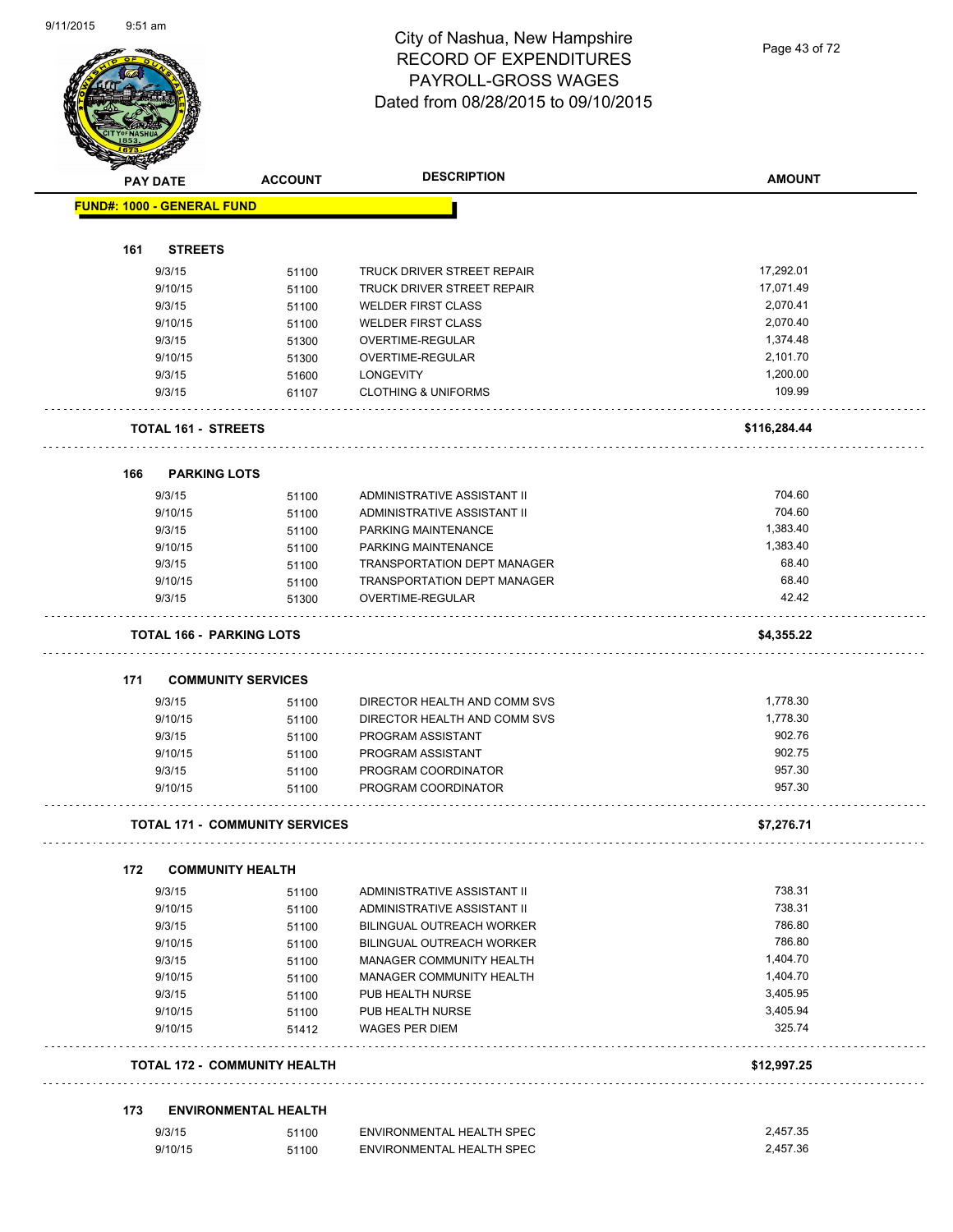Page 43 of 72

| <b>FUND#: 1000 - GENERAL FUND</b><br>161<br><b>STREETS</b><br>17,292.01<br>9/3/15<br>TRUCK DRIVER STREET REPAIR<br>51100<br>17,071.49<br><b>TRUCK DRIVER STREET REPAIR</b><br>9/10/15<br>51100<br>2,070.41<br>9/3/15<br><b>WELDER FIRST CLASS</b><br>51100<br><b>WELDER FIRST CLASS</b><br>2,070.40<br>9/10/15<br>51100<br>1,374.48<br>9/3/15<br>OVERTIME-REGULAR<br>51300<br>9/10/15<br>OVERTIME-REGULAR<br>2,101.70<br>51300<br>1,200.00<br>9/3/15<br><b>LONGEVITY</b><br>51600<br>109.99<br><b>CLOTHING &amp; UNIFORMS</b><br>9/3/15<br>61107<br><b>TOTAL 161 - STREETS</b><br>\$116,284.44<br>166<br><b>PARKING LOTS</b><br>704.60<br>9/3/15<br>ADMINISTRATIVE ASSISTANT II<br>51100<br>704.60<br>ADMINISTRATIVE ASSISTANT II<br>9/10/15<br>51100<br>9/3/15<br>1,383.40<br>PARKING MAINTENANCE<br>51100<br>1,383.40<br>9/10/15<br>51100<br>PARKING MAINTENANCE<br>68.40<br>TRANSPORTATION DEPT MANAGER<br>9/3/15<br>51100<br>68.40<br>TRANSPORTATION DEPT MANAGER<br>9/10/15<br>51100<br>42.42<br>9/3/15<br>OVERTIME-REGULAR<br>51300<br><b>TOTAL 166 - PARKING LOTS</b><br>\$4,355.22<br>171<br><b>COMMUNITY SERVICES</b><br>1,778.30<br>9/3/15<br>DIRECTOR HEALTH AND COMM SVS<br>51100<br>1,778.30<br>DIRECTOR HEALTH AND COMM SVS<br>9/10/15<br>51100<br>902.76<br>9/3/15<br>PROGRAM ASSISTANT<br>51100<br>902.75<br>9/10/15<br>PROGRAM ASSISTANT<br>51100<br>957.30<br>9/3/15<br>PROGRAM COORDINATOR<br>51100<br>957.30<br>PROGRAM COORDINATOR<br>9/10/15<br>51100<br><b>TOTAL 171 - COMMUNITY SERVICES</b><br>\$7,276.71<br>172<br><b>COMMUNITY HEALTH</b><br>738.31<br>9/3/15<br>ADMINISTRATIVE ASSISTANT II<br>51100<br>738.31<br>ADMINISTRATIVE ASSISTANT II<br>9/10/15<br>51100<br>786.80<br>9/3/15<br><b>BILINGUAL OUTREACH WORKER</b><br>51100<br>786.80<br>BILINGUAL OUTREACH WORKER<br>9/10/15<br>51100<br>1,404.70<br>MANAGER COMMUNITY HEALTH<br>9/3/15<br>51100<br>1,404.70<br>MANAGER COMMUNITY HEALTH<br>9/10/15<br>51100<br>3,405.95<br>9/3/15<br>PUB HEALTH NURSE<br>51100<br>3,405.94<br>9/10/15<br>PUB HEALTH NURSE<br>51100<br>325.74<br>9/10/15<br><b>WAGES PER DIEM</b><br>51412<br><b>TOTAL 172 - COMMUNITY HEALTH</b><br>\$12,997.25<br>173<br><b>ENVIRONMENTAL HEALTH</b> | <b>PAY DATE</b> |        | <b>ACCOUNT</b> | <b>DESCRIPTION</b>        | <b>AMOUNT</b> |
|------------------------------------------------------------------------------------------------------------------------------------------------------------------------------------------------------------------------------------------------------------------------------------------------------------------------------------------------------------------------------------------------------------------------------------------------------------------------------------------------------------------------------------------------------------------------------------------------------------------------------------------------------------------------------------------------------------------------------------------------------------------------------------------------------------------------------------------------------------------------------------------------------------------------------------------------------------------------------------------------------------------------------------------------------------------------------------------------------------------------------------------------------------------------------------------------------------------------------------------------------------------------------------------------------------------------------------------------------------------------------------------------------------------------------------------------------------------------------------------------------------------------------------------------------------------------------------------------------------------------------------------------------------------------------------------------------------------------------------------------------------------------------------------------------------------------------------------------------------------------------------------------------------------------------------------------------------------------------------------------------------------------------------------------------------------------------------------------------------------------------------------------------------------------------------------------------------|-----------------|--------|----------------|---------------------------|---------------|
|                                                                                                                                                                                                                                                                                                                                                                                                                                                                                                                                                                                                                                                                                                                                                                                                                                                                                                                                                                                                                                                                                                                                                                                                                                                                                                                                                                                                                                                                                                                                                                                                                                                                                                                                                                                                                                                                                                                                                                                                                                                                                                                                                                                                            |                 |        |                |                           |               |
|                                                                                                                                                                                                                                                                                                                                                                                                                                                                                                                                                                                                                                                                                                                                                                                                                                                                                                                                                                                                                                                                                                                                                                                                                                                                                                                                                                                                                                                                                                                                                                                                                                                                                                                                                                                                                                                                                                                                                                                                                                                                                                                                                                                                            |                 |        |                |                           |               |
|                                                                                                                                                                                                                                                                                                                                                                                                                                                                                                                                                                                                                                                                                                                                                                                                                                                                                                                                                                                                                                                                                                                                                                                                                                                                                                                                                                                                                                                                                                                                                                                                                                                                                                                                                                                                                                                                                                                                                                                                                                                                                                                                                                                                            |                 |        |                |                           |               |
|                                                                                                                                                                                                                                                                                                                                                                                                                                                                                                                                                                                                                                                                                                                                                                                                                                                                                                                                                                                                                                                                                                                                                                                                                                                                                                                                                                                                                                                                                                                                                                                                                                                                                                                                                                                                                                                                                                                                                                                                                                                                                                                                                                                                            |                 |        |                |                           |               |
|                                                                                                                                                                                                                                                                                                                                                                                                                                                                                                                                                                                                                                                                                                                                                                                                                                                                                                                                                                                                                                                                                                                                                                                                                                                                                                                                                                                                                                                                                                                                                                                                                                                                                                                                                                                                                                                                                                                                                                                                                                                                                                                                                                                                            |                 |        |                |                           |               |
|                                                                                                                                                                                                                                                                                                                                                                                                                                                                                                                                                                                                                                                                                                                                                                                                                                                                                                                                                                                                                                                                                                                                                                                                                                                                                                                                                                                                                                                                                                                                                                                                                                                                                                                                                                                                                                                                                                                                                                                                                                                                                                                                                                                                            |                 |        |                |                           |               |
|                                                                                                                                                                                                                                                                                                                                                                                                                                                                                                                                                                                                                                                                                                                                                                                                                                                                                                                                                                                                                                                                                                                                                                                                                                                                                                                                                                                                                                                                                                                                                                                                                                                                                                                                                                                                                                                                                                                                                                                                                                                                                                                                                                                                            |                 |        |                |                           |               |
|                                                                                                                                                                                                                                                                                                                                                                                                                                                                                                                                                                                                                                                                                                                                                                                                                                                                                                                                                                                                                                                                                                                                                                                                                                                                                                                                                                                                                                                                                                                                                                                                                                                                                                                                                                                                                                                                                                                                                                                                                                                                                                                                                                                                            |                 |        |                |                           |               |
|                                                                                                                                                                                                                                                                                                                                                                                                                                                                                                                                                                                                                                                                                                                                                                                                                                                                                                                                                                                                                                                                                                                                                                                                                                                                                                                                                                                                                                                                                                                                                                                                                                                                                                                                                                                                                                                                                                                                                                                                                                                                                                                                                                                                            |                 |        |                |                           |               |
|                                                                                                                                                                                                                                                                                                                                                                                                                                                                                                                                                                                                                                                                                                                                                                                                                                                                                                                                                                                                                                                                                                                                                                                                                                                                                                                                                                                                                                                                                                                                                                                                                                                                                                                                                                                                                                                                                                                                                                                                                                                                                                                                                                                                            |                 |        |                |                           |               |
|                                                                                                                                                                                                                                                                                                                                                                                                                                                                                                                                                                                                                                                                                                                                                                                                                                                                                                                                                                                                                                                                                                                                                                                                                                                                                                                                                                                                                                                                                                                                                                                                                                                                                                                                                                                                                                                                                                                                                                                                                                                                                                                                                                                                            |                 |        |                |                           |               |
|                                                                                                                                                                                                                                                                                                                                                                                                                                                                                                                                                                                                                                                                                                                                                                                                                                                                                                                                                                                                                                                                                                                                                                                                                                                                                                                                                                                                                                                                                                                                                                                                                                                                                                                                                                                                                                                                                                                                                                                                                                                                                                                                                                                                            |                 |        |                |                           |               |
|                                                                                                                                                                                                                                                                                                                                                                                                                                                                                                                                                                                                                                                                                                                                                                                                                                                                                                                                                                                                                                                                                                                                                                                                                                                                                                                                                                                                                                                                                                                                                                                                                                                                                                                                                                                                                                                                                                                                                                                                                                                                                                                                                                                                            |                 |        |                |                           |               |
|                                                                                                                                                                                                                                                                                                                                                                                                                                                                                                                                                                                                                                                                                                                                                                                                                                                                                                                                                                                                                                                                                                                                                                                                                                                                                                                                                                                                                                                                                                                                                                                                                                                                                                                                                                                                                                                                                                                                                                                                                                                                                                                                                                                                            |                 |        |                |                           |               |
|                                                                                                                                                                                                                                                                                                                                                                                                                                                                                                                                                                                                                                                                                                                                                                                                                                                                                                                                                                                                                                                                                                                                                                                                                                                                                                                                                                                                                                                                                                                                                                                                                                                                                                                                                                                                                                                                                                                                                                                                                                                                                                                                                                                                            |                 |        |                |                           |               |
|                                                                                                                                                                                                                                                                                                                                                                                                                                                                                                                                                                                                                                                                                                                                                                                                                                                                                                                                                                                                                                                                                                                                                                                                                                                                                                                                                                                                                                                                                                                                                                                                                                                                                                                                                                                                                                                                                                                                                                                                                                                                                                                                                                                                            |                 |        |                |                           |               |
|                                                                                                                                                                                                                                                                                                                                                                                                                                                                                                                                                                                                                                                                                                                                                                                                                                                                                                                                                                                                                                                                                                                                                                                                                                                                                                                                                                                                                                                                                                                                                                                                                                                                                                                                                                                                                                                                                                                                                                                                                                                                                                                                                                                                            |                 |        |                |                           |               |
|                                                                                                                                                                                                                                                                                                                                                                                                                                                                                                                                                                                                                                                                                                                                                                                                                                                                                                                                                                                                                                                                                                                                                                                                                                                                                                                                                                                                                                                                                                                                                                                                                                                                                                                                                                                                                                                                                                                                                                                                                                                                                                                                                                                                            |                 |        |                |                           |               |
|                                                                                                                                                                                                                                                                                                                                                                                                                                                                                                                                                                                                                                                                                                                                                                                                                                                                                                                                                                                                                                                                                                                                                                                                                                                                                                                                                                                                                                                                                                                                                                                                                                                                                                                                                                                                                                                                                                                                                                                                                                                                                                                                                                                                            |                 |        |                |                           |               |
|                                                                                                                                                                                                                                                                                                                                                                                                                                                                                                                                                                                                                                                                                                                                                                                                                                                                                                                                                                                                                                                                                                                                                                                                                                                                                                                                                                                                                                                                                                                                                                                                                                                                                                                                                                                                                                                                                                                                                                                                                                                                                                                                                                                                            |                 |        |                |                           |               |
|                                                                                                                                                                                                                                                                                                                                                                                                                                                                                                                                                                                                                                                                                                                                                                                                                                                                                                                                                                                                                                                                                                                                                                                                                                                                                                                                                                                                                                                                                                                                                                                                                                                                                                                                                                                                                                                                                                                                                                                                                                                                                                                                                                                                            |                 |        |                |                           |               |
|                                                                                                                                                                                                                                                                                                                                                                                                                                                                                                                                                                                                                                                                                                                                                                                                                                                                                                                                                                                                                                                                                                                                                                                                                                                                                                                                                                                                                                                                                                                                                                                                                                                                                                                                                                                                                                                                                                                                                                                                                                                                                                                                                                                                            |                 |        |                |                           |               |
|                                                                                                                                                                                                                                                                                                                                                                                                                                                                                                                                                                                                                                                                                                                                                                                                                                                                                                                                                                                                                                                                                                                                                                                                                                                                                                                                                                                                                                                                                                                                                                                                                                                                                                                                                                                                                                                                                                                                                                                                                                                                                                                                                                                                            |                 |        |                |                           |               |
|                                                                                                                                                                                                                                                                                                                                                                                                                                                                                                                                                                                                                                                                                                                                                                                                                                                                                                                                                                                                                                                                                                                                                                                                                                                                                                                                                                                                                                                                                                                                                                                                                                                                                                                                                                                                                                                                                                                                                                                                                                                                                                                                                                                                            |                 |        |                |                           |               |
|                                                                                                                                                                                                                                                                                                                                                                                                                                                                                                                                                                                                                                                                                                                                                                                                                                                                                                                                                                                                                                                                                                                                                                                                                                                                                                                                                                                                                                                                                                                                                                                                                                                                                                                                                                                                                                                                                                                                                                                                                                                                                                                                                                                                            |                 |        |                |                           |               |
|                                                                                                                                                                                                                                                                                                                                                                                                                                                                                                                                                                                                                                                                                                                                                                                                                                                                                                                                                                                                                                                                                                                                                                                                                                                                                                                                                                                                                                                                                                                                                                                                                                                                                                                                                                                                                                                                                                                                                                                                                                                                                                                                                                                                            |                 |        |                |                           |               |
|                                                                                                                                                                                                                                                                                                                                                                                                                                                                                                                                                                                                                                                                                                                                                                                                                                                                                                                                                                                                                                                                                                                                                                                                                                                                                                                                                                                                                                                                                                                                                                                                                                                                                                                                                                                                                                                                                                                                                                                                                                                                                                                                                                                                            |                 |        |                |                           |               |
|                                                                                                                                                                                                                                                                                                                                                                                                                                                                                                                                                                                                                                                                                                                                                                                                                                                                                                                                                                                                                                                                                                                                                                                                                                                                                                                                                                                                                                                                                                                                                                                                                                                                                                                                                                                                                                                                                                                                                                                                                                                                                                                                                                                                            |                 |        |                |                           |               |
|                                                                                                                                                                                                                                                                                                                                                                                                                                                                                                                                                                                                                                                                                                                                                                                                                                                                                                                                                                                                                                                                                                                                                                                                                                                                                                                                                                                                                                                                                                                                                                                                                                                                                                                                                                                                                                                                                                                                                                                                                                                                                                                                                                                                            |                 |        |                |                           |               |
|                                                                                                                                                                                                                                                                                                                                                                                                                                                                                                                                                                                                                                                                                                                                                                                                                                                                                                                                                                                                                                                                                                                                                                                                                                                                                                                                                                                                                                                                                                                                                                                                                                                                                                                                                                                                                                                                                                                                                                                                                                                                                                                                                                                                            |                 |        |                |                           |               |
|                                                                                                                                                                                                                                                                                                                                                                                                                                                                                                                                                                                                                                                                                                                                                                                                                                                                                                                                                                                                                                                                                                                                                                                                                                                                                                                                                                                                                                                                                                                                                                                                                                                                                                                                                                                                                                                                                                                                                                                                                                                                                                                                                                                                            |                 |        |                |                           |               |
|                                                                                                                                                                                                                                                                                                                                                                                                                                                                                                                                                                                                                                                                                                                                                                                                                                                                                                                                                                                                                                                                                                                                                                                                                                                                                                                                                                                                                                                                                                                                                                                                                                                                                                                                                                                                                                                                                                                                                                                                                                                                                                                                                                                                            |                 |        |                |                           |               |
|                                                                                                                                                                                                                                                                                                                                                                                                                                                                                                                                                                                                                                                                                                                                                                                                                                                                                                                                                                                                                                                                                                                                                                                                                                                                                                                                                                                                                                                                                                                                                                                                                                                                                                                                                                                                                                                                                                                                                                                                                                                                                                                                                                                                            |                 |        |                |                           |               |
|                                                                                                                                                                                                                                                                                                                                                                                                                                                                                                                                                                                                                                                                                                                                                                                                                                                                                                                                                                                                                                                                                                                                                                                                                                                                                                                                                                                                                                                                                                                                                                                                                                                                                                                                                                                                                                                                                                                                                                                                                                                                                                                                                                                                            |                 |        |                |                           |               |
|                                                                                                                                                                                                                                                                                                                                                                                                                                                                                                                                                                                                                                                                                                                                                                                                                                                                                                                                                                                                                                                                                                                                                                                                                                                                                                                                                                                                                                                                                                                                                                                                                                                                                                                                                                                                                                                                                                                                                                                                                                                                                                                                                                                                            |                 |        |                |                           |               |
|                                                                                                                                                                                                                                                                                                                                                                                                                                                                                                                                                                                                                                                                                                                                                                                                                                                                                                                                                                                                                                                                                                                                                                                                                                                                                                                                                                                                                                                                                                                                                                                                                                                                                                                                                                                                                                                                                                                                                                                                                                                                                                                                                                                                            |                 |        |                |                           |               |
|                                                                                                                                                                                                                                                                                                                                                                                                                                                                                                                                                                                                                                                                                                                                                                                                                                                                                                                                                                                                                                                                                                                                                                                                                                                                                                                                                                                                                                                                                                                                                                                                                                                                                                                                                                                                                                                                                                                                                                                                                                                                                                                                                                                                            |                 |        |                |                           |               |
|                                                                                                                                                                                                                                                                                                                                                                                                                                                                                                                                                                                                                                                                                                                                                                                                                                                                                                                                                                                                                                                                                                                                                                                                                                                                                                                                                                                                                                                                                                                                                                                                                                                                                                                                                                                                                                                                                                                                                                                                                                                                                                                                                                                                            |                 |        |                |                           |               |
|                                                                                                                                                                                                                                                                                                                                                                                                                                                                                                                                                                                                                                                                                                                                                                                                                                                                                                                                                                                                                                                                                                                                                                                                                                                                                                                                                                                                                                                                                                                                                                                                                                                                                                                                                                                                                                                                                                                                                                                                                                                                                                                                                                                                            |                 |        |                |                           |               |
|                                                                                                                                                                                                                                                                                                                                                                                                                                                                                                                                                                                                                                                                                                                                                                                                                                                                                                                                                                                                                                                                                                                                                                                                                                                                                                                                                                                                                                                                                                                                                                                                                                                                                                                                                                                                                                                                                                                                                                                                                                                                                                                                                                                                            |                 |        |                |                           |               |
|                                                                                                                                                                                                                                                                                                                                                                                                                                                                                                                                                                                                                                                                                                                                                                                                                                                                                                                                                                                                                                                                                                                                                                                                                                                                                                                                                                                                                                                                                                                                                                                                                                                                                                                                                                                                                                                                                                                                                                                                                                                                                                                                                                                                            |                 |        |                |                           |               |
|                                                                                                                                                                                                                                                                                                                                                                                                                                                                                                                                                                                                                                                                                                                                                                                                                                                                                                                                                                                                                                                                                                                                                                                                                                                                                                                                                                                                                                                                                                                                                                                                                                                                                                                                                                                                                                                                                                                                                                                                                                                                                                                                                                                                            |                 |        |                |                           |               |
|                                                                                                                                                                                                                                                                                                                                                                                                                                                                                                                                                                                                                                                                                                                                                                                                                                                                                                                                                                                                                                                                                                                                                                                                                                                                                                                                                                                                                                                                                                                                                                                                                                                                                                                                                                                                                                                                                                                                                                                                                                                                                                                                                                                                            |                 |        |                |                           |               |
| 2,457.36<br>9/10/15<br>ENVIRONMENTAL HEALTH SPEC                                                                                                                                                                                                                                                                                                                                                                                                                                                                                                                                                                                                                                                                                                                                                                                                                                                                                                                                                                                                                                                                                                                                                                                                                                                                                                                                                                                                                                                                                                                                                                                                                                                                                                                                                                                                                                                                                                                                                                                                                                                                                                                                                           |                 | 9/3/15 | 51100          | ENVIRONMENTAL HEALTH SPEC | 2,457.35      |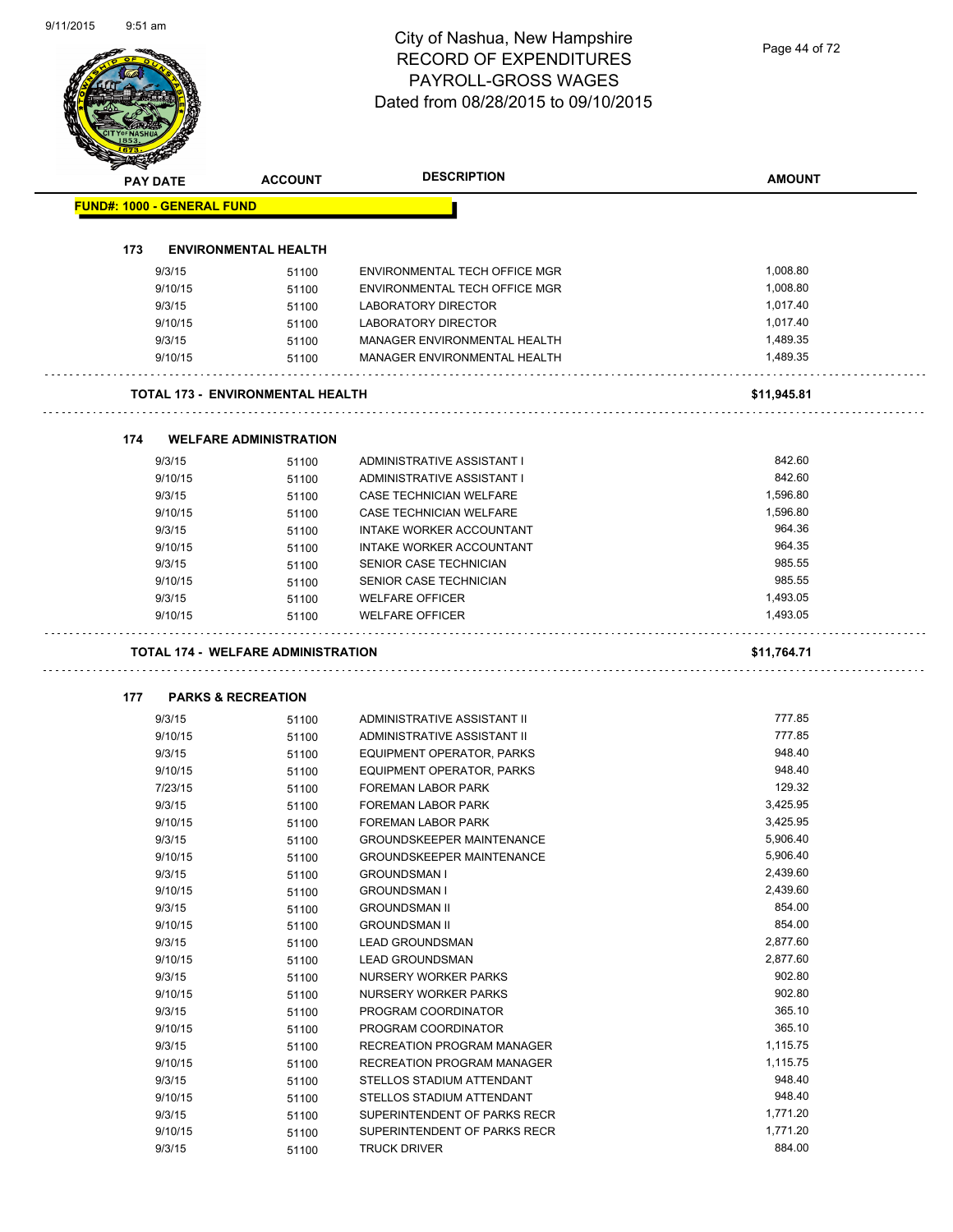# City of Nashua, New Hampshire RECORD OF EXPENDITURES PAYROLL-GROSS WAGES

|                                   |                                           | <b>RECORD OF EXPENDITURES</b>       | Page 44 of 72 |
|-----------------------------------|-------------------------------------------|-------------------------------------|---------------|
|                                   |                                           | PAYROLL-GROSS WAGES                 |               |
|                                   |                                           | Dated from 08/28/2015 to 09/10/2015 |               |
|                                   |                                           |                                     |               |
|                                   |                                           |                                     |               |
|                                   |                                           |                                     |               |
| <b>PAY DATE</b>                   | <b>ACCOUNT</b>                            | <b>DESCRIPTION</b>                  | <b>AMOUNT</b> |
| <b>FUND#: 1000 - GENERAL FUND</b> |                                           |                                     |               |
|                                   |                                           |                                     |               |
| 173                               | <b>ENVIRONMENTAL HEALTH</b>               |                                     |               |
| 9/3/15                            | 51100                                     | ENVIRONMENTAL TECH OFFICE MGR       | 1,008.80      |
| 9/10/15                           | 51100                                     | ENVIRONMENTAL TECH OFFICE MGR       | 1,008.80      |
| 9/3/15                            | 51100                                     | LABORATORY DIRECTOR                 | 1,017.40      |
| 9/10/15                           | 51100                                     | LABORATORY DIRECTOR                 | 1,017.40      |
| 9/3/15                            | 51100                                     | MANAGER ENVIRONMENTAL HEALTH        | 1,489.35      |
| 9/10/15                           | 51100                                     | MANAGER ENVIRONMENTAL HEALTH        | 1,489.35      |
|                                   | <b>TOTAL 173 - ENVIRONMENTAL HEALTH</b>   |                                     | \$11,945.81   |
|                                   |                                           |                                     |               |
| 174                               | <b>WELFARE ADMINISTRATION</b>             |                                     |               |
| 9/3/15                            | 51100                                     | ADMINISTRATIVE ASSISTANT I          | 842.60        |
| 9/10/15                           | 51100                                     | ADMINISTRATIVE ASSISTANT I          | 842.60        |
| 9/3/15                            | 51100                                     | CASE TECHNICIAN WELFARE             | 1,596.80      |
| 9/10/15                           | 51100                                     | CASE TECHNICIAN WELFARE             | 1,596.80      |
| 9/3/15                            | 51100                                     | INTAKE WORKER ACCOUNTANT            | 964.36        |
| 9/10/15                           | 51100                                     | INTAKE WORKER ACCOUNTANT            | 964.35        |
| 9/3/15                            | 51100                                     | SENIOR CASE TECHNICIAN              | 985.55        |
| 9/10/15                           | 51100                                     | SENIOR CASE TECHNICIAN              | 985.55        |
| 9/3/15                            | 51100                                     | <b>WELFARE OFFICER</b>              | 1,493.05      |
| 9/10/15                           | 51100                                     | <b>WELFARE OFFICER</b>              | 1,493.05      |
|                                   |                                           |                                     |               |
|                                   | <b>TOTAL 174 - WELFARE ADMINISTRATION</b> |                                     | \$11,764.71   |
| 177                               | <b>PARKS &amp; RECREATION</b>             |                                     |               |
| 9/3/15                            | 51100                                     | ADMINISTRATIVE ASSISTANT II         | 777.85        |
| 9/10/15                           | 51100                                     | ADMINISTRATIVE ASSISTANT II         | 777.85        |
| 9/3/15                            | 51100                                     | EQUIPMENT OPERATOR, PARKS           | 948.40        |
| 9/10/15                           | 51100                                     | EQUIPMENT OPERATOR, PARKS           | 948.40        |
| 7/23/15                           | 51100                                     | FOREMAN LABOR PARK                  | 129.32        |
| 9/3/15                            | 51100                                     | FOREMAN LABOR PARK                  | 3,425.95      |
| 9/10/15                           | 51100                                     | FOREMAN LABOR PARK                  | 3,425.95      |
| 9/3/15                            | 51100                                     | <b>GROUNDSKEEPER MAINTENANCE</b>    | 5,906.40      |
| 9/10/15                           | 51100                                     | <b>GROUNDSKEEPER MAINTENANCE</b>    | 5,906.40      |
| 9/3/15                            | 51100                                     | <b>GROUNDSMAN I</b>                 | 2,439.60      |
| 9/10/15                           | 51100                                     | <b>GROUNDSMAN I</b>                 | 2,439.60      |
| 9/3/15                            | 51100                                     | <b>GROUNDSMAN II</b>                | 854.00        |
| 9/10/15                           | 51100                                     | <b>GROUNDSMAN II</b>                | 854.00        |
| 9/3/15                            | 51100                                     | <b>LEAD GROUNDSMAN</b>              | 2,877.60      |
| 9/10/15                           | 51100                                     | <b>LEAD GROUNDSMAN</b>              | 2,877.60      |
| 9/3/15                            | 51100                                     | NURSERY WORKER PARKS                | 902.80        |
| 9/10/15                           | 51100                                     | NURSERY WORKER PARKS                | 902.80        |
| 9/3/15                            | 51100                                     | PROGRAM COORDINATOR                 | 365.10        |
| 9/10/15                           | 51100                                     | PROGRAM COORDINATOR                 | 365.10        |
| 9/3/15                            | 51100                                     | RECREATION PROGRAM MANAGER          | 1,115.75      |
| 9/10/15                           | 51100                                     | RECREATION PROGRAM MANAGER          | 1,115.75      |
| 9/3/15                            | 51100                                     | STELLOS STADIUM ATTENDANT           | 948.40        |
| 9/10/15                           | 51100                                     | STELLOS STADIUM ATTENDANT           | 948.40        |
| 9/3/15                            | 51100                                     | SUPERINTENDENT OF PARKS RECR        | 1,771.20      |
| 9/10/15                           | 51100                                     | SUPERINTENDENT OF PARKS RECR        | 1,771.20      |
| 9/3/15                            | 51100                                     | <b>TRUCK DRIVER</b>                 | 884.00        |
|                                   |                                           |                                     |               |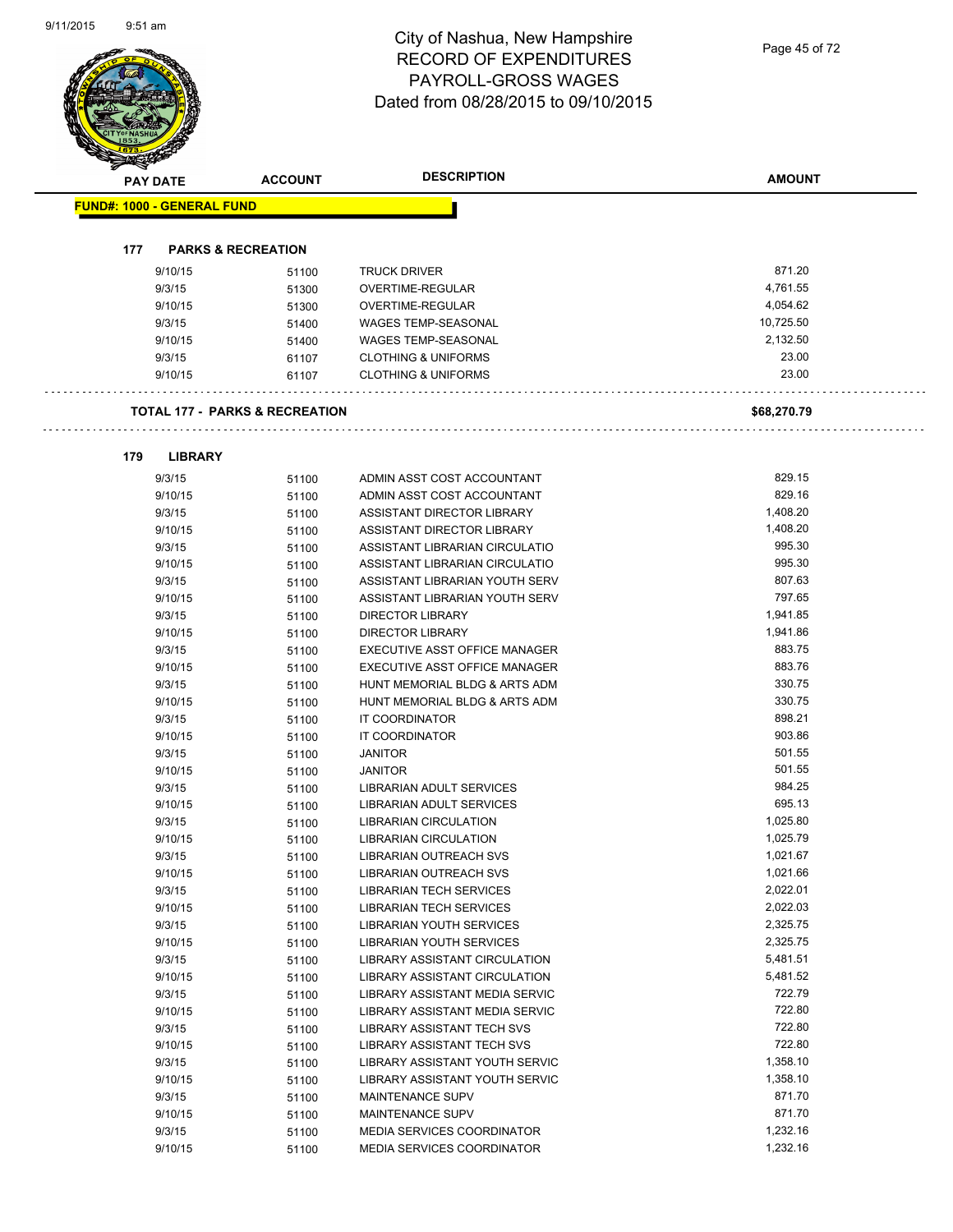|  | <b>PAY DATE</b>                   | <b>ACCOUNT</b>                            | <b>DESCRIPTION</b>                   | <b>AMOUNT</b>    |
|--|-----------------------------------|-------------------------------------------|--------------------------------------|------------------|
|  | <b>FUND#: 1000 - GENERAL FUND</b> |                                           |                                      |                  |
|  | 177                               | <b>PARKS &amp; RECREATION</b>             |                                      |                  |
|  | 9/10/15                           | 51100                                     | <b>TRUCK DRIVER</b>                  | 871.20           |
|  | 9/3/15                            | 51300                                     | OVERTIME-REGULAR                     | 4,761.55         |
|  | 9/10/15                           | 51300                                     | OVERTIME-REGULAR                     | 4,054.62         |
|  | 9/3/15                            | 51400                                     | <b>WAGES TEMP-SEASONAL</b>           | 10,725.50        |
|  | 9/10/15                           | 51400                                     | <b>WAGES TEMP-SEASONAL</b>           | 2,132.50         |
|  | 9/3/15                            | 61107                                     | <b>CLOTHING &amp; UNIFORMS</b>       | 23.00            |
|  | 9/10/15                           | 61107                                     | <b>CLOTHING &amp; UNIFORMS</b>       | 23.00            |
|  |                                   | <b>TOTAL 177 - PARKS &amp; RECREATION</b> |                                      | \$68,270.79      |
|  |                                   |                                           |                                      |                  |
|  | 179<br><b>LIBRARY</b>             |                                           |                                      |                  |
|  | 9/3/15                            | 51100                                     | ADMIN ASST COST ACCOUNTANT           | 829.15           |
|  | 9/10/15                           | 51100                                     | ADMIN ASST COST ACCOUNTANT           | 829.16           |
|  | 9/3/15                            | 51100                                     | ASSISTANT DIRECTOR LIBRARY           | 1,408.20         |
|  | 9/10/15                           | 51100                                     | ASSISTANT DIRECTOR LIBRARY           | 1,408.20         |
|  | 9/3/15                            | 51100                                     | ASSISTANT LIBRARIAN CIRCULATIO       | 995.30           |
|  | 9/10/15                           | 51100                                     | ASSISTANT LIBRARIAN CIRCULATIO       | 995.30           |
|  | 9/3/15                            | 51100                                     | ASSISTANT LIBRARIAN YOUTH SERV       | 807.63           |
|  | 9/10/15                           | 51100                                     | ASSISTANT LIBRARIAN YOUTH SERV       | 797.65           |
|  | 9/3/15                            | 51100                                     | <b>DIRECTOR LIBRARY</b>              | 1,941.85         |
|  | 9/10/15                           | 51100                                     | <b>DIRECTOR LIBRARY</b>              | 1,941.86         |
|  | 9/3/15                            | 51100                                     | EXECUTIVE ASST OFFICE MANAGER        | 883.75           |
|  | 9/10/15                           | 51100                                     | EXECUTIVE ASST OFFICE MANAGER        | 883.76           |
|  | 9/3/15                            | 51100                                     | HUNT MEMORIAL BLDG & ARTS ADM        | 330.75           |
|  | 9/10/15                           | 51100                                     | HUNT MEMORIAL BLDG & ARTS ADM        | 330.75<br>898.21 |
|  | 9/3/15                            | 51100                                     | IT COORDINATOR                       | 903.86           |
|  | 9/10/15<br>9/3/15                 | 51100                                     | IT COORDINATOR                       | 501.55           |
|  | 9/10/15                           | 51100<br>51100                            | <b>JANITOR</b><br><b>JANITOR</b>     | 501.55           |
|  | 9/3/15                            | 51100                                     | LIBRARIAN ADULT SERVICES             | 984.25           |
|  | 9/10/15                           | 51100                                     | LIBRARIAN ADULT SERVICES             | 695.13           |
|  | 9/3/15                            | 51100                                     | LIBRARIAN CIRCULATION                | 1,025.80         |
|  | 9/10/15                           | 51100                                     | LIBRARIAN CIRCULATION                | 1,025.79         |
|  | 9/3/15                            | 51100                                     | <b>LIBRARIAN OUTREACH SVS</b>        | 1,021.67         |
|  | 9/10/15                           | 51100                                     | <b>LIBRARIAN OUTREACH SVS</b>        | 1,021.66         |
|  | 9/3/15                            | 51100                                     | <b>LIBRARIAN TECH SERVICES</b>       | 2,022.01         |
|  | 9/10/15                           | 51100                                     | <b>LIBRARIAN TECH SERVICES</b>       | 2,022.03         |
|  | 9/3/15                            | 51100                                     | LIBRARIAN YOUTH SERVICES             | 2,325.75         |
|  | 9/10/15                           | 51100                                     | LIBRARIAN YOUTH SERVICES             | 2,325.75         |
|  | 9/3/15                            | 51100                                     | <b>LIBRARY ASSISTANT CIRCULATION</b> | 5,481.51         |
|  | 9/10/15                           | 51100                                     | LIBRARY ASSISTANT CIRCULATION        | 5,481.52         |
|  | 9/3/15                            | 51100                                     | LIBRARY ASSISTANT MEDIA SERVIC       | 722.79           |
|  | 9/10/15                           | 51100                                     | LIBRARY ASSISTANT MEDIA SERVIC       | 722.80           |
|  | 9/3/15                            | 51100                                     | LIBRARY ASSISTANT TECH SVS           | 722.80           |
|  | 9/10/15                           | 51100                                     | LIBRARY ASSISTANT TECH SVS           | 722.80           |
|  | 9/3/15                            | 51100                                     | LIBRARY ASSISTANT YOUTH SERVIC       | 1,358.10         |
|  | 9/10/15                           | 51100                                     | LIBRARY ASSISTANT YOUTH SERVIC       | 1,358.10         |
|  | 9/3/15                            | 51100                                     | MAINTENANCE SUPV                     | 871.70           |
|  | 9/10/15                           | 51100                                     | MAINTENANCE SUPV                     | 871.70           |
|  | 9/3/15                            | 51100                                     | MEDIA SERVICES COORDINATOR           | 1,232.16         |
|  | 9/10/15                           | 51100                                     | <b>MEDIA SERVICES COORDINATOR</b>    | 1,232.16         |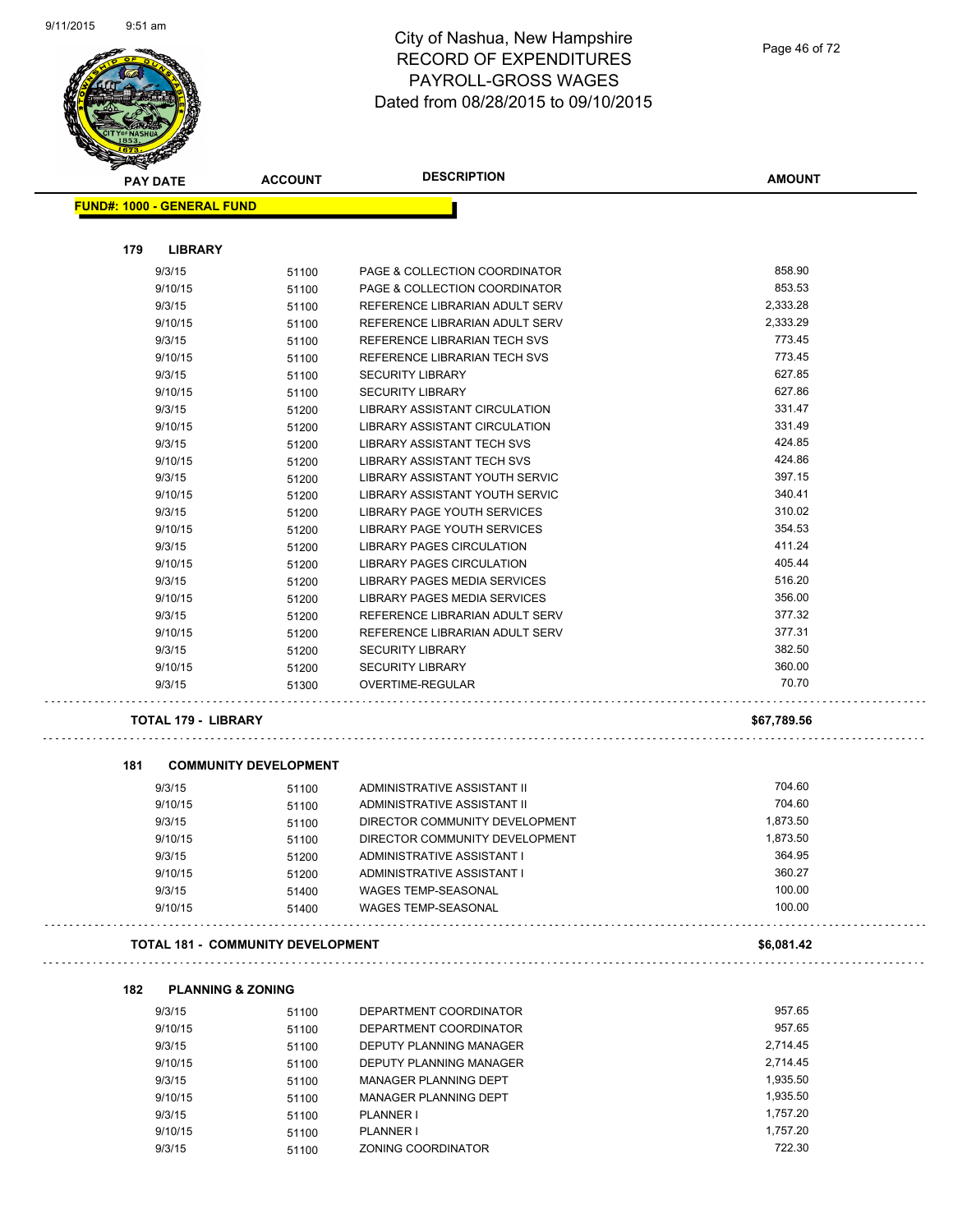

#### City of Nashua, New Hampshire RECORD OF EXPENDITURES PAYROLL-GROSS WAGES Dated from 08/28/2015 to 09/10/2015

| <b>PAY DATE</b>                   | <b>ACCOUNT</b>               | <b>DESCRIPTION</b>               | <b>AMOUNT</b> |
|-----------------------------------|------------------------------|----------------------------------|---------------|
| <b>FUND#: 1000 - GENERAL FUND</b> |                              |                                  |               |
| 179<br><b>LIBRARY</b>             |                              |                                  |               |
| 9/3/15                            | 51100                        | PAGE & COLLECTION COORDINATOR    | 858.90        |
| 9/10/15                           | 51100                        | PAGE & COLLECTION COORDINATOR    | 853.53        |
| 9/3/15                            | 51100                        | REFERENCE LIBRARIAN ADULT SERV   | 2,333.28      |
| 9/10/15                           | 51100                        | REFERENCE LIBRARIAN ADULT SERV   | 2,333.29      |
| 9/3/15                            | 51100                        | REFERENCE LIBRARIAN TECH SVS     | 773.45        |
| 9/10/15                           | 51100                        | REFERENCE LIBRARIAN TECH SVS     | 773.45        |
| 9/3/15                            | 51100                        | <b>SECURITY LIBRARY</b>          | 627.85        |
| 9/10/15                           | 51100                        | <b>SECURITY LIBRARY</b>          | 627.86        |
| 9/3/15                            | 51200                        | LIBRARY ASSISTANT CIRCULATION    | 331.47        |
| 9/10/15                           | 51200                        | LIBRARY ASSISTANT CIRCULATION    | 331.49        |
| 9/3/15                            | 51200                        | LIBRARY ASSISTANT TECH SVS       | 424.85        |
| 9/10/15                           | 51200                        | LIBRARY ASSISTANT TECH SVS       | 424.86        |
| 9/3/15                            | 51200                        | LIBRARY ASSISTANT YOUTH SERVIC   | 397.15        |
| 9/10/15                           | 51200                        | LIBRARY ASSISTANT YOUTH SERVIC   | 340.41        |
| 9/3/15                            | 51200                        | LIBRARY PAGE YOUTH SERVICES      | 310.02        |
| 9/10/15                           | 51200                        | LIBRARY PAGE YOUTH SERVICES      | 354.53        |
| 9/3/15                            | 51200                        | <b>LIBRARY PAGES CIRCULATION</b> | 411.24        |
| 9/10/15                           | 51200                        | <b>LIBRARY PAGES CIRCULATION</b> | 405.44        |
| 9/3/15                            | 51200                        | LIBRARY PAGES MEDIA SERVICES     | 516.20        |
| 9/10/15                           | 51200                        | LIBRARY PAGES MEDIA SERVICES     | 356.00        |
| 9/3/15                            | 51200                        | REFERENCE LIBRARIAN ADULT SERV   | 377.32        |
| 9/10/15                           | 51200                        | REFERENCE LIBRARIAN ADULT SERV   | 377.31        |
| 9/3/15                            | 51200                        | <b>SECURITY LIBRARY</b>          | 382.50        |
| 9/10/15                           | 51200                        | <b>SECURITY LIBRARY</b>          | 360.00        |
| 9/3/15                            | 51300                        | OVERTIME-REGULAR                 | 70.70         |
| <b>TOTAL 179 - LIBRARY</b>        |                              |                                  | \$67,789.56   |
| 181                               | <b>COMMUNITY DEVELOPMENT</b> |                                  |               |
| 9/3/15                            | 51100                        | ADMINISTRATIVE ASSISTANT II      | 704.60        |
|                                   |                              |                                  |               |

#### **181 COMMUNITY DEVELOPMENT**

**182 PLANNING & ZONING**

. . . . . . . . . . . . . . .

| 9/3/15  | 51100 | ADMINISTRATIVE ASSISTANT II    | 704.60   |
|---------|-------|--------------------------------|----------|
| 9/10/15 | 51100 | ADMINISTRATIVE ASSISTANT II    | 704.60   |
| 9/3/15  | 51100 | DIRECTOR COMMUNITY DEVELOPMENT | 1.873.50 |
| 9/10/15 | 51100 | DIRECTOR COMMUNITY DEVELOPMENT | 1.873.50 |
| 9/3/15  | 51200 | ADMINISTRATIVE ASSISTANT I     | 364.95   |
| 9/10/15 | 51200 | ADMINISTRATIVE ASSISTANT I     | 360.27   |
| 9/3/15  | 51400 | WAGES TEMP-SEASONAL            | 100.00   |
| 9/10/15 | 51400 | WAGES TEMP-SEASONAL            | 100.00   |
|         |       |                                |          |

#### **TOTAL 181 - COMMUNITY DEVELOPMENT \$6,081.42**

| 9/3/15  | 51100 | DEPARTMENT COORDINATOR       | 957.65   |
|---------|-------|------------------------------|----------|
| 9/10/15 | 51100 | DEPARTMENT COORDINATOR       | 957.65   |
| 9/3/15  | 51100 | DEPUTY PLANNING MANAGER      | 2.714.45 |
| 9/10/15 | 51100 | DEPUTY PLANNING MANAGER      | 2.714.45 |
| 9/3/15  | 51100 | <b>MANAGER PLANNING DEPT</b> | 1,935.50 |
| 9/10/15 | 51100 | MANAGER PLANNING DEPT        | 1.935.50 |
| 9/3/15  | 51100 | <b>PLANNER I</b>             | 1.757.20 |
| 9/10/15 | 51100 | PLANNER I                    | 1.757.20 |
| 9/3/15  | 51100 | ZONING COORDINATOR           | 722.30   |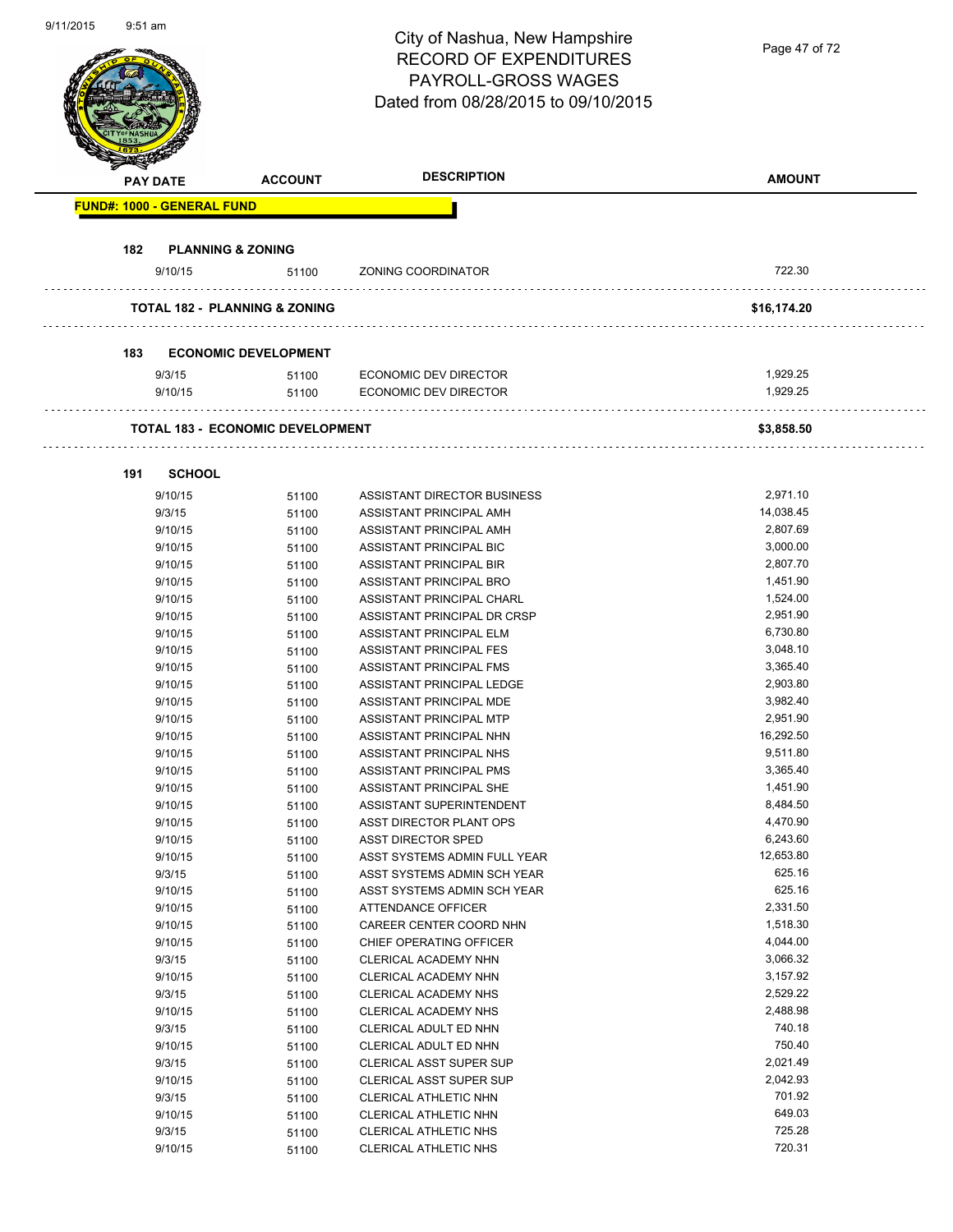| <i>ອ</i> ກ ການເດັກ |                 |                                   |                                          | City of Nashua, New Hampshire<br><b>RECORD OF EXPENDITURES</b><br>PAYROLL-GROSS WAGES | Page 47 of 72        |
|--------------------|-----------------|-----------------------------------|------------------------------------------|---------------------------------------------------------------------------------------|----------------------|
|                    |                 |                                   |                                          | Dated from 08/28/2015 to 09/10/2015                                                   |                      |
|                    | <b>PAY DATE</b> |                                   | <b>ACCOUNT</b>                           | <b>DESCRIPTION</b>                                                                    | <b>AMOUNT</b>        |
|                    |                 | <b>FUND#: 1000 - GENERAL FUND</b> |                                          |                                                                                       |                      |
|                    | 182             | <b>PLANNING &amp; ZONING</b>      |                                          |                                                                                       |                      |
|                    |                 | 9/10/15                           | 51100                                    | ZONING COORDINATOR                                                                    | 722.30               |
|                    |                 |                                   |                                          |                                                                                       |                      |
|                    |                 |                                   | <b>TOTAL 182 - PLANNING &amp; ZONING</b> |                                                                                       | \$16,174.20          |
|                    |                 |                                   |                                          |                                                                                       |                      |
|                    | 183             |                                   | <b>ECONOMIC DEVELOPMENT</b>              |                                                                                       |                      |
|                    |                 | 9/3/15<br>9/10/15                 | 51100<br>51100                           | ECONOMIC DEV DIRECTOR<br><b>ECONOMIC DEV DIRECTOR</b>                                 | 1,929.25<br>1,929.25 |
|                    |                 |                                   |                                          |                                                                                       |                      |
|                    |                 |                                   | <b>TOTAL 183 - ECONOMIC DEVELOPMENT</b>  |                                                                                       | \$3,858.50           |
|                    | 191             | <b>SCHOOL</b>                     |                                          |                                                                                       |                      |
|                    |                 | 9/10/15                           | 51100                                    | ASSISTANT DIRECTOR BUSINESS                                                           | 2,971.10             |
|                    |                 | 9/3/15                            | 51100                                    | ASSISTANT PRINCIPAL AMH                                                               | 14,038.45            |
|                    |                 | 9/10/15                           | 51100                                    | ASSISTANT PRINCIPAL AMH                                                               | 2,807.69             |
|                    |                 | 9/10/15                           | 51100                                    | ASSISTANT PRINCIPAL BIC                                                               | 3,000.00             |
|                    |                 | 9/10/15                           | 51100                                    | ASSISTANT PRINCIPAL BIR                                                               | 2,807.70             |
|                    |                 | 9/10/15                           | 51100                                    | ASSISTANT PRINCIPAL BRO                                                               | 1,451.90             |
|                    |                 | 9/10/15                           | 51100                                    | ASSISTANT PRINCIPAL CHARL                                                             | 1,524.00             |
|                    |                 | 9/10/15                           | 51100                                    | ASSISTANT PRINCIPAL DR CRSP                                                           | 2,951.90             |
|                    |                 | 9/10/15                           | 51100                                    | ASSISTANT PRINCIPAL ELM                                                               | 6,730.80             |
|                    |                 | 9/10/15                           | 51100                                    | ASSISTANT PRINCIPAL FES                                                               | 3,048.10             |
|                    |                 | 9/10/15                           | 51100                                    | ASSISTANT PRINCIPAL FMS                                                               | 3,365.40             |
|                    |                 | 9/10/15                           | 51100                                    | ASSISTANT PRINCIPAL LEDGE                                                             | 2,903.80             |
|                    |                 | 9/10/15                           | 51100                                    | ASSISTANT PRINCIPAL MDE                                                               | 3,982.40             |
|                    |                 | 9/10/15                           | 51100                                    | ASSISTANT PRINCIPAL MTP                                                               | 2.951.90             |
|                    |                 | 9/10/15                           | 51100                                    | ASSISTANT PRINCIPAL NHN                                                               | 16,292.50            |
|                    |                 | 9/10/15                           | 51100                                    | ASSISTANT PRINCIPAL NHS                                                               | 9,511.80             |
|                    |                 | 9/10/15                           | 51100                                    | ASSISTANT PRINCIPAL PMS                                                               | 3,365.40             |
|                    |                 | 9/10/15                           | 51100                                    | ASSISTANT PRINCIPAL SHE                                                               | 1,451.90             |
|                    |                 | 9/10/15                           | 51100                                    | ASSISTANT SUPERINTENDENT                                                              | 8,484.50             |
|                    |                 | 9/10/15                           | 51100                                    | ASST DIRECTOR PLANT OPS                                                               | 4,470.90             |
|                    |                 | 9/10/15                           | 51100                                    | <b>ASST DIRECTOR SPED</b>                                                             | 6,243.60             |
|                    |                 | 9/10/15                           | 51100                                    | ASST SYSTEMS ADMIN FULL YEAR                                                          | 12,653.80            |
|                    |                 | 9/3/15                            | 51100                                    | ASST SYSTEMS ADMIN SCH YEAR                                                           | 625.16               |
|                    |                 | 9/10/15                           | 51100                                    | ASST SYSTEMS ADMIN SCH YEAR                                                           | 625.16               |
|                    |                 | 9/10/15                           | 51100                                    | ATTENDANCE OFFICER                                                                    | 2,331.50             |
|                    |                 | 9/10/15                           | 51100                                    | CAREER CENTER COORD NHN                                                               | 1,518.30             |
|                    |                 | 9/10/15                           | 51100                                    | CHIEF OPERATING OFFICER                                                               | 4,044.00             |
|                    |                 | 9/3/15                            | 51100                                    | CLERICAL ACADEMY NHN                                                                  | 3,066.32<br>3,157.92 |
|                    |                 | 9/10/15                           | 51100                                    | CLERICAL ACADEMY NHN                                                                  | 2,529.22             |
|                    |                 | 9/3/15<br>9/10/15                 | 51100                                    | CLERICAL ACADEMY NHS<br>CLERICAL ACADEMY NHS                                          | 2,488.98             |
|                    |                 | 9/3/15                            | 51100                                    | CLERICAL ADULT ED NHN                                                                 | 740.18               |
|                    |                 | 9/10/15                           | 51100<br>51100                           | CLERICAL ADULT ED NHN                                                                 | 750.40               |
|                    |                 | 9/3/15                            | 51100                                    | CLERICAL ASST SUPER SUP                                                               | 2,021.49             |
|                    |                 | 9/10/15                           | 51100                                    | CLERICAL ASST SUPER SUP                                                               | 2,042.93             |
|                    |                 | 9/3/15                            | 51100                                    | CLERICAL ATHLETIC NHN                                                                 | 701.92               |
|                    |                 | 9/10/15                           | 51100                                    | CLERICAL ATHLETIC NHN                                                                 | 649.03               |
|                    |                 | 9/3/15                            | 51100                                    | CLERICAL ATHLETIC NHS                                                                 | 725.28               |
|                    |                 | 9/10/15                           | 51100                                    | CLERICAL ATHLETIC NHS                                                                 | 720.31               |
|                    |                 |                                   |                                          |                                                                                       |                      |

9/11/2015 9:51 am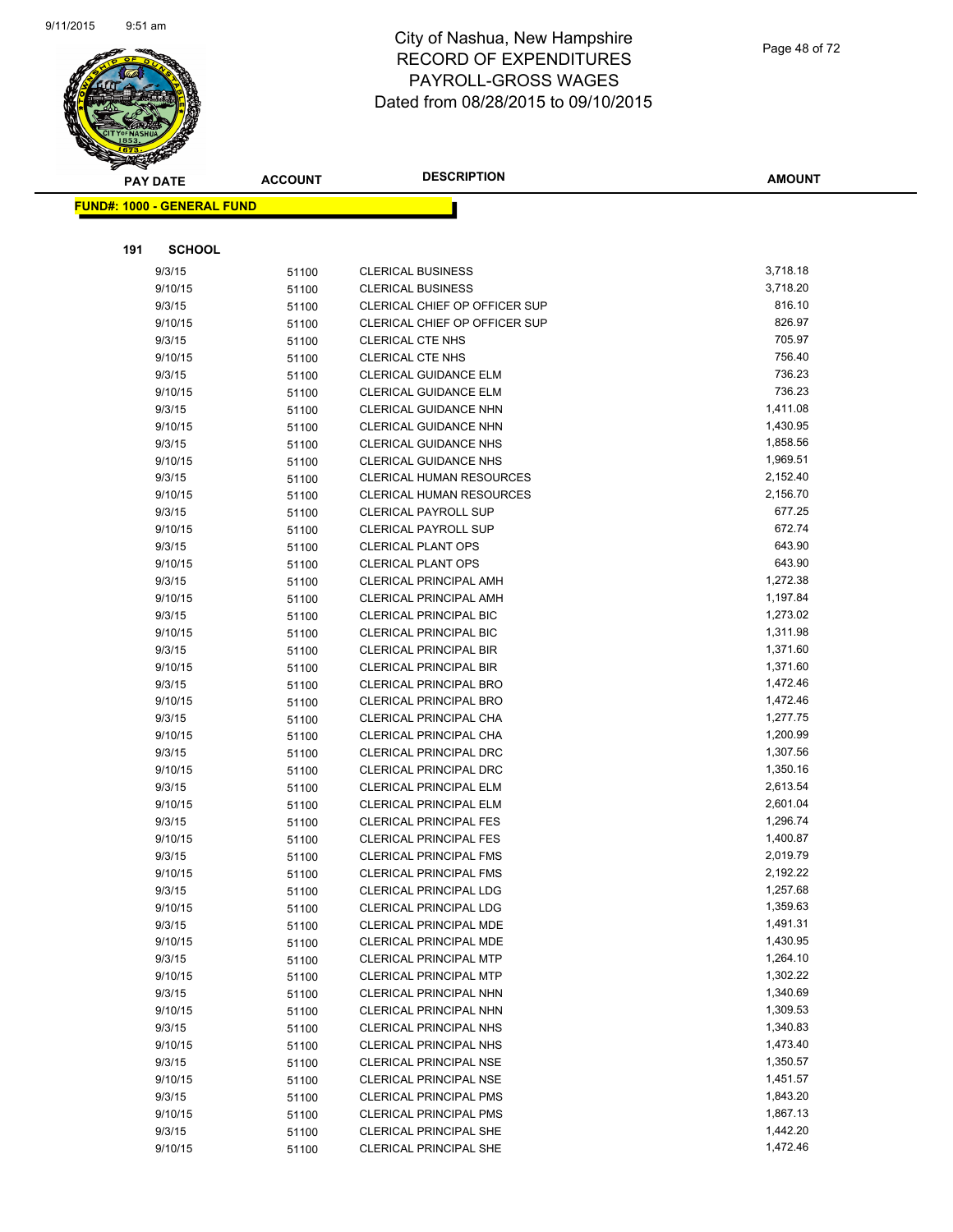

|     | <b>PAY DATE</b>                   | <b>ACCOUNT</b> | <b>DESCRIPTION</b>                                             | <b>AMOUNT</b>        |
|-----|-----------------------------------|----------------|----------------------------------------------------------------|----------------------|
|     | <b>FUND#: 1000 - GENERAL FUND</b> |                |                                                                |                      |
|     |                                   |                |                                                                |                      |
|     |                                   |                |                                                                |                      |
| 191 | <b>SCHOOL</b>                     |                |                                                                |                      |
|     | 9/3/15                            | 51100          | <b>CLERICAL BUSINESS</b>                                       | 3,718.18             |
|     | 9/10/15                           | 51100          | <b>CLERICAL BUSINESS</b>                                       | 3,718.20             |
|     | 9/3/15                            | 51100          | CLERICAL CHIEF OP OFFICER SUP                                  | 816.10               |
|     | 9/10/15                           | 51100          | CLERICAL CHIEF OP OFFICER SUP                                  | 826.97               |
|     | 9/3/15                            | 51100          | <b>CLERICAL CTE NHS</b>                                        | 705.97               |
|     | 9/10/15                           | 51100          | <b>CLERICAL CTE NHS</b>                                        | 756.40               |
|     | 9/3/15                            | 51100          | <b>CLERICAL GUIDANCE ELM</b>                                   | 736.23               |
|     | 9/10/15                           | 51100          | <b>CLERICAL GUIDANCE ELM</b>                                   | 736.23               |
|     | 9/3/15                            | 51100          | CLERICAL GUIDANCE NHN                                          | 1,411.08             |
|     | 9/10/15                           | 51100          | <b>CLERICAL GUIDANCE NHN</b>                                   | 1,430.95             |
|     | 9/3/15                            | 51100          | <b>CLERICAL GUIDANCE NHS</b>                                   | 1,858.56             |
|     | 9/10/15                           | 51100          | CLERICAL GUIDANCE NHS                                          | 1,969.51             |
|     | 9/3/15                            | 51100          | CLERICAL HUMAN RESOURCES                                       | 2,152.40             |
|     | 9/10/15                           | 51100          | CLERICAL HUMAN RESOURCES                                       | 2,156.70             |
|     | 9/3/15                            | 51100          | <b>CLERICAL PAYROLL SUP</b>                                    | 677.25               |
|     | 9/10/15                           | 51100          | CLERICAL PAYROLL SUP                                           | 672.74               |
|     | 9/3/15                            | 51100          | <b>CLERICAL PLANT OPS</b>                                      | 643.90               |
|     | 9/10/15                           | 51100          | <b>CLERICAL PLANT OPS</b>                                      | 643.90               |
|     | 9/3/15                            | 51100          | CLERICAL PRINCIPAL AMH                                         | 1,272.38             |
|     | 9/10/15                           | 51100          | <b>CLERICAL PRINCIPAL AMH</b>                                  | 1,197.84             |
|     | 9/3/15                            | 51100          | <b>CLERICAL PRINCIPAL BIC</b>                                  | 1,273.02             |
|     | 9/10/15                           | 51100          | CLERICAL PRINCIPAL BIC                                         | 1,311.98             |
|     | 9/3/15                            | 51100          | CLERICAL PRINCIPAL BIR                                         | 1,371.60             |
|     | 9/10/15                           | 51100          | <b>CLERICAL PRINCIPAL BIR</b>                                  | 1,371.60             |
|     | 9/3/15                            | 51100          | CLERICAL PRINCIPAL BRO                                         | 1,472.46             |
|     | 9/10/15                           | 51100          | <b>CLERICAL PRINCIPAL BRO</b>                                  | 1,472.46             |
|     | 9/3/15                            | 51100          | CLERICAL PRINCIPAL CHA                                         | 1,277.75             |
|     | 9/10/15                           | 51100          | CLERICAL PRINCIPAL CHA                                         | 1,200.99             |
|     | 9/3/15                            | 51100          | CLERICAL PRINCIPAL DRC                                         | 1,307.56             |
|     | 9/10/15                           | 51100          | CLERICAL PRINCIPAL DRC                                         | 1,350.16             |
|     | 9/3/15                            | 51100          | <b>CLERICAL PRINCIPAL ELM</b>                                  | 2,613.54             |
|     | 9/10/15                           | 51100          | <b>CLERICAL PRINCIPAL ELM</b>                                  | 2,601.04             |
|     | 9/3/15                            | 51100          | <b>CLERICAL PRINCIPAL FES</b><br><b>CLERICAL PRINCIPAL FES</b> | 1,296.74             |
|     | 9/10/15                           | 51100          |                                                                | 1,400.87<br>2,019.79 |
|     | 9/3/15<br>9/10/15                 | 51100          | <b>CLERICAL PRINCIPAL FMS</b><br>CLERICAL PRINCIPAL FMS        | 2,192.22             |
|     |                                   | 51100          |                                                                | 1,257.68             |
|     | 9/3/15<br>9/10/15                 | 51100          | <b>CLERICAL PRINCIPAL LDG</b><br><b>CLERICAL PRINCIPAL LDG</b> | 1,359.63             |
|     |                                   | 51100          | <b>CLERICAL PRINCIPAL MDE</b>                                  | 1,491.31             |
|     | 9/3/15<br>9/10/15                 | 51100          | <b>CLERICAL PRINCIPAL MDE</b>                                  | 1,430.95             |
|     | 9/3/15                            | 51100          | <b>CLERICAL PRINCIPAL MTP</b>                                  | 1,264.10             |
|     | 9/10/15                           | 51100          | <b>CLERICAL PRINCIPAL MTP</b>                                  | 1,302.22             |
|     | 9/3/15                            | 51100<br>51100 | CLERICAL PRINCIPAL NHN                                         | 1,340.69             |
|     | 9/10/15                           |                | CLERICAL PRINCIPAL NHN                                         | 1,309.53             |
|     | 9/3/15                            | 51100          | <b>CLERICAL PRINCIPAL NHS</b>                                  | 1,340.83             |
|     | 9/10/15                           | 51100          | <b>CLERICAL PRINCIPAL NHS</b>                                  | 1,473.40             |
|     | 9/3/15                            | 51100          | <b>CLERICAL PRINCIPAL NSE</b>                                  | 1,350.57             |
|     | 9/10/15                           | 51100<br>51100 | <b>CLERICAL PRINCIPAL NSE</b>                                  | 1,451.57             |
|     | 9/3/15                            | 51100          | <b>CLERICAL PRINCIPAL PMS</b>                                  | 1,843.20             |
|     | 9/10/15                           | 51100          | <b>CLERICAL PRINCIPAL PMS</b>                                  | 1,867.13             |
|     | 9/3/15                            | 51100          | <b>CLERICAL PRINCIPAL SHE</b>                                  | 1,442.20             |
|     | 9/10/15                           | 51100          | CLERICAL PRINCIPAL SHE                                         | 1,472.46             |
|     |                                   |                |                                                                |                      |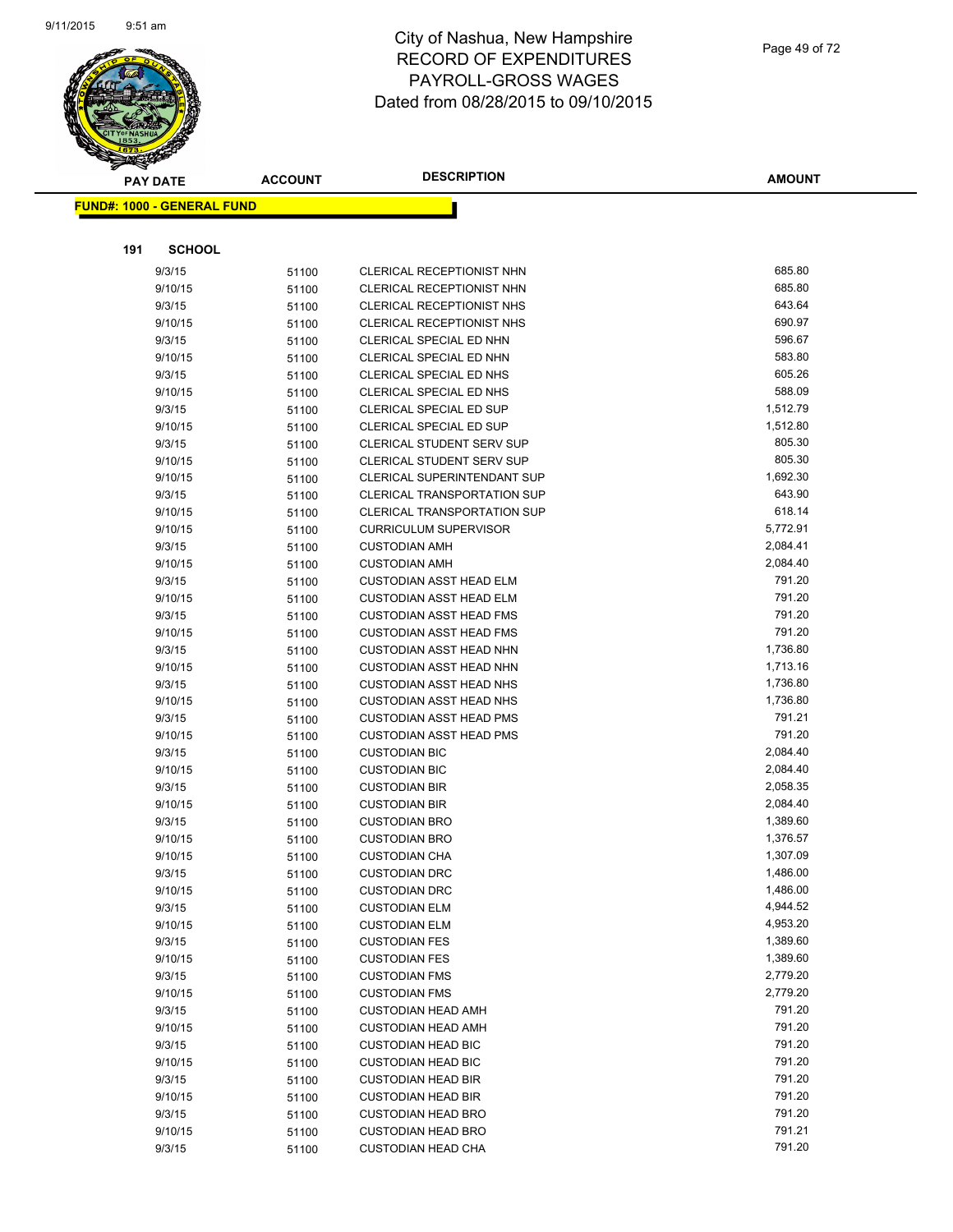

|     | <b>PAY DATE</b>                   | <b>ACCOUNT</b> | <b>DESCRIPTION</b>                                               | <b>AMOUNT</b>        |
|-----|-----------------------------------|----------------|------------------------------------------------------------------|----------------------|
|     | <b>FUND#: 1000 - GENERAL FUND</b> |                |                                                                  |                      |
|     |                                   |                |                                                                  |                      |
|     |                                   |                |                                                                  |                      |
| 191 | <b>SCHOOL</b>                     |                |                                                                  |                      |
|     | 9/3/15                            | 51100          | CLERICAL RECEPTIONIST NHN                                        | 685.80               |
|     | 9/10/15                           | 51100          | CLERICAL RECEPTIONIST NHN                                        | 685.80               |
|     | 9/3/15                            | 51100          | CLERICAL RECEPTIONIST NHS                                        | 643.64               |
|     | 9/10/15                           | 51100          | CLERICAL RECEPTIONIST NHS                                        | 690.97               |
|     | 9/3/15                            | 51100          | CLERICAL SPECIAL ED NHN                                          | 596.67               |
|     | 9/10/15                           | 51100          | CLERICAL SPECIAL ED NHN                                          | 583.80               |
|     | 9/3/15                            | 51100          | CLERICAL SPECIAL ED NHS                                          | 605.26               |
|     | 9/10/15                           | 51100          | CLERICAL SPECIAL ED NHS                                          | 588.09               |
|     | 9/3/15                            | 51100          | CLERICAL SPECIAL ED SUP                                          | 1,512.79             |
|     | 9/10/15                           | 51100          | CLERICAL SPECIAL ED SUP                                          | 1,512.80             |
|     | 9/3/15                            | 51100          | CLERICAL STUDENT SERV SUP                                        | 805.30               |
|     | 9/10/15                           | 51100          | CLERICAL STUDENT SERV SUP                                        | 805.30               |
|     | 9/10/15                           | 51100          | CLERICAL SUPERINTENDANT SUP                                      | 1,692.30             |
|     | 9/3/15                            | 51100          | <b>CLERICAL TRANSPORTATION SUP</b>                               | 643.90               |
|     | 9/10/15                           | 51100          | <b>CLERICAL TRANSPORTATION SUP</b>                               | 618.14<br>5,772.91   |
|     | 9/10/15                           | 51100          | <b>CURRICULUM SUPERVISOR</b>                                     |                      |
|     | 9/3/15                            | 51100          | <b>CUSTODIAN AMH</b>                                             | 2,084.41<br>2,084.40 |
|     | 9/10/15                           | 51100          | <b>CUSTODIAN AMH</b>                                             | 791.20               |
|     | 9/3/15                            | 51100          | <b>CUSTODIAN ASST HEAD ELM</b>                                   | 791.20               |
|     | 9/10/15                           | 51100          | <b>CUSTODIAN ASST HEAD ELM</b>                                   | 791.20               |
|     | 9/3/15<br>9/10/15                 | 51100          | <b>CUSTODIAN ASST HEAD FMS</b><br><b>CUSTODIAN ASST HEAD FMS</b> | 791.20               |
|     | 9/3/15                            | 51100          | <b>CUSTODIAN ASST HEAD NHN</b>                                   | 1,736.80             |
|     | 9/10/15                           | 51100          | <b>CUSTODIAN ASST HEAD NHN</b>                                   | 1,713.16             |
|     | 9/3/15                            | 51100          | <b>CUSTODIAN ASST HEAD NHS</b>                                   | 1,736.80             |
|     | 9/10/15                           | 51100<br>51100 | <b>CUSTODIAN ASST HEAD NHS</b>                                   | 1,736.80             |
|     | 9/3/15                            |                | <b>CUSTODIAN ASST HEAD PMS</b>                                   | 791.21               |
|     | 9/10/15                           | 51100<br>51100 | <b>CUSTODIAN ASST HEAD PMS</b>                                   | 791.20               |
|     | 9/3/15                            | 51100          | <b>CUSTODIAN BIC</b>                                             | 2,084.40             |
|     | 9/10/15                           | 51100          | <b>CUSTODIAN BIC</b>                                             | 2,084.40             |
|     | 9/3/15                            | 51100          | <b>CUSTODIAN BIR</b>                                             | 2,058.35             |
|     | 9/10/15                           | 51100          | <b>CUSTODIAN BIR</b>                                             | 2,084.40             |
|     | 9/3/15                            | 51100          | <b>CUSTODIAN BRO</b>                                             | 1,389.60             |
|     | 9/10/15                           | 51100          | <b>CUSTODIAN BRO</b>                                             | 1,376.57             |
|     | 9/10/15                           | 51100          | <b>CUSTODIAN CHA</b>                                             | 1,307.09             |
|     | 9/3/15                            | 51100          | <b>CUSTODIAN DRC</b>                                             | 1,486.00             |
|     | 9/10/15                           | 51100          | <b>CUSTODIAN DRC</b>                                             | 1,486.00             |
|     | 9/3/15                            | 51100          | <b>CUSTODIAN ELM</b>                                             | 4,944.52             |
|     | 9/10/15                           | 51100          | <b>CUSTODIAN ELM</b>                                             | 4,953.20             |
|     | 9/3/15                            | 51100          | <b>CUSTODIAN FES</b>                                             | 1,389.60             |
|     | 9/10/15                           | 51100          | <b>CUSTODIAN FES</b>                                             | 1,389.60             |
|     | 9/3/15                            | 51100          | <b>CUSTODIAN FMS</b>                                             | 2,779.20             |
|     | 9/10/15                           | 51100          | <b>CUSTODIAN FMS</b>                                             | 2,779.20             |
|     | 9/3/15                            | 51100          | <b>CUSTODIAN HEAD AMH</b>                                        | 791.20               |
|     | 9/10/15                           | 51100          | <b>CUSTODIAN HEAD AMH</b>                                        | 791.20               |
|     | 9/3/15                            | 51100          | <b>CUSTODIAN HEAD BIC</b>                                        | 791.20               |
|     | 9/10/15                           | 51100          | <b>CUSTODIAN HEAD BIC</b>                                        | 791.20               |
|     | 9/3/15                            | 51100          | <b>CUSTODIAN HEAD BIR</b>                                        | 791.20               |
|     | 9/10/15                           | 51100          | <b>CUSTODIAN HEAD BIR</b>                                        | 791.20               |
|     | 9/3/15                            | 51100          | <b>CUSTODIAN HEAD BRO</b>                                        | 791.20               |
|     | 9/10/15                           | 51100          | <b>CUSTODIAN HEAD BRO</b>                                        | 791.21               |
|     | 9/3/15                            | 51100          | <b>CUSTODIAN HEAD CHA</b>                                        | 791.20               |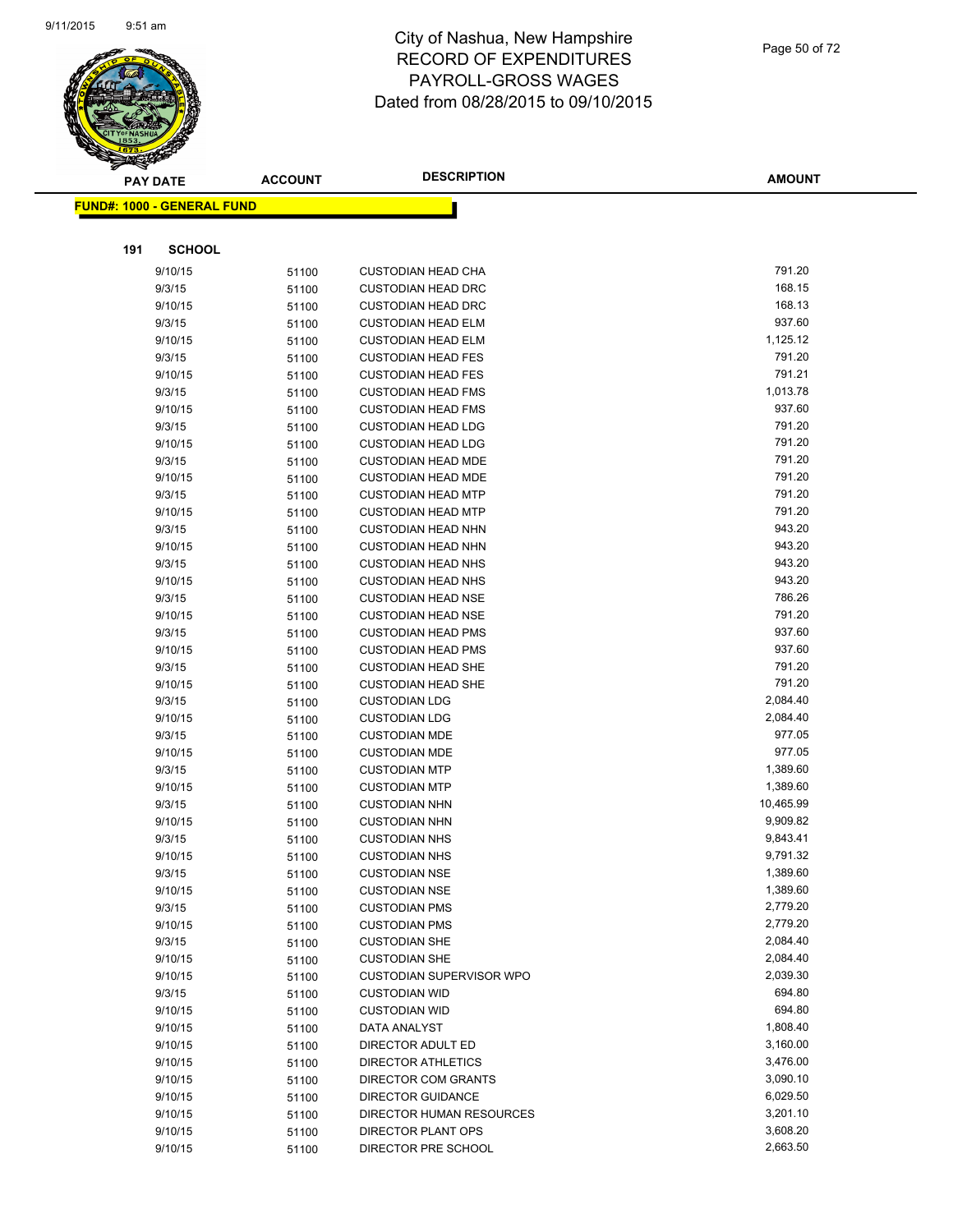

|     | <b>PAY DATE</b>                   | <b>ACCOUNT</b> | <b>DESCRIPTION</b>                           | <b>AMOUNT</b>    |
|-----|-----------------------------------|----------------|----------------------------------------------|------------------|
|     | <b>FUND#: 1000 - GENERAL FUND</b> |                |                                              |                  |
|     |                                   |                |                                              |                  |
|     |                                   |                |                                              |                  |
| 191 | <b>SCHOOL</b>                     |                |                                              |                  |
|     | 9/10/15                           | 51100          | <b>CUSTODIAN HEAD CHA</b>                    | 791.20           |
|     | 9/3/15                            | 51100          | <b>CUSTODIAN HEAD DRC</b>                    | 168.15           |
|     | 9/10/15                           | 51100          | <b>CUSTODIAN HEAD DRC</b>                    | 168.13           |
|     | 9/3/15                            | 51100          | <b>CUSTODIAN HEAD ELM</b>                    | 937.60           |
|     | 9/10/15                           | 51100          | <b>CUSTODIAN HEAD ELM</b>                    | 1,125.12         |
|     | 9/3/15                            | 51100          | <b>CUSTODIAN HEAD FES</b>                    | 791.20           |
|     | 9/10/15                           | 51100          | <b>CUSTODIAN HEAD FES</b>                    | 791.21           |
|     | 9/3/15                            | 51100          | <b>CUSTODIAN HEAD FMS</b>                    | 1,013.78         |
|     | 9/10/15                           | 51100          | <b>CUSTODIAN HEAD FMS</b>                    | 937.60           |
|     | 9/3/15                            | 51100          | <b>CUSTODIAN HEAD LDG</b>                    | 791.20           |
|     | 9/10/15                           | 51100          | <b>CUSTODIAN HEAD LDG</b>                    | 791.20           |
|     | 9/3/15                            | 51100          | <b>CUSTODIAN HEAD MDE</b>                    | 791.20           |
|     | 9/10/15                           | 51100          | <b>CUSTODIAN HEAD MDE</b>                    | 791.20           |
|     | 9/3/15                            | 51100          | <b>CUSTODIAN HEAD MTP</b>                    | 791.20           |
|     | 9/10/15                           | 51100          | <b>CUSTODIAN HEAD MTP</b>                    | 791.20           |
|     | 9/3/15                            | 51100          | <b>CUSTODIAN HEAD NHN</b>                    | 943.20           |
|     | 9/10/15                           | 51100          | <b>CUSTODIAN HEAD NHN</b>                    | 943.20           |
|     | 9/3/15                            | 51100          | <b>CUSTODIAN HEAD NHS</b>                    | 943.20           |
|     | 9/10/15                           | 51100          | <b>CUSTODIAN HEAD NHS</b>                    | 943.20           |
|     | 9/3/15                            | 51100          | <b>CUSTODIAN HEAD NSE</b>                    | 786.26           |
|     | 9/10/15                           | 51100          | <b>CUSTODIAN HEAD NSE</b>                    | 791.20           |
|     | 9/3/15                            | 51100          | <b>CUSTODIAN HEAD PMS</b>                    | 937.60<br>937.60 |
|     | 9/10/15                           | 51100          | <b>CUSTODIAN HEAD PMS</b>                    | 791.20           |
|     | 9/3/15                            | 51100          | <b>CUSTODIAN HEAD SHE</b>                    | 791.20           |
|     | 9/10/15                           | 51100          | <b>CUSTODIAN HEAD SHE</b>                    | 2,084.40         |
|     | 9/3/15                            | 51100          | <b>CUSTODIAN LDG</b>                         | 2,084.40         |
|     | 9/10/15<br>9/3/15                 | 51100          | <b>CUSTODIAN LDG</b><br><b>CUSTODIAN MDE</b> | 977.05           |
|     | 9/10/15                           | 51100          | <b>CUSTODIAN MDE</b>                         | 977.05           |
|     | 9/3/15                            | 51100<br>51100 | <b>CUSTODIAN MTP</b>                         | 1,389.60         |
|     | 9/10/15                           | 51100          | <b>CUSTODIAN MTP</b>                         | 1,389.60         |
|     | 9/3/15                            | 51100          | <b>CUSTODIAN NHN</b>                         | 10,465.99        |
|     | 9/10/15                           | 51100          | <b>CUSTODIAN NHN</b>                         | 9,909.82         |
|     | 9/3/15                            | 51100          | <b>CUSTODIAN NHS</b>                         | 9,843.41         |
|     | 9/10/15                           | 51100          | <b>CUSTODIAN NHS</b>                         | 9,791.32         |
|     | 9/3/15                            | 51100          | <b>CUSTODIAN NSE</b>                         | 1,389.60         |
|     | 9/10/15                           | 51100          | <b>CUSTODIAN NSE</b>                         | 1,389.60         |
|     | 9/3/15                            | 51100          | <b>CUSTODIAN PMS</b>                         | 2,779.20         |
|     | 9/10/15                           | 51100          | <b>CUSTODIAN PMS</b>                         | 2,779.20         |
|     | 9/3/15                            | 51100          | <b>CUSTODIAN SHE</b>                         | 2,084.40         |
|     | 9/10/15                           | 51100          | <b>CUSTODIAN SHE</b>                         | 2,084.40         |
|     | 9/10/15                           | 51100          | <b>CUSTODIAN SUPERVISOR WPO</b>              | 2,039.30         |
|     | 9/3/15                            | 51100          | <b>CUSTODIAN WID</b>                         | 694.80           |
|     | 9/10/15                           | 51100          | <b>CUSTODIAN WID</b>                         | 694.80           |
|     | 9/10/15                           | 51100          | DATA ANALYST                                 | 1,808.40         |
|     | 9/10/15                           | 51100          | DIRECTOR ADULT ED                            | 3,160.00         |
|     | 9/10/15                           | 51100          | <b>DIRECTOR ATHLETICS</b>                    | 3,476.00         |
|     | 9/10/15                           | 51100          | DIRECTOR COM GRANTS                          | 3,090.10         |
|     | 9/10/15                           | 51100          | <b>DIRECTOR GUIDANCE</b>                     | 6,029.50         |
|     | 9/10/15                           | 51100          | DIRECTOR HUMAN RESOURCES                     | 3,201.10         |
|     | 9/10/15                           | 51100          | DIRECTOR PLANT OPS                           | 3,608.20         |
|     | 9/10/15                           | 51100          | DIRECTOR PRE SCHOOL                          | 2,663.50         |
|     |                                   |                |                                              |                  |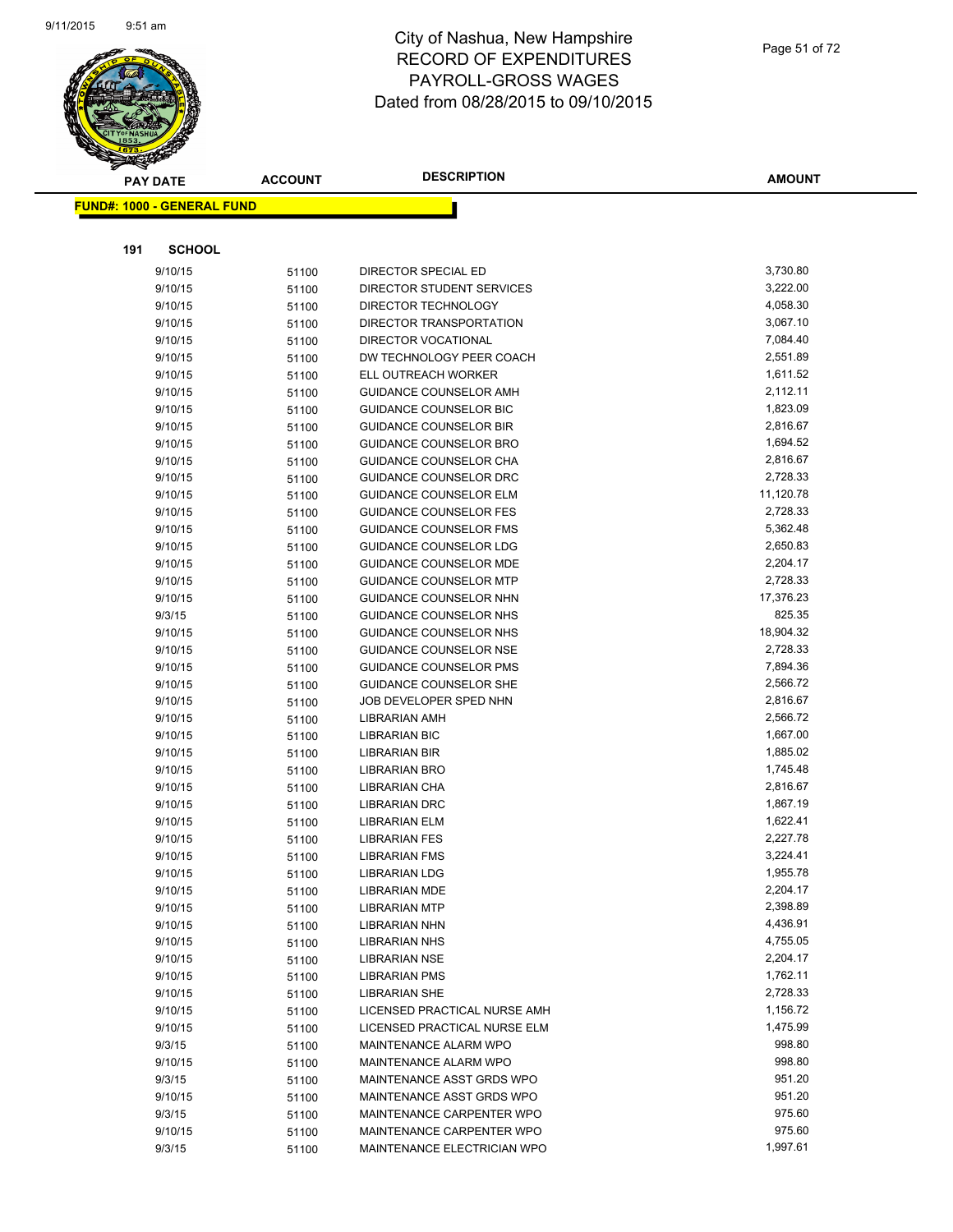

| <b>PAY DATE</b>                   | <b>ACCOUNT</b> | <b>DESCRIPTION</b>            | <b>AMOUNT</b> |
|-----------------------------------|----------------|-------------------------------|---------------|
| <b>FUND#: 1000 - GENERAL FUND</b> |                |                               |               |
|                                   |                |                               |               |
|                                   |                |                               |               |
| <b>SCHOOL</b><br>191              |                |                               |               |
| 9/10/15                           | 51100          | <b>DIRECTOR SPECIAL ED</b>    | 3,730.80      |
| 9/10/15                           | 51100          | DIRECTOR STUDENT SERVICES     | 3,222.00      |
| 9/10/15                           | 51100          | DIRECTOR TECHNOLOGY           | 4,058.30      |
| 9/10/15                           | 51100          | DIRECTOR TRANSPORTATION       | 3,067.10      |
| 9/10/15                           | 51100          | DIRECTOR VOCATIONAL           | 7,084.40      |
| 9/10/15                           | 51100          | DW TECHNOLOGY PEER COACH      | 2,551.89      |
| 9/10/15                           | 51100          | ELL OUTREACH WORKER           | 1,611.52      |
| 9/10/15                           | 51100          | GUIDANCE COUNSELOR AMH        | 2,112.11      |
| 9/10/15                           | 51100          | <b>GUIDANCE COUNSELOR BIC</b> | 1,823.09      |
| 9/10/15                           | 51100          | <b>GUIDANCE COUNSELOR BIR</b> | 2,816.67      |
| 9/10/15                           | 51100          | GUIDANCE COUNSELOR BRO        | 1,694.52      |
| 9/10/15                           | 51100          | GUIDANCE COUNSELOR CHA        | 2,816.67      |
| 9/10/15                           | 51100          | GUIDANCE COUNSELOR DRC        | 2,728.33      |
| 9/10/15                           | 51100          | <b>GUIDANCE COUNSELOR ELM</b> | 11,120.78     |
| 9/10/15                           | 51100          | GUIDANCE COUNSELOR FES        | 2,728.33      |
| 9/10/15                           | 51100          | GUIDANCE COUNSELOR FMS        | 5,362.48      |
| 9/10/15                           | 51100          | GUIDANCE COUNSELOR LDG        | 2,650.83      |
| 9/10/15                           | 51100          | <b>GUIDANCE COUNSELOR MDE</b> | 2,204.17      |
| 9/10/15                           | 51100          | <b>GUIDANCE COUNSELOR MTP</b> | 2,728.33      |
| 9/10/15                           | 51100          | <b>GUIDANCE COUNSELOR NHN</b> | 17,376.23     |
| 9/3/15                            | 51100          | GUIDANCE COUNSELOR NHS        | 825.35        |
| 9/10/15                           | 51100          | GUIDANCE COUNSELOR NHS        | 18,904.32     |
| 9/10/15                           | 51100          | <b>GUIDANCE COUNSELOR NSE</b> | 2,728.33      |
| 9/10/15                           | 51100          | <b>GUIDANCE COUNSELOR PMS</b> | 7,894.36      |
| 9/10/15                           | 51100          | GUIDANCE COUNSELOR SHE        | 2,566.72      |
| 9/10/15                           | 51100          | JOB DEVELOPER SPED NHN        | 2,816.67      |
| 9/10/15                           | 51100          | <b>LIBRARIAN AMH</b>          | 2,566.72      |
| 9/10/15                           | 51100          | <b>LIBRARIAN BIC</b>          | 1,667.00      |
| 9/10/15                           | 51100          | <b>LIBRARIAN BIR</b>          | 1,885.02      |
| 9/10/15                           | 51100          | LIBRARIAN BRO                 | 1,745.48      |
| 9/10/15                           | 51100          | LIBRARIAN CHA                 | 2,816.67      |
| 9/10/15                           | 51100          | LIBRARIAN DRC                 | 1,867.19      |
| 9/10/15                           | 51100          | LIBRARIAN ELM                 | 1,622.41      |
| 9/10/15                           | 51100          | <b>LIBRARIAN FES</b>          | 2,227.78      |
| 9/10/15                           | 51100          | <b>LIBRARIAN FMS</b>          | 3,224.41      |
| 9/10/15                           | 51100          | <b>LIBRARIAN LDG</b>          | 1,955.78      |
| 9/10/15                           | 51100          | <b>LIBRARIAN MDE</b>          | 2,204.17      |
| 9/10/15                           | 51100          | <b>LIBRARIAN MTP</b>          | 2,398.89      |
| 9/10/15                           | 51100          | LIBRARIAN NHN                 | 4,436.91      |
| 9/10/15                           | 51100          | <b>LIBRARIAN NHS</b>          | 4,755.05      |
| 9/10/15                           | 51100          | LIBRARIAN NSE                 | 2,204.17      |
| 9/10/15                           | 51100          | <b>LIBRARIAN PMS</b>          | 1,762.11      |
| 9/10/15                           | 51100          | <b>LIBRARIAN SHE</b>          | 2,728.33      |
| 9/10/15                           | 51100          | LICENSED PRACTICAL NURSE AMH  | 1,156.72      |
| 9/10/15                           | 51100          | LICENSED PRACTICAL NURSE ELM  | 1,475.99      |
| 9/3/15                            | 51100          | MAINTENANCE ALARM WPO         | 998.80        |
| 9/10/15                           | 51100          | MAINTENANCE ALARM WPO         | 998.80        |
| 9/3/15                            | 51100          | MAINTENANCE ASST GRDS WPO     | 951.20        |
| 9/10/15                           | 51100          | MAINTENANCE ASST GRDS WPO     | 951.20        |
| 9/3/15                            | 51100          | MAINTENANCE CARPENTER WPO     | 975.60        |
| 9/10/15                           | 51100          | MAINTENANCE CARPENTER WPO     | 975.60        |
| 9/3/15                            | 51100          | MAINTENANCE ELECTRICIAN WPO   | 1,997.61      |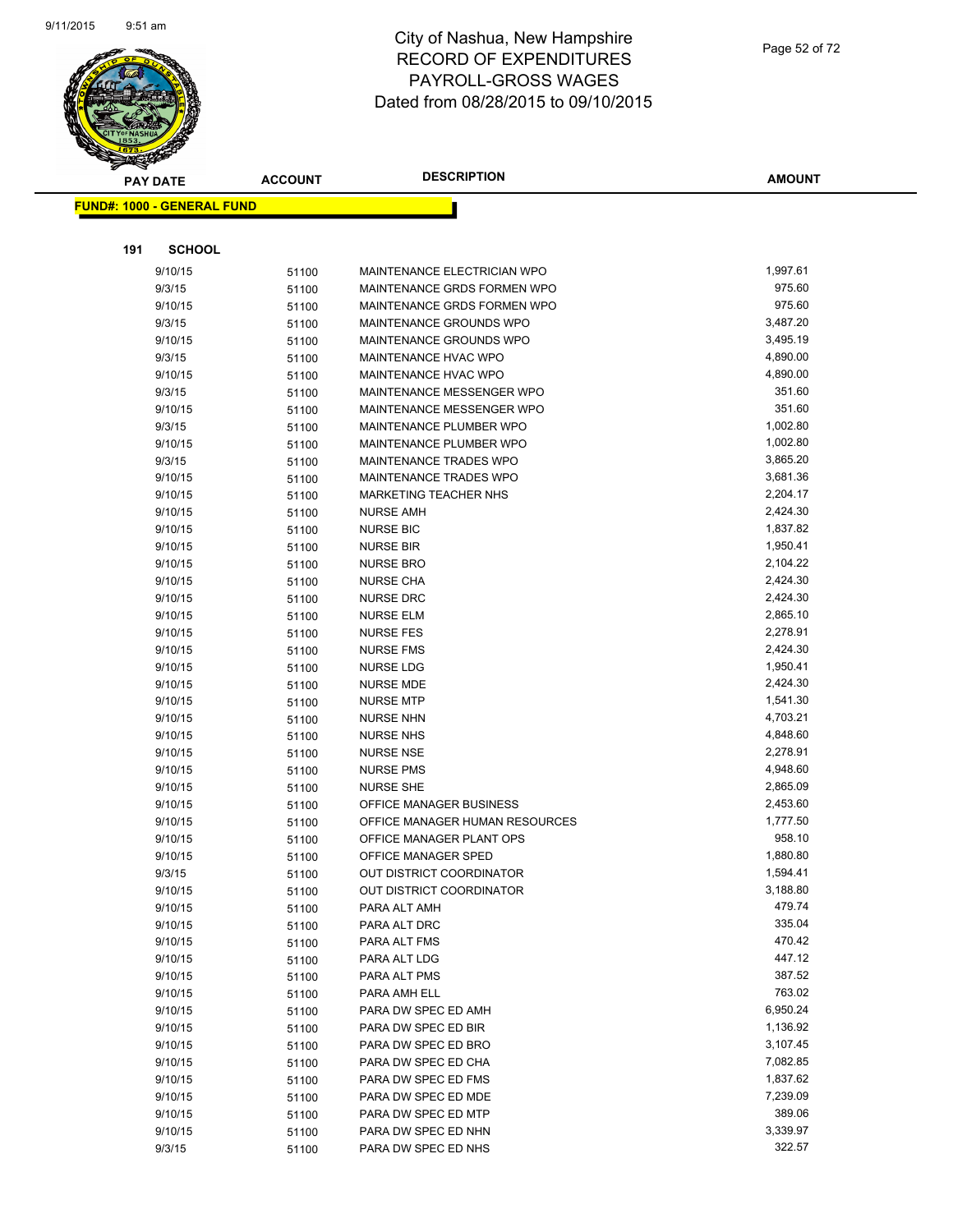

| <b>PAY DATE</b>                   | <b>ACCOUNT</b> | <b>DESCRIPTION</b>                          | <b>AMOUNT</b>        |
|-----------------------------------|----------------|---------------------------------------------|----------------------|
| <b>FUND#: 1000 - GENERAL FUND</b> |                |                                             |                      |
|                                   |                |                                             |                      |
|                                   |                |                                             |                      |
| 191<br><b>SCHOOL</b>              |                |                                             |                      |
| 9/10/15                           | 51100          | MAINTENANCE ELECTRICIAN WPO                 | 1,997.61             |
| 9/3/15                            | 51100          | MAINTENANCE GRDS FORMEN WPO                 | 975.60               |
| 9/10/15                           | 51100          | MAINTENANCE GRDS FORMEN WPO                 | 975.60               |
| 9/3/15                            | 51100          | MAINTENANCE GROUNDS WPO                     | 3,487.20             |
| 9/10/15                           | 51100          | MAINTENANCE GROUNDS WPO                     | 3,495.19             |
| 9/3/15                            | 51100          | MAINTENANCE HVAC WPO                        | 4,890.00             |
| 9/10/15                           | 51100          | MAINTENANCE HVAC WPO                        | 4,890.00             |
| 9/3/15                            | 51100          | MAINTENANCE MESSENGER WPO                   | 351.60               |
| 9/10/15                           | 51100          | MAINTENANCE MESSENGER WPO                   | 351.60               |
| 9/3/15                            | 51100          | MAINTENANCE PLUMBER WPO                     | 1,002.80             |
| 9/10/15                           | 51100          | MAINTENANCE PLUMBER WPO                     | 1,002.80             |
| 9/3/15                            | 51100          | MAINTENANCE TRADES WPO                      | 3,865.20             |
| 9/10/15                           | 51100          | <b>MAINTENANCE TRADES WPO</b>               | 3,681.36             |
| 9/10/15                           | 51100          | MARKETING TEACHER NHS                       | 2,204.17             |
| 9/10/15                           | 51100          | <b>NURSE AMH</b>                            | 2,424.30             |
| 9/10/15                           | 51100          | <b>NURSE BIC</b>                            | 1,837.82             |
| 9/10/15                           | 51100          | <b>NURSE BIR</b>                            | 1,950.41             |
| 9/10/15                           | 51100          | <b>NURSE BRO</b>                            | 2,104.22             |
| 9/10/15                           | 51100          | <b>NURSE CHA</b>                            | 2,424.30             |
| 9/10/15                           | 51100          | <b>NURSE DRC</b>                            | 2,424.30             |
| 9/10/15                           | 51100          | <b>NURSE ELM</b>                            | 2,865.10             |
| 9/10/15                           | 51100          | <b>NURSE FES</b>                            | 2,278.91             |
| 9/10/15                           | 51100          | <b>NURSE FMS</b>                            | 2,424.30             |
| 9/10/15                           | 51100          | <b>NURSE LDG</b>                            | 1,950.41             |
| 9/10/15                           | 51100          | NURSE MDE                                   | 2,424.30             |
| 9/10/15                           | 51100          | <b>NURSE MTP</b>                            | 1,541.30             |
| 9/10/15                           | 51100          | <b>NURSE NHN</b>                            | 4,703.21             |
| 9/10/15                           | 51100          | <b>NURSE NHS</b>                            | 4,848.60             |
| 9/10/15                           | 51100          | <b>NURSE NSE</b>                            | 2,278.91             |
| 9/10/15                           | 51100          | <b>NURSE PMS</b>                            | 4,948.60<br>2,865.09 |
| 9/10/15<br>9/10/15                | 51100          | <b>NURSE SHE</b><br>OFFICE MANAGER BUSINESS | 2,453.60             |
| 9/10/15                           | 51100          | OFFICE MANAGER HUMAN RESOURCES              | 1,777.50             |
| 9/10/15                           | 51100          | OFFICE MANAGER PLANT OPS                    | 958.10               |
| 9/10/15                           | 51100<br>51100 | OFFICE MANAGER SPED                         | 1,880.80             |
| 9/3/15                            |                | OUT DISTRICT COORDINATOR                    | 1,594.41             |
| 9/10/15                           | 51100<br>51100 | OUT DISTRICT COORDINATOR                    | 3,188.80             |
| 9/10/15                           | 51100          | PARA ALT AMH                                | 479.74               |
| 9/10/15                           | 51100          | PARA ALT DRC                                | 335.04               |
| 9/10/15                           | 51100          | PARA ALT FMS                                | 470.42               |
| 9/10/15                           | 51100          | PARA ALT LDG                                | 447.12               |
| 9/10/15                           | 51100          | PARA ALT PMS                                | 387.52               |
| 9/10/15                           | 51100          | PARA AMH ELL                                | 763.02               |
| 9/10/15                           | 51100          | PARA DW SPEC ED AMH                         | 6,950.24             |
| 9/10/15                           | 51100          | PARA DW SPEC ED BIR                         | 1,136.92             |
| 9/10/15                           | 51100          | PARA DW SPEC ED BRO                         | 3,107.45             |
| 9/10/15                           | 51100          | PARA DW SPEC ED CHA                         | 7,082.85             |
| 9/10/15                           | 51100          | PARA DW SPEC ED FMS                         | 1,837.62             |
| 9/10/15                           | 51100          | PARA DW SPEC ED MDE                         | 7,239.09             |
| 9/10/15                           | 51100          | PARA DW SPEC ED MTP                         | 389.06               |
| 9/10/15                           | 51100          | PARA DW SPEC ED NHN                         | 3,339.97             |
| 9/3/15                            | 51100          | PARA DW SPEC ED NHS                         | 322.57               |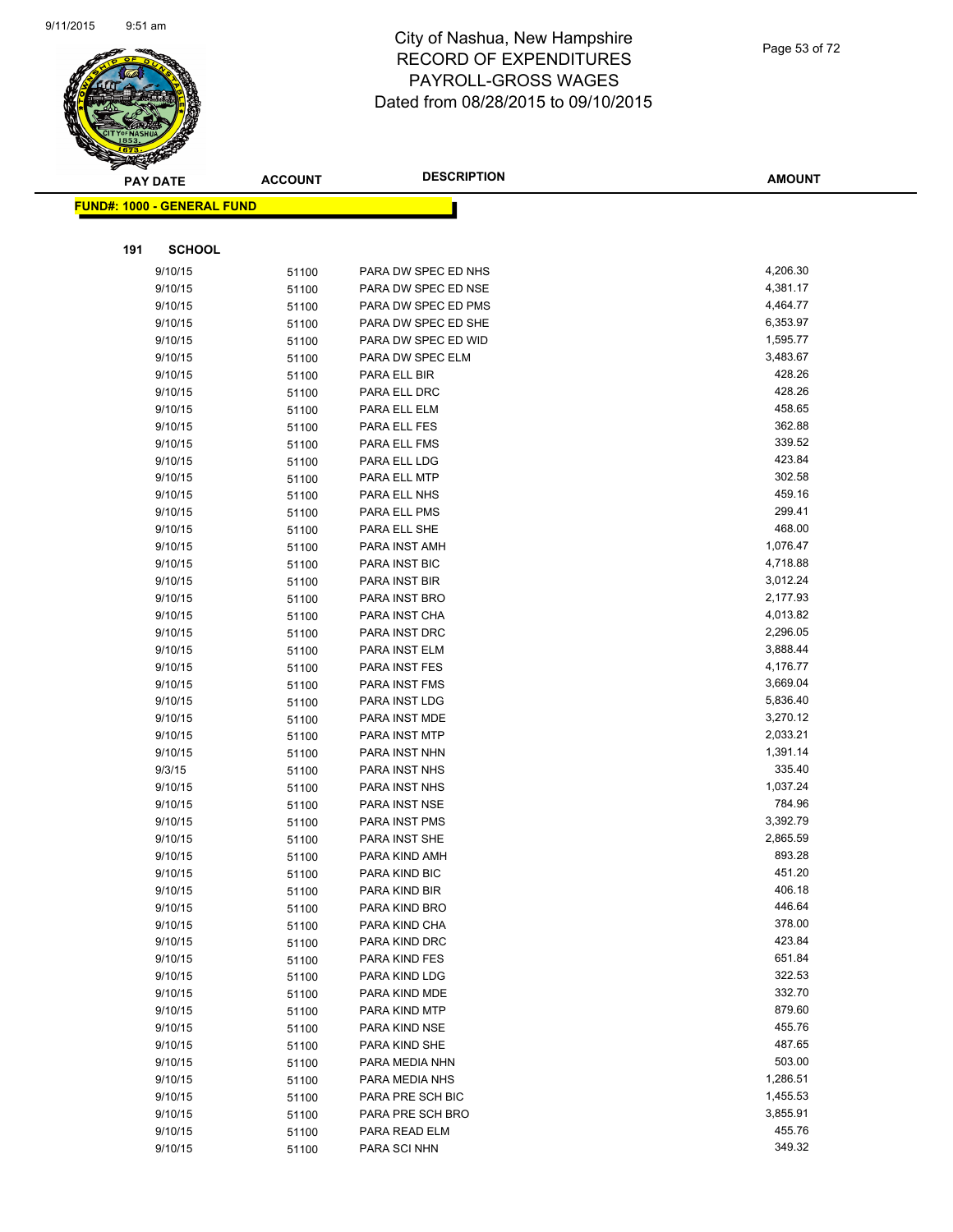

|     | $\tilde{\phantom{a}}$<br><b>PAY DATE</b> | <b>ACCOUNT</b> | <b>DESCRIPTION</b>  | <b>AMOUNT</b>        |
|-----|------------------------------------------|----------------|---------------------|----------------------|
|     | <u> FUND#: 1000 - GENERAL FUND</u>       |                |                     |                      |
|     |                                          |                |                     |                      |
| 191 | <b>SCHOOL</b>                            |                |                     |                      |
|     | 9/10/15                                  | 51100          | PARA DW SPEC ED NHS | 4,206.30             |
|     | 9/10/15                                  | 51100          | PARA DW SPEC ED NSE | 4,381.17             |
|     | 9/10/15                                  | 51100          | PARA DW SPEC ED PMS | 4,464.77             |
|     | 9/10/15                                  | 51100          | PARA DW SPEC ED SHE | 6,353.97             |
|     | 9/10/15                                  | 51100          | PARA DW SPEC ED WID | 1,595.77             |
|     | 9/10/15                                  | 51100          | PARA DW SPEC ELM    | 3,483.67             |
|     | 9/10/15                                  | 51100          | PARA ELL BIR        | 428.26               |
|     | 9/10/15                                  | 51100          | PARA ELL DRC        | 428.26               |
|     | 9/10/15                                  | 51100          | PARA ELL ELM        | 458.65               |
|     | 9/10/15                                  | 51100          | PARA ELL FES        | 362.88               |
|     | 9/10/15                                  | 51100          | PARA ELL FMS        | 339.52               |
|     | 9/10/15                                  | 51100          | PARA ELL LDG        | 423.84               |
|     | 9/10/15                                  | 51100          | PARA ELL MTP        | 302.58               |
|     | 9/10/15                                  | 51100          | PARA ELL NHS        | 459.16               |
|     | 9/10/15                                  | 51100          | PARA ELL PMS        | 299.41               |
|     | 9/10/15                                  | 51100          | PARA ELL SHE        | 468.00               |
|     | 9/10/15                                  | 51100          | PARA INST AMH       | 1,076.47             |
|     | 9/10/15                                  | 51100          | PARA INST BIC       | 4,718.88             |
|     | 9/10/15                                  | 51100          | PARA INST BIR       | 3,012.24             |
|     | 9/10/15                                  | 51100          | PARA INST BRO       | 2,177.93             |
|     | 9/10/15                                  | 51100          | PARA INST CHA       | 4,013.82             |
|     | 9/10/15                                  | 51100          | PARA INST DRC       | 2,296.05             |
|     | 9/10/15                                  | 51100          | PARA INST ELM       | 3,888.44             |
|     | 9/10/15                                  | 51100          | PARA INST FES       | 4,176.77             |
|     | 9/10/15                                  | 51100          | PARA INST FMS       | 3,669.04             |
|     | 9/10/15                                  | 51100          | PARA INST LDG       | 5,836.40             |
|     | 9/10/15                                  | 51100          | PARA INST MDE       | 3,270.12             |
|     | 9/10/15                                  | 51100          | PARA INST MTP       | 2,033.21             |
|     | 9/10/15                                  | 51100          | PARA INST NHN       | 1,391.14             |
|     | 9/3/15                                   | 51100          | PARA INST NHS       | 335.40               |
|     | 9/10/15                                  | 51100          | PARA INST NHS       | 1,037.24             |
|     | 9/10/15                                  | 51100          | PARA INST NSE       | 784.96               |
|     | 9/10/15                                  | 51100          | PARA INST PMS       | 3,392.79             |
|     | 9/10/15                                  | 51100          | PARA INST SHE       | 2,865.59             |
|     | 9/10/15                                  | 51100          | PARA KIND AMH       | 893.28               |
|     | 9/10/15                                  | 51100          | PARA KIND BIC       | 451.20               |
|     | 9/10/15                                  | 51100          | PARA KIND BIR       | 406.18               |
|     | 9/10/15                                  | 51100          | PARA KIND BRO       | 446.64               |
|     | 9/10/15                                  | 51100          | PARA KIND CHA       | 378.00               |
|     | 9/10/15                                  | 51100          | PARA KIND DRC       | 423.84               |
|     | 9/10/15                                  | 51100          | PARA KIND FES       | 651.84               |
|     | 9/10/15                                  | 51100          | PARA KIND LDG       | 322.53               |
|     | 9/10/15                                  | 51100          | PARA KIND MDE       | 332.70               |
|     | 9/10/15                                  | 51100          | PARA KIND MTP       | 879.60               |
|     | 9/10/15                                  | 51100          | PARA KIND NSE       | 455.76               |
|     | 9/10/15                                  | 51100          | PARA KIND SHE       | 487.65               |
|     | 9/10/15                                  | 51100          | PARA MEDIA NHN      | 503.00               |
|     | 9/10/15                                  | 51100          | PARA MEDIA NHS      | 1,286.51             |
|     | 9/10/15                                  | 51100          | PARA PRE SCH BIC    | 1,455.53<br>3,855.91 |
|     | 9/10/15                                  | 51100          | PARA PRE SCH BRO    | 455.76               |
|     | 9/10/15                                  | 51100          | PARA READ ELM       |                      |
|     | 9/10/15                                  | 51100          | PARA SCI NHN        | 349.32               |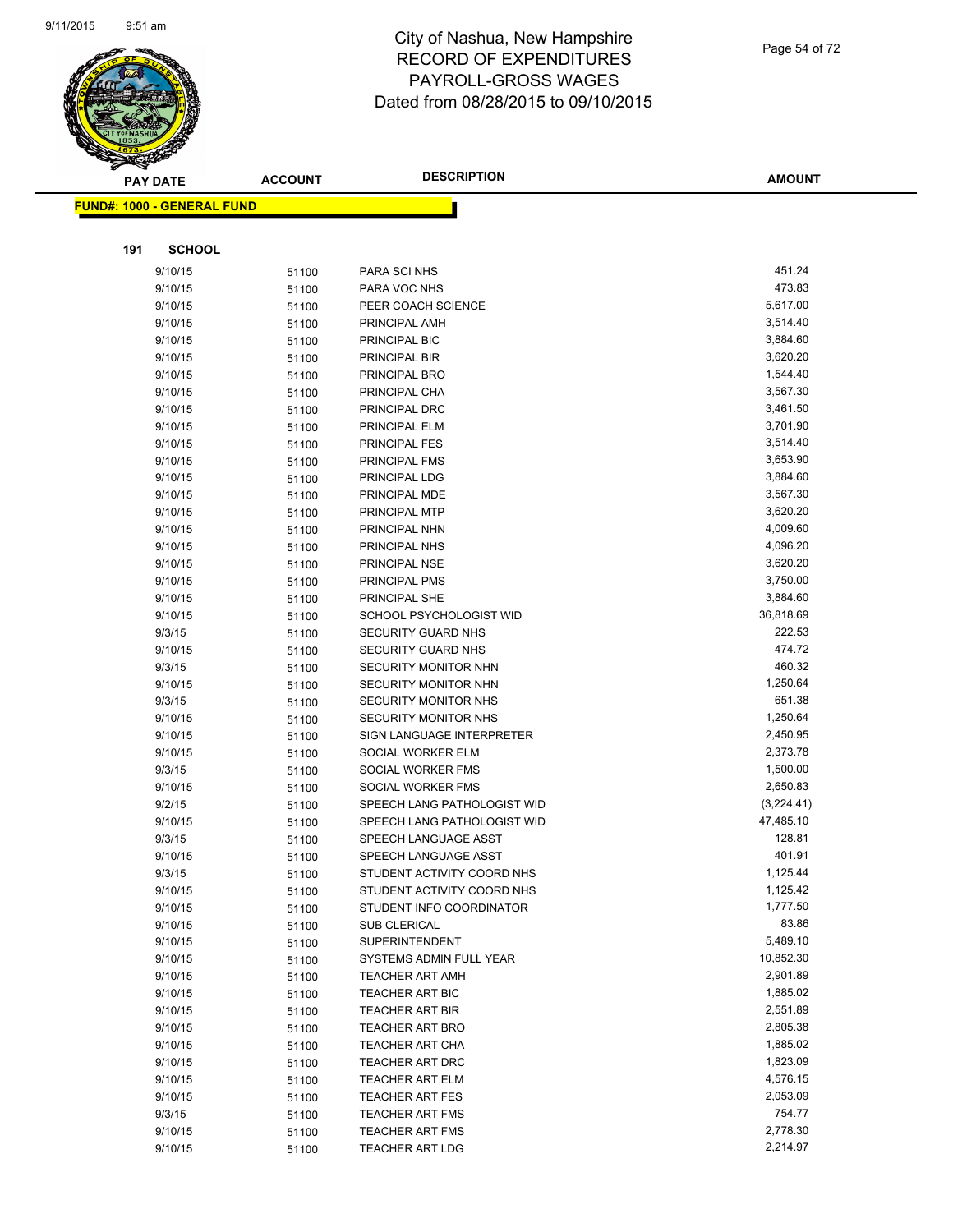

|     | <b>PAY DATE</b>                   | <b>ACCOUNT</b> | <b>DESCRIPTION</b>                     | <b>AMOUNT</b>        |
|-----|-----------------------------------|----------------|----------------------------------------|----------------------|
|     | <b>FUND#: 1000 - GENERAL FUND</b> |                |                                        |                      |
|     |                                   |                |                                        |                      |
|     |                                   |                |                                        |                      |
| 191 | <b>SCHOOL</b>                     |                |                                        |                      |
|     | 9/10/15                           | 51100          | PARA SCI NHS                           | 451.24               |
|     | 9/10/15                           | 51100          | PARA VOC NHS                           | 473.83               |
|     | 9/10/15                           | 51100          | PEER COACH SCIENCE                     | 5,617.00             |
|     | 9/10/15                           | 51100          | PRINCIPAL AMH                          | 3,514.40             |
|     | 9/10/15                           | 51100          | PRINCIPAL BIC                          | 3,884.60             |
|     | 9/10/15                           | 51100          | PRINCIPAL BIR                          | 3,620.20             |
|     | 9/10/15                           | 51100          | PRINCIPAL BRO                          | 1,544.40             |
|     | 9/10/15                           | 51100          | PRINCIPAL CHA                          | 3,567.30             |
|     | 9/10/15                           | 51100          | PRINCIPAL DRC                          | 3,461.50             |
|     | 9/10/15                           | 51100          | PRINCIPAL ELM                          | 3,701.90             |
|     | 9/10/15                           | 51100          | PRINCIPAL FES                          | 3,514.40             |
|     | 9/10/15                           | 51100          | PRINCIPAL FMS                          | 3,653.90             |
|     | 9/10/15                           | 51100          | PRINCIPAL LDG                          | 3,884.60             |
|     | 9/10/15                           | 51100          | PRINCIPAL MDE                          | 3,567.30             |
|     | 9/10/15                           | 51100          | PRINCIPAL MTP                          | 3,620.20             |
|     | 9/10/15                           | 51100          | PRINCIPAL NHN                          | 4,009.60             |
|     | 9/10/15                           | 51100          | PRINCIPAL NHS                          | 4,096.20             |
|     | 9/10/15                           | 51100          | PRINCIPAL NSE                          | 3,620.20             |
|     | 9/10/15                           | 51100          | PRINCIPAL PMS                          | 3,750.00             |
|     | 9/10/15                           | 51100          | <b>PRINCIPAL SHE</b>                   | 3,884.60             |
|     | 9/10/15                           | 51100          | SCHOOL PSYCHOLOGIST WID                | 36,818.69            |
|     | 9/3/15                            | 51100          | <b>SECURITY GUARD NHS</b>              | 222.53               |
|     | 9/10/15                           | 51100          | <b>SECURITY GUARD NHS</b>              | 474.72               |
|     | 9/3/15                            | 51100          | SECURITY MONITOR NHN                   | 460.32               |
|     | 9/10/15                           | 51100          | SECURITY MONITOR NHN                   | 1,250.64             |
|     | 9/3/15                            | 51100          | <b>SECURITY MONITOR NHS</b>            | 651.38               |
|     | 9/10/15                           | 51100          | SECURITY MONITOR NHS                   | 1,250.64<br>2,450.95 |
|     | 9/10/15                           | 51100          | SIGN LANGUAGE INTERPRETER              |                      |
|     | 9/10/15                           | 51100          | SOCIAL WORKER ELM                      | 2,373.78             |
|     | 9/3/15<br>9/10/15                 | 51100          | SOCIAL WORKER FMS<br>SOCIAL WORKER FMS | 1,500.00<br>2,650.83 |
|     | 9/2/15                            | 51100          | SPEECH LANG PATHOLOGIST WID            | (3,224.41)           |
|     | 9/10/15                           | 51100<br>51100 | SPEECH LANG PATHOLOGIST WID            | 47,485.10            |
|     | 9/3/15                            | 51100          | SPEECH LANGUAGE ASST                   | 128.81               |
|     | 9/10/15                           | 51100          | SPEECH LANGUAGE ASST                   | 401.91               |
|     | 9/3/15                            | 51100          | STUDENT ACTIVITY COORD NHS             | 1,125.44             |
|     | 9/10/15                           | 51100          | STUDENT ACTIVITY COORD NHS             | 1,125.42             |
|     | 9/10/15                           | 51100          | STUDENT INFO COORDINATOR               | 1,777.50             |
|     | 9/10/15                           | 51100          | <b>SUB CLERICAL</b>                    | 83.86                |
|     | 9/10/15                           | 51100          | <b>SUPERINTENDENT</b>                  | 5,489.10             |
|     | 9/10/15                           | 51100          | SYSTEMS ADMIN FULL YEAR                | 10,852.30            |
|     | 9/10/15                           | 51100          | <b>TEACHER ART AMH</b>                 | 2,901.89             |
|     | 9/10/15                           | 51100          | <b>TEACHER ART BIC</b>                 | 1,885.02             |
|     | 9/10/15                           | 51100          | <b>TEACHER ART BIR</b>                 | 2,551.89             |
|     | 9/10/15                           | 51100          | <b>TEACHER ART BRO</b>                 | 2,805.38             |
|     | 9/10/15                           | 51100          | TEACHER ART CHA                        | 1,885.02             |
|     | 9/10/15                           | 51100          | TEACHER ART DRC                        | 1,823.09             |
|     | 9/10/15                           | 51100          | <b>TEACHER ART ELM</b>                 | 4,576.15             |
|     | 9/10/15                           | 51100          | <b>TEACHER ART FES</b>                 | 2,053.09             |
|     | 9/3/15                            | 51100          | <b>TEACHER ART FMS</b>                 | 754.77               |
|     | 9/10/15                           | 51100          | <b>TEACHER ART FMS</b>                 | 2,778.30             |
|     | 9/10/15                           | 51100          | <b>TEACHER ART LDG</b>                 | 2,214.97             |
|     |                                   |                |                                        |                      |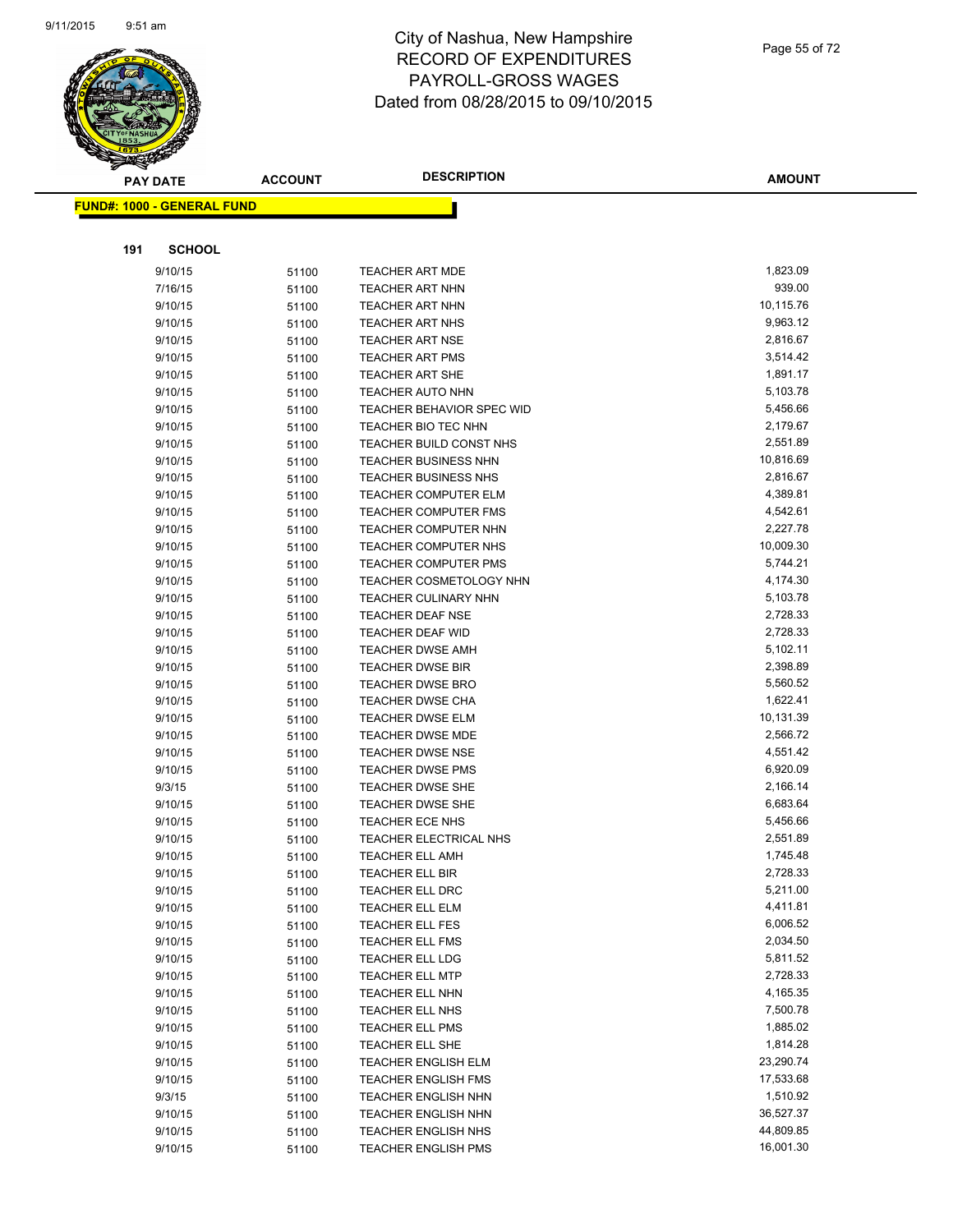

| <b>PAY DATE</b>                    | <b>ACCOUNT</b> | <b>DESCRIPTION</b>                                 | <b>AMOUNT</b>        |
|------------------------------------|----------------|----------------------------------------------------|----------------------|
| <u> FUND#: 1000 - GENERAL FUND</u> |                |                                                    |                      |
|                                    |                |                                                    |                      |
|                                    |                |                                                    |                      |
| 191<br><b>SCHOOL</b>               |                |                                                    |                      |
| 9/10/15                            | 51100          | <b>TEACHER ART MDE</b>                             | 1,823.09             |
| 7/16/15                            | 51100          | <b>TEACHER ART NHN</b>                             | 939.00               |
| 9/10/15                            | 51100          | <b>TEACHER ART NHN</b>                             | 10,115.76            |
| 9/10/15                            | 51100          | <b>TEACHER ART NHS</b>                             | 9,963.12             |
| 9/10/15                            | 51100          | <b>TEACHER ART NSE</b>                             | 2,816.67             |
| 9/10/15                            | 51100          | <b>TEACHER ART PMS</b>                             | 3,514.42             |
| 9/10/15                            | 51100          | <b>TEACHER ART SHE</b>                             | 1,891.17             |
| 9/10/15                            | 51100          | <b>TEACHER AUTO NHN</b>                            | 5,103.78             |
| 9/10/15                            | 51100          | <b>TEACHER BEHAVIOR SPEC WID</b>                   | 5,456.66             |
| 9/10/15                            | 51100          | TEACHER BIO TEC NHN                                | 2,179.67             |
| 9/10/15                            | 51100          | TEACHER BUILD CONST NHS                            | 2,551.89             |
| 9/10/15                            | 51100          | <b>TEACHER BUSINESS NHN</b>                        | 10,816.69            |
| 9/10/15                            | 51100          | <b>TEACHER BUSINESS NHS</b>                        | 2,816.67             |
| 9/10/15                            | 51100          | TEACHER COMPUTER ELM                               | 4,389.81             |
| 9/10/15                            | 51100          | <b>TEACHER COMPUTER FMS</b>                        | 4,542.61             |
| 9/10/15                            | 51100          | <b>TEACHER COMPUTER NHN</b>                        | 2,227.78             |
| 9/10/15                            | 51100          | <b>TEACHER COMPUTER NHS</b>                        | 10,009.30            |
| 9/10/15                            | 51100          | <b>TEACHER COMPUTER PMS</b>                        | 5,744.21             |
| 9/10/15                            | 51100          | <b>TEACHER COSMETOLOGY NHN</b>                     | 4,174.30             |
| 9/10/15                            | 51100          | <b>TEACHER CULINARY NHN</b>                        | 5,103.78             |
| 9/10/15                            | 51100          | <b>TEACHER DEAF NSE</b>                            | 2,728.33             |
| 9/10/15                            | 51100          | <b>TEACHER DEAF WID</b>                            | 2,728.33<br>5,102.11 |
| 9/10/15                            | 51100          | <b>TEACHER DWSE AMH</b>                            |                      |
| 9/10/15                            | 51100          | <b>TEACHER DWSE BIR</b>                            | 2,398.89<br>5,560.52 |
| 9/10/15<br>9/10/15                 | 51100          | <b>TEACHER DWSE BRO</b>                            | 1,622.41             |
| 9/10/15                            | 51100          | <b>TEACHER DWSE CHA</b><br><b>TEACHER DWSE ELM</b> | 10,131.39            |
| 9/10/15                            | 51100          | <b>TEACHER DWSE MDE</b>                            | 2,566.72             |
| 9/10/15                            | 51100<br>51100 | <b>TEACHER DWSE NSE</b>                            | 4,551.42             |
| 9/10/15                            | 51100          | <b>TEACHER DWSE PMS</b>                            | 6,920.09             |
| 9/3/15                             | 51100          | <b>TEACHER DWSE SHE</b>                            | 2,166.14             |
| 9/10/15                            | 51100          | <b>TEACHER DWSE SHE</b>                            | 6,683.64             |
| 9/10/15                            | 51100          | <b>TEACHER ECE NHS</b>                             | 5,456.66             |
| 9/10/15                            | 51100          | TEACHER ELECTRICAL NHS                             | 2,551.89             |
| 9/10/15                            | 51100          | <b>TEACHER ELL AMH</b>                             | 1,745.48             |
| 9/10/15                            | 51100          | <b>TEACHER ELL BIR</b>                             | 2,728.33             |
| 9/10/15                            | 51100          | TEACHER ELL DRC                                    | 5,211.00             |
| 9/10/15                            | 51100          | TEACHER ELL ELM                                    | 4,411.81             |
| 9/10/15                            | 51100          | <b>TEACHER ELL FES</b>                             | 6,006.52             |
| 9/10/15                            | 51100          | <b>TEACHER ELL FMS</b>                             | 2,034.50             |
| 9/10/15                            | 51100          | <b>TEACHER ELL LDG</b>                             | 5,811.52             |
| 9/10/15                            | 51100          | <b>TEACHER ELL MTP</b>                             | 2,728.33             |
| 9/10/15                            | 51100          | TEACHER ELL NHN                                    | 4,165.35             |
| 9/10/15                            | 51100          | TEACHER ELL NHS                                    | 7,500.78             |
| 9/10/15                            | 51100          | <b>TEACHER ELL PMS</b>                             | 1,885.02             |
| 9/10/15                            | 51100          | TEACHER ELL SHE                                    | 1,814.28             |
| 9/10/15                            | 51100          | TEACHER ENGLISH ELM                                | 23,290.74            |
| 9/10/15                            | 51100          | <b>TEACHER ENGLISH FMS</b>                         | 17,533.68            |
| 9/3/15                             | 51100          | <b>TEACHER ENGLISH NHN</b>                         | 1,510.92             |
| 9/10/15                            | 51100          | <b>TEACHER ENGLISH NHN</b>                         | 36,527.37            |
| 9/10/15                            | 51100          | <b>TEACHER ENGLISH NHS</b>                         | 44,809.85            |
| 9/10/15                            | 51100          | <b>TEACHER ENGLISH PMS</b>                         | 16,001.30            |
|                                    |                |                                                    |                      |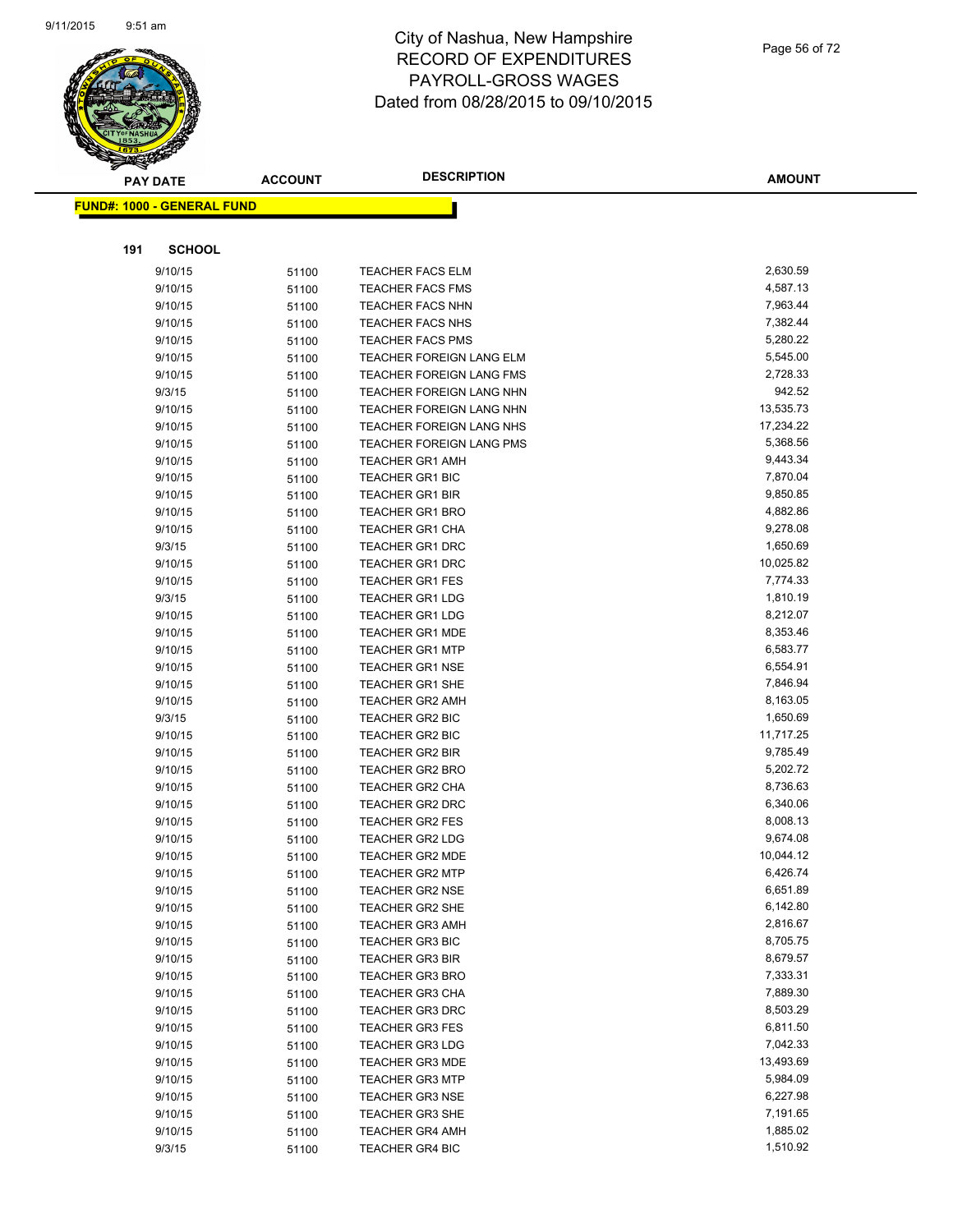

|     | <b>PAY DATE</b>                    | <b>ACCOUNT</b> | <b>DESCRIPTION</b>                               | <b>AMOUNT</b>        |
|-----|------------------------------------|----------------|--------------------------------------------------|----------------------|
|     | <u> FUND#: 1000 - GENERAL FUND</u> |                |                                                  |                      |
|     |                                    |                |                                                  |                      |
|     |                                    |                |                                                  |                      |
| 191 | <b>SCHOOL</b>                      |                |                                                  |                      |
|     | 9/10/15                            | 51100          | <b>TEACHER FACS ELM</b>                          | 2,630.59             |
|     | 9/10/15                            | 51100          | <b>TEACHER FACS FMS</b>                          | 4,587.13             |
|     | 9/10/15                            | 51100          | <b>TEACHER FACS NHN</b>                          | 7,963.44             |
|     | 9/10/15                            | 51100          | <b>TEACHER FACS NHS</b>                          | 7,382.44             |
|     | 9/10/15                            | 51100          | <b>TEACHER FACS PMS</b>                          | 5,280.22             |
|     | 9/10/15                            | 51100          | TEACHER FOREIGN LANG ELM                         | 5,545.00             |
|     | 9/10/15                            | 51100          | TEACHER FOREIGN LANG FMS                         | 2,728.33             |
|     | 9/3/15                             | 51100          | TEACHER FOREIGN LANG NHN                         | 942.52               |
|     | 9/10/15                            | 51100          | TEACHER FOREIGN LANG NHN                         | 13,535.73            |
|     | 9/10/15                            | 51100          | TEACHER FOREIGN LANG NHS                         | 17,234.22            |
|     | 9/10/15                            | 51100          | TEACHER FOREIGN LANG PMS                         | 5,368.56             |
|     | 9/10/15                            | 51100          | <b>TEACHER GR1 AMH</b>                           | 9,443.34             |
|     | 9/10/15                            | 51100          | <b>TEACHER GR1 BIC</b>                           | 7,870.04             |
|     | 9/10/15                            | 51100          | <b>TEACHER GR1 BIR</b>                           | 9,850.85             |
|     | 9/10/15                            | 51100          | <b>TEACHER GR1 BRO</b>                           | 4,882.86             |
|     | 9/10/15                            | 51100          | <b>TEACHER GR1 CHA</b>                           | 9,278.08             |
|     | 9/3/15                             | 51100          | <b>TEACHER GR1 DRC</b>                           | 1,650.69             |
|     | 9/10/15                            | 51100          | <b>TEACHER GR1 DRC</b>                           | 10,025.82            |
|     | 9/10/15                            | 51100          | <b>TEACHER GR1 FES</b>                           | 7,774.33             |
|     | 9/3/15                             | 51100          | <b>TEACHER GR1 LDG</b>                           | 1,810.19             |
|     | 9/10/15                            | 51100          | <b>TEACHER GR1 LDG</b>                           | 8,212.07             |
|     | 9/10/15                            | 51100          | <b>TEACHER GR1 MDE</b>                           | 8,353.46             |
|     | 9/10/15                            | 51100          | <b>TEACHER GR1 MTP</b>                           | 6,583.77             |
|     | 9/10/15                            | 51100          | <b>TEACHER GR1 NSE</b>                           | 6,554.91             |
|     | 9/10/15                            | 51100          | TEACHER GR1 SHE                                  | 7,846.94             |
|     | 9/10/15                            | 51100          | <b>TEACHER GR2 AMH</b>                           | 8,163.05<br>1,650.69 |
|     | 9/3/15<br>9/10/15                  | 51100          | TEACHER GR2 BIC                                  | 11,717.25            |
|     | 9/10/15                            | 51100          | TEACHER GR2 BIC                                  | 9,785.49             |
|     | 9/10/15                            | 51100          | <b>TEACHER GR2 BIR</b><br><b>TEACHER GR2 BRO</b> | 5,202.72             |
|     | 9/10/15                            | 51100          | <b>TEACHER GR2 CHA</b>                           | 8,736.63             |
|     | 9/10/15                            | 51100          | TEACHER GR2 DRC                                  | 6,340.06             |
|     | 9/10/15                            | 51100          | <b>TEACHER GR2 FES</b>                           | 8,008.13             |
|     | 9/10/15                            | 51100          | <b>TEACHER GR2 LDG</b>                           | 9,674.08             |
|     | 9/10/15                            | 51100<br>51100 | <b>TEACHER GR2 MDE</b>                           | 10,044.12            |
|     | 9/10/15                            | 51100          | TEACHER GR2 MTP                                  | 6,426.74             |
|     | 9/10/15                            | 51100          | <b>TEACHER GR2 NSE</b>                           | 6,651.89             |
|     | 9/10/15                            | 51100          | <b>TEACHER GR2 SHE</b>                           | 6,142.80             |
|     | 9/10/15                            | 51100          | <b>TEACHER GR3 AMH</b>                           | 2,816.67             |
|     | 9/10/15                            | 51100          | <b>TEACHER GR3 BIC</b>                           | 8,705.75             |
|     | 9/10/15                            | 51100          | <b>TEACHER GR3 BIR</b>                           | 8,679.57             |
|     | 9/10/15                            | 51100          | <b>TEACHER GR3 BRO</b>                           | 7,333.31             |
|     | 9/10/15                            | 51100          | <b>TEACHER GR3 CHA</b>                           | 7,889.30             |
|     | 9/10/15                            | 51100          | TEACHER GR3 DRC                                  | 8,503.29             |
|     | 9/10/15                            | 51100          | <b>TEACHER GR3 FES</b>                           | 6,811.50             |
|     | 9/10/15                            | 51100          | <b>TEACHER GR3 LDG</b>                           | 7,042.33             |
|     | 9/10/15                            | 51100          | <b>TEACHER GR3 MDE</b>                           | 13,493.69            |
|     | 9/10/15                            | 51100          | <b>TEACHER GR3 MTP</b>                           | 5,984.09             |
|     | 9/10/15                            | 51100          | <b>TEACHER GR3 NSE</b>                           | 6,227.98             |
|     | 9/10/15                            | 51100          | <b>TEACHER GR3 SHE</b>                           | 7,191.65             |
|     | 9/10/15                            | 51100          | <b>TEACHER GR4 AMH</b>                           | 1,885.02             |
|     | 9/3/15                             | 51100          | <b>TEACHER GR4 BIC</b>                           | 1,510.92             |
|     |                                    |                |                                                  |                      |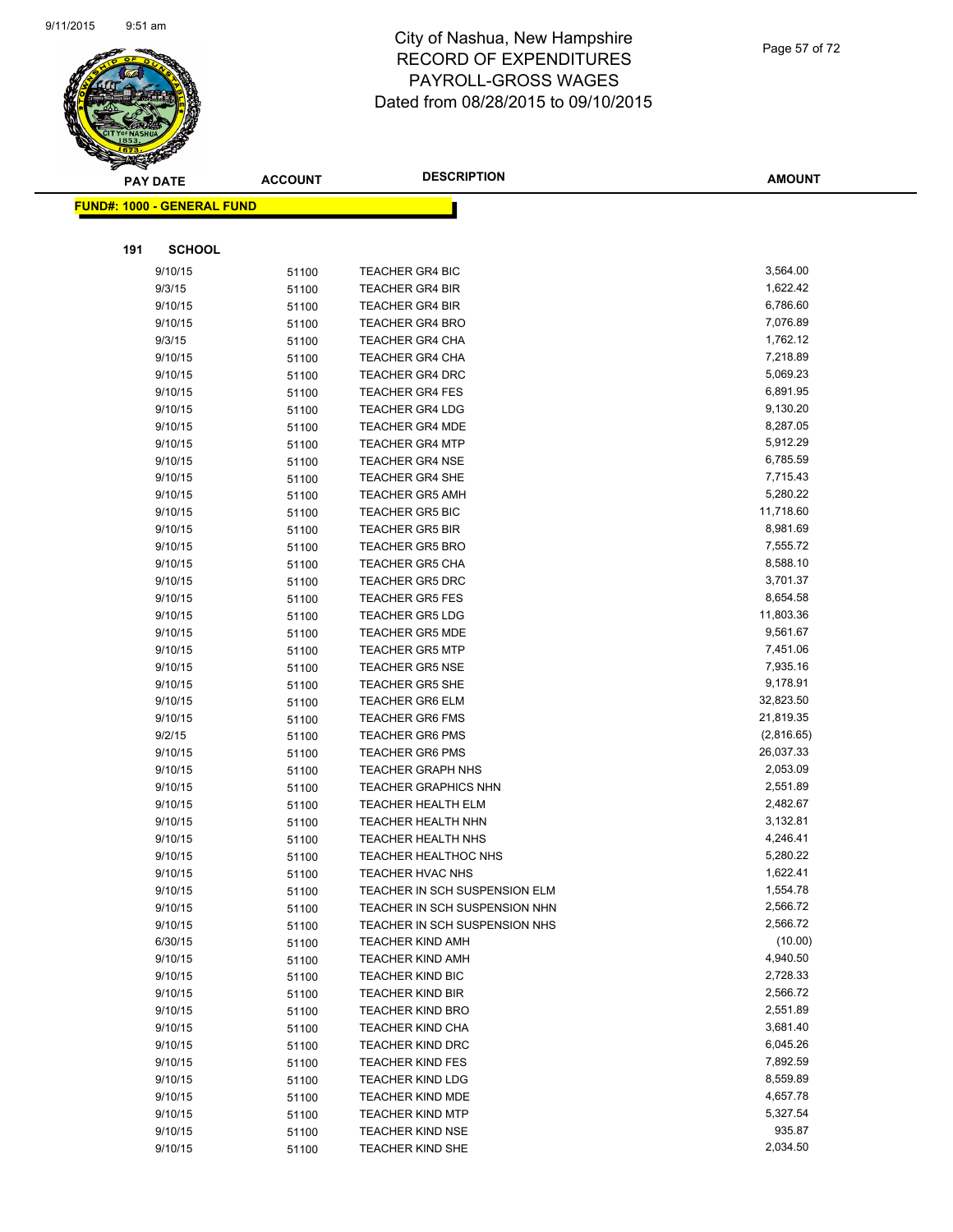

|     | <b>PAY DATE</b>                    | <b>ACCOUNT</b> | <b>DESCRIPTION</b>                               | <b>AMOUNT</b>        |
|-----|------------------------------------|----------------|--------------------------------------------------|----------------------|
|     | <u> FUND#: 1000 - GENERAL FUND</u> |                |                                                  |                      |
|     |                                    |                |                                                  |                      |
|     |                                    |                |                                                  |                      |
| 191 | <b>SCHOOL</b>                      |                |                                                  |                      |
|     | 9/10/15                            | 51100          | <b>TEACHER GR4 BIC</b>                           | 3,564.00             |
|     | 9/3/15                             | 51100          | <b>TEACHER GR4 BIR</b>                           | 1,622.42             |
|     | 9/10/15                            | 51100          | <b>TEACHER GR4 BIR</b>                           | 6,786.60             |
|     | 9/10/15                            | 51100          | <b>TEACHER GR4 BRO</b>                           | 7,076.89             |
|     | 9/3/15                             | 51100          | <b>TEACHER GR4 CHA</b>                           | 1,762.12             |
|     | 9/10/15                            | 51100          | <b>TEACHER GR4 CHA</b>                           | 7,218.89             |
|     | 9/10/15                            | 51100          | <b>TEACHER GR4 DRC</b>                           | 5,069.23             |
|     | 9/10/15                            | 51100          | <b>TEACHER GR4 FES</b>                           | 6,891.95             |
|     | 9/10/15                            | 51100          | <b>TEACHER GR4 LDG</b>                           | 9,130.20             |
|     | 9/10/15                            | 51100          | <b>TEACHER GR4 MDE</b>                           | 8,287.05             |
|     | 9/10/15                            | 51100          | <b>TEACHER GR4 MTP</b>                           | 5,912.29             |
|     | 9/10/15                            | 51100          | <b>TEACHER GR4 NSE</b>                           | 6,785.59             |
|     | 9/10/15                            | 51100          | <b>TEACHER GR4 SHE</b>                           | 7,715.43             |
|     | 9/10/15                            | 51100          | <b>TEACHER GR5 AMH</b>                           | 5,280.22             |
|     | 9/10/15                            | 51100          | <b>TEACHER GR5 BIC</b>                           | 11,718.60            |
|     | 9/10/15                            | 51100          | <b>TEACHER GR5 BIR</b>                           | 8,981.69             |
|     | 9/10/15                            | 51100          | <b>TEACHER GR5 BRO</b>                           | 7,555.72             |
|     | 9/10/15                            | 51100          | <b>TEACHER GR5 CHA</b><br><b>TEACHER GR5 DRC</b> | 8,588.10<br>3,701.37 |
|     | 9/10/15                            | 51100          |                                                  | 8,654.58             |
|     | 9/10/15<br>9/10/15                 | 51100          | <b>TEACHER GR5 FES</b><br><b>TEACHER GR5 LDG</b> | 11,803.36            |
|     | 9/10/15                            | 51100          | <b>TEACHER GR5 MDE</b>                           | 9,561.67             |
|     | 9/10/15                            | 51100          | <b>TEACHER GR5 MTP</b>                           | 7,451.06             |
|     | 9/10/15                            | 51100          | <b>TEACHER GR5 NSE</b>                           | 7,935.16             |
|     | 9/10/15                            | 51100          | <b>TEACHER GR5 SHE</b>                           | 9,178.91             |
|     | 9/10/15                            | 51100<br>51100 | <b>TEACHER GR6 ELM</b>                           | 32,823.50            |
|     | 9/10/15                            | 51100          | <b>TEACHER GR6 FMS</b>                           | 21,819.35            |
|     | 9/2/15                             | 51100          | <b>TEACHER GR6 PMS</b>                           | (2,816.65)           |
|     | 9/10/15                            | 51100          | <b>TEACHER GR6 PMS</b>                           | 26,037.33            |
|     | 9/10/15                            | 51100          | <b>TEACHER GRAPH NHS</b>                         | 2,053.09             |
|     | 9/10/15                            | 51100          | <b>TEACHER GRAPHICS NHN</b>                      | 2,551.89             |
|     | 9/10/15                            | 51100          | <b>TEACHER HEALTH ELM</b>                        | 2,482.67             |
|     | 9/10/15                            | 51100          | <b>TEACHER HEALTH NHN</b>                        | 3,132.81             |
|     | 9/10/15                            | 51100          | <b>TEACHER HEALTH NHS</b>                        | 4,246.41             |
|     | 9/10/15                            | 51100          | <b>TEACHER HEALTHOC NHS</b>                      | 5,280.22             |
|     | 9/10/15                            | 51100          | TEACHER HVAC NHS                                 | 1,622.41             |
|     | 9/10/15                            | 51100          | TEACHER IN SCH SUSPENSION ELM                    | 1,554.78             |
|     | 9/10/15                            | 51100          | TEACHER IN SCH SUSPENSION NHN                    | 2,566.72             |
|     | 9/10/15                            | 51100          | TEACHER IN SCH SUSPENSION NHS                    | 2,566.72             |
|     | 6/30/15                            | 51100          | <b>TEACHER KIND AMH</b>                          | (10.00)              |
|     | 9/10/15                            | 51100          | <b>TEACHER KIND AMH</b>                          | 4,940.50             |
|     | 9/10/15                            | 51100          | <b>TEACHER KIND BIC</b>                          | 2,728.33             |
|     | 9/10/15                            | 51100          | <b>TEACHER KIND BIR</b>                          | 2,566.72             |
|     | 9/10/15                            | 51100          | <b>TEACHER KIND BRO</b>                          | 2,551.89             |
|     | 9/10/15                            | 51100          | <b>TEACHER KIND CHA</b>                          | 3,681.40             |
|     | 9/10/15                            | 51100          | <b>TEACHER KIND DRC</b>                          | 6,045.26             |
|     | 9/10/15                            | 51100          | <b>TEACHER KIND FES</b>                          | 7,892.59             |
|     | 9/10/15                            | 51100          | <b>TEACHER KIND LDG</b>                          | 8,559.89             |
|     | 9/10/15                            | 51100          | TEACHER KIND MDE                                 | 4,657.78             |
|     | 9/10/15                            | 51100          | <b>TEACHER KIND MTP</b>                          | 5,327.54             |
|     | 9/10/15                            | 51100          | <b>TEACHER KIND NSE</b>                          | 935.87               |
|     | 9/10/15                            | 51100          | <b>TEACHER KIND SHE</b>                          | 2,034.50             |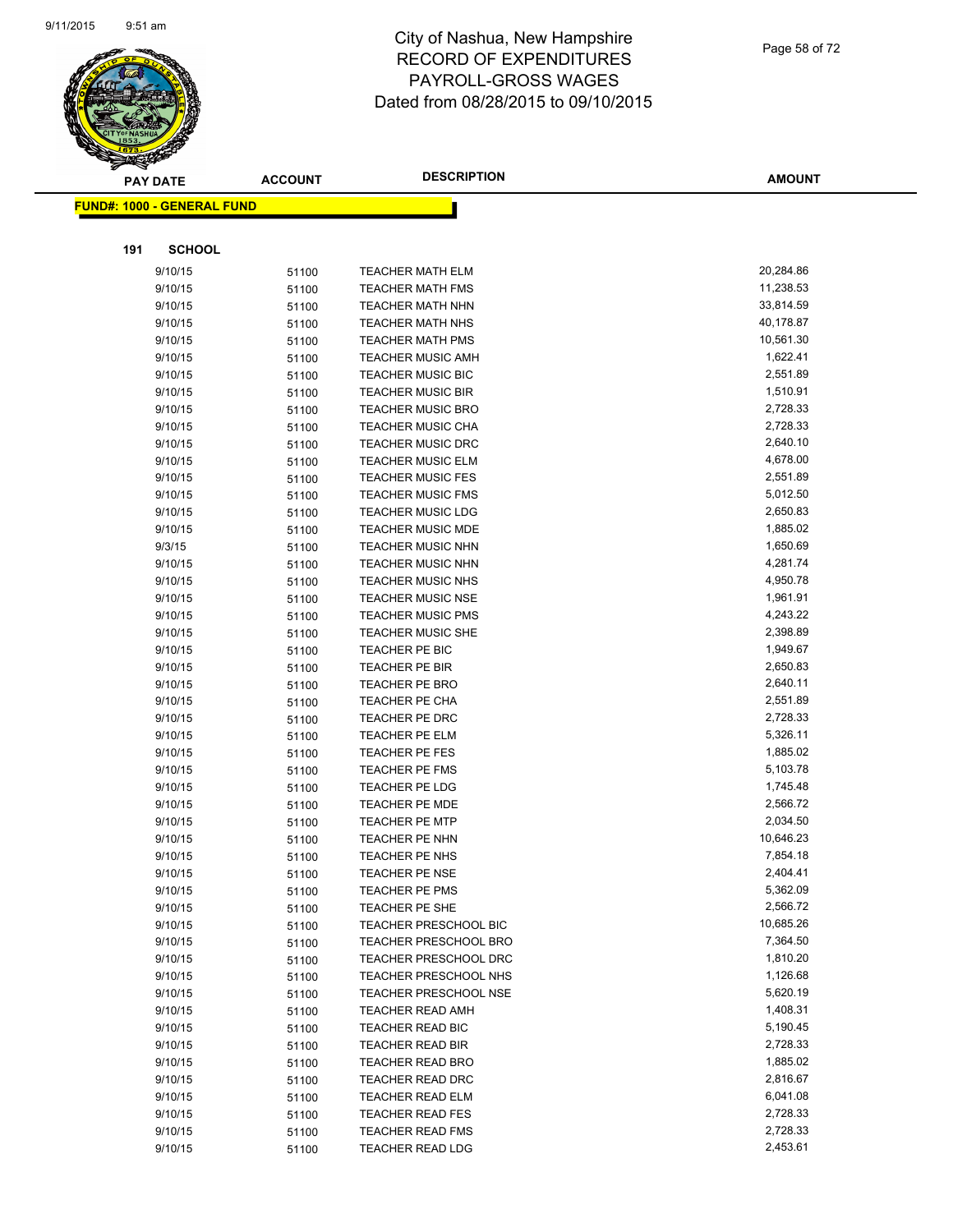

|     | $\tilde{\phantom{a}}$<br><b>PAY DATE</b> | <b>ACCOUNT</b> | <b>DESCRIPTION</b>           | AMOUNT    |
|-----|------------------------------------------|----------------|------------------------------|-----------|
|     | <u> FUND#: 1000 - GENERAL FUND</u>       |                |                              |           |
|     |                                          |                |                              |           |
| 191 | <b>SCHOOL</b>                            |                |                              |           |
|     | 9/10/15                                  | 51100          | <b>TEACHER MATH ELM</b>      | 20,284.86 |
|     | 9/10/15                                  | 51100          | <b>TEACHER MATH FMS</b>      | 11,238.53 |
|     | 9/10/15                                  | 51100          | <b>TEACHER MATH NHN</b>      | 33,814.59 |
|     | 9/10/15                                  | 51100          | <b>TEACHER MATH NHS</b>      | 40,178.87 |
|     | 9/10/15                                  | 51100          | <b>TEACHER MATH PMS</b>      | 10,561.30 |
|     | 9/10/15                                  | 51100          | <b>TEACHER MUSIC AMH</b>     | 1,622.41  |
|     | 9/10/15                                  | 51100          | TEACHER MUSIC BIC            | 2,551.89  |
|     | 9/10/15                                  | 51100          | <b>TEACHER MUSIC BIR</b>     | 1,510.91  |
|     | 9/10/15                                  | 51100          | <b>TEACHER MUSIC BRO</b>     | 2,728.33  |
|     | 9/10/15                                  | 51100          | <b>TEACHER MUSIC CHA</b>     | 2,728.33  |
|     | 9/10/15                                  | 51100          | <b>TEACHER MUSIC DRC</b>     | 2,640.10  |
|     | 9/10/15                                  | 51100          | <b>TEACHER MUSIC ELM</b>     | 4,678.00  |
|     | 9/10/15                                  | 51100          | <b>TEACHER MUSIC FES</b>     | 2,551.89  |
|     | 9/10/15                                  | 51100          | <b>TEACHER MUSIC FMS</b>     | 5,012.50  |
|     | 9/10/15                                  | 51100          | <b>TEACHER MUSIC LDG</b>     | 2,650.83  |
|     | 9/10/15                                  | 51100          | <b>TEACHER MUSIC MDE</b>     | 1,885.02  |
|     | 9/3/15                                   | 51100          | <b>TEACHER MUSIC NHN</b>     | 1,650.69  |
|     | 9/10/15                                  | 51100          | <b>TEACHER MUSIC NHN</b>     | 4,281.74  |
|     | 9/10/15                                  | 51100          | <b>TEACHER MUSIC NHS</b>     | 4,950.78  |
|     | 9/10/15                                  | 51100          | <b>TEACHER MUSIC NSE</b>     | 1,961.91  |
|     | 9/10/15                                  | 51100          | <b>TEACHER MUSIC PMS</b>     | 4,243.22  |
|     | 9/10/15                                  | 51100          | TEACHER MUSIC SHE            | 2,398.89  |
|     | 9/10/15                                  | 51100          | TEACHER PE BIC               | 1,949.67  |
|     | 9/10/15                                  | 51100          | TEACHER PE BIR               | 2,650.83  |
|     | 9/10/15                                  | 51100          | <b>TEACHER PE BRO</b>        | 2,640.11  |
|     | 9/10/15                                  | 51100          | TEACHER PE CHA               | 2,551.89  |
|     | 9/10/15                                  | 51100          | TEACHER PE DRC               | 2,728.33  |
|     | 9/10/15                                  | 51100          | TEACHER PE ELM               | 5,326.11  |
|     | 9/10/15                                  | 51100          | TEACHER PE FES               | 1,885.02  |
|     | 9/10/15                                  | 51100          | TEACHER PE FMS               | 5,103.78  |
|     | 9/10/15                                  | 51100          | TEACHER PE LDG               | 1,745.48  |
|     | 9/10/15                                  | 51100          | <b>TEACHER PE MDE</b>        | 2,566.72  |
|     | 9/10/15                                  | 51100          | <b>TEACHER PE MTP</b>        | 2,034.50  |
|     | 9/10/15                                  | 51100          | <b>TEACHER PE NHN</b>        | 10,646.23 |
|     | 9/10/15                                  | 51100          | <b>TEACHER PE NHS</b>        | 7,854.18  |
|     | 9/10/15                                  | 51100          | <b>TEACHER PE NSE</b>        | 2,404.41  |
|     | 9/10/15                                  | 51100          | <b>TEACHER PE PMS</b>        | 5,362.09  |
|     | 9/10/15                                  | 51100          | TEACHER PE SHE               | 2,566.72  |
|     | 9/10/15                                  | 51100          | TEACHER PRESCHOOL BIC        | 10,685.26 |
|     | 9/10/15                                  | 51100          | TEACHER PRESCHOOL BRO        | 7,364.50  |
|     | 9/10/15                                  | 51100          | <b>TEACHER PRESCHOOL DRC</b> | 1,810.20  |
|     | 9/10/15                                  | 51100          | TEACHER PRESCHOOL NHS        | 1,126.68  |
|     | 9/10/15                                  | 51100          | TEACHER PRESCHOOL NSE        | 5,620.19  |
|     | 9/10/15                                  | 51100          | <b>TEACHER READ AMH</b>      | 1,408.31  |
|     | 9/10/15                                  | 51100          | TEACHER READ BIC             | 5,190.45  |
|     | 9/10/15                                  | 51100          | <b>TEACHER READ BIR</b>      | 2,728.33  |
|     | 9/10/15                                  | 51100          | TEACHER READ BRO             | 1,885.02  |
|     | 9/10/15                                  | 51100          | <b>TEACHER READ DRC</b>      | 2,816.67  |
|     | 9/10/15                                  | 51100          | <b>TEACHER READ ELM</b>      | 6,041.08  |
|     | 9/10/15                                  | 51100          | <b>TEACHER READ FES</b>      | 2,728.33  |
|     | 9/10/15                                  | 51100          | <b>TEACHER READ FMS</b>      | 2,728.33  |
|     | 9/10/15                                  | 51100          | TEACHER READ LDG             | 2,453.61  |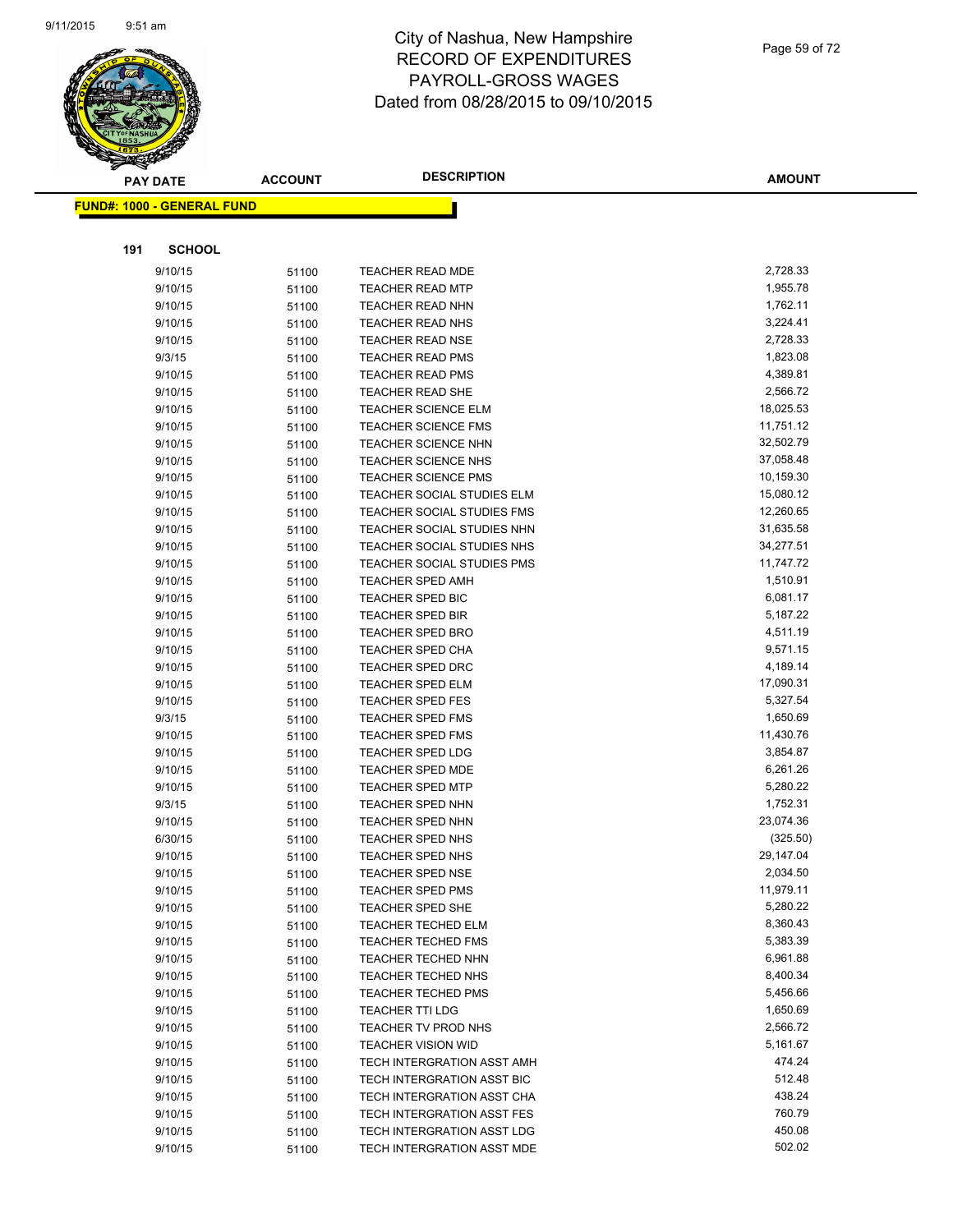

|     | <b>PAY DATE</b>                   | <b>ACCOUNT</b> | <b>DESCRIPTION</b>                                       | <b>AMOUNT</b>          |
|-----|-----------------------------------|----------------|----------------------------------------------------------|------------------------|
|     | <b>FUND#: 1000 - GENERAL FUND</b> |                |                                                          |                        |
|     |                                   |                |                                                          |                        |
| 191 | <b>SCHOOL</b>                     |                |                                                          |                        |
|     |                                   |                |                                                          |                        |
|     | 9/10/15                           | 51100          | <b>TEACHER READ MDE</b>                                  | 2,728.33               |
|     | 9/10/15                           | 51100          | <b>TEACHER READ MTP</b>                                  | 1,955.78               |
|     | 9/10/15                           | 51100          | <b>TEACHER READ NHN</b>                                  | 1,762.11               |
|     | 9/10/15                           | 51100          | TEACHER READ NHS                                         | 3,224.41               |
|     | 9/10/15                           | 51100          | <b>TEACHER READ NSE</b>                                  | 2,728.33               |
|     | 9/3/15                            | 51100          | <b>TEACHER READ PMS</b>                                  | 1,823.08               |
|     | 9/10/15                           | 51100          | <b>TEACHER READ PMS</b>                                  | 4,389.81               |
|     | 9/10/15                           | 51100          | TEACHER READ SHE                                         | 2,566.72<br>18,025.53  |
|     | 9/10/15                           | 51100          | <b>TEACHER SCIENCE ELM</b>                               | 11,751.12              |
|     | 9/10/15                           | 51100          | <b>TEACHER SCIENCE FMS</b>                               |                        |
|     | 9/10/15                           | 51100          | <b>TEACHER SCIENCE NHN</b><br><b>TEACHER SCIENCE NHS</b> | 32,502.79<br>37,058.48 |
|     | 9/10/15<br>9/10/15                | 51100          | <b>TEACHER SCIENCE PMS</b>                               | 10,159.30              |
|     | 9/10/15                           | 51100          | TEACHER SOCIAL STUDIES ELM                               | 15,080.12              |
|     | 9/10/15                           | 51100          | TEACHER SOCIAL STUDIES FMS                               | 12,260.65              |
|     | 9/10/15                           | 51100<br>51100 | <b>TEACHER SOCIAL STUDIES NHN</b>                        | 31,635.58              |
|     | 9/10/15                           | 51100          | TEACHER SOCIAL STUDIES NHS                               | 34,277.51              |
|     | 9/10/15                           | 51100          | <b>TEACHER SOCIAL STUDIES PMS</b>                        | 11,747.72              |
|     | 9/10/15                           | 51100          | <b>TEACHER SPED AMH</b>                                  | 1,510.91               |
|     | 9/10/15                           | 51100          | TEACHER SPED BIC                                         | 6,081.17               |
|     | 9/10/15                           | 51100          | <b>TEACHER SPED BIR</b>                                  | 5,187.22               |
|     | 9/10/15                           | 51100          | <b>TEACHER SPED BRO</b>                                  | 4,511.19               |
|     | 9/10/15                           | 51100          | <b>TEACHER SPED CHA</b>                                  | 9,571.15               |
|     | 9/10/15                           | 51100          | <b>TEACHER SPED DRC</b>                                  | 4,189.14               |
|     | 9/10/15                           | 51100          | <b>TEACHER SPED ELM</b>                                  | 17,090.31              |
|     | 9/10/15                           | 51100          | <b>TEACHER SPED FES</b>                                  | 5,327.54               |
|     | 9/3/15                            | 51100          | <b>TEACHER SPED FMS</b>                                  | 1,650.69               |
|     | 9/10/15                           | 51100          | <b>TEACHER SPED FMS</b>                                  | 11,430.76              |
|     | 9/10/15                           | 51100          | <b>TEACHER SPED LDG</b>                                  | 3,854.87               |
|     | 9/10/15                           | 51100          | <b>TEACHER SPED MDE</b>                                  | 6,261.26               |
|     | 9/10/15                           | 51100          | <b>TEACHER SPED MTP</b>                                  | 5,280.22               |
|     | 9/3/15                            | 51100          | TEACHER SPED NHN                                         | 1,752.31               |
|     | 9/10/15                           | 51100          | <b>TEACHER SPED NHN</b>                                  | 23,074.36              |
|     | 6/30/15                           | 51100          | TEACHER SPED NHS                                         | (325.50)               |
|     | 9/10/15                           | 51100          | <b>TEACHER SPED NHS</b>                                  | 29,147.04              |
|     | 9/10/15                           | 51100          | <b>TEACHER SPED NSE</b>                                  | 2,034.50               |
|     | 9/10/15                           | 51100          | <b>TEACHER SPED PMS</b>                                  | 11,979.11              |
|     | 9/10/15                           | 51100          | <b>TEACHER SPED SHE</b>                                  | 5,280.22               |
|     | 9/10/15                           | 51100          | <b>TEACHER TECHED ELM</b>                                | 8,360.43               |
|     | 9/10/15                           | 51100          | <b>TEACHER TECHED FMS</b>                                | 5,383.39               |
|     | 9/10/15                           | 51100          | TEACHER TECHED NHN                                       | 6,961.88               |
|     | 9/10/15                           | 51100          | <b>TEACHER TECHED NHS</b>                                | 8,400.34               |
|     | 9/10/15                           | 51100          | <b>TEACHER TECHED PMS</b>                                | 5,456.66               |
|     | 9/10/15                           | 51100          | <b>TEACHER TTI LDG</b>                                   | 1,650.69               |
|     | 9/10/15                           | 51100          | TEACHER TV PROD NHS                                      | 2,566.72<br>5,161.67   |
|     | 9/10/15<br>9/10/15                | 51100          | <b>TEACHER VISION WID</b><br>TECH INTERGRATION ASST AMH  | 474.24                 |
|     | 9/10/15                           | 51100<br>51100 | TECH INTERGRATION ASST BIC                               | 512.48                 |
|     | 9/10/15                           | 51100          | TECH INTERGRATION ASST CHA                               | 438.24                 |
|     | 9/10/15                           | 51100          | TECH INTERGRATION ASST FES                               | 760.79                 |
|     | 9/10/15                           | 51100          | TECH INTERGRATION ASST LDG                               | 450.08                 |
|     | 9/10/15                           | 51100          | TECH INTERGRATION ASST MDE                               | 502.02                 |
|     |                                   |                |                                                          |                        |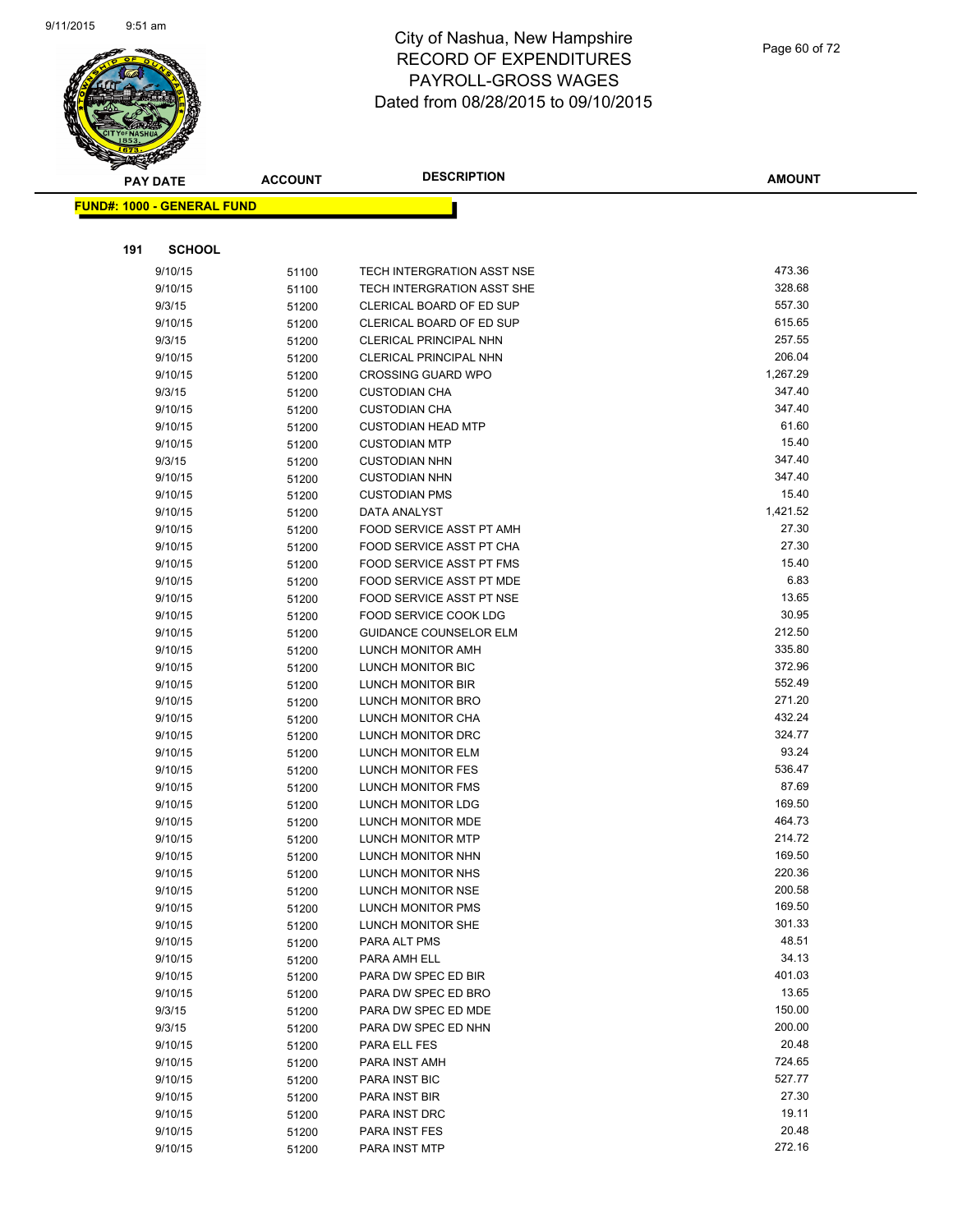

| <b>PAY DATE</b>                   | <b>ACCOUNT</b> | <b>DESCRIPTION</b>                     | <b>AMOUNT</b>   |
|-----------------------------------|----------------|----------------------------------------|-----------------|
| <b>FUND#: 1000 - GENERAL FUND</b> |                |                                        |                 |
|                                   |                |                                        |                 |
|                                   |                |                                        |                 |
| 191                               | <b>SCHOOL</b>  |                                        |                 |
| 9/10/15                           | 51100          | TECH INTERGRATION ASST NSE             | 473.36          |
| 9/10/15                           | 51100          | TECH INTERGRATION ASST SHE             | 328.68          |
| 9/3/15                            | 51200          | CLERICAL BOARD OF ED SUP               | 557.30          |
| 9/10/15                           | 51200          | CLERICAL BOARD OF ED SUP               | 615.65          |
| 9/3/15                            | 51200          | <b>CLERICAL PRINCIPAL NHN</b>          | 257.55          |
| 9/10/15                           | 51200          | <b>CLERICAL PRINCIPAL NHN</b>          | 206.04          |
| 9/10/15                           | 51200          | <b>CROSSING GUARD WPO</b>              | 1,267.29        |
| 9/3/15                            | 51200          | <b>CUSTODIAN CHA</b>                   | 347.40          |
| 9/10/15                           | 51200          | <b>CUSTODIAN CHA</b>                   | 347.40          |
| 9/10/15                           | 51200          | <b>CUSTODIAN HEAD MTP</b>              | 61.60           |
| 9/10/15                           | 51200          | <b>CUSTODIAN MTP</b>                   | 15.40           |
| 9/3/15                            | 51200          | <b>CUSTODIAN NHN</b>                   | 347.40          |
| 9/10/15                           | 51200          | <b>CUSTODIAN NHN</b>                   | 347.40          |
| 9/10/15                           | 51200          | <b>CUSTODIAN PMS</b>                   | 15.40           |
| 9/10/15                           | 51200          | DATA ANALYST                           | 1,421.52        |
| 9/10/15                           | 51200          | FOOD SERVICE ASST PT AMH               | 27.30           |
| 9/10/15                           | 51200          | FOOD SERVICE ASST PT CHA               | 27.30           |
| 9/10/15                           | 51200          | FOOD SERVICE ASST PT FMS               | 15.40           |
| 9/10/15                           | 51200          | FOOD SERVICE ASST PT MDE               | 6.83            |
| 9/10/15                           | 51200          | FOOD SERVICE ASST PT NSE               | 13.65           |
| 9/10/15                           | 51200          | FOOD SERVICE COOK LDG                  | 30.95           |
| 9/10/15                           | 51200          | <b>GUIDANCE COUNSELOR ELM</b>          | 212.50          |
| 9/10/15                           | 51200          | LUNCH MONITOR AMH                      | 335.80          |
| 9/10/15                           | 51200          | LUNCH MONITOR BIC                      | 372.96          |
| 9/10/15                           | 51200          | LUNCH MONITOR BIR                      | 552.49          |
| 9/10/15                           | 51200          | LUNCH MONITOR BRO                      | 271.20          |
| 9/10/15                           | 51200          | LUNCH MONITOR CHA                      | 432.24          |
| 9/10/15                           | 51200          | LUNCH MONITOR DRC                      | 324.77<br>93.24 |
| 9/10/15                           | 51200          | LUNCH MONITOR ELM                      | 536.47          |
| 9/10/15                           | 51200          | LUNCH MONITOR FES                      | 87.69           |
| 9/10/15                           | 51200          | LUNCH MONITOR FMS                      | 169.50          |
| 9/10/15                           | 51200          | LUNCH MONITOR LDG<br>LUNCH MONITOR MDE | 464.73          |
| 9/10/15<br>9/10/15                | 51200          | <b>LUNCH MONITOR MTP</b>               | 214.72          |
| 9/10/15                           | 51200          | LUNCH MONITOR NHN                      | 169.50          |
| 9/10/15                           | 51200<br>51200 | LUNCH MONITOR NHS                      | 220.36          |
| 9/10/15                           | 51200          | LUNCH MONITOR NSE                      | 200.58          |
| 9/10/15                           | 51200          | LUNCH MONITOR PMS                      | 169.50          |
| 9/10/15                           | 51200          | LUNCH MONITOR SHE                      | 301.33          |
| 9/10/15                           | 51200          | PARA ALT PMS                           | 48.51           |
| 9/10/15                           | 51200          | PARA AMH ELL                           | 34.13           |
| 9/10/15                           | 51200          | PARA DW SPEC ED BIR                    | 401.03          |
| 9/10/15                           | 51200          | PARA DW SPEC ED BRO                    | 13.65           |
| 9/3/15                            | 51200          | PARA DW SPEC ED MDE                    | 150.00          |
| 9/3/15                            | 51200          | PARA DW SPEC ED NHN                    | 200.00          |
| 9/10/15                           | 51200          | PARA ELL FES                           | 20.48           |
| 9/10/15                           | 51200          | PARA INST AMH                          | 724.65          |
| 9/10/15                           | 51200          | PARA INST BIC                          | 527.77          |
| 9/10/15                           | 51200          | PARA INST BIR                          | 27.30           |
| 9/10/15                           | 51200          | PARA INST DRC                          | 19.11           |
| 9/10/15                           | 51200          | PARA INST FES                          | 20.48           |
| 9/10/15                           | 51200          | PARA INST MTP                          | 272.16          |
|                                   |                |                                        |                 |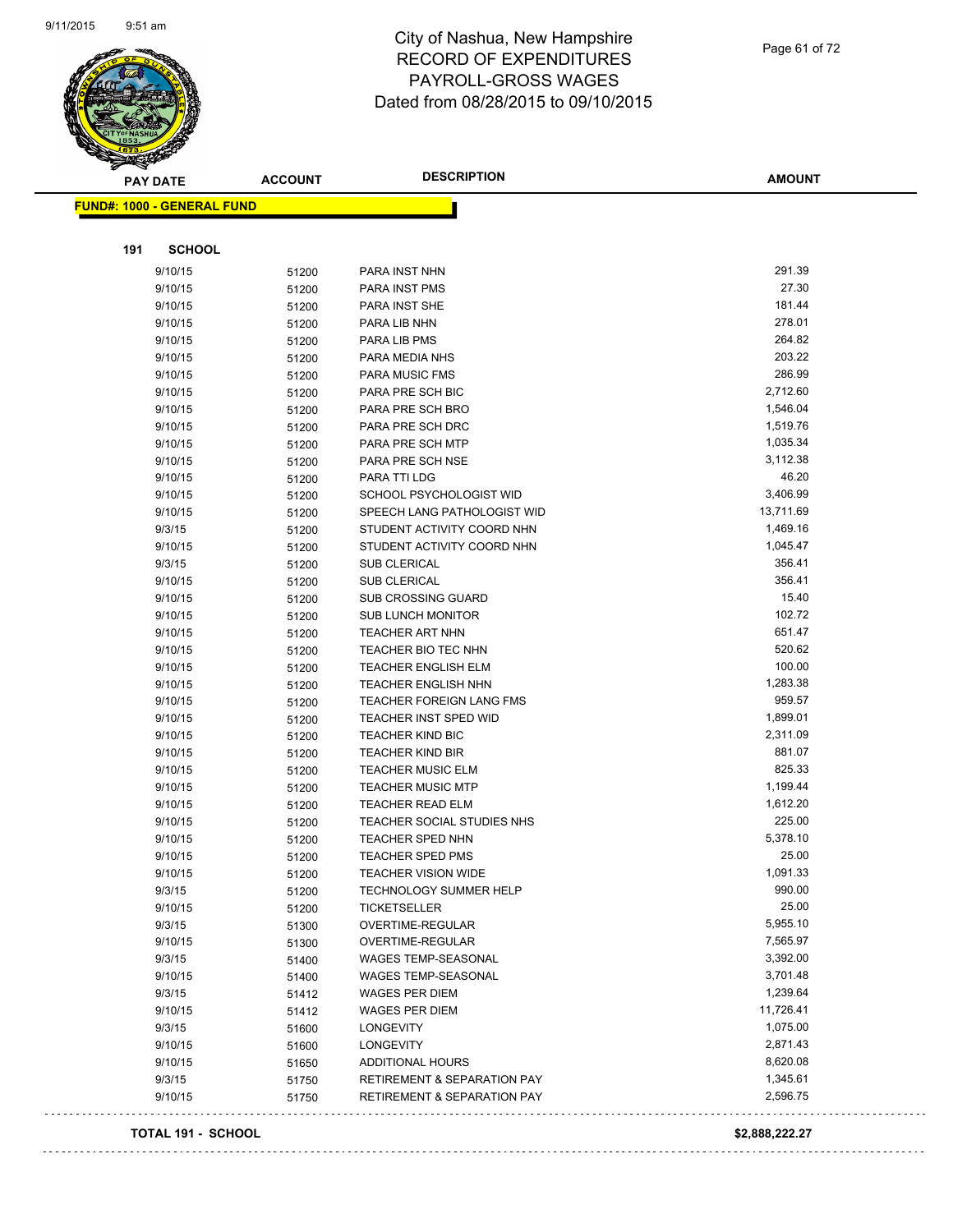

Page 61 of 72

| <b>PAY DATE</b>                   | <b>ACCOUNT</b> | <b>DESCRIPTION</b>                     | <b>AMOUNT</b> |
|-----------------------------------|----------------|----------------------------------------|---------------|
| <b>FUND#: 1000 - GENERAL FUND</b> |                |                                        |               |
|                                   |                |                                        |               |
| 191<br><b>SCHOOL</b>              |                |                                        |               |
| 9/10/15                           | 51200          | PARA INST NHN                          | 291.39        |
| 9/10/15                           | 51200          | PARA INST PMS                          | 27.30         |
| 9/10/15                           | 51200          | PARA INST SHE                          | 181.44        |
| 9/10/15                           | 51200          | PARA LIB NHN                           | 278.01        |
| 9/10/15                           | 51200          | PARA LIB PMS                           | 264.82        |
| 9/10/15                           | 51200          | PARA MEDIA NHS                         | 203.22        |
| 9/10/15                           | 51200          | PARA MUSIC FMS                         | 286.99        |
| 9/10/15                           | 51200          | PARA PRE SCH BIC                       | 2,712.60      |
| 9/10/15                           | 51200          | PARA PRE SCH BRO                       | 1,546.04      |
| 9/10/15                           | 51200          | PARA PRE SCH DRC                       | 1,519.76      |
| 9/10/15                           | 51200          | PARA PRE SCH MTP                       | 1,035.34      |
| 9/10/15                           | 51200          | PARA PRE SCH NSE                       | 3,112.38      |
| 9/10/15                           | 51200          | PARA TTI LDG                           | 46.20         |
| 9/10/15                           | 51200          | SCHOOL PSYCHOLOGIST WID                | 3,406.99      |
| 9/10/15                           | 51200          | SPEECH LANG PATHOLOGIST WID            | 13,711.69     |
| 9/3/15                            | 51200          | STUDENT ACTIVITY COORD NHN             | 1,469.16      |
| 9/10/15                           | 51200          | STUDENT ACTIVITY COORD NHN             | 1,045.47      |
| 9/3/15                            | 51200          | <b>SUB CLERICAL</b>                    | 356.41        |
| 9/10/15                           | 51200          | SUB CLERICAL                           | 356.41        |
| 9/10/15                           | 51200          | <b>SUB CROSSING GUARD</b>              | 15.40         |
| 9/10/15                           | 51200          | <b>SUB LUNCH MONITOR</b>               | 102.72        |
| 9/10/15                           | 51200          | <b>TEACHER ART NHN</b>                 | 651.47        |
| 9/10/15                           | 51200          | TEACHER BIO TEC NHN                    | 520.62        |
| 9/10/15                           | 51200          | <b>TEACHER ENGLISH ELM</b>             | 100.00        |
| 9/10/15                           | 51200          | <b>TEACHER ENGLISH NHN</b>             | 1,283.38      |
| 9/10/15                           | 51200          | <b>TEACHER FOREIGN LANG FMS</b>        | 959.57        |
| 9/10/15                           | 51200          | <b>TEACHER INST SPED WID</b>           | 1,899.01      |
| 9/10/15                           | 51200          | <b>TEACHER KIND BIC</b>                | 2,311.09      |
| 9/10/15                           | 51200          | <b>TEACHER KIND BIR</b>                | 881.07        |
| 9/10/15                           | 51200          | <b>TEACHER MUSIC ELM</b>               | 825.33        |
| 9/10/15                           | 51200          | <b>TEACHER MUSIC MTP</b>               | 1,199.44      |
| 9/10/15                           | 51200          | <b>TEACHER READ ELM</b>                | 1,612.20      |
| 9/10/15                           | 51200          | TEACHER SOCIAL STUDIES NHS             | 225.00        |
| 9/10/15                           | 51200          | <b>TEACHER SPED NHN</b>                | 5,378.10      |
| 9/10/15                           | 51200          | TEACHER SPED PMS                       | 25.00         |
| 9/10/15                           | 51200          | <b>TEACHER VISION WIDE</b>             | 1,091.33      |
| 9/3/15                            | 51200          | TECHNOLOGY SUMMER HELP                 | 990.00        |
| 9/10/15                           | 51200          | <b>TICKETSELLER</b>                    | 25.00         |
| 9/3/15                            | 51300          | OVERTIME-REGULAR                       | 5,955.10      |
| 9/10/15                           | 51300          | OVERTIME-REGULAR                       | 7,565.97      |
| 9/3/15                            | 51400          | WAGES TEMP-SEASONAL                    | 3,392.00      |
| 9/10/15                           | 51400          | <b>WAGES TEMP-SEASONAL</b>             | 3,701.48      |
| 9/3/15                            | 51412          | WAGES PER DIEM                         | 1,239.64      |
| 9/10/15                           | 51412          | WAGES PER DIEM                         | 11,726.41     |
| 9/3/15                            | 51600          | LONGEVITY                              | 1,075.00      |
| 9/10/15                           | 51600          | <b>LONGEVITY</b>                       | 2,871.43      |
| 9/10/15                           | 51650          | ADDITIONAL HOURS                       | 8,620.08      |
| 9/3/15                            | 51750          | <b>RETIREMENT &amp; SEPARATION PAY</b> | 1,345.61      |
| 9/10/15                           | 51750          | <b>RETIREMENT &amp; SEPARATION PAY</b> | 2,596.75      |
|                                   |                |                                        |               |

#### **TOTAL 191 - SCHOOL \$2,888,222.27**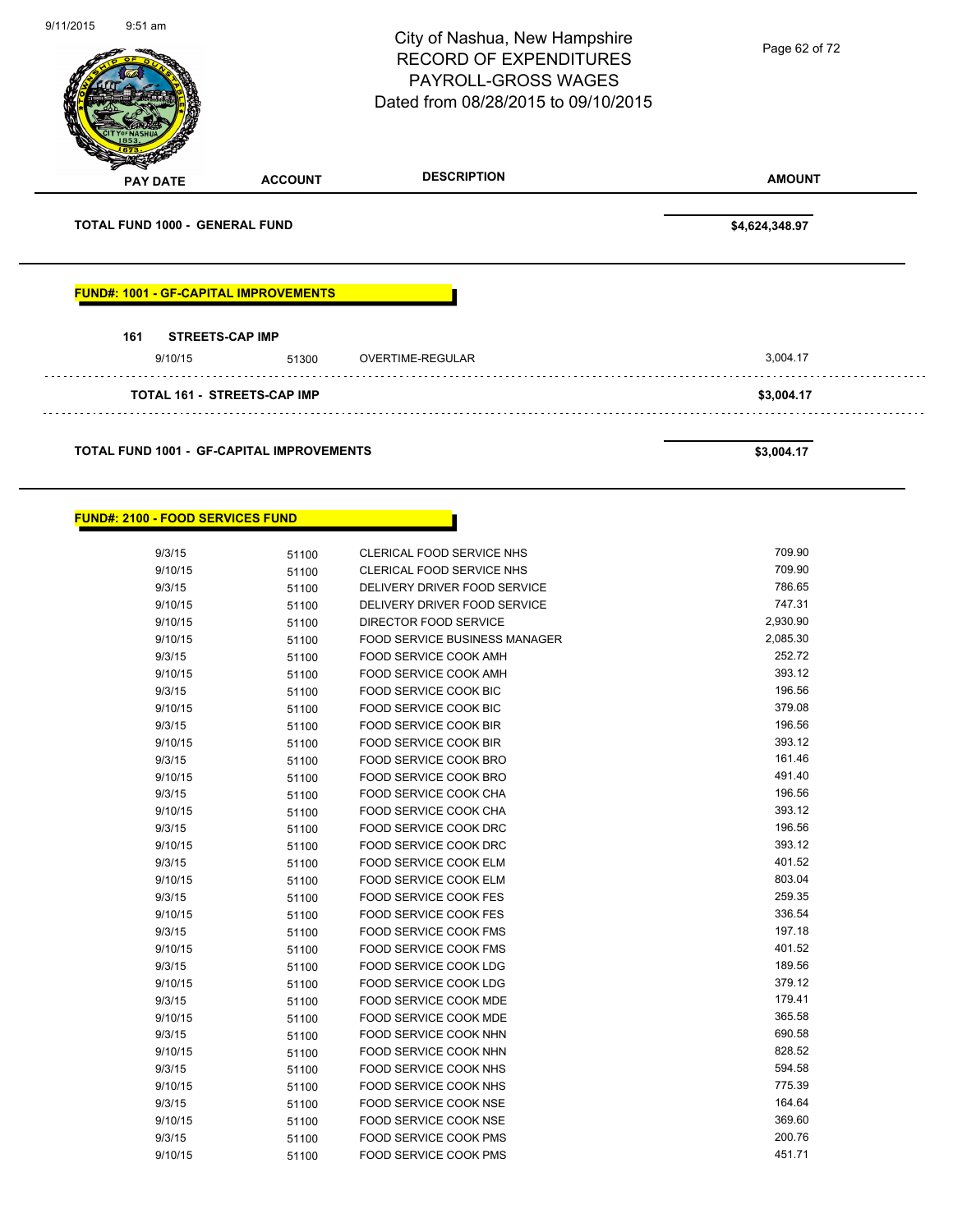

#### **FUND#: 2100 - FOOD SERVICES FUND**

| 9/3/15  | 51100 | <b>CLERICAL FOOD SERVICE NHS</b>     | 709.90   |
|---------|-------|--------------------------------------|----------|
| 9/10/15 | 51100 | CLERICAL FOOD SERVICE NHS            | 709.90   |
| 9/3/15  | 51100 | DELIVERY DRIVER FOOD SERVICE         | 786.65   |
| 9/10/15 | 51100 | DELIVERY DRIVER FOOD SERVICE         | 747.31   |
| 9/10/15 | 51100 | DIRECTOR FOOD SERVICE                | 2,930.90 |
| 9/10/15 | 51100 | <b>FOOD SERVICE BUSINESS MANAGER</b> | 2,085.30 |
| 9/3/15  | 51100 | FOOD SERVICE COOK AMH                | 252.72   |
| 9/10/15 | 51100 | FOOD SERVICE COOK AMH                | 393.12   |
| 9/3/15  | 51100 | FOOD SERVICE COOK BIC                | 196.56   |
| 9/10/15 | 51100 | FOOD SERVICE COOK BIC                | 379.08   |
| 9/3/15  | 51100 | <b>FOOD SERVICE COOK BIR</b>         | 196.56   |
| 9/10/15 | 51100 | FOOD SERVICE COOK BIR                | 393.12   |
| 9/3/15  | 51100 | <b>FOOD SERVICE COOK BRO</b>         | 161.46   |
| 9/10/15 | 51100 | FOOD SERVICE COOK BRO                | 491.40   |
| 9/3/15  | 51100 | <b>FOOD SERVICE COOK CHA</b>         | 196.56   |
| 9/10/15 | 51100 | FOOD SERVICE COOK CHA                | 393.12   |
| 9/3/15  | 51100 | FOOD SERVICE COOK DRC                | 196.56   |
| 9/10/15 | 51100 | <b>FOOD SERVICE COOK DRC</b>         | 393.12   |
| 9/3/15  | 51100 | FOOD SERVICE COOK ELM                | 401.52   |
| 9/10/15 | 51100 | <b>FOOD SERVICE COOK ELM</b>         | 803.04   |
| 9/3/15  | 51100 | <b>FOOD SERVICE COOK FES</b>         | 259.35   |
| 9/10/15 | 51100 | <b>FOOD SERVICE COOK FES</b>         | 336.54   |
| 9/3/15  | 51100 | FOOD SERVICE COOK FMS                | 197.18   |
| 9/10/15 | 51100 | <b>FOOD SERVICE COOK FMS</b>         | 401.52   |
| 9/3/15  | 51100 | FOOD SERVICE COOK LDG                | 189.56   |
| 9/10/15 | 51100 | <b>FOOD SERVICE COOK LDG</b>         | 379.12   |
| 9/3/15  | 51100 | <b>FOOD SERVICE COOK MDE</b>         | 179.41   |
| 9/10/15 | 51100 | <b>FOOD SERVICE COOK MDE</b>         | 365.58   |
| 9/3/15  | 51100 | <b>FOOD SERVICE COOK NHN</b>         | 690.58   |
| 9/10/15 | 51100 | <b>FOOD SERVICE COOK NHN</b>         | 828.52   |
| 9/3/15  | 51100 | FOOD SERVICE COOK NHS                | 594.58   |
| 9/10/15 | 51100 | FOOD SERVICE COOK NHS                | 775.39   |
| 9/3/15  | 51100 | FOOD SERVICE COOK NSE                | 164.64   |
| 9/10/15 | 51100 | FOOD SERVICE COOK NSE                | 369.60   |
| 9/3/15  | 51100 | <b>FOOD SERVICE COOK PMS</b>         | 200.76   |
| 9/10/15 | 51100 | <b>FOOD SERVICE COOK PMS</b>         | 451.71   |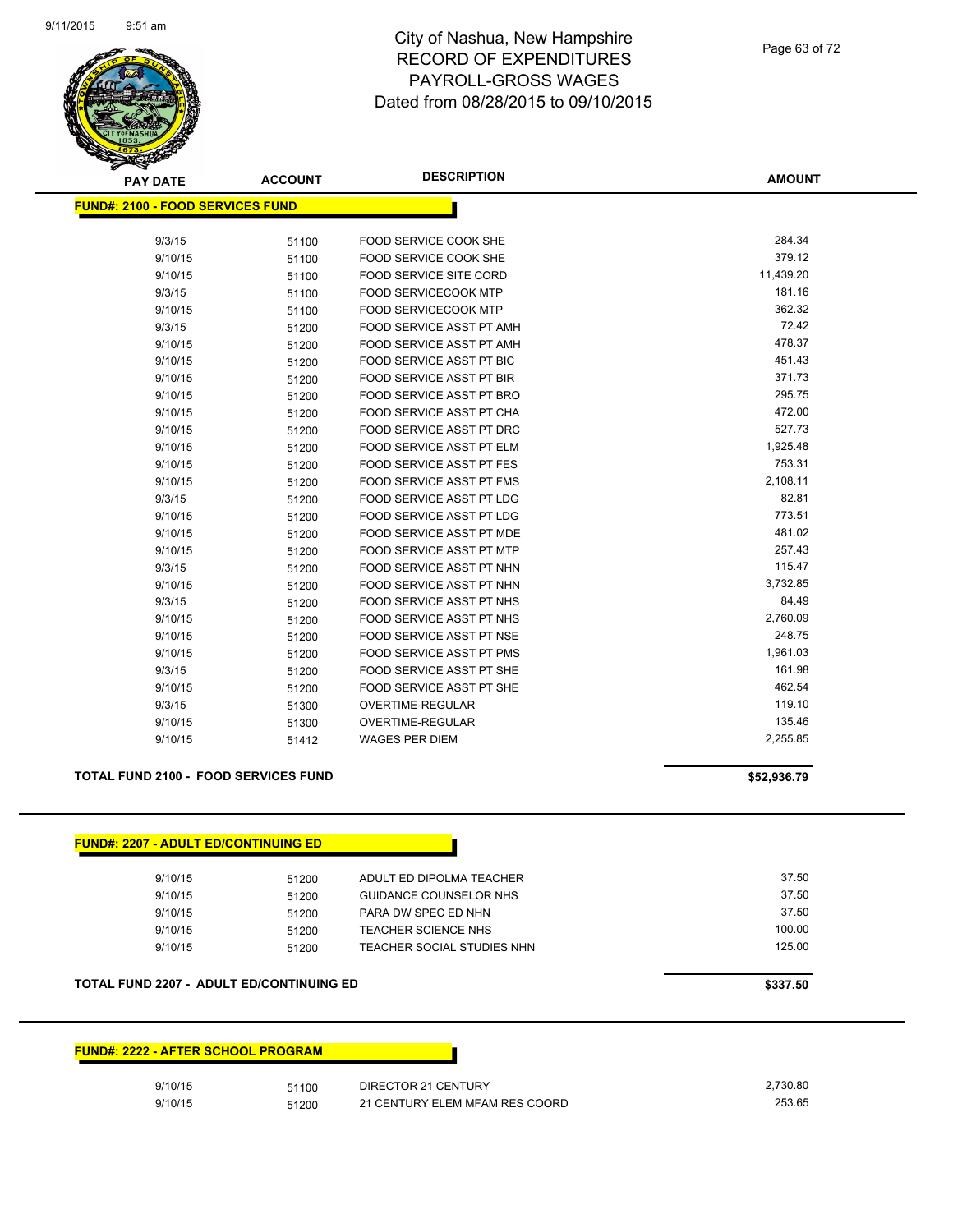

Page 63 of 72

| <b>PAY DATE</b>                         | <b>ACCOUNT</b> | <b>DESCRIPTION</b>              | <b>AMOUNT</b> |
|-----------------------------------------|----------------|---------------------------------|---------------|
| <b>FUND#: 2100 - FOOD SERVICES FUND</b> |                |                                 |               |
|                                         |                |                                 |               |
| 9/3/15                                  | 51100          | FOOD SERVICE COOK SHE           | 284.34        |
| 9/10/15                                 | 51100          | FOOD SERVICE COOK SHE           | 379.12        |
| 9/10/15                                 | 51100          | FOOD SERVICE SITE CORD          | 11,439.20     |
| 9/3/15                                  | 51100          | <b>FOOD SERVICECOOK MTP</b>     | 181.16        |
| 9/10/15                                 | 51100          | <b>FOOD SERVICECOOK MTP</b>     | 362.32        |
| 9/3/15                                  | 51200          | <b>FOOD SERVICE ASST PT AMH</b> | 72.42         |
| 9/10/15                                 | 51200          | <b>FOOD SERVICE ASST PT AMH</b> | 478.37        |
| 9/10/15                                 | 51200          | <b>FOOD SERVICE ASST PT BIC</b> | 451.43        |
| 9/10/15                                 | 51200          | FOOD SERVICE ASST PT BIR        | 371.73        |
| 9/10/15                                 | 51200          | FOOD SERVICE ASST PT BRO        | 295.75        |
| 9/10/15                                 | 51200          | FOOD SERVICE ASST PT CHA        | 472.00        |
| 9/10/15                                 | 51200          | FOOD SERVICE ASST PT DRC        | 527.73        |
| 9/10/15                                 | 51200          | <b>FOOD SERVICE ASST PT ELM</b> | 1,925.48      |
| 9/10/15                                 | 51200          | FOOD SERVICE ASST PT FES        | 753.31        |
| 9/10/15                                 | 51200          | <b>FOOD SERVICE ASST PT FMS</b> | 2,108.11      |
| 9/3/15                                  | 51200          | FOOD SERVICE ASST PT LDG        | 82.81         |
| 9/10/15                                 | 51200          | FOOD SERVICE ASST PT LDG        | 773.51        |
| 9/10/15                                 | 51200          | FOOD SERVICE ASST PT MDE        | 481.02        |
| 9/10/15                                 | 51200          | FOOD SERVICE ASST PT MTP        | 257.43        |
| 9/3/15                                  | 51200          | FOOD SERVICE ASST PT NHN        | 115.47        |
| 9/10/15                                 | 51200          | FOOD SERVICE ASST PT NHN        | 3,732.85      |
| 9/3/15                                  | 51200          | <b>FOOD SERVICE ASST PT NHS</b> | 84.49         |
| 9/10/15                                 | 51200          | <b>FOOD SERVICE ASST PT NHS</b> | 2,760.09      |
| 9/10/15                                 | 51200          | FOOD SERVICE ASST PT NSE        | 248.75        |
| 9/10/15                                 | 51200          | FOOD SERVICE ASST PT PMS        | 1,961.03      |
| 9/3/15                                  | 51200          | FOOD SERVICE ASST PT SHE        | 161.98        |
| 9/10/15                                 | 51200          | FOOD SERVICE ASST PT SHE        | 462.54        |
| 9/3/15                                  | 51300          | <b>OVERTIME-REGULAR</b>         | 119.10        |
| 9/10/15                                 | 51300          | <b>OVERTIME-REGULAR</b>         | 135.46        |
| 9/10/15                                 | 51412          | <b>WAGES PER DIEM</b>           | 2,255.85      |
|                                         |                |                                 |               |

#### **TOTAL FUND 2100 - FOOD SERVICES FUND \$52,936.79**

| <b>FUND#: 2207 - ADULT ED/CONTINUING ED</b> |       |                            |        |
|---------------------------------------------|-------|----------------------------|--------|
| 9/10/15                                     | 51200 | ADULT ED DIPOLMA TEACHER   | 37.50  |
| 9/10/15                                     | 51200 | GUIDANCE COUNSELOR NHS     | 37.50  |
| 9/10/15                                     | 51200 | PARA DW SPEC ED NHN        | 37.50  |
| 9/10/15                                     | 51200 | TEACHER SCIENCE NHS        | 100.00 |
| 9/10/15                                     | 51200 | TEACHER SOCIAL STUDIES NHN | 125.00 |

#### **TOTAL FUND 2207 - ADULT ED/CONTINUING ED** \$337.50

**FUND#: 2222 - AFTER SCHOOL PROGRAM**

| 9/10/15 | 51100 | DIRECTOR 21 CENTURY            | 2.730.80 |
|---------|-------|--------------------------------|----------|
| 9/10/15 | 51200 | 21 CENTURY ELEM MFAM RES COORD | 253.65   |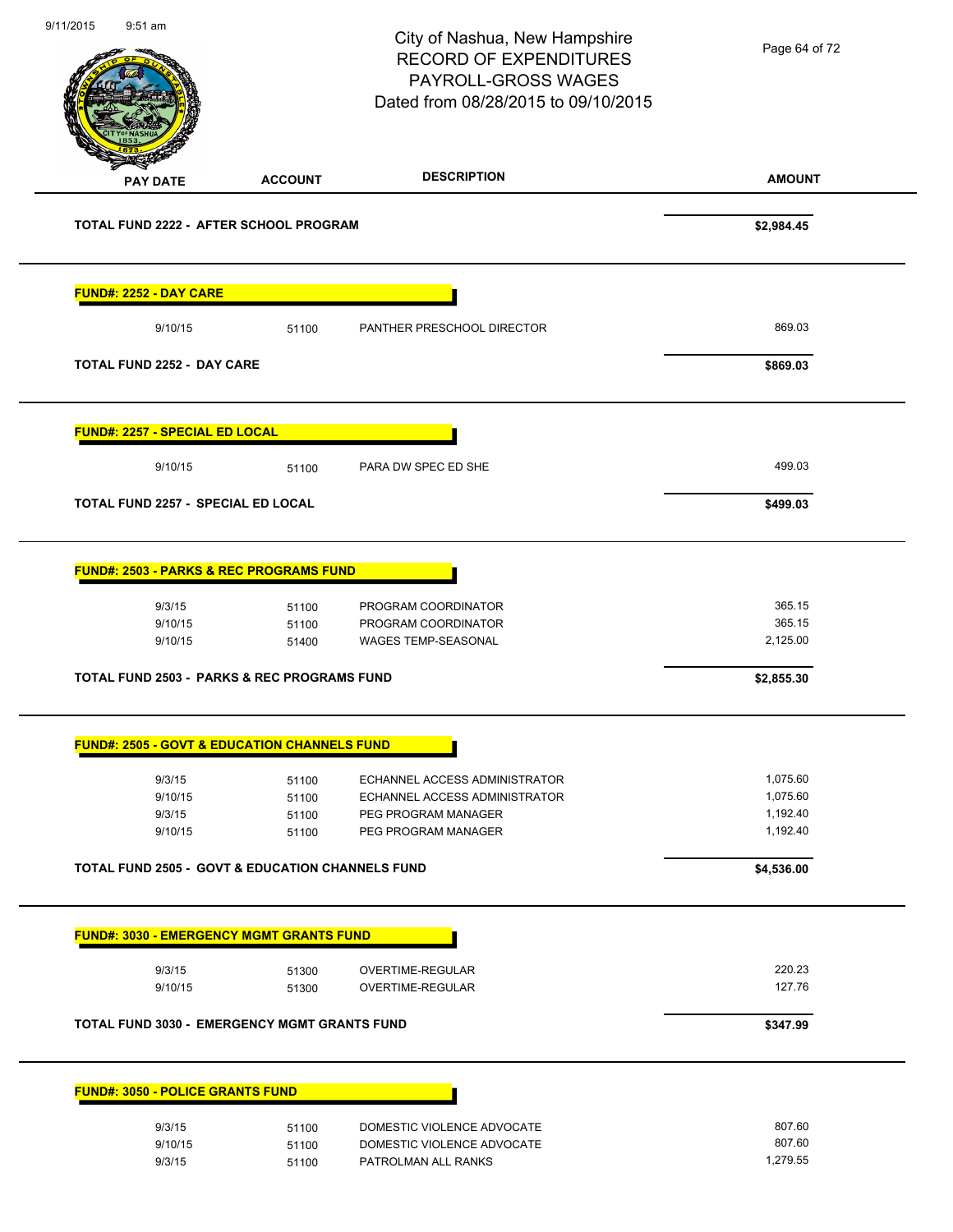**AMOUNT** City of Nashua, New Hampshire RECORD OF EXPENDITURES PAYROLL-GROSS WAGES Dated from 08/28/2015 to 09/10/2015 **PAY DATE ACCOUNT DESCRIPTION** 9/11/2015 9:51 am **TOTAL FUND 2222 - AFTER SCHOOL PROGRAM \$2,984.45 FUND#: 2252 - DAY CARE** 9/10/15 51100 PANTHER PRESCHOOL DIRECTOR 869.03 **TOTAL FUND 2252 - DAY CARE \$869.03 FUND#: 2257 - SPECIAL ED LOCAL** 9/10/15 51100 PARA DW SPEC ED SHE 499.03 **TOTAL FUND 2257 - SPECIAL ED LOCAL \$499.03 FUND#: 2503 - PARKS & REC PROGRAMS FUND** 9/3/15 51100 PROGRAM COORDINATOR 365.15 9/10/15 51100 PROGRAM COORDINATOR 365.15 9/10/15 51400 WAGES TEMP-SEASONAL 2,125.00 **TOTAL FUND 2503 - PARKS & REC PROGRAMS FUND \$2,855.30 FUND#: 2505 - GOVT & EDUCATION CHANNELS FUND** 9/3/15 51100 ECHANNEL ACCESS ADMINISTRATOR 1,075.60 9/10/15 51100 ECHANNEL ACCESS ADMINISTRATOR 1,075.60 9/3/15 51100 PEG PROGRAM MANAGER 1,192.40 9/10/15 51100 PEG PROGRAM MANAGER **TOTAL FUND 2505 - GOVT & EDUCATION CHANNELS FUND \$4,536.00 FUND#: 3030 - EMERGENCY MGMT GRANTS FUND** 9/3/15 51300 OVERTIME-REGULAR 220.23 9/10/15 51300 OVERTIME-REGULAR 127.76 **TOTAL FUND 3030 - EMERGENCY MGMT GRANTS FUND \$347.99 FUND#: 3050 - POLICE GRANTS FUND** 9/3/15 51100 DOMESTIC VIOLENCE ADVOCATE 9/10/15 51100 DOMESTIC VIOLENCE ADVOCATE 607.60 9/3/15 51100 PATROLMAN ALL RANKS 1,279.55 Page 64 of 72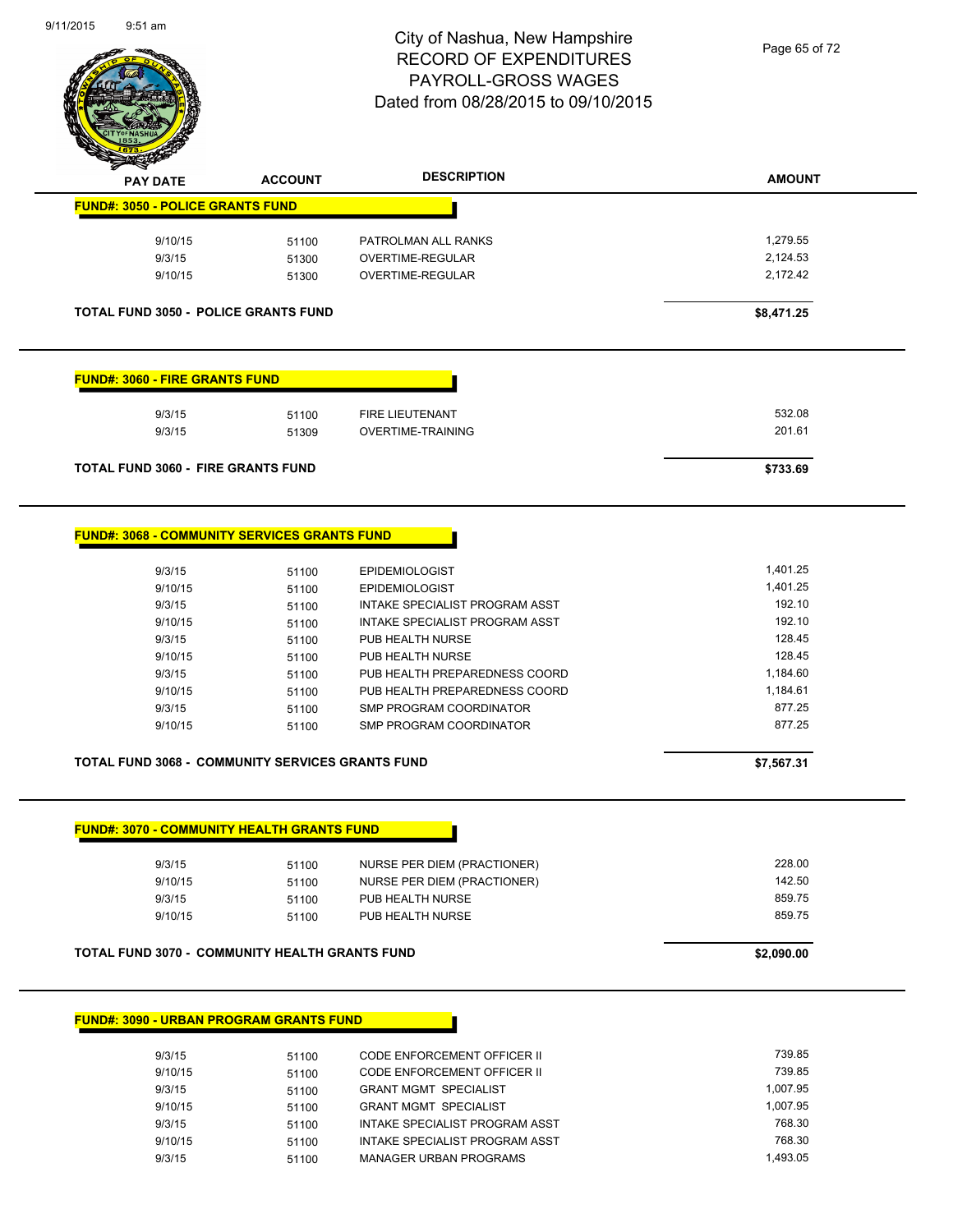

| <b>PAY DATE</b>                                                                                                              | <b>ACCOUNT</b> | <b>DESCRIPTION</b>                                             | <b>AMOUNT</b>      |
|------------------------------------------------------------------------------------------------------------------------------|----------------|----------------------------------------------------------------|--------------------|
| <b>FUND#: 3050 - POLICE GRANTS FUND</b>                                                                                      |                |                                                                |                    |
| 9/10/15                                                                                                                      | 51100          | PATROLMAN ALL RANKS                                            | 1,279.55           |
| 9/3/15                                                                                                                       | 51300          | OVERTIME-REGULAR                                               | 2,124.53           |
| 9/10/15                                                                                                                      | 51300          | OVERTIME-REGULAR                                               | 2,172.42           |
|                                                                                                                              |                |                                                                |                    |
| <b>TOTAL FUND 3050 - POLICE GRANTS FUND</b>                                                                                  |                |                                                                | \$8,471.25         |
| <b>FUND#: 3060 - FIRE GRANTS FUND</b>                                                                                        |                |                                                                |                    |
| 9/3/15                                                                                                                       | 51100          | <b>FIRE LIEUTENANT</b>                                         | 532.08             |
| 9/3/15                                                                                                                       | 51309          | <b>OVERTIME-TRAINING</b>                                       | 201.61             |
| <b>TOTAL FUND 3060 - FIRE GRANTS FUND</b>                                                                                    |                |                                                                | \$733.69           |
| <b>FUND#: 3068 - COMMUNITY SERVICES GRANTS FUND</b>                                                                          |                |                                                                |                    |
| 9/3/15                                                                                                                       | 51100          | <b>EPIDEMIOLOGIST</b>                                          | 1,401.25           |
| 9/10/15                                                                                                                      | 51100          | <b>EPIDEMIOLOGIST</b>                                          | 1,401.25           |
| 9/3/15                                                                                                                       | 51100          | <b>INTAKE SPECIALIST PROGRAM ASST</b>                          | 192.10             |
| 9/10/15                                                                                                                      | 51100          | INTAKE SPECIALIST PROGRAM ASST                                 | 192.10             |
| 9/3/15                                                                                                                       | 51100          | PUB HEALTH NURSE                                               | 128.45             |
| 9/10/15                                                                                                                      | 51100          | PUB HEALTH NURSE                                               | 128.45             |
| 9/3/15                                                                                                                       | 51100          | PUB HEALTH PREPAREDNESS COORD                                  | 1,184.60           |
| 9/10/15                                                                                                                      | 51100          | PUB HEALTH PREPAREDNESS COORD                                  | 1,184.61           |
| 9/3/15                                                                                                                       | 51100          | SMP PROGRAM COORDINATOR                                        | 877.25             |
| 9/10/15                                                                                                                      | 51100          | SMP PROGRAM COORDINATOR                                        | 877.25             |
| <b>TOTAL FUND 3068 - COMMUNITY SERVICES GRANTS FUND</b>                                                                      |                |                                                                | \$7,567.31         |
|                                                                                                                              |                |                                                                |                    |
| <b>FUND#: 3070 - COMMUNITY HEALTH GRANTS FUND</b>                                                                            |                |                                                                |                    |
| 9/3/15                                                                                                                       | 51100          | NURSE PER DIEM (PRACTIONER)                                    | 228.00             |
| 9/10/15                                                                                                                      | 51100          | NURSE PER DIEM (PRACTIONER)                                    | 142.50             |
|                                                                                                                              | 51100          | PUB HEALTH NURSE<br>PUB HEALTH NURSE                           | 859.75<br>859.75   |
| 9/3/15                                                                                                                       |                |                                                                |                    |
| 9/10/15                                                                                                                      | 51100          |                                                                |                    |
|                                                                                                                              |                |                                                                | \$2,090.00         |
|                                                                                                                              |                |                                                                |                    |
|                                                                                                                              |                |                                                                |                    |
| 9/3/15                                                                                                                       | 51100          | CODE ENFORCEMENT OFFICER II                                    | 739.85             |
| 9/10/15                                                                                                                      | 51100          | CODE ENFORCEMENT OFFICER II                                    | 739.85             |
| 9/3/15                                                                                                                       | 51100          | <b>GRANT MGMT SPECIALIST</b>                                   | 1,007.95           |
| <b>TOTAL FUND 3070 - COMMUNITY HEALTH GRANTS FUND</b><br><b>FUND#: 3090 - URBAN PROGRAM GRANTS FUND</b><br>9/10/15<br>9/3/15 | 51100<br>51100 | <b>GRANT MGMT SPECIALIST</b><br>INTAKE SPECIALIST PROGRAM ASST | 1,007.95<br>768.30 |

9/3/15 51100 MANAGER URBAN PROGRAMS 1,493.05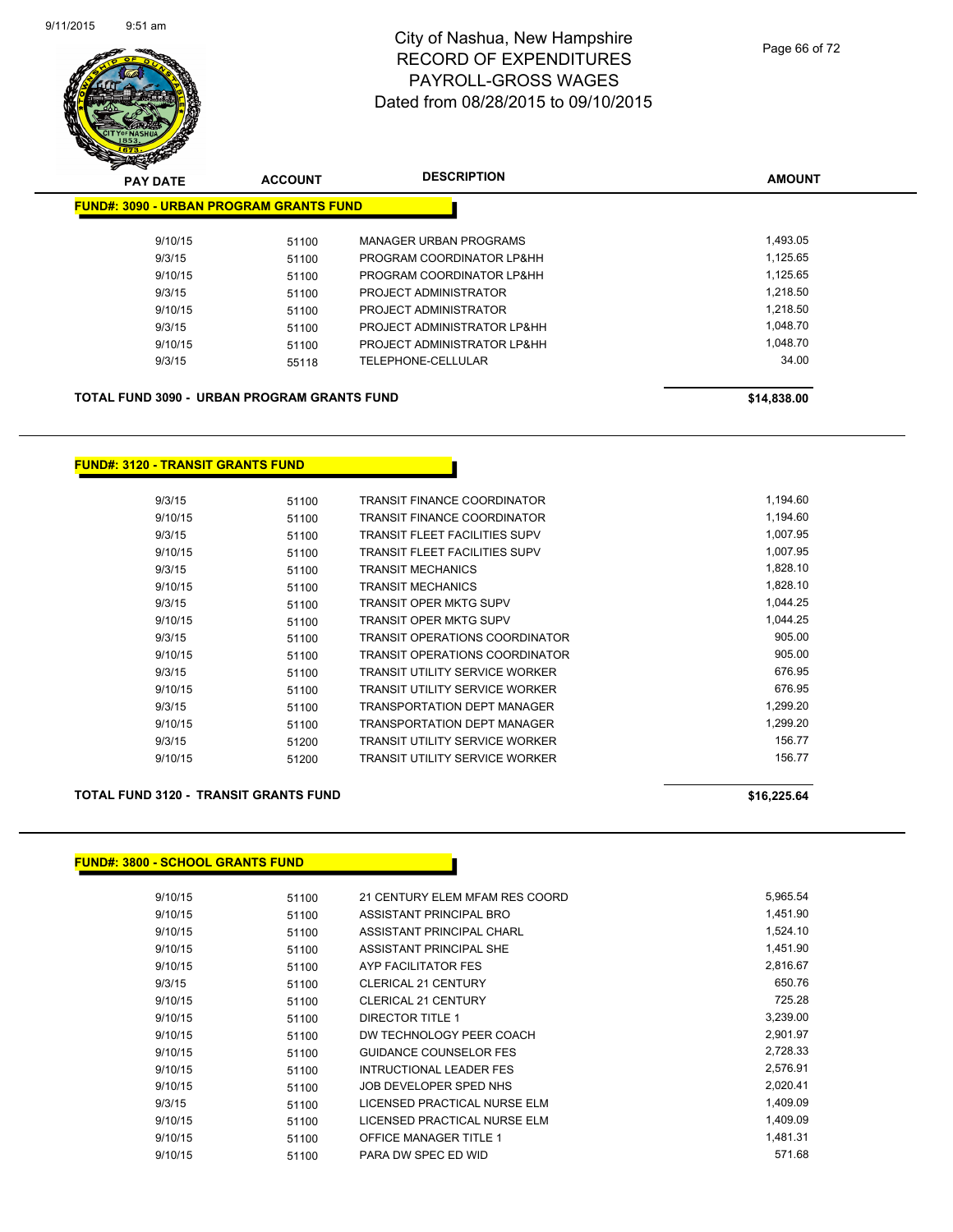

| <b>PAY DATE</b>                                | <b>ACCOUNT</b> | <b>DESCRIPTION</b>            | <b>AMOUNT</b> |
|------------------------------------------------|----------------|-------------------------------|---------------|
| <b>FUND#: 3090 - URBAN PROGRAM GRANTS FUND</b> |                |                               |               |
| 9/10/15                                        | 51100          | <b>MANAGER URBAN PROGRAMS</b> | 1,493.05      |
| 9/3/15                                         | 51100          | PROGRAM COORDINATOR LP&HH     | 1,125.65      |
| 9/10/15                                        | 51100          | PROGRAM COORDINATOR LP&HH     | 1,125.65      |
| 9/3/15                                         | 51100          | PROJECT ADMINISTRATOR         | 1,218.50      |
| 9/10/15                                        | 51100          | PROJECT ADMINISTRATOR         | 1,218.50      |
| 9/3/15                                         | 51100          | PROJECT ADMINISTRATOR LP&HH   | 1,048.70      |
| 9/10/15                                        | 51100          | PROJECT ADMINISTRATOR LP&HH   | 1,048.70      |
| 9/3/15                                         | 55118          | TELEPHONE-CELLULAR            | 34.00         |
| TOTAL FUND 3090 - URBAN PROGRAM GRANTS FUND    |                |                               | \$14,838.00   |

#### **FUND#: 3120 - TRANSIT GRANTS FUND**

| 9/3/15  | 51100 | TRANSIT FINANCE COORDINATOR           | 1,194.60 |
|---------|-------|---------------------------------------|----------|
| 9/10/15 | 51100 | TRANSIT FINANCE COORDINATOR           | 1,194.60 |
| 9/3/15  | 51100 | TRANSIT FLEET FACILITIES SUPV         | 1,007.95 |
| 9/10/15 | 51100 | TRANSIT FLEET FACILITIES SUPV         | 1.007.95 |
| 9/3/15  | 51100 | TRANSIT MECHANICS                     | 1,828.10 |
| 9/10/15 | 51100 | <b>TRANSIT MECHANICS</b>              | 1,828.10 |
| 9/3/15  | 51100 | TRANSIT OPER MKTG SUPV                | 1,044.25 |
| 9/10/15 | 51100 | <b>TRANSIT OPER MKTG SUPV</b>         | 1.044.25 |
| 9/3/15  | 51100 | TRANSIT OPERATIONS COORDINATOR        | 905.00   |
| 9/10/15 | 51100 | TRANSIT OPERATIONS COORDINATOR        | 905.00   |
| 9/3/15  | 51100 | <b>TRANSIT UTILITY SERVICE WORKER</b> | 676.95   |
| 9/10/15 | 51100 | TRANSIT UTILITY SERVICE WORKER        | 676.95   |
| 9/3/15  | 51100 | TRANSPORTATION DEPT MANAGER           | 1.299.20 |
| 9/10/15 | 51100 | TRANSPORTATION DEPT MANAGER           | 1.299.20 |
| 9/3/15  | 51200 | <b>TRANSIT UTILITY SERVICE WORKER</b> | 156.77   |
| 9/10/15 | 51200 | TRANSIT UTILITY SERVICE WORKER        | 156.77   |
|         |       |                                       |          |

#### **TOTAL FUND 3120 - TRANSIT GRANTS FUND \$16,225.64**

# **FUND#: 3800 - SCHOOL GRANTS FUND**

| 9/10/15 | 51100 | 21 CENTURY ELEM MFAM RES COORD | 5,965.54 |
|---------|-------|--------------------------------|----------|
| 9/10/15 | 51100 | ASSISTANT PRINCIPAL BRO        | 1,451.90 |
| 9/10/15 | 51100 | ASSISTANT PRINCIPAL CHARL      | 1,524.10 |
| 9/10/15 | 51100 | ASSISTANT PRINCIPAL SHE        | 1,451.90 |
| 9/10/15 | 51100 | AYP FACILITATOR FES            | 2.816.67 |
| 9/3/15  | 51100 | <b>CLERICAL 21 CENTURY</b>     | 650.76   |
| 9/10/15 | 51100 | <b>CLERICAL 21 CENTURY</b>     | 725.28   |
| 9/10/15 | 51100 | DIRECTOR TITLE 1               | 3,239.00 |
| 9/10/15 | 51100 | DW TECHNOLOGY PEER COACH       | 2,901.97 |
| 9/10/15 | 51100 | <b>GUIDANCE COUNSELOR FES</b>  | 2,728.33 |
| 9/10/15 | 51100 | INTRUCTIONAL LEADER FES        | 2,576.91 |
| 9/10/15 | 51100 | JOB DEVELOPER SPED NHS         | 2,020.41 |
| 9/3/15  | 51100 | LICENSED PRACTICAL NURSE ELM   | 1.409.09 |
| 9/10/15 | 51100 | LICENSED PRACTICAL NURSE ELM   | 1,409.09 |
| 9/10/15 | 51100 | <b>OFFICE MANAGER TITLE 1</b>  | 1.481.31 |
| 9/10/15 | 51100 | PARA DW SPEC ED WID            | 571.68   |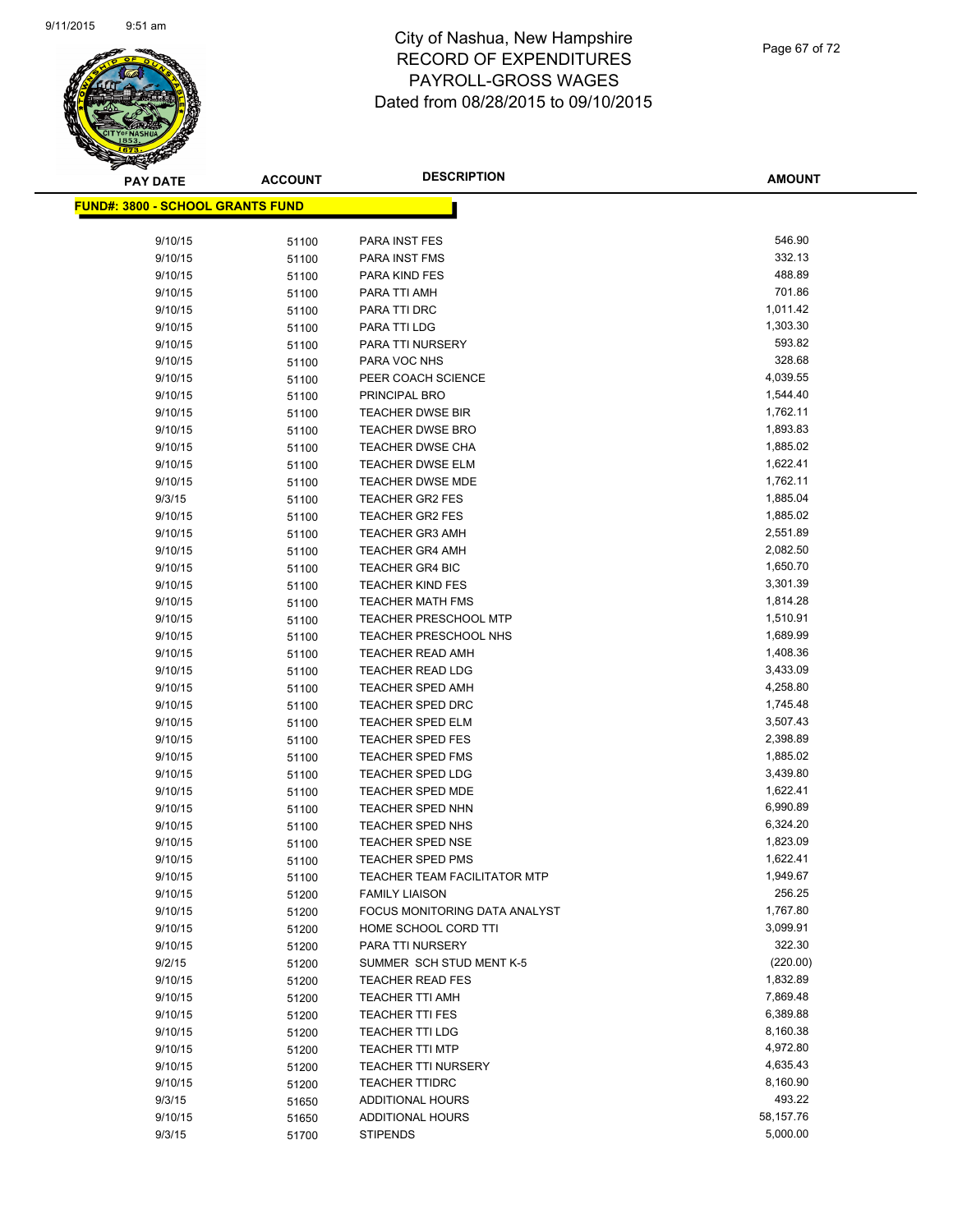

| <b>PAY DATE</b>                         | <b>ACCOUNT</b> | <b>DESCRIPTION</b>                  | <b>AMOUNT</b> |
|-----------------------------------------|----------------|-------------------------------------|---------------|
| <b>FUND#: 3800 - SCHOOL GRANTS FUND</b> |                |                                     |               |
|                                         |                |                                     |               |
| 9/10/15                                 | 51100          | PARA INST FES                       | 546.90        |
| 9/10/15                                 | 51100          | PARA INST FMS                       | 332.13        |
| 9/10/15                                 | 51100          | PARA KIND FES                       | 488.89        |
| 9/10/15                                 | 51100          | PARA TTI AMH                        | 701.86        |
| 9/10/15                                 | 51100          | PARA TTI DRC                        | 1,011.42      |
| 9/10/15                                 | 51100          | PARA TTI LDG                        | 1,303.30      |
| 9/10/15                                 | 51100          | PARA TTI NURSERY                    | 593.82        |
| 9/10/15                                 | 51100          | PARA VOC NHS                        | 328.68        |
| 9/10/15                                 | 51100          | PEER COACH SCIENCE                  | 4,039.55      |
| 9/10/15                                 | 51100          | PRINCIPAL BRO                       | 1,544.40      |
| 9/10/15                                 | 51100          | TEACHER DWSE BIR                    | 1,762.11      |
| 9/10/15                                 | 51100          | <b>TEACHER DWSE BRO</b>             | 1,893.83      |
| 9/10/15                                 | 51100          | <b>TEACHER DWSE CHA</b>             | 1,885.02      |
| 9/10/15                                 | 51100          | <b>TEACHER DWSE ELM</b>             | 1,622.41      |
| 9/10/15                                 | 51100          | TEACHER DWSE MDE                    | 1,762.11      |
| 9/3/15                                  | 51100          | <b>TEACHER GR2 FES</b>              | 1,885.04      |
| 9/10/15                                 | 51100          | <b>TEACHER GR2 FES</b>              | 1,885.02      |
| 9/10/15                                 | 51100          | <b>TEACHER GR3 AMH</b>              | 2,551.89      |
| 9/10/15                                 | 51100          | <b>TEACHER GR4 AMH</b>              | 2,082.50      |
| 9/10/15                                 | 51100          | <b>TEACHER GR4 BIC</b>              | 1,650.70      |
| 9/10/15                                 | 51100          | <b>TEACHER KIND FES</b>             | 3,301.39      |
| 9/10/15                                 | 51100          | <b>TEACHER MATH FMS</b>             | 1,814.28      |
| 9/10/15                                 | 51100          | <b>TEACHER PRESCHOOL MTP</b>        | 1,510.91      |
| 9/10/15                                 | 51100          | TEACHER PRESCHOOL NHS               | 1,689.99      |
| 9/10/15                                 | 51100          | <b>TEACHER READ AMH</b>             | 1,408.36      |
| 9/10/15                                 | 51100          | <b>TEACHER READ LDG</b>             | 3,433.09      |
| 9/10/15                                 | 51100          | <b>TEACHER SPED AMH</b>             | 4,258.80      |
| 9/10/15                                 | 51100          | <b>TEACHER SPED DRC</b>             | 1,745.48      |
| 9/10/15                                 | 51100          | <b>TEACHER SPED ELM</b>             | 3,507.43      |
| 9/10/15                                 | 51100          | <b>TEACHER SPED FES</b>             | 2,398.89      |
| 9/10/15                                 | 51100          | <b>TEACHER SPED FMS</b>             | 1,885.02      |
| 9/10/15                                 | 51100          | TEACHER SPED LDG                    | 3,439.80      |
| 9/10/15                                 | 51100          | TEACHER SPED MDE                    | 1,622.41      |
| 9/10/15                                 | 51100          | <b>TEACHER SPED NHN</b>             | 6,990.89      |
| 9/10/15                                 | 51100          | <b>TEACHER SPED NHS</b>             | 6,324.20      |
| 9/10/15                                 | 51100          | TEACHER SPED NSE                    | 1,823.09      |
| 9/10/15                                 | 51100          | TEACHER SPED PMS                    | 1,622.41      |
| 9/10/15                                 | 51100          | <b>TEACHER TEAM FACILITATOR MTP</b> | 1,949.67      |
| 9/10/15                                 | 51200          | <b>FAMILY LIAISON</b>               | 256.25        |
| 9/10/15                                 | 51200          | FOCUS MONITORING DATA ANALYST       | 1,767.80      |
| 9/10/15                                 | 51200          | HOME SCHOOL CORD TTI                | 3,099.91      |
| 9/10/15                                 | 51200          | PARA TTI NURSERY                    | 322.30        |
| 9/2/15                                  | 51200          | SUMMER SCH STUD MENT K-5            | (220.00)      |
| 9/10/15                                 | 51200          | <b>TEACHER READ FES</b>             | 1,832.89      |
| 9/10/15                                 | 51200          | <b>TEACHER TTI AMH</b>              | 7,869.48      |
| 9/10/15                                 | 51200          | <b>TEACHER TTI FES</b>              | 6,389.88      |
| 9/10/15                                 | 51200          | <b>TEACHER TTI LDG</b>              | 8,160.38      |
| 9/10/15                                 | 51200          | <b>TEACHER TTI MTP</b>              | 4,972.80      |
| 9/10/15                                 | 51200          | <b>TEACHER TTI NURSERY</b>          | 4,635.43      |
| 9/10/15                                 | 51200          | <b>TEACHER TTIDRC</b>               | 8,160.90      |
| 9/3/15                                  | 51650          | ADDITIONAL HOURS                    | 493.22        |
| 9/10/15                                 | 51650          | ADDITIONAL HOURS                    | 58,157.76     |
| 9/3/15                                  | 51700          | <b>STIPENDS</b>                     | 5,000.00      |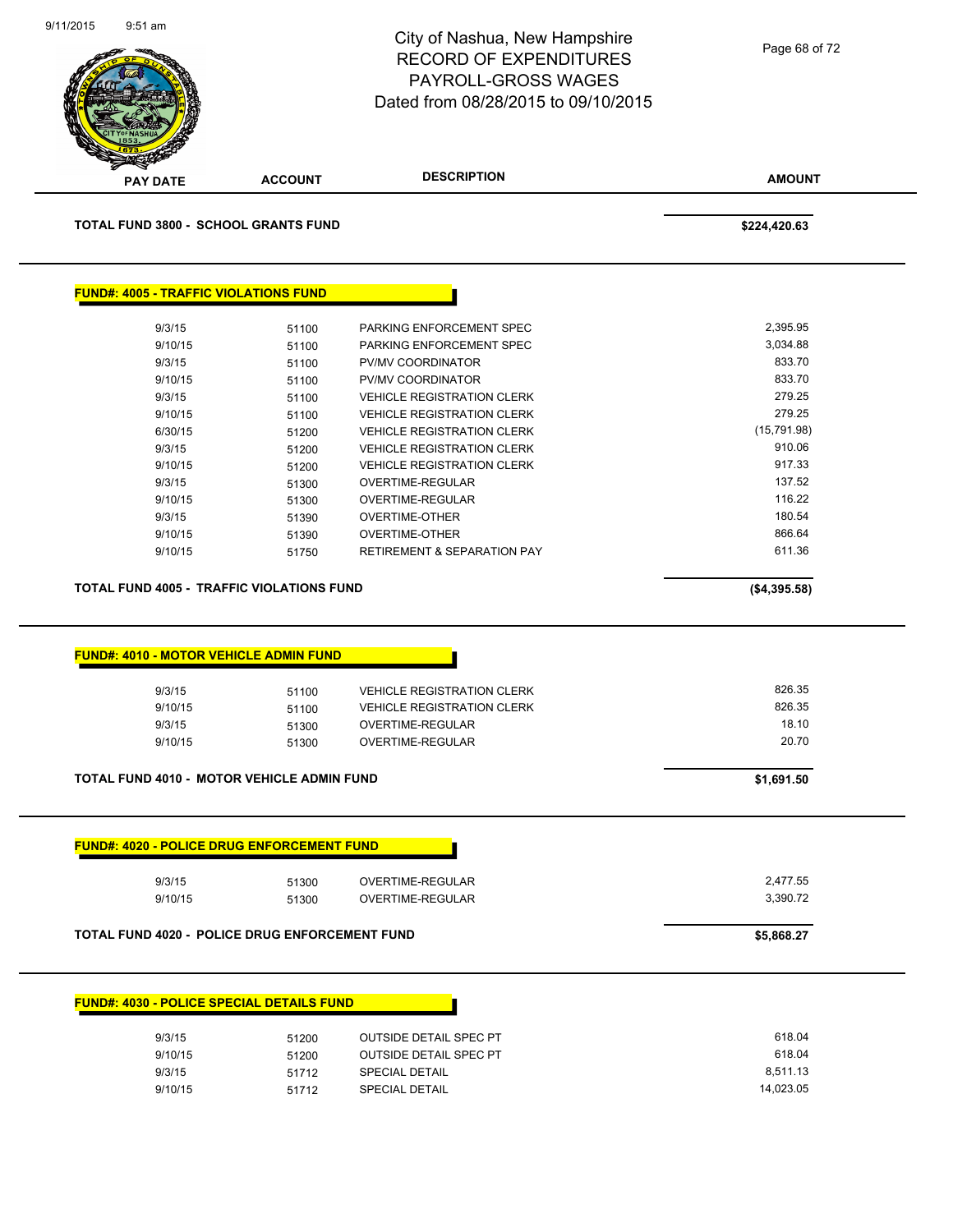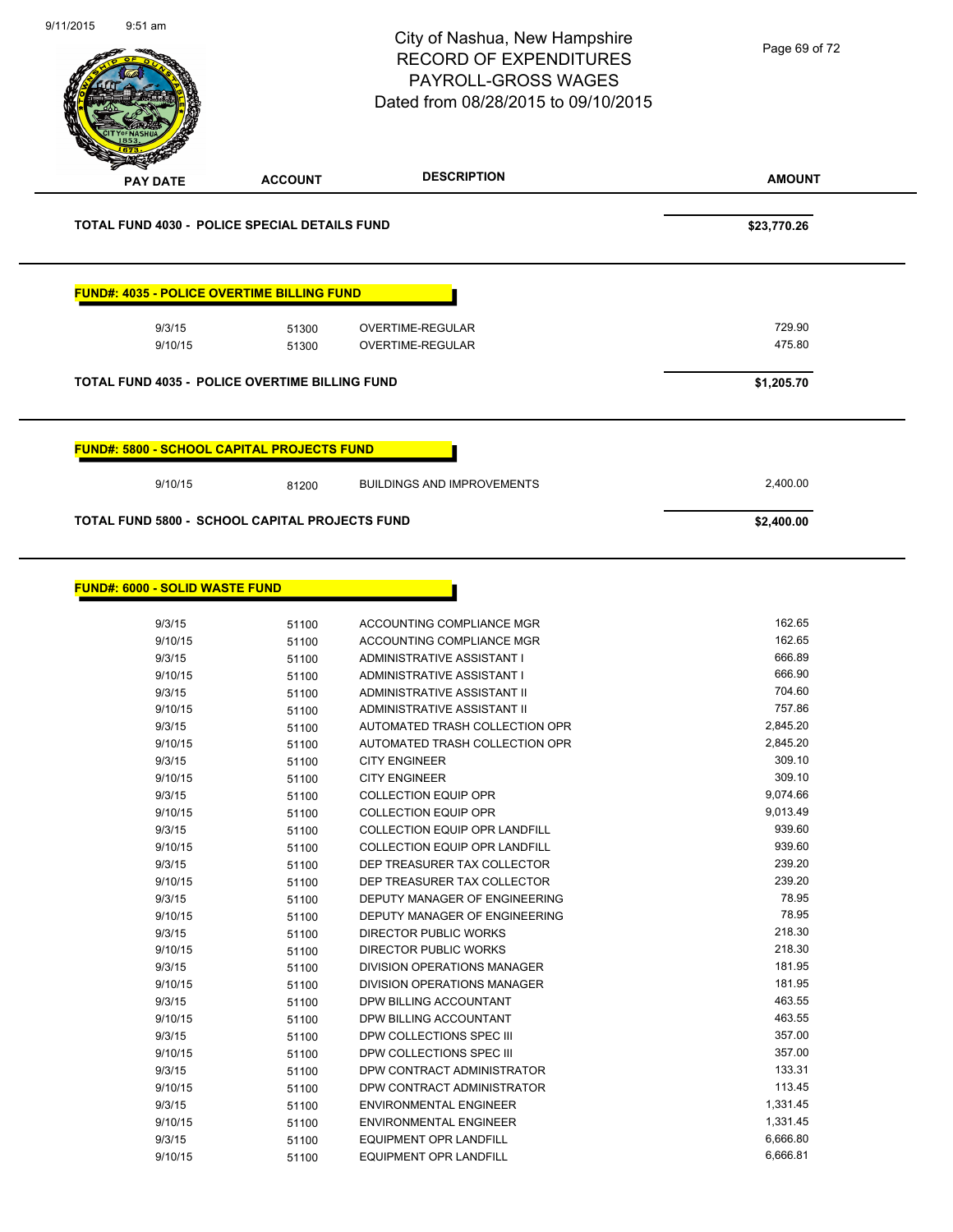| 9/11/2015<br>$9:51$ am                               |                | City of Nashua, New Hampshire<br><b>RECORD OF EXPENDITURES</b><br><b>PAYROLL-GROSS WAGES</b><br>Dated from 08/28/2015 to 09/10/2015 | Page 69 of 72    |
|------------------------------------------------------|----------------|-------------------------------------------------------------------------------------------------------------------------------------|------------------|
| PAY DATE                                             | <b>ACCOUNT</b> | <b>DESCRIPTION</b>                                                                                                                  | <b>AMOUNT</b>    |
| <b>TOTAL FUND 4030 - POLICE SPECIAL DETAILS FUND</b> |                |                                                                                                                                     | \$23,770.26      |
| <u> FUND#: 4035 - POLICE OVERTIME BILLING FUND</u>   |                |                                                                                                                                     |                  |
| 9/3/15<br>9/10/15                                    | 51300<br>51300 | OVERTIME-REGULAR<br>OVERTIME-REGULAR                                                                                                | 729.90<br>475.80 |
| TOTAL FUND 4035 - POLICE OVERTIME BILLING FUND       |                |                                                                                                                                     | \$1,205.70       |
| <b>FUND#: 5800 - SCHOOL CAPITAL PROJECTS FUND</b>    |                |                                                                                                                                     |                  |
| 9/10/15                                              | 81200          | <b>BUILDINGS AND IMPROVEMENTS</b>                                                                                                   | 2,400.00         |
| TOTAL FUND 5800 - SCHOOL CAPITAL PROJECTS FUND       |                |                                                                                                                                     | \$2,400.00       |
| <b>FUND#: 6000 - SOLID WASTE FUND</b>                |                |                                                                                                                                     |                  |
| 9/3/15                                               | 51100          | ACCOUNTING COMPLIANCE MGR                                                                                                           | 162.65           |
| 9/10/15                                              | 51100          | ACCOUNTING COMPLIANCE MGR                                                                                                           | 162.65           |
| 9/3/15                                               | 51100          | ADMINISTRATIVE ASSISTANT I                                                                                                          | 666.89           |
| 9/10/15                                              | 51100          | ADMINISTRATIVE ASSISTANT I                                                                                                          | 666.90<br>704.60 |
| 9/3/15<br>9/10/15                                    | 51100          | ADMINISTRATIVE ASSISTANT II<br>ADMINISTRATIVE ASSISTANT II                                                                          | 757.86           |
| 9/3/15                                               | 51100<br>51100 | AUTOMATED TRASH COLLECTION OPR                                                                                                      | 2,845.20         |
| 9/10/15                                              | 51100          | AUTOMATED TRASH COLLECTION OPR                                                                                                      | 2,845.20         |
| 9/3/15                                               | 51100          | <b>CITY ENGINEER</b>                                                                                                                | 309.10           |
| 9/10/15                                              | 51100          | <b>CITY ENGINEER</b>                                                                                                                | 309.10           |
| 9/3/15                                               | 51100          | <b>COLLECTION EQUIP OPR</b>                                                                                                         | 9,074.66         |
| 9/10/15                                              | 51100          | <b>COLLECTION EQUIP OPR</b>                                                                                                         | 9,013.49         |
| 9/3/15<br>9/10/15                                    | 51100          | COLLECTION EQUIP OPR LANDFILL<br><b>COLLECTION EQUIP OPR LANDFILL</b>                                                               | 939.60<br>939.60 |
| 9/3/15                                               | 51100<br>51100 | DEP TREASURER TAX COLLECTOR                                                                                                         | 239.20           |
| 9/10/15                                              | 51100          | DEP TREASURER TAX COLLECTOR                                                                                                         | 239.20           |
| 9/3/15                                               | 51100          | DEPUTY MANAGER OF ENGINEERING                                                                                                       | 78.95            |
| 9/10/15                                              | 51100          | DEPUTY MANAGER OF ENGINEERING                                                                                                       | 78.95            |
| 9/3/15                                               | 51100          | DIRECTOR PUBLIC WORKS                                                                                                               | 218.30           |
| 9/10/15                                              | 51100          | DIRECTOR PUBLIC WORKS                                                                                                               | 218.30           |
| 9/3/15                                               | 51100          | DIVISION OPERATIONS MANAGER                                                                                                         | 181.95           |
| 9/10/15                                              | 51100          | DIVISION OPERATIONS MANAGER                                                                                                         | 181.95           |
| 9/3/15                                               | 51100          | DPW BILLING ACCOUNTANT                                                                                                              | 463.55           |
| 9/10/15                                              | 51100          | DPW BILLING ACCOUNTANT                                                                                                              | 463.55           |
| 9/3/15                                               | 51100          | DPW COLLECTIONS SPEC III                                                                                                            | 357.00           |
| 9/10/15                                              | 51100          | DPW COLLECTIONS SPEC III                                                                                                            | 357.00           |
| 9/3/15                                               | 51100          | DPW CONTRACT ADMINISTRATOR                                                                                                          | 133.31           |
| 9/10/15                                              | 51100          | DPW CONTRACT ADMINISTRATOR                                                                                                          | 113.45           |
| 9/3/15                                               | 51100          | <b>ENVIRONMENTAL ENGINEER</b>                                                                                                       | 1,331.45         |
| 9/10/15                                              | 51100          | <b>ENVIRONMENTAL ENGINEER</b>                                                                                                       | 1,331.45         |
| 9/3/15                                               | 51100          | EQUIPMENT OPR LANDFILL                                                                                                              | 6,666.80         |
| 9/10/15                                              | 51100          | EQUIPMENT OPR LANDFILL                                                                                                              | 6,666.81         |

9/10/15 51100 EQUIPMENT OPR LANDFILL

Ē,

 $\overline{\phantom{0}}$ 

 $\overline{\phantom{0}}$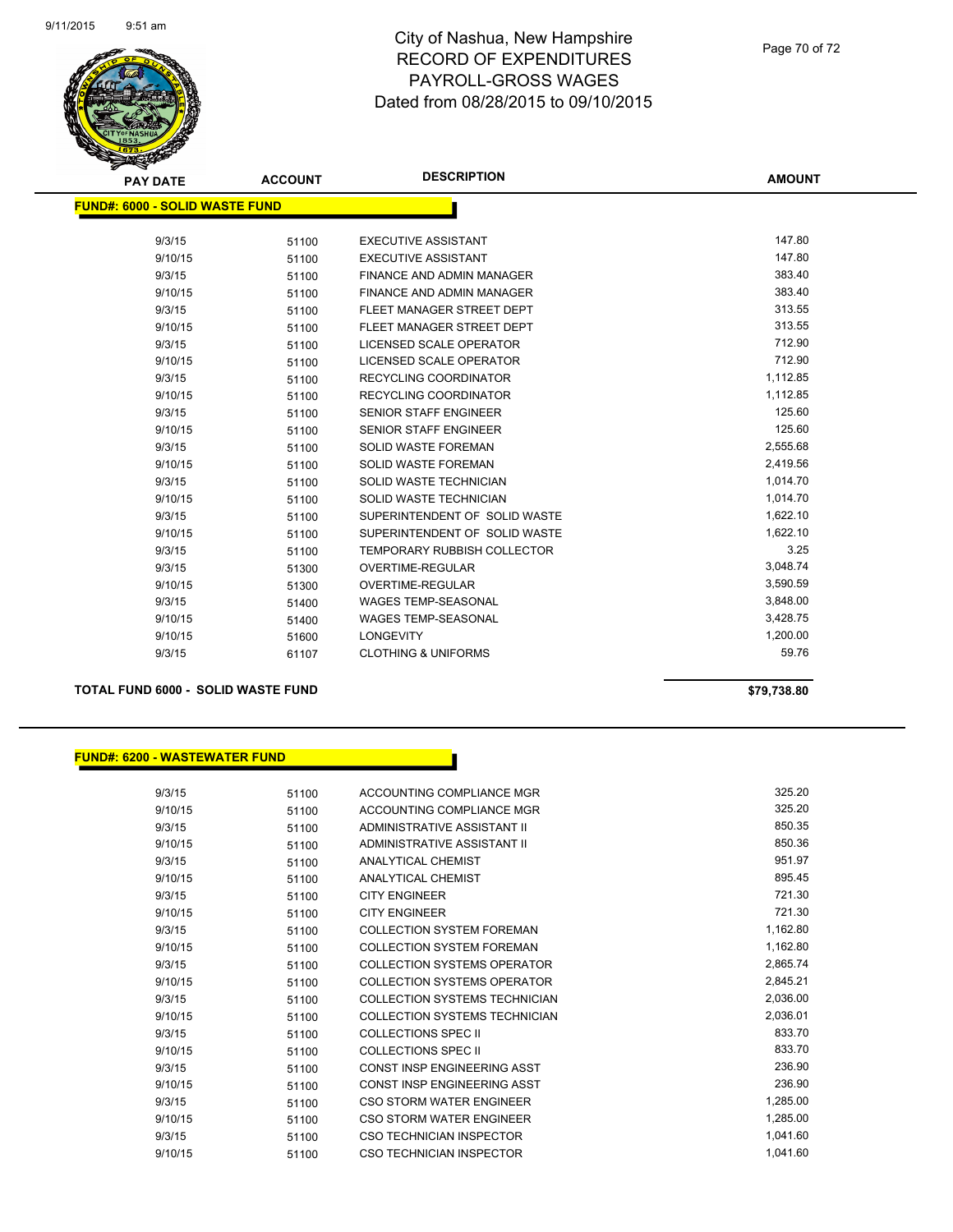

| <b>PAY DATE</b>                       | <b>ACCOUNT</b> | <b>DESCRIPTION</b>                 | <b>AMOUNT</b> |
|---------------------------------------|----------------|------------------------------------|---------------|
| <b>FUND#: 6000 - SOLID WASTE FUND</b> |                |                                    |               |
| 9/3/15                                | 51100          | <b>EXECUTIVE ASSISTANT</b>         | 147.80        |
| 9/10/15                               | 51100          | <b>EXECUTIVE ASSISTANT</b>         | 147.80        |
| 9/3/15                                | 51100          | FINANCE AND ADMIN MANAGER          | 383.40        |
| 9/10/15                               | 51100          | <b>FINANCE AND ADMIN MANAGER</b>   | 383.40        |
| 9/3/15                                | 51100          | FLEET MANAGER STREET DEPT          | 313.55        |
| 9/10/15                               | 51100          | FLEET MANAGER STREET DEPT          | 313.55        |
| 9/3/15                                | 51100          | <b>LICENSED SCALE OPERATOR</b>     | 712.90        |
| 9/10/15                               | 51100          | <b>LICENSED SCALE OPERATOR</b>     | 712.90        |
| 9/3/15                                | 51100          | <b>RECYCLING COORDINATOR</b>       | 1,112.85      |
| 9/10/15                               | 51100          | RECYCLING COORDINATOR              | 1,112.85      |
| 9/3/15                                | 51100          | <b>SENIOR STAFF ENGINEER</b>       | 125.60        |
| 9/10/15                               | 51100          | SENIOR STAFF ENGINEER              | 125.60        |
| 9/3/15                                | 51100          | <b>SOLID WASTE FOREMAN</b>         | 2,555.68      |
| 9/10/15                               | 51100          | <b>SOLID WASTE FOREMAN</b>         | 2,419.56      |
| 9/3/15                                | 51100          | SOLID WASTE TECHNICIAN             | 1,014.70      |
| 9/10/15                               | 51100          | SOLID WASTE TECHNICIAN             | 1,014.70      |
| 9/3/15                                | 51100          | SUPERINTENDENT OF SOLID WASTE      | 1,622.10      |
| 9/10/15                               | 51100          | SUPERINTENDENT OF SOLID WASTE      | 1,622.10      |
| 9/3/15                                | 51100          | <b>TEMPORARY RUBBISH COLLECTOR</b> | 3.25          |
| 9/3/15                                | 51300          | <b>OVERTIME-REGULAR</b>            | 3,048.74      |
| 9/10/15                               | 51300          | OVERTIME-REGULAR                   | 3,590.59      |
| 9/3/15                                | 51400          | <b>WAGES TEMP-SEASONAL</b>         | 3,848.00      |
| 9/10/15                               | 51400          | <b>WAGES TEMP-SEASONAL</b>         | 3,428.75      |
| 9/10/15                               | 51600          | <b>LONGEVITY</b>                   | 1,200.00      |
| 9/3/15                                | 61107          | <b>CLOTHING &amp; UNIFORMS</b>     | 59.76         |
|                                       |                |                                    |               |

#### **TOTAL FUND 6000 - SOLID WASTE FUND \$79,738.80**

#### **FUND#: 6200 - WASTEWATER FUND**

9/3/15 51100 ACCOUNTING COMPLIANCE MGR 325.20 9/10/15 51100 ACCOUNTING COMPLIANCE MGR 325.20 9/3/15 51100 ADMINISTRATIVE ASSISTANT II 650.35 9/10/15 51100 ADMINISTRATIVE ASSISTANT II 850.36 9/3/15 51100 ANALYTICAL CHEMIST 951.97 9/10/15 51100 ANALYTICAL CHEMIST 895.45 9/3/15 51100 CITY ENGINEER 721.30 9/10/15 51100 CITY ENGINEER 721.30 9/3/15 51100 COLLECTION SYSTEM FOREMAN 1,162.80 9/10/15 51100 COLLECTION SYSTEM FOREMAN 1,162.80 9/3/15 51100 COLLECTION SYSTEMS OPERATOR 61 2,865.74 9/10/15 51100 COLLECTION SYSTEMS OPERATOR 2,845.21 9/3/15 51100 COLLECTION SYSTEMS TECHNICIAN 2,036.00 9/10/15 51100 COLLECTION SYSTEMS TECHNICIAN 2,036.01 9/3/15 51100 COLLECTIONS SPEC II 833.70 9/10/15 51100 COLLECTIONS SPEC II 833.70 9/3/15 51100 CONST INSP ENGINEERING ASST 236.90 9/10/15 51100 CONST INSP ENGINEERING ASST 236.90 9/3/15 51100 CSO STORM WATER ENGINEER 1,285.00 9/10/15 51100 CSO STORM WATER ENGINEER 1,285.00 9/3/15 51100 CSO TECHNICIAN INSPECTOR 6 1,041.60 9/10/15 51100 CSO TECHNICIAN INSPECTOR 1,041.60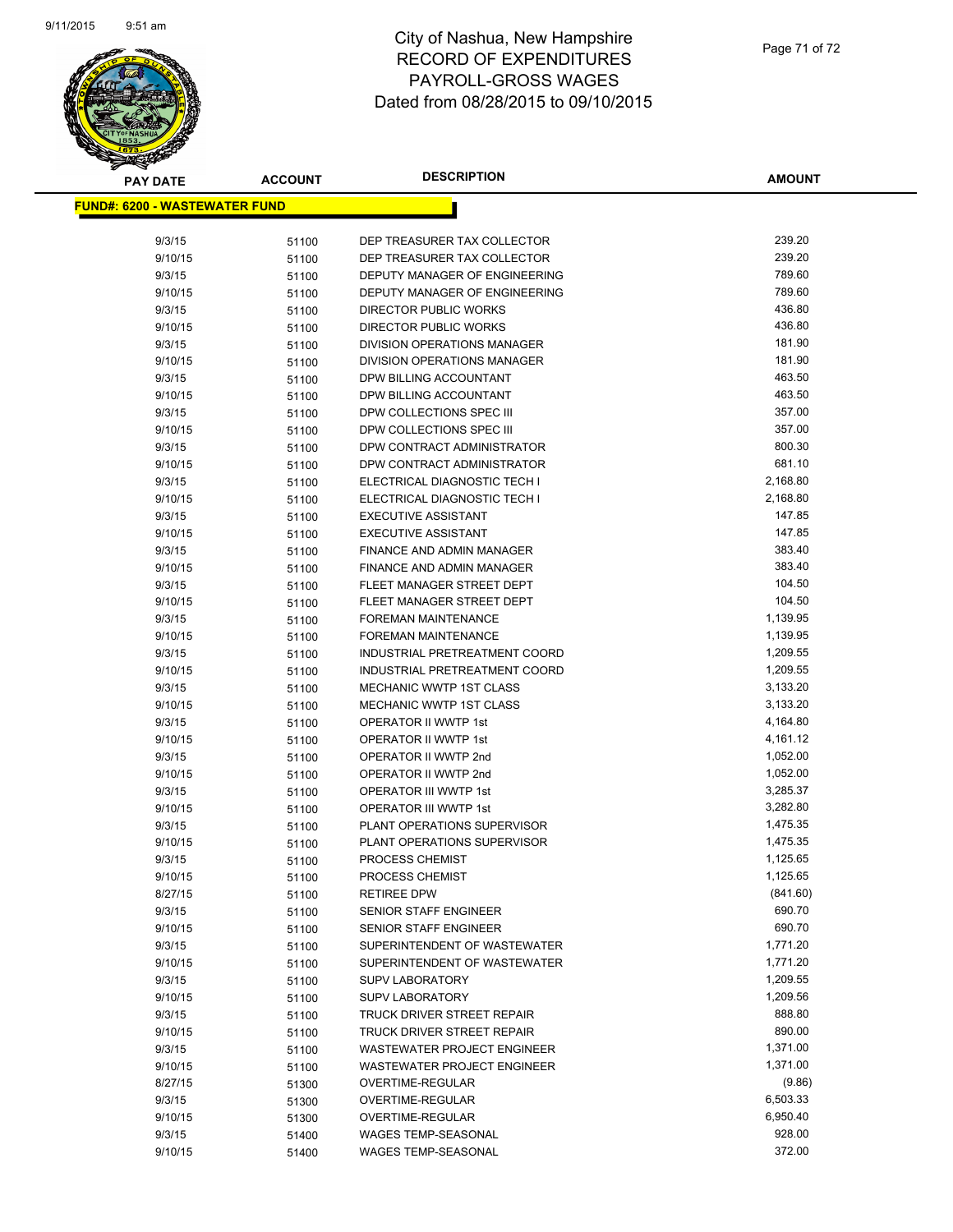

| <b>PAY DATE</b>                      | <b>ACCOUNT</b> | <b>DESCRIPTION</b>                                              | AMOUNT               |
|--------------------------------------|----------------|-----------------------------------------------------------------|----------------------|
| <b>FUND#: 6200 - WASTEWATER FUND</b> |                |                                                                 |                      |
|                                      |                |                                                                 |                      |
| 9/3/15                               | 51100          | DEP TREASURER TAX COLLECTOR                                     | 239.20               |
| 9/10/15                              | 51100          | DEP TREASURER TAX COLLECTOR                                     | 239.20               |
| 9/3/15                               | 51100          | DEPUTY MANAGER OF ENGINEERING                                   | 789.60               |
| 9/10/15                              | 51100          | DEPUTY MANAGER OF ENGINEERING                                   | 789.60               |
| 9/3/15                               | 51100          | <b>DIRECTOR PUBLIC WORKS</b>                                    | 436.80               |
| 9/10/15                              | 51100          | DIRECTOR PUBLIC WORKS                                           | 436.80               |
| 9/3/15                               | 51100          | DIVISION OPERATIONS MANAGER                                     | 181.90               |
| 9/10/15                              | 51100          | DIVISION OPERATIONS MANAGER                                     | 181.90               |
| 9/3/15                               | 51100          | DPW BILLING ACCOUNTANT                                          | 463.50               |
| 9/10/15                              | 51100          | DPW BILLING ACCOUNTANT                                          | 463.50               |
| 9/3/15                               | 51100          | DPW COLLECTIONS SPEC III                                        | 357.00               |
| 9/10/15                              | 51100          | DPW COLLECTIONS SPEC III                                        | 357.00               |
| 9/3/15                               | 51100          | DPW CONTRACT ADMINISTRATOR                                      | 800.30               |
| 9/10/15                              | 51100          | DPW CONTRACT ADMINISTRATOR                                      | 681.10               |
| 9/3/15                               | 51100          | ELECTRICAL DIAGNOSTIC TECH I                                    | 2,168.80             |
| 9/10/15                              | 51100          | ELECTRICAL DIAGNOSTIC TECH I                                    | 2,168.80             |
| 9/3/15                               | 51100          | <b>EXECUTIVE ASSISTANT</b>                                      | 147.85               |
| 9/10/15                              | 51100          | <b>EXECUTIVE ASSISTANT</b>                                      | 147.85               |
| 9/3/15                               | 51100          | FINANCE AND ADMIN MANAGER                                       | 383.40               |
| 9/10/15                              | 51100          | <b>FINANCE AND ADMIN MANAGER</b>                                | 383.40               |
| 9/3/15                               | 51100          | FLEET MANAGER STREET DEPT                                       | 104.50               |
| 9/10/15                              | 51100          | FLEET MANAGER STREET DEPT                                       | 104.50               |
| 9/3/15                               | 51100          | <b>FOREMAN MAINTENANCE</b>                                      | 1,139.95             |
| 9/10/15                              | 51100          | <b>FOREMAN MAINTENANCE</b>                                      | 1,139.95             |
| 9/3/15                               | 51100          | INDUSTRIAL PRETREATMENT COORD                                   | 1,209.55<br>1,209.55 |
| 9/10/15<br>9/3/15                    | 51100          | INDUSTRIAL PRETREATMENT COORD<br><b>MECHANIC WWTP 1ST CLASS</b> | 3,133.20             |
| 9/10/15                              | 51100          | MECHANIC WWTP 1ST CLASS                                         | 3,133.20             |
| 9/3/15                               | 51100<br>51100 | OPERATOR II WWTP 1st                                            | 4,164.80             |
| 9/10/15                              | 51100          | OPERATOR II WWTP 1st                                            | 4,161.12             |
| 9/3/15                               | 51100          | OPERATOR II WWTP 2nd                                            | 1,052.00             |
| 9/10/15                              | 51100          | OPERATOR II WWTP 2nd                                            | 1,052.00             |
| 9/3/15                               | 51100          | OPERATOR III WWTP 1st                                           | 3,285.37             |
| 9/10/15                              | 51100          | OPERATOR III WWTP 1st                                           | 3,282.80             |
| 9/3/15                               | 51100          | PLANT OPERATIONS SUPERVISOR                                     | 1,475.35             |
| 9/10/15                              | 51100          | PLANT OPERATIONS SUPERVISOR                                     | 1,475.35             |
| 9/3/15                               | 51100          | PROCESS CHEMIST                                                 | 1,125.65             |
| 9/10/15                              | 51100          | PROCESS CHEMIST                                                 | 1,125.65             |
| 8/27/15                              | 51100          | <b>RETIREE DPW</b>                                              | (841.60)             |
| 9/3/15                               | 51100          | <b>SENIOR STAFF ENGINEER</b>                                    | 690.70               |
| 9/10/15                              | 51100          | SENIOR STAFF ENGINEER                                           | 690.70               |
| 9/3/15                               | 51100          | SUPERINTENDENT OF WASTEWATER                                    | 1,771.20             |
| 9/10/15                              | 51100          | SUPERINTENDENT OF WASTEWATER                                    | 1,771.20             |
| 9/3/15                               | 51100          | <b>SUPV LABORATORY</b>                                          | 1,209.55             |
| 9/10/15                              | 51100          | SUPV LABORATORY                                                 | 1,209.56             |
| 9/3/15                               | 51100          | TRUCK DRIVER STREET REPAIR                                      | 888.80               |
| 9/10/15                              | 51100          | TRUCK DRIVER STREET REPAIR                                      | 890.00               |
| 9/3/15                               | 51100          | WASTEWATER PROJECT ENGINEER                                     | 1,371.00             |
| 9/10/15                              | 51100          | WASTEWATER PROJECT ENGINEER                                     | 1,371.00             |
| 8/27/15                              | 51300          | OVERTIME-REGULAR                                                | (9.86)               |
| 9/3/15                               | 51300          | OVERTIME-REGULAR                                                | 6,503.33             |
| 9/10/15                              | 51300          | OVERTIME-REGULAR                                                | 6,950.40             |
| 9/3/15                               | 51400          | <b>WAGES TEMP-SEASONAL</b>                                      | 928.00               |
| 9/10/15                              | 51400          | <b>WAGES TEMP-SEASONAL</b>                                      | 372.00               |